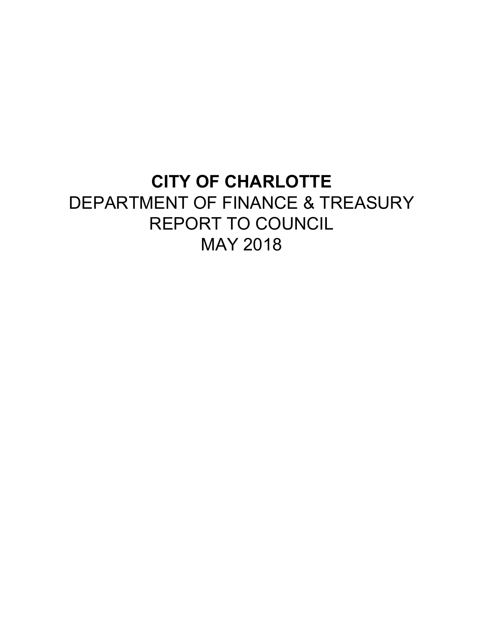# **CITY OF CHARLOTTE** DEPARTMENT OF FINANCE & TREASURY REPORT TO COUNCIL MAY 2018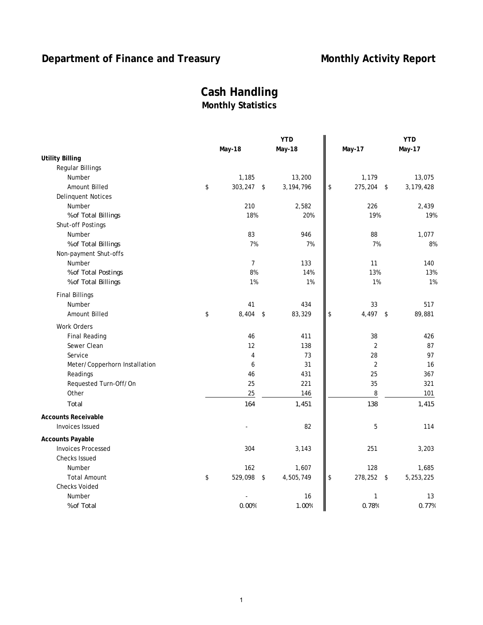# **Department of Finance and Treasury <b>Monthly Activity Report**

# **Cash Handling Monthly Statistics**

|                               |                           | <b>YTD</b>  |    |                | <b>YTD</b>      |
|-------------------------------|---------------------------|-------------|----|----------------|-----------------|
|                               | May-18                    | May-18      |    | <b>May-17</b>  | <b>May-17</b>   |
| <b>Utility Billing</b>        |                           |             |    |                |                 |
| <b>Regular Billings</b>       |                           |             |    |                |                 |
| Number                        | 1,185                     | 13,200      |    | 1,179          | 13,075          |
| Amount Billed                 | \$<br>303,247<br>\$       | 3, 194, 796 | \$ | 275,204        | 3,179,428<br>\$ |
| <b>Delinquent Notices</b>     |                           |             |    |                |                 |
| Number                        | 210                       | 2,582       |    | 226            | 2,439           |
| % of Total Billings           | 18%                       | 20%         |    | 19%            | 19%             |
| Shut-off Postings             |                           |             |    |                |                 |
| Number                        | 83                        | 946         |    | 88             | 1,077           |
| % of Total Billings           | 7%                        | 7%          |    | 7%             | 8%              |
| Non-payment Shut-offs         |                           |             |    |                |                 |
| Number                        | $\overline{7}$            | 133         |    | 11             | 140             |
| % of Total Postings           | 8%                        | 14%         |    | 13%            | 13%             |
| % of Total Billings           | 1%                        | 1%          |    | 1%             | 1%              |
| <b>Final Billings</b>         |                           |             |    |                |                 |
| Number                        | 41                        | 434         |    | 33             | 517             |
| <b>Amount Billed</b>          | \$<br>8,404<br>$\sqrt{2}$ | 83,329      | \$ | 4,497          | 89,881<br>\$    |
| Work Orders                   |                           |             |    |                |                 |
| <b>Final Reading</b>          | 46                        | 411         |    | 38             | 426             |
| Sewer Clean                   | 12                        | 138         |    | $\overline{2}$ | 87              |
| Service                       | $\overline{4}$            | 73          |    | 28             | 97              |
| Meter/Copperhorn Installation | 6                         | 31          |    | $\sqrt{2}$     | 16              |
| Readings                      | 46                        | 431         |    | 25             | 367             |
| Requested Turn-Off/On         | 25                        | 221         |    | 35             | 321             |
| Other                         | 25                        | 146         |    | 8              | 101             |
| Total                         | 164                       | 1,451       |    | 138            | 1,415           |
| <b>Accounts Receivable</b>    |                           |             |    |                |                 |
| <b>Invoices Issued</b>        |                           | 82          |    | 5              | 114             |
| <b>Accounts Payable</b>       |                           |             |    |                |                 |
| <b>Invoices Processed</b>     | 304                       | 3,143       |    | 251            | 3,203           |
| <b>Checks Issued</b>          |                           |             |    |                |                 |
| Number                        | 162                       | 1,607       |    | 128            | 1,685           |
| <b>Total Amount</b>           | \$<br>529,098<br>\$       | 4,505,749   | \$ | 278,252        | 5,253,225<br>\$ |
| <b>Checks Voided</b>          |                           |             |    |                |                 |
| Number                        |                           | 16          |    | $\mathbf{1}$   | 13              |
| % of Total                    | 0.00%                     | 1.00%       |    | 0.78%          | 0.77%           |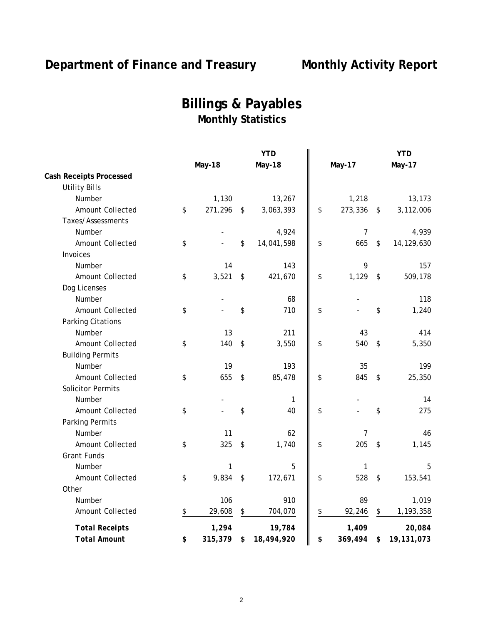# Department of Finance and Treasury Monthly Activity Report

# **Billings & Payables Monthly Statistics**

|                                |               |                            | <b>YTD</b>    |                |                         | <b>YTD</b>    |
|--------------------------------|---------------|----------------------------|---------------|----------------|-------------------------|---------------|
|                                | <b>May-18</b> |                            | <b>May-18</b> | <b>May-17</b>  |                         | <b>May-17</b> |
| <b>Cash Receipts Processed</b> |               |                            |               |                |                         |               |
| <b>Utility Bills</b>           |               |                            |               |                |                         |               |
| Number                         | 1,130         |                            | 13,267        | 1,218          |                         | 13,173        |
| Amount Collected               | \$<br>271,296 | \$                         | 3,063,393     | \$<br>273,336  | \$                      | 3,112,006     |
| Taxes/Assessments              |               |                            |               |                |                         |               |
| Number                         |               |                            | 4,924         | $\overline{7}$ |                         | 4,939         |
| Amount Collected               | \$            | \$                         | 14,041,598    | \$<br>665      | $\sqrt[6]{\frac{1}{2}}$ | 14,129,630    |
| Invoices                       |               |                            |               |                |                         |               |
| Number                         | 14            |                            | 143           | 9              |                         | 157           |
| Amount Collected               | \$<br>3,521   | $\boldsymbol{\hat{\zeta}}$ | 421,670       | \$<br>1,129    | $\sqrt{2}$              | 509,178       |
| Dog Licenses                   |               |                            |               |                |                         |               |
| Number                         |               |                            | 68            |                |                         | 118           |
| Amount Collected               | \$            | \$                         | 710           | \$             | \$                      | 1,240         |
| Parking Citations              |               |                            |               |                |                         |               |
| Number                         | 13            |                            | 211           | 43             |                         | 414           |
| Amount Collected               | \$<br>140     | \$                         | 3,550         | \$<br>540      | $\sqrt{2}$              | 5,350         |
| <b>Building Permits</b>        |               |                            |               |                |                         |               |
| Number                         | 19            |                            | 193           | 35             |                         | 199           |
| Amount Collected               | \$<br>655     | \$                         | 85,478        | \$<br>845      | \$                      | 25,350        |
| <b>Solicitor Permits</b>       |               |                            |               |                |                         |               |
| Number                         |               |                            | 1             |                |                         | 14            |
| Amount Collected               | \$            | \$                         | 40            | \$             | \$                      | 275           |
| Parking Permits                |               |                            |               |                |                         |               |
| Number                         | 11            |                            | 62            | 7              |                         | 46            |
| Amount Collected               | \$<br>325     | \$                         | 1,740         | \$<br>205      | \$                      | 1,145         |
| <b>Grant Funds</b>             |               |                            |               |                |                         |               |
| Number                         | 1             |                            | 5             | 1              |                         | 5             |
| Amount Collected               | \$<br>9,834   | \$                         | 172,671       | \$<br>528      | $\sqrt{2}$              | 153,541       |
| Other                          |               |                            |               |                |                         |               |
| Number                         | 106           |                            | 910           | 89             |                         | 1,019         |
| Amount Collected               | \$<br>29,608  | \$                         | 704,070       | \$<br>92,246   | \$                      | 1,193,358     |
| <b>Total Receipts</b>          | 1,294         |                            | 19,784        | 1,409          |                         | 20,084        |
| <b>Total Amount</b>            | \$<br>315,379 | \$                         | 18,494,920    | \$<br>369,494  | \$                      | 19,131,073    |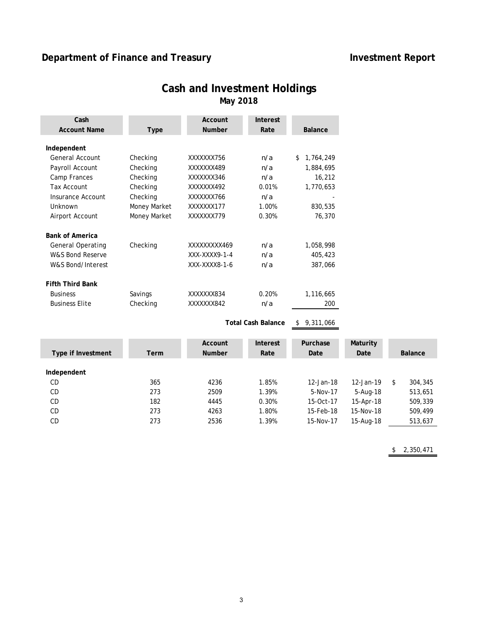# **Department of Finance and Treasury <b>Investment Report Investment Report**

| Cash<br><b>Account Name</b> | <b>Type</b>  | Account<br><b>Number</b> | Interest<br>Rate          | <b>Balance</b>  |
|-----------------------------|--------------|--------------------------|---------------------------|-----------------|
|                             |              |                          |                           |                 |
| Independent                 |              |                          |                           |                 |
| General Account             | Checking     | XXXXXXX756               | n/a                       | 1,764,249<br>\$ |
| Payroll Account             | Checking     | XXXXXXX489               | n/a                       | 1,884,695       |
| Camp Frances                | Checking     | XXXXXXX346               | n/a                       | 16,212          |
| <b>Tax Account</b>          | Checking     | XXXXXXX492               | 0.01%                     | 1,770,653       |
| Insurance Account           | Checking     | XXXXXXX766               | n/a                       |                 |
| Unknown                     | Money Market | XXXXXXX177               | 1.00%                     | 830,535         |
| Airport Account             | Money Market | XXXXXXX779               | 0.30%                     | 76,370          |
| <b>Bank of America</b>      |              |                          |                           |                 |
| <b>General Operating</b>    | Checking     | XXXXXXXX469              | n/a                       | 1,058,998       |
| W&S Bond Reserve            |              | XXX-XXXX9-1-4            | n/a                       | 405,423         |
| W&S Bond/Interest           |              | XXX-XXXX8-1-6            | n/a                       | 387,066         |
| <b>Fifth Third Bank</b>     |              |                          |                           |                 |
| <b>Business</b>             | Savings      | XXXXXXX834               | 0.20%                     | 1,116,665       |
| <b>Business Elite</b>       | Checking     | XXXXXXX842               | n/a                       | 200             |
|                             |              |                          | <b>Total Cash Balance</b> | 9,311,066       |
|                             |              | Account                  | Interest                  | Purchase        |

# **Cash and Investment Holdings May 2018**

| Type if Investment | Term | Account<br><b>Number</b> | Interest<br>Rate | Purchase<br>Date | Maturity<br>Date |   | <b>Balance</b> |
|--------------------|------|--------------------------|------------------|------------------|------------------|---|----------------|
| Independent        |      |                          |                  |                  |                  |   |                |
| <b>CD</b>          | 365  | 4236                     | 1.85%            | 12-Jan-18        | 12-Jan-19        | S | 304,345        |
| <b>CD</b>          | 273  | 2509                     | 1.39%            | 5-Nov-17         | 5-Aug-18         |   | 513,651        |
| <b>CD</b>          | 182  | 4445                     | 0.30%            | 15-Oct-17        | 15-Apr-18        |   | 509,339        |
| <b>CD</b>          | 273  | 4263                     | 1.80%            | 15-Feb-18        | 15-Nov-18        |   | 509,499        |
| <b>CD</b>          | 273  | 2536                     | 1.39%            | 15-Nov-17        | 15-Aug-18        |   | 513,637        |

 $$ 2,350,471$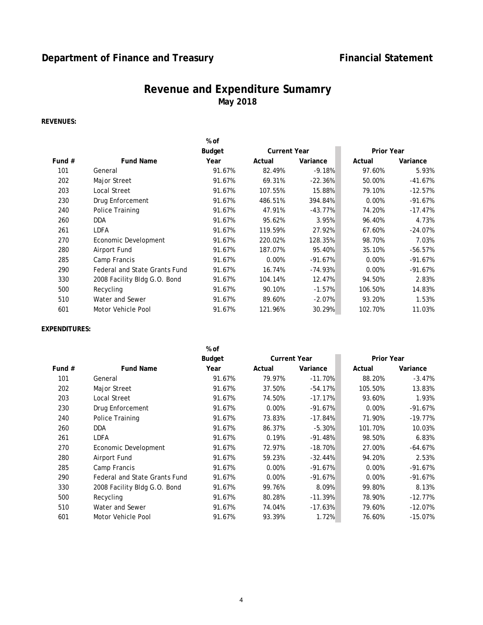# **Department of Finance and Treasury <b>Financial Statement**

# **Revenue and Expenditure Sumamry May 2018**

### **REVENUES:**

|          |                               | % of   |                     |           |                   |           |
|----------|-------------------------------|--------|---------------------|-----------|-------------------|-----------|
|          |                               | Budget | <b>Current Year</b> |           | <b>Prior Year</b> |           |
| Fund $#$ | <b>Fund Name</b>              | Year   | Actual              | Variance  | Actual            | Variance  |
| 101      | General                       | 91.67% | 82.49%              | $-9.18%$  | 97.60%            | 5.93%     |
| 202      | Major Street                  | 91.67% | 69.31%              | $-22.36%$ | 50.00%            | $-41.67%$ |
| 203      | Local Street                  | 91.67% | 107.55%             | 15.88%    | 79.10%            | $-12.57%$ |
| 230      | Drug Enforcement              | 91.67% | 486.51%             | 394.84%   | 0.00%             | $-91.67%$ |
| 240      | Police Training               | 91.67% | 47.91%              | $-43.77%$ | 74.20%            | $-17.47%$ |
| 260      | <b>DDA</b>                    | 91.67% | 95.62%              | 3.95%     | 96.40%            | 4.73%     |
| 261      | LDFA                          | 91.67% | 119.59%             | 27.92%    | 67.60%            | $-24.07%$ |
| 270      | Economic Development          | 91.67% | 220.02%             | 128.35%   | 98.70%            | 7.03%     |
| 280      | Airport Fund                  | 91.67% | 187.07%             | 95.40%    | 35.10%            | $-56.57%$ |
| 285      | Camp Francis                  | 91.67% | 0.00%               | $-91.67%$ | 0.00%             | $-91.67%$ |
| 290      | Federal and State Grants Fund | 91.67% | 16.74%              | $-74.93%$ | 0.00%             | $-91.67%$ |
| 330      | 2008 Facility Bldg G.O. Bond  | 91.67% | 104.14%             | 12.47%    | 94.50%            | 2.83%     |
| 500      | Recycling                     | 91.67% | 90.10%              | $-1.57%$  | 106.50%           | 14.83%    |
| 510      | Water and Sewer               | 91.67% | 89.60%              | $-2.07%$  | 93.20%            | 1.53%     |
| 601      | Motor Vehicle Pool            | 91.67% | 121.96%             | 30.29%    | 102.70%           | 11.03%    |
|          |                               |        |                     |           |                   |           |

#### **EXPENDITURES:**

|          |                               | % of   |        |                     |                   |           |
|----------|-------------------------------|--------|--------|---------------------|-------------------|-----------|
|          |                               | Budget |        | <b>Current Year</b> | <b>Prior Year</b> |           |
| Fund $#$ | <b>Fund Name</b>              | Year   | Actual | Variance            | Actual            | Variance  |
| 101      | General                       | 91.67% | 79.97% | $-11.70%$           | 88.20%            | $-3.47%$  |
| 202      | Major Street                  | 91.67% | 37.50% | $-54.17%$           | 105.50%           | 13.83%    |
| 203      | Local Street                  | 91.67% | 74.50% | $-17.17%$           | 93.60%            | 1.93%     |
| 230      | Drug Enforcement              | 91.67% | 0.00%  | $-91.67%$           | 0.00%             | $-91.67%$ |
| 240      | Police Training               | 91.67% | 73.83% | $-17.84%$           | 71.90%            | $-19.77%$ |
| 260      | <b>DDA</b>                    | 91.67% | 86.37% | $-5.30%$            | 101.70%           | 10.03%    |
| 261      | LDFA                          | 91.67% | 0.19%  | $-91.48%$           | 98.50%            | 6.83%     |
| 270      | Economic Development          | 91.67% | 72.97% | $-18.70%$           | 27.00%            | $-64.67%$ |
| 280      | Airport Fund                  | 91.67% | 59.23% | $-32.44%$           | 94.20%            | 2.53%     |
| 285      | Camp Francis                  | 91.67% | 0.00%  | $-91.67%$           | 0.00%             | $-91.67%$ |
| 290      | Federal and State Grants Fund | 91.67% | 0.00%  | $-91.67%$           | 0.00%             | $-91.67%$ |
| 330      | 2008 Facility Bldg G.O. Bond  | 91.67% | 99.76% | 8.09%               | 99.80%            | 8.13%     |
| 500      | Recycling                     | 91.67% | 80.28% | $-11.39%$           | 78.90%            | $-12.77%$ |
| 510      | Water and Sewer               | 91.67% | 74.04% | $-17.63%$           | 79.60%            | $-12.07%$ |
| 601      | Motor Vehicle Pool            | 91.67% | 93.39% | 1.72%               | 76.60%            | $-15.07%$ |
|          |                               |        |        |                     |                   |           |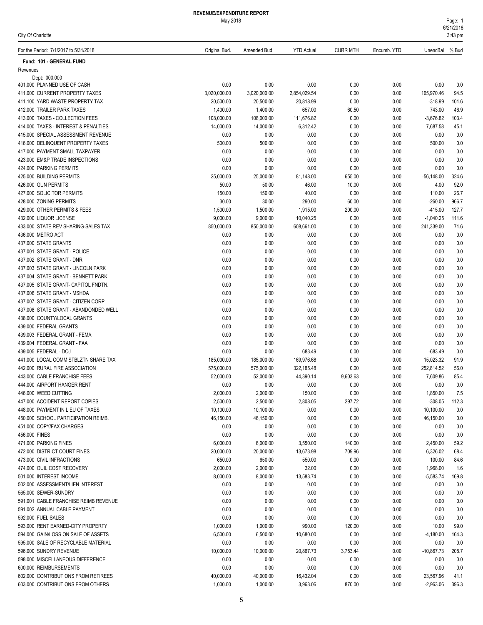| For the Period: 7/1/2017 to 5/31/2018               | Original Bud.   | Amended Bud.    | <b>YTD Actual</b> | <b>CURR MTH</b> | Encumb. YTD  | UnencBal % Bud |              |
|-----------------------------------------------------|-----------------|-----------------|-------------------|-----------------|--------------|----------------|--------------|
| Fund: 101 - GENERAL FUND                            |                 |                 |                   |                 |              |                |              |
| Revenues                                            |                 |                 |                   |                 |              |                |              |
| Dept: 000.000                                       |                 |                 |                   |                 |              |                |              |
| 401.000 PLANNED USE OF CASH                         | 0.00            | 0.00            | 0.00              | 0.00            | 0.00         | 0.00           | 0.0          |
| 411.000 CURRENT PROPERTY TAXES                      | 3,020,000.00    | 3,020,000.00    | 2,854,029.54      | 0.00            | 0.00         | 165,970.46     | 94.5         |
| 411.100 YARD WASTE PROPERTY TAX                     | 20,500.00       | 20,500.00       | 20,818.99         | 0.00            | 0.00         | $-318.99$      | 101.6        |
| 412.000 TRAILER PARK TAXES                          | 1,400.00        | 1,400.00        | 657.00            | 60.50           | 0.00         | 743.00         | 46.9         |
| 413.000 TAXES - COLLECTION FEES                     | 108,000.00      | 108,000.00      | 111,676.82        | 0.00            | 0.00         | $-3,676.82$    | 103.4        |
| 414.000 TAXES - INTEREST & PENALTIES                | 14,000.00       | 14,000.00       | 6,312.42          | 0.00            | 0.00         | 7,687.58       | 45.1         |
| 415.000 SPECIAL ASSESSMENT REVENUE                  | 0.00            | 0.00            | 0.00              | 0.00            | 0.00         | 0.00           | 0.0          |
| 416.000 DELINQUENT PROPERTY TAXES                   | 500.00          | 500.00          | 0.00              | 0.00            | 0.00         | 500.00         | 0.0          |
| 417.000 PAYMENT SMALL TAXPAYER                      | 0.00            | 0.00            | 0.00              | 0.00            | 0.00         | 0.00           | 0.0          |
| 423.000 EM&P TRADE INSPECTIONS                      | 0.00            | 0.00            | 0.00              | 0.00            | 0.00         | 0.00           | 0.0          |
| 424.000 PARKING PERMITS                             | 0.00            | 0.00            | 0.00              | 0.00            | 0.00         | 0.00           | 0.0          |
| 425.000 BUILDING PERMITS                            | 25,000.00       | 25,000.00       | 81,148.00         | 655.00          | 0.00         | $-56,148.00$   | 324.6        |
| 426.000 GUN PERMITS                                 | 50.00<br>150.00 | 50.00           | 46.00<br>40.00    | 10.00<br>0.00   | 0.00<br>0.00 | 4.00<br>110.00 | 92.0<br>26.7 |
| 427.000 SOLICITOR PERMITS<br>428.000 ZONING PERMITS | 30.00           | 150.00<br>30.00 | 290.00            |                 | 0.00         | $-260.00$      | 966.7        |
| 429,000 OTHER PERMITS & FEES                        | 1,500.00        | 1,500.00        | 1,915.00          | 60.00<br>200.00 | 0.00         | $-415.00$      | 127.7        |
| 432.000 LIQUOR LICENSE                              | 9,000.00        | 9,000.00        | 10,040.25         | 0.00            | 0.00         | $-1,040.25$    | 111.6        |
| 433.000 STATE REV SHARING-SALES TAX                 | 850,000.00      | 850,000.00      | 608,661.00        | 0.00            | 0.00         | 241,339.00     | 71.6         |
| 436.000 METRO ACT                                   | 0.00            | 0.00            | 0.00              | 0.00            | 0.00         | 0.00           | 0.0          |
| 437.000 STATE GRANTS                                | 0.00            | 0.00            | 0.00              | 0.00            | 0.00         | 0.00           | 0.0          |
| 437.001 STATE GRANT - POLICE                        | 0.00            | 0.00            | 0.00              | 0.00            | 0.00         | 0.00           | 0.0          |
| 437.002 STATE GRANT - DNR                           | 0.00            | 0.00            | 0.00              | 0.00            | 0.00         | 0.00           | 0.0          |
| 437.003 STATE GRANT - LINCOLN PARK                  | 0.00            | 0.00            | 0.00              | 0.00            | 0.00         | 0.00           | 0.0          |
| 437.004 STATE GRANT - BENNETT PARK                  | 0.00            | 0.00            | 0.00              | 0.00            | 0.00         | 0.00           | 0.0          |
| 437.005 STATE GRANT- CAPITOL FNDTN.                 | 0.00            | 0.00            | 0.00              | 0.00            | 0.00         | 0.00           | 0.0          |
| 437.006 STATE GRANT - MSHDA                         | 0.00            | 0.00            | 0.00              | 0.00            | 0.00         | 0.00           | 0.0          |
| 437.007 STATE GRANT - CITIZEN CORP                  | 0.00            | 0.00            | 0.00              | 0.00            | 0.00         | 0.00           | 0.0          |
| 437.008 STATE GRANT - ABANDONDED WELL               | 0.00            | 0.00            | 0.00              | 0.00            | 0.00         | 0.00           | 0.0          |
| 438.000 COUNTY/LOCAL GRANTS                         | 0.00            | 0.00            | 0.00              | 0.00            | 0.00         | 0.00           | 0.0          |
| 439.000 FEDERAL GRANTS                              | 0.00            | 0.00            | 0.00              | 0.00            | 0.00         | 0.00           | 0.0          |
| 439.003 FEDERAL GRANT - FEMA                        | 0.00            | 0.00            | 0.00              | 0.00            | 0.00         | 0.00           | 0.0          |
| 439.004 FEDERAL GRANT - FAA                         | 0.00            | 0.00            | 0.00              | 0.00            | 0.00         | 0.00           | 0.0          |
| 439.005 FEDERAL - DOJ                               | 0.00            | 0.00            | 683.49            | 0.00            | 0.00         | -683.49        | 0.0          |
| 441.000 LOCAL COMM STBLZTN SHARE TAX                | 185,000.00      | 185,000.00      | 169,976.68        | 0.00            | 0.00         | 15,023.32      | 91.9         |
| 442.000 RURAL FIRE ASSOCIATION                      | 575,000.00      | 575,000.00      | 322,185.48        | 0.00            | 0.00         | 252,814.52     | 56.0         |
| 443.000 CABLE FRANCHISE FEES                        | 52,000.00       | 52,000.00       | 44,390.14         | 9,603.63        | 0.00         | 7,609.86       | 85.4         |
| 444.000 AIRPORT HANGER RENT                         | 0.00            | 0.00            | 0.00              | 0.00            | 0.00         | 0.00           | 0.0          |
| 446,000 WEED CUTTING                                | 2,000.00        | 2,000.00        | 150.00            | 0.00            | 0.00         | 1,850.00       | 7.5          |
| 447.000 ACCIDENT REPORT COPIES                      | 2,500.00        | 2,500.00        | 2,808.05          | 297.72          | 0.00         | $-308.05$      | 112.3        |
| 448.000 PAYMENT IN LIEU OF TAXES                    | 10,100.00       | 10,100.00       | 0.00              | 0.00            | 0.00         | 10,100.00      | 0.0          |
| 450.000 SCHOOL PARTICIPATION REIMB.                 | 46,150.00       | 46,150.00       | 0.00              | 0.00            | 0.00         | 46,150.00      | 0.0          |
| 451.000 COPY/FAX CHARGES                            | 0.00            | 0.00            | 0.00              | 0.00            | 0.00         | 0.00           | 0.0          |
| 456.000 FINES                                       | 0.00            | 0.00            | 0.00              | 0.00            | 0.00         | 0.00           | 0.0          |
| 471.000 PARKING FINES                               | 6,000.00        | 6,000.00        | 3,550.00          | 140.00          | 0.00         | 2,450.00       | 59.2         |
| 472.000 DISTRICT COURT FINES                        | 20,000.00       | 20,000.00       | 13,673.98         | 709.96          | 0.00         | 6,326.02       | 68.4         |
| 473.000 CIVIL INFRACTIONS                           | 650.00          | 650.00          | 550.00            | 0.00            | 0.00         | 100.00         | 84.6         |
| 474.000 OUIL COST RECOVERY                          | 2,000.00        | 2,000.00        | 32.00             | 0.00            | 0.00         | 1,968.00       | 1.6          |
| 501.000 INTEREST INCOME                             | 8,000.00        | 8,000.00        | 13,583.74         | 0.00            | 0.00         | $-5,583.74$    | 169.8        |
| 502.000 ASSESSMENT/LIEN INTEREST                    | 0.00            | 0.00            | 0.00              | 0.00            | 0.00         | 0.00           | 0.0          |
| 565.000 SEWER-SUNDRY                                | 0.00            | 0.00            | 0.00              | 0.00            | 0.00         | 0.00           | 0.0          |
| 591.001 CABLE FRANCHISE REIMB REVENUE               | 0.00            | 0.00            | 0.00              | 0.00            | 0.00         | 0.00           | 0.0          |
| 591.002 ANNUAL CABLE PAYMENT                        | 0.00            | 0.00            | 0.00              | 0.00            | 0.00         | 0.00           | 0.0          |
| 592.000 FUEL SALES                                  | 0.00            | 0.00            | 0.00              | 0.00            | 0.00         | 0.00           | 0.0          |
| 593.000 RENT EARNED-CITY PROPERTY                   | 1,000.00        | 1,000.00        | 990.00            | 120.00          | 0.00         | 10.00          | 99.0         |
| 594.000 GAIN/LOSS ON SALE OF ASSETS                 | 6,500.00        | 6,500.00        | 10,680.00         | 0.00            | 0.00         | $-4,180.00$    | 164.3        |
| 595.000 SALE OF RECYCLABLE MATERIAL                 | 0.00            | 0.00            | 0.00              | 0.00            | 0.00         | 0.00           | 0.0          |
| 596.000 SUNDRY REVENUE                              | 10,000.00       | 10,000.00       | 20,867.73         | 3,753.44        | 0.00         | $-10,867.73$   | 208.7        |
| 598.000 MISCELLANEOUS DIFFERENCE                    | 0.00            | 0.00            | 0.00              | 0.00            | 0.00         | 0.00           | 0.0          |
| 600.000 REIMBURSEMENTS                              | 0.00            | 0.00            | 0.00              | 0.00            | 0.00         | 0.00           | 0.0          |
| 602.000 CONTRIBUTIONS FROM RETIREES                 | 40,000.00       | 40,000.00       | 16,432.04         | 0.00            | 0.00         | 23,567.96      | 41.1         |
| 603.000 CONTRIBUTIONS FROM OTHERS                   | 1,000.00        | 1,000.00        | 3,963.06          | 870.00          | 0.00         | $-2,963.06$    | 396.3        |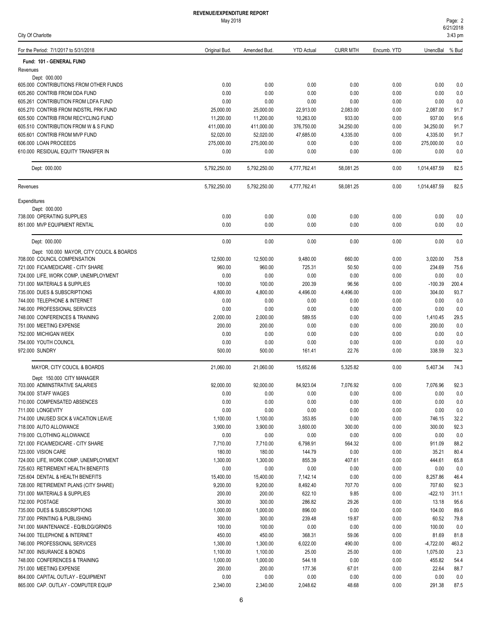| For the Period: 7/1/2017 to 5/31/2018                                        | Original Bud.          | Amended Bud.           | <b>YTD Actual</b>      | <b>CURR MTH</b>    | Encumb. YTD  | UnencBal % Bud     |              |
|------------------------------------------------------------------------------|------------------------|------------------------|------------------------|--------------------|--------------|--------------------|--------------|
| Fund: 101 - GENERAL FUND                                                     |                        |                        |                        |                    |              |                    |              |
| Revenues                                                                     |                        |                        |                        |                    |              |                    |              |
| Dept: 000.000                                                                |                        |                        |                        |                    |              |                    |              |
| 605.000 CONTRIBUTIONS FROM OTHER FUNDS                                       | 0.00                   | 0.00                   | 0.00                   | 0.00               | 0.00         | 0.00               | 0.0          |
| 605.260 CONTRIB FROM DDA FUND                                                | 0.00<br>0.00           | 0.00<br>0.00           | 0.00<br>0.00           | 0.00<br>0.00       | 0.00         | 0.00<br>0.00       | 0.0          |
| 605.261 CONTRIBUTION FROM LDFA FUND                                          |                        |                        |                        |                    | 0.00         |                    | 0.0          |
| 605.270 CONTRIB FROM INDSTRL PRK FUND<br>605.500 CONTRIB FROM RECYCLING FUND | 25,000.00<br>11,200.00 | 25,000.00<br>11,200.00 | 22,913.00<br>10,263.00 | 2,083.00<br>933.00 | 0.00<br>0.00 | 2,087.00<br>937.00 | 91.7<br>91.6 |
| 605.510 CONTRIBUTION FROM W & S FUND                                         | 411.000.00             | 411,000.00             | 376,750.00             | 34,250.00          | 0.00         | 34,250.00          | 91.7         |
| 605.601 CONTRIB FROM MVP FUND                                                | 52,020.00              | 52,020.00              | 47,685.00              | 4,335.00           | 0.00         | 4,335.00           | 91.7         |
| 606.000 LOAN PROCEEDS                                                        | 275,000.00             | 275,000.00             | 0.00                   | 0.00               | 0.00         | 275,000.00         | 0.0          |
| 610.000 RESIDUAL EQUITY TRANSFER IN                                          | 0.00                   | 0.00                   | 0.00                   | 0.00               | 0.00         | 0.00               | 0.0          |
| Dept: 000.000                                                                | 5,792,250.00           | 5,792,250.00           | 4,777,762.41           | 58,081.25          | 0.00         | 1,014,487.59       | 82.5         |
| Revenues                                                                     | 5,792,250.00           | 5,792,250.00           | 4,777,762.41           | 58,081.25          | 0.00         | 1,014,487.59       | 82.5         |
| Expenditures                                                                 |                        |                        |                        |                    |              |                    |              |
| Dept: 000.000                                                                |                        |                        |                        |                    |              |                    |              |
| 738.000 OPERATING SUPPLIES                                                   | 0.00                   | 0.00                   | 0.00                   | 0.00               | 0.00         | 0.00               | 0.0          |
| 851.000 MVP EQUIPMENT RENTAL                                                 | 0.00                   | 0.00                   | 0.00                   | 0.00               | 0.00         | 0.00               | 0.0          |
| Dept: 000.000                                                                | 0.00                   | 0.00                   | 0.00                   | 0.00               | 0.00         | 0.00               | 0.0          |
| Dept: 100.000 MAYOR, CITY COUCIL & BOARDS                                    |                        |                        |                        |                    |              |                    |              |
| 708.000 COUNCIL COMPENSATION                                                 | 12.500.00              | 12,500.00              | 9,480.00               | 660.00             | 0.00         | 3,020.00           | 75.8         |
| 721.000 FICA/MEDICARE - CITY SHARE                                           | 960.00                 | 960.00                 | 725.31                 | 50.50              | 0.00         | 234.69             | 75.6         |
| 724.000 LIFE, WORK COMP, UNEMPLOYMENT                                        | 0.00                   | 0.00                   | 0.00                   | 0.00               | 0.00         | 0.00               | 0.0          |
| 731.000 MATERIALS & SUPPLIES                                                 | 100.00                 | 100.00                 | 200.39                 | 96.56              | 0.00         | $-100.39$          | 200.4        |
| 735.000 DUES & SUBSCRIPTIONS                                                 | 4,800.00               | 4,800.00               | 4,496.00               | 4,496.00           | 0.00         | 304.00             | 93.7         |
| 744.000 TELEPHONE & INTERNET                                                 | 0.00                   | 0.00                   | 0.00                   | 0.00               | 0.00         | 0.00               | 0.0          |
| 746.000 PROFESSIONAL SERVICES                                                | 0.00                   | 0.00                   | 0.00                   | 0.00               | 0.00         | 0.00               | 0.0          |
| 748.000 CONFERENCES & TRAINING                                               | 2,000.00               | 2,000.00               | 589.55                 | 0.00               | 0.00         | 1,410.45           | 29.5         |
| 751.000 MEETING EXPENSE                                                      | 200.00                 | 200.00                 | 0.00                   | 0.00               | 0.00         | 200.00             | 0.0          |
| 752.000 MICHIGAN WEEK                                                        | 0.00                   | 0.00                   | 0.00                   | 0.00               | 0.00         | 0.00               | 0.0          |
| 754.000 YOUTH COUNCIL                                                        | 0.00                   | 0.00                   | 0.00                   | 0.00               | 0.00         | 0.00               | 0.0          |
| 972.000 SUNDRY                                                               | 500.00                 | 500.00                 | 161.41                 | 22.76              | 0.00         | 338.59             | 32.3         |
| MAYOR, CITY COUCIL & BOARDS                                                  | 21,060.00              | 21,060.00              | 15,652.66              | 5,325.82           | 0.00         | 5,407.34           | 74.3         |
| Dept: 150.000 CITY MANAGER                                                   |                        |                        |                        |                    |              |                    |              |
| 703.000 ADMINSTRATIVE SALARIES                                               | 92,000.00              | 92,000.00              | 84,923.04              | 7,076.92           | 0.00         | 7,076.96           | 92.3         |
| 704.000 STAFF WAGES                                                          | 0.00                   | 0.00                   | 0.00                   | 0.00               | 0.00         | 0.00               | 0.0          |
| 710.000 COMPENSATED ABSENCES<br>711.000 LONGEVITY                            | 0.00<br>0.00           | 0.00<br>0.00           | 0.00<br>0.00           | 0.00<br>0.00       | 0.00<br>0.00 | 0.00<br>0.00       | 0.0<br>0.0   |
| 714.000 UNUSED SICK & VACATION LEAVE                                         | 1,100.00               | 1,100.00               | 353.85                 | 0.00               | 0.00         | 746.15             | 32.2         |
| 718.000 AUTO ALLOWANCE                                                       | 3,900.00               | 3,900.00               | 3,600.00               | 300.00             | 0.00         | 300.00             | 92.3         |
| 719.000 CLOTHING ALLOWANCE                                                   | 0.00                   | 0.00                   | 0.00                   | 0.00               | 0.00         | 0.00               | 0.0          |
| 721.000 FICA/MEDICARE - CITY SHARE                                           | 7,710.00               | 7,710.00               | 6,798.91               | 564.32             | 0.00         | 911.09             | 88.2         |
| 723.000 VISION CARE                                                          | 180.00                 | 180.00                 | 144.79                 | 0.00               | 0.00         | 35.21              | 80.4         |
| 724.000 LIFE, WORK COMP, UNEMPLOYMENT                                        | 1,300.00               | 1,300.00               | 855.39                 | 407.61             | 0.00         | 444.61             | 65.8         |
| 725.603 RETIREMENT HEALTH BENEFITS                                           | 0.00                   | 0.00                   | 0.00                   | 0.00               | 0.00         | 0.00               | 0.0          |
| 725.604 DENTAL & HEALTH BENEFITS                                             | 15,400.00              | 15,400.00              | 7,142.14               | 0.00               | 0.00         | 8,257.86           | 46.4         |
| 728.000 RETIREMENT PLANS (CITY SHARE)                                        | 9,200.00               | 9,200.00               | 8,492.40               | 707.70             | 0.00         | 707.60             | 92.3         |
| 731.000 MATERIALS & SUPPLIES                                                 | 200.00                 | 200.00                 | 622.10                 | 9.85               | 0.00         | $-422.10$          | 311.1        |
| 732.000 POSTAGE                                                              | 300.00                 | 300.00                 | 286.82                 | 29.26              | 0.00         | 13.18              | 95.6         |
| 735.000 DUES & SUBSCRIPTIONS                                                 | 1,000.00               | 1,000.00               | 896.00                 | 0.00               | 0.00         | 104.00             | 89.6         |
| 737.000 PRINTING & PUBLISHING                                                | 300.00                 | 300.00                 | 239.48                 | 19.87              | 0.00         | 60.52              | 79.8         |
| 741.000 MAINTENANCE - EQ/BLDG/GRNDS                                          | 100.00                 | 100.00                 | 0.00                   | 0.00               | 0.00         | 100.00             | 0.0          |
| 744.000 TELEPHONE & INTERNET                                                 | 450.00                 | 450.00                 | 368.31                 | 59.06              | 0.00         | 81.69              | 81.8         |
| 746.000 PROFESSIONAL SERVICES                                                | 1,300.00               | 1,300.00               | 6,022.00               | 490.00             | 0.00         | $-4,722.00$        | 463.2        |
| 747.000 INSURANCE & BONDS                                                    | 1,100.00               | 1,100.00               | 25.00                  | 25.00              | 0.00         | 1,075.00           | 2.3          |
| 748.000 CONFERENCES & TRAINING                                               | 1,000.00               | 1,000.00               | 544.18                 | 0.00               | 0.00         | 455.82             | 54.4         |
| 751.000 MEETING EXPENSE                                                      | 200.00                 | 200.00                 | 177.36                 | 67.01              | 0.00         | 22.64              | 88.7         |
| 864.000 CAPITAL OUTLAY - EQUIPMENT                                           | 0.00                   | 0.00                   | 0.00                   | 0.00               | 0.00         | 0.00               | 0.0          |
| 865.000 CAP. OUTLAY - COMPUTER EQUIP                                         | 2,340.00               | 2,340.00               | 2,048.62               | 48.68              | 0.00         | 291.38             | 87.5         |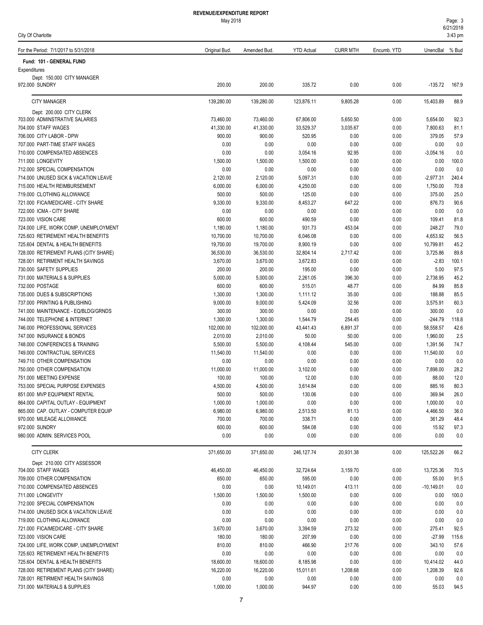May 2018

City Of Charlotte

| For the Period: 7/1/2017 to 5/31/2018                                     | Original Bud.          | Amended Bud.           | <b>YTD Actual</b>     | <b>CURR MTH</b> | Encumb. YTD  | UnencBal              | % Bud        |
|---------------------------------------------------------------------------|------------------------|------------------------|-----------------------|-----------------|--------------|-----------------------|--------------|
| Fund: 101 - GENERAL FUND                                                  |                        |                        |                       |                 |              |                       |              |
| Expenditures                                                              |                        |                        |                       |                 |              |                       |              |
| Dept: 150.000 CITY MANAGER<br>972.000 SUNDRY                              | 200.00                 | 200.00                 | 335.72                | 0.00            | 0.00         | $-135.72$             | 167.9        |
| <b>CITY MANAGER</b>                                                       | 139,280.00             | 139,280.00             | 123,876.11            | 9,805.28        | 0.00         | 15,403.89             | 88.9         |
| Dept: 200.000 CITY CLERK                                                  |                        |                        |                       |                 |              |                       |              |
| 703.000 ADMINSTRATIVE SALARIES                                            | 73,460.00              | 73,460.00              | 67,806.00             | 5,650.50        | 0.00         | 5,654.00              | 92.3         |
| 704.000 STAFF WAGES                                                       | 41,330.00              | 41,330.00              | 33,529.37             | 3,035.67        | 0.00         | 7,800.63              | 81.1         |
| 706.000 CITY LABOR - DPW                                                  | 900.00                 | 900.00                 | 520.95                | 0.00            | 0.00         | 379.05                | 57.9         |
| 707.000 PART-TIME STAFF WAGES                                             | 0.00                   | 0.00                   | 0.00                  | 0.00            | 0.00         | 0.00                  | 0.0          |
| 710.000 COMPENSATED ABSENCES                                              | 0.00                   | 0.00                   | 3,054.16              | 92.95           | 0.00         | $-3,054.16$           | 0.0          |
| 711.000 LONGEVITY                                                         | 1,500.00<br>0.00       | 1,500.00<br>0.00       | 1,500.00              | 0.00            | 0.00         | 0.00<br>0.00          | 100.0<br>0.0 |
| 712.000 SPECIAL COMPENSATION                                              | 2,120.00               |                        | 0.00                  | 0.00            | 0.00         | $-2,977.31$           | 240.4        |
| 714.000 UNUSED SICK & VACATION LEAVE<br>715.000 HEALTH REIMBURSEMENT      | 6,000.00               | 2,120.00<br>6,000.00   | 5,097.31<br>4,250.00  | 0.00<br>0.00    | 0.00<br>0.00 | 1,750.00              | 70.8         |
| 719.000 CLOTHING ALLOWANCE                                                | 500.00                 | 500.00                 | 125.00                | 0.00            | 0.00         | 375.00                | 25.0         |
| 721.000 FICA/MEDICARE - CITY SHARE                                        | 9,330.00               | 9,330.00               | 8,453.27              | 647.22          | 0.00         | 876.73                | 90.6         |
| 722.000 ICMA - CITY SHARE                                                 | 0.00                   | 0.00                   | 0.00                  | 0.00            | 0.00         | 0.00                  | 0.0          |
| 723.000 VISION CARE                                                       | 600.00                 | 600.00                 | 490.59                | 0.00            | 0.00         | 109.41                | 81.8         |
| 724.000 LIFE, WORK COMP, UNEMPLOYMENT                                     | 1,180.00               | 1,180.00               | 931.73                | 453.04          | 0.00         | 248.27                | 79.0         |
| 725.603 RETIREMENT HEALTH BENEFITS                                        | 10,700.00              | 10,700.00              | 6,046.08              | 0.00            | 0.00         | 4,653.92              | 56.5         |
| 725.604 DENTAL & HEALTH BENEFITS                                          | 19,700.00              | 19,700.00              | 8,900.19              | 0.00            | 0.00         | 10,799.81             | 45.2         |
| 728.000 RETIREMENT PLANS (CITY SHARE)                                     | 36,530.00              | 36,530.00              | 32,804.14             | 2,717.42        | 0.00         | 3,725.86              | 89.8         |
| 728.001 RETIRMENT HEALTH SAVINGS                                          | 3,670.00               | 3,670.00               | 3,672.83              | 0.00            | 0.00         | $-2.83$               | 100.1        |
| 730.000 SAFETY SUPPLIES                                                   | 200.00                 | 200.00                 | 195.00                | 0.00            | 0.00         | 5.00                  | 97.5         |
| 731.000 MATERIALS & SUPPLIES                                              | 5,000.00               | 5,000.00               | 2,261.05              | 396.30          | 0.00         | 2,738.95              | 45.2         |
| 732.000 POSTAGE                                                           | 600.00                 | 600.00                 | 515.01                | 48.77           | 0.00         | 84.99                 | 85.8         |
| 735.000 DUES & SUBSCRIPTIONS                                              | 1,300.00               | 1,300.00               | 1,111.12              | 35.00           | 0.00         | 188.88                | 85.5         |
| 737.000 PRINTING & PUBLISHING                                             | 9,000.00               | 9,000.00               | 5,424.09              | 32.56           | 0.00         | 3,575.91              | 60.3         |
| 741.000 MAINTENANCE - EQ/BLDG/GRNDS                                       | 300.00                 | 300.00                 | 0.00                  | 0.00            | 0.00         | 300.00                | 0.0          |
| 744.000 TELEPHONE & INTERNET                                              | 1,300.00               | 1,300.00               | 1,544.79              | 254.45          | 0.00         | $-244.79$             | 118.8        |
| 746.000 PROFESSIONAL SERVICES                                             | 102,000.00             | 102,000.00             | 43,441.43             | 6,891.37        | 0.00         | 58,558.57             | 42.6         |
| 747.000 INSURANCE & BONDS                                                 | 2,010.00               | 2,010.00               | 50.00                 | 50.00           | 0.00         | 1,960.00              | 2.5          |
| 748.000 CONFERENCES & TRAINING                                            | 5,500.00               | 5,500.00               | 4,108.44              | 545.00          | 0.00         | 1,391.56              | 74.7         |
| 749.000 CONTRACTUAL SERVICES                                              | 11,540.00              | 11,540.00              | 0.00                  | 0.00            | 0.00         | 11,540.00             | 0.0          |
| 749.710 OTHER COMPENSATION<br>750.000 OTHER COMPENSATION                  | 0.00                   | 0.00                   | 0.00                  | 0.00            | 0.00         | 0.00                  | 0.0          |
| 751.000 MEETING EXPENSE                                                   | 11,000.00<br>100.00    | 11,000.00              | 3,102.00              | 0.00            | 0.00         | 7,898.00<br>88.00     | 28.2<br>12.0 |
| 753.000 SPECIAL PURPOSE EXPENSES                                          | 4,500.00               | 100.00<br>4,500.00     | 12.00<br>3,614.84     | 0.00<br>0.00    | 0.00<br>0.00 | 885.16                | 80.3         |
| 851.000 MVP EQUIPMENT RENTAL                                              | 500.00                 | 500.00                 | 130.06                | 0.00            | $0.00\,$     | 369.94                | $26.0\,$     |
| 864.000 CAPITAL OUTLAY - EQUIPMENT                                        | 1,000.00               | 1,000.00               | 0.00                  | 0.00            | 0.00         | 1,000.00              | 0.0          |
| 865.000 CAP. OUTLAY - COMPUTER EQUIP                                      | 6,980.00               | 6,980.00               | 2,513.50              | 81.13           | 0.00         | 4,466.50              | 36.0         |
| 970.000 MILEAGE ALLOWANCE                                                 | 700.00                 | 700.00                 | 338.71                | 0.00            | 0.00         | 361.29                | 48.4         |
| 972.000 SUNDRY                                                            | 600.00                 | 600.00                 | 584.08                | 0.00            | 0.00         | 15.92                 | 97.3         |
| 980.000 ADMIN. SERVICES POOL                                              | 0.00                   | 0.00                   | 0.00                  | 0.00            | 0.00         | 0.00                  | 0.0          |
| <b>CITY CLERK</b>                                                         | 371,650.00             | 371,650.00             | 246, 127.74           | 20,931.38       | 0.00         | 125,522.26            | 66.2         |
| Dept: 210.000 CITY ASSESSOR                                               |                        |                        |                       |                 |              |                       |              |
| 704.000 STAFF WAGES                                                       | 46,450.00              | 46,450.00              | 32,724.64             | 3,159.70        | 0.00         | 13,725.36             | 70.5         |
| 709.000 OTHER COMPENSATION                                                | 650.00                 | 650.00                 | 595.00                | 0.00            | 0.00         | 55.00                 | 91.5         |
| 710.000 COMPENSATED ABSENCES                                              | 0.00                   | 0.00                   | 10,149.01             | 413.11          | 0.00         | $-10,149.01$          | 0.0          |
| 711.000 LONGEVITY                                                         | 1,500.00               | 1,500.00               | 1,500.00              | 0.00            | 0.00         | 0.00                  | 100.0        |
| 712.000 SPECIAL COMPENSATION                                              | 0.00                   | 0.00                   | 0.00                  | 0.00            | 0.00         | 0.00                  | 0.0          |
| 714.000 UNUSED SICK & VACATION LEAVE                                      | 0.00                   | 0.00                   | 0.00                  | 0.00            | 0.00         | 0.00                  | 0.0          |
| 719.000 CLOTHING ALLOWANCE                                                | 0.00                   | 0.00                   | 0.00                  | 0.00            | 0.00         | 0.00                  | 0.0          |
| 721.000 FICA/MEDICARE - CITY SHARE                                        | 3,670.00               | 3,670.00               | 3,394.59              | 273.32          | 0.00         | 275.41                | 92.5         |
| 723.000 VISION CARE                                                       | 180.00                 | 180.00                 | 207.99                | 0.00            | 0.00         | $-27.99$              | 115.6        |
| 724.000 LIFE, WORK COMP, UNEMPLOYMENT                                     | 810.00                 | 810.00                 | 466.90                | 217.76          | 0.00         | 343.10                | 57.6         |
| 725.603 RETIREMENT HEALTH BENEFITS                                        | 0.00                   | 0.00                   | 0.00                  | 0.00<br>0.00    | 0.00         | 0.00                  | 0.0          |
| 725.604 DENTAL & HEALTH BENEFITS<br>728.000 RETIREMENT PLANS (CITY SHARE) | 18,600.00<br>16,220.00 | 18,600.00<br>16,220.00 | 8,185.98<br>15,011.61 | 1,208.68        | 0.00<br>0.00 | 10,414.02<br>1,208.39 | 44.0<br>92.6 |
| 728.001 RETIRMENT HEALTH SAVINGS                                          | 0.00                   | 0.00                   | 0.00                  | 0.00            | 0.00         | 0.00                  | 0.0          |
| 731.000 MATERIALS & SUPPLIES                                              | 1,000.00               | 1,000.00               | 944.97                | 0.00            | 0.00         | 55.03                 | 94.5         |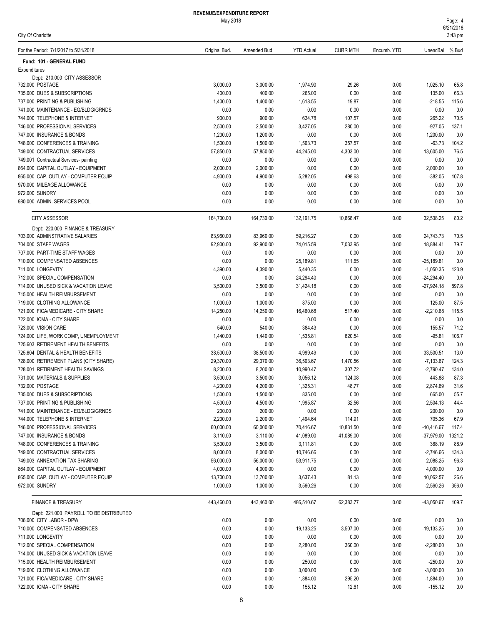| For the Period: 7/1/2017 to 5/31/2018                                     | Original Bud.         | Amended Bud          | <b>YTD Actual</b>    | <b>CURR MTH</b>  | Encumb. YTD  | UnencBal              | % Bud         |
|---------------------------------------------------------------------------|-----------------------|----------------------|----------------------|------------------|--------------|-----------------------|---------------|
| Fund: 101 - GENERAL FUND                                                  |                       |                      |                      |                  |              |                       |               |
| Expenditures                                                              |                       |                      |                      |                  |              |                       |               |
| Dept: 210.000 CITY ASSESSOR                                               |                       |                      |                      |                  |              |                       |               |
| 732.000 POSTAGE                                                           | 3,000.00              | 3,000.00             | 1,974.90             | 29.26            | 0.00         | 1,025.10              | 65.8          |
| 735.000 DUES & SUBSCRIPTIONS                                              | 400.00                | 400.00               | 265.00               | 0.00             | 0.00         | 135.00                | 66.3          |
| 737.000 PRINTING & PUBLISHING                                             | 1,400.00              | 1,400.00             | 1,618.55             | 19.87            | 0.00         | $-218.55$             | 115.6         |
| 741.000 MAINTENANCE - EQ/BLDG/GRNDS                                       | 0.00                  | 0.00                 | 0.00                 | 0.00             | 0.00         | 0.00                  | 0.0           |
| 744.000 TELEPHONE & INTERNET                                              | 900.00                | 900.00               | 634.78               | 107.57           | 0.00         | 265.22                | 70.5          |
| 746.000 PROFESSIONAL SERVICES                                             | 2,500.00              | 2,500.00             | 3,427.05             | 280.00           | 0.00         | $-927.05$             | 137.1         |
| 747.000 INSURANCE & BONDS                                                 | 1,200.00              | 1,200.00             | 0.00                 | 0.00             | 0.00         | 1,200.00              | 0.0           |
| 748,000 CONFERENCES & TRAINING                                            | 1,500.00<br>57.850.00 | 1,500.00             | 1,563.73             | 357.57           | 0.00         | $-63.73$              | 104.2         |
| 749.000 CONTRACTUAL SERVICES<br>749.001 Contractual Services- painting    | 0.00                  | 57,850.00<br>0.00    | 44,245.00<br>0.00    | 4,303.00<br>0.00 | 0.00<br>0.00 | 13,605.00<br>0.00     | 76.5<br>0.0   |
| 864.000 CAPITAL OUTLAY - EQUIPMENT                                        | 2,000.00              | 2,000.00             | 0.00                 | 0.00             | 0.00         | 2,000.00              | 0.0           |
| 865.000 CAP. OUTLAY - COMPUTER EQUIP                                      | 4,900.00              | 4,900.00             | 5,282.05             | 498.63           | 0.00         | $-382.05$             | 107.8         |
| 970.000 MILEAGE ALLOWANCE                                                 | 0.00                  | 0.00                 | 0.00                 | 0.00             | 0.00         | 0.00                  | 0.0           |
| 972.000 SUNDRY                                                            | 0.00                  | 0.00                 | 0.00                 | 0.00             | 0.00         | 0.00                  | 0.0           |
| 980.000 ADMIN, SERVICES POOL                                              | 0.00                  | 0.00                 | 0.00                 | 0.00             | 0.00         | 0.00                  | 0.0           |
|                                                                           |                       |                      |                      |                  |              |                       |               |
| <b>CITY ASSESSOR</b>                                                      | 164,730.00            | 164,730.00           | 132, 191.75          | 10.868.47        | 0.00         | 32,538.25             | 80.2          |
| Dept: 220.000 FINANCE & TREASURY                                          |                       |                      |                      |                  |              |                       |               |
| 703.000 ADMINSTRATIVE SALARIES                                            | 83,960.00             | 83,960.00            | 59,216.27            | 0.00             | 0.00         | 24,743.73             | 70.5          |
| 704.000 STAFF WAGES                                                       | 92,900.00             | 92,900.00            | 74,015.59            | 7,033.95         | 0.00         | 18,884.41             | 79.7          |
| 707.000 PART-TIME STAFF WAGES                                             | 0.00                  | 0.00                 | 0.00                 | 0.00             | 0.00         | 0.00                  | 0.0           |
| 710.000 COMPENSATED ABSENCES                                              | 0.00                  | 0.00                 | 25,189.81            | 111.65           | 0.00         | $-25,189.81$          | 0.0           |
| 711.000 LONGEVITY                                                         | 4,390.00              | 4,390.00             | 5,440.35             | 0.00             | 0.00         | $-1,050.35$           | 123.9         |
| 712.000 SPECIAL COMPENSATION                                              | 0.00                  | 0.00                 | 24,294.40            | 0.00             | 0.00         | $-24,294.40$          | 0.0           |
| 714.000 UNUSED SICK & VACATION LEAVE                                      | 3,500.00              | 3,500.00             | 31,424.18            | 0.00             | 0.00         | $-27,924.18$          | 897.8         |
| 715.000 HEALTH REIMBURSEMENT                                              | 0.00                  | 0.00                 | 0.00                 | 0.00             | 0.00         | 0.00                  | 0.0           |
| 719.000 CLOTHING ALLOWANCE                                                | 1,000.00              | 1,000.00             | 875.00               | 0.00             | 0.00         | 125.00                | 87.5          |
| 721.000 FICA/MEDICARE - CITY SHARE                                        | 14,250.00             | 14,250.00            | 16,460.68            | 517.40           | 0.00         | $-2,210.68$           | 115.5         |
| 722.000 ICMA - CITY SHARE                                                 | 0.00                  | 0.00                 | 0.00                 | 0.00             | 0.00         | 0.00                  | 0.0           |
| 723.000 VISION CARE                                                       | 540.00                | 540.00               | 384.43               | 0.00             | 0.00         | 155.57                | 71.2          |
| 724.000 LIFE, WORK COMP, UNEMPLOYMENT                                     | 1,440.00              | 1,440.00             | 1,535.81             | 620.54           | 0.00         | $-95.81$              | 106.7         |
| 725.603 RETIREMENT HEALTH BENEFITS                                        | 0.00                  | 0.00                 | 0.00                 | 0.00             | 0.00         | 0.00                  | 0.0           |
| 725.604 DENTAL & HEALTH BENEFITS                                          | 38,500.00             | 38,500.00            | 4,999.49             | 0.00             | 0.00         | 33,500.51             | 13.0          |
| 728.000 RETIREMENT PLANS (CITY SHARE)<br>728.001 RETIRMENT HEALTH SAVINGS | 29,370.00             | 29,370.00            | 36,503.67            | 1,470.56         | 0.00         | $-7,133.67$           | 124.3         |
| 731.000 MATERIALS & SUPPLIES                                              | 8,200.00<br>3,500.00  | 8,200.00             | 10,990.47            | 307.72<br>124.08 | 0.00<br>0.00 | $-2,790.47$<br>443.88 | 134.0<br>87.3 |
| 732.000 POSTAGE                                                           | 4,200.00              | 3,500.00<br>4,200.00 | 3,056.12<br>1,325.31 | 48.77            | 0.00         | 2,874.69              | 31.6          |
| 735.000 DUES & SUBSCRIPTIONS                                              | 1,500.00              | 1,500.00             | 835.00               | 0.00             | 0.00         | 665.00                | 55.7          |
| 737.000 PRINTING & PUBLISHING                                             | 4,500.00              | 4,500.00             | 1,995.87             | 32.56            | 0.00         | 2,504.13              | 44.4          |
| 741.000 MAINTENANCE - EQ/BLDG/GRNDS                                       | 200.00                | 200.00               | 0.00                 | 0.00             | 0.00         | 200.00                | 0.0           |
| 744.000 TELEPHONE & INTERNET                                              | 2,200.00              | 2,200.00             | 1,494.64             | 114.91           | 0.00         | 705.36                | 67.9          |
| 746.000 PROFESSIONAL SERVICES                                             | 60,000.00             | 60,000.00            | 70,416.67            | 10,831.50        | 0.00         | $-10,416.67$          | 117.4         |
| 747.000 INSURANCE & BONDS                                                 | 3,110.00              | 3,110.00             | 41,089.00            | 41,089.00        | 0.00         | $-37,979.00$          | 1321.2        |
| 748.000 CONFERENCES & TRAINING                                            | 3,500.00              | 3,500.00             | 3,111.81             | 0.00             | 0.00         | 388.19                | 88.9          |
| 749.000 CONTRACTUAL SERVICES                                              | 8,000.00              | 8,000.00             | 10,746.66            | 0.00             | 0.00         | $-2,746.66$           | 134.3         |
| 749.003 ANNEXATION TAX SHARING                                            | 56,000.00             | 56,000.00            | 53,911.75            | 0.00             | 0.00         | 2,088.25              | 96.3          |
| 864.000 CAPITAL OUTLAY - EQUIPMENT                                        | 4,000.00              | 4,000.00             | 0.00                 | 0.00             | 0.00         | 4,000.00              | 0.0           |
| 865.000 CAP. OUTLAY - COMPUTER EQUIP                                      | 13,700.00             | 13,700.00            | 3,637.43             | 81.13            | 0.00         | 10,062.57             | 26.6          |
| 972.000 SUNDRY                                                            | 1,000.00              | 1,000.00             | 3,560.26             | 0.00             | 0.00         | $-2,560.26$           | 356.0         |
|                                                                           |                       |                      |                      |                  |              |                       |               |
| <b>FINANCE &amp; TREASURY</b>                                             | 443,460.00            | 443,460.00           | 486,510.67           | 62,383.77        | 0.00         | -43,050.67            | 109.7         |
| Dept: 221.000 PAYROLL TO BE DISTRIBUTED<br>706.000 CITY LABOR - DPW       | 0.00                  | 0.00                 | 0.00                 | 0.00             | 0.00         | 0.00                  | 0.0           |
| 710.000 COMPENSATED ABSENCES                                              | 0.00                  | 0.00                 | 19,133.25            | 3,507.00         | 0.00         | -19,133.25            | 0.0           |
| 711.000 LONGEVITY                                                         | 0.00                  | 0.00                 | 0.00                 | 0.00             | 0.00         | 0.00                  | $0.0\,$       |
| 712.000 SPECIAL COMPENSATION                                              | 0.00                  | 0.00                 | 2,280.00             | 360.00           | 0.00         | $-2,280.00$           | 0.0           |
| 714.000 UNUSED SICK & VACATION LEAVE                                      | 0.00                  | 0.00                 | 0.00                 | 0.00             | 0.00         | 0.00                  | 0.0           |
| 715.000 HEALTH REIMBURSEMENT                                              | 0.00                  | 0.00                 | 250.00               | 0.00             | 0.00         | $-250.00$             | 0.0           |
| 719.000 CLOTHING ALLOWANCE                                                | 0.00                  | 0.00                 | 3,000.00             | 0.00             | 0.00         | $-3,000.00$           | $0.0\,$       |
| 721.000 FICA/MEDICARE - CITY SHARE                                        | 0.00                  | 0.00                 | 1,884.00             | 295.20           | 0.00         | $-1,884.00$           | 0.0           |
| 722.000 ICMA - CITY SHARE                                                 | 0.00                  | 0.00                 | 155.12               | 12.61            | 0.00         | $-155.12$             | 0.0           |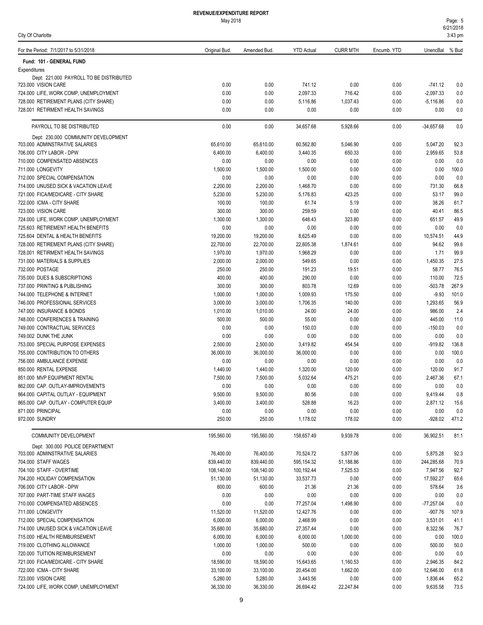| Page: 5   |  |
|-----------|--|
| 6/21/2018 |  |

| City Of Charlotte                                                          |                       |                       |                       |                  |              |                          | 3:43 pm        |
|----------------------------------------------------------------------------|-----------------------|-----------------------|-----------------------|------------------|--------------|--------------------------|----------------|
| For the Period: 7/1/2017 to 5/31/2018                                      | Original Bud.         | Amended Bud.          | <b>YTD Actual</b>     | <b>CURR MTH</b>  | Encumb. YTD  | UnencBal                 | % Bud          |
| Fund: 101 - GENERAL FUND                                                   |                       |                       |                       |                  |              |                          |                |
| Expenditures                                                               |                       |                       |                       |                  |              |                          |                |
| Dept: 221.000 PAYROLL TO BE DISTRIBUTED                                    |                       |                       |                       |                  |              |                          |                |
| 723.000 VISION CARE<br>724.000 LIFE, WORK COMP, UNEMPLOYMENT               | 0.00<br>0.00          | 0.00<br>0.00          | 741.12<br>2,097.33    | 0.00<br>716.42   | 0.00<br>0.00 | $-741.12$<br>$-2,097.33$ | 0.0<br>0.0     |
| 728.000 RETIREMENT PLANS (CITY SHARE)                                      | 0.00                  | 0.00                  | 5,116.86              | 1,037.43         | 0.00         | $-5,116.86$              | 0.0            |
| 728.001 RETIRMENT HEALTH SAVINGS                                           | 0.00                  | 0.00                  | 0.00                  | 0.00             | 0.00         | 0.00                     | 0.0            |
| PAYROLL TO BE DISTRIBUTED                                                  | 0.00                  | 0.00                  | 34,657.68             | 5,928.66         | 0.00         | $-34,657.68$             | 0.0            |
| Dept: 230.000 COMMUNITY DEVELOPMENT                                        |                       |                       |                       |                  |              |                          |                |
| 703.000 ADMINSTRATIVE SALARIES                                             | 65,610.00             | 65,610.00             | 60,562.80             | 5,046.90         | 0.00         | 5,047.20                 | 92.3           |
| 706.000 CITY LABOR - DPW                                                   | 6,400.00              | 6,400.00              | 3,440.35              | 650.33           | 0.00         | 2,959.65                 | 53.8           |
| 710.000 COMPENSATED ABSENCES                                               | 0.00                  | 0.00                  | 0.00                  | 0.00             | 0.00         | 0.00                     | 0.0            |
| 711.000 LONGEVITY                                                          | 1,500.00              | 1,500.00              | 1,500.00              | 0.00             | 0.00         | 0.00                     | 100.0          |
| 712.000 SPECIAL COMPENSATION                                               | 0.00                  | 0.00                  | 0.00                  | 0.00             | 0.00         | 0.00                     | 0.0            |
| 714.000 UNUSED SICK & VACATION LEAVE<br>721.000 FICA/MEDICARE - CITY SHARE | 2,200.00<br>5,230.00  | 2,200.00<br>5,230.00  | 1,468.70<br>5,176.83  | 0.00<br>423.25   | 0.00<br>0.00 | 731.30<br>53.17          | 66.8<br>99.0   |
| 722.000 ICMA - CITY SHARE                                                  | 100.00                | 100.00                | 61.74                 | 5.19             | 0.00         | 38.26                    | 61.7           |
| 723.000 VISION CARE                                                        | 300.00                | 300.00                | 259.59                | 0.00             | 0.00         | 40.41                    | 86.5           |
| 724.000 LIFE, WORK COMP, UNEMPLOYMENT                                      | 1,300.00              | 1,300.00              | 648.43                | 323.80           | 0.00         | 651.57                   | 49.9           |
| 725.603 RETIREMENT HEALTH BENEFITS                                         | 0.00                  | 0.00                  | 0.00                  | 0.00             | 0.00         | 0.00                     | 0.0            |
| 725.604 DENTAL & HEALTH BENEFITS                                           | 19,200.00             | 19,200.00             | 8,625.49              | 0.00             | 0.00         | 10,574.51                | 44.9           |
| 728.000 RETIREMENT PLANS (CITY SHARE)                                      | 22,700.00             | 22,700.00             | 22,605.38             | 1,874.61         | 0.00         | 94.62                    | 99.6           |
| 728.001 RETIRMENT HEALTH SAVINGS                                           | 1,970.00              | 1,970.00              | 1,968.29              | 0.00             | 0.00         | 1.71                     | 99.9           |
| 731.000 MATERIALS & SUPPLIES                                               | 2,000.00              | 2,000.00              | 549.65                | 0.00             | 0.00         | 1,450.35                 | 27.5           |
| 732.000 POSTAGE                                                            | 250.00                | 250.00                | 191.23                | 19.51            | 0.00         | 58.77                    | 76.5           |
| 735.000 DUES & SUBSCRIPTIONS                                               | 400.00                | 400.00                | 290.00                | 0.00             | 0.00         | 110.00                   | 72.5           |
| 737.000 PRINTING & PUBLISHING                                              | 300.00                | 300.00                | 803.78                | 12.69            | 0.00         | $-503.78$                | 267.9          |
| 744.000 TELEPHONE & INTERNET                                               | 1,000.00              | 1,000.00              | 1,009.93              | 175.50           | 0.00         | $-9.93$                  | 101.0          |
| 746.000 PROFESSIONAL SERVICES                                              | 3,000.00              | 3,000.00              | 1,706.35              | 140.00           | 0.00         | 1,293.65                 | 56.9           |
| 747.000 INSURANCE & BONDS                                                  | 1,010.00              | 1,010.00              | 24.00                 | 24.00            | 0.00         | 986.00                   | 2.4            |
| 748.000 CONFERENCES & TRAINING                                             | 500.00                | 500.00                | 55.00                 | 0.00             | 0.00         | 445.00                   | 11.0           |
| 749.000 CONTRACTUAL SERVICES                                               | 0.00                  | 0.00                  | 150.03                | 0.00             | 0.00         | $-150.03$                | 0.0            |
| 749.002 DUNK THE JUNK                                                      | 0.00                  | 0.00                  | 0.00                  | 0.00             | 0.00         | 0.00                     | 0.0            |
| 753.000 SPECIAL PURPOSE EXPENSES<br>755.000 CONTRIBUTION TO OTHERS         | 2,500.00<br>36,000.00 | 2,500.00<br>36,000.00 | 3,419.82<br>36,000.00 | 454.54<br>0.00   | 0.00<br>0.00 | $-919.82$<br>0.00        | 136.8<br>100.0 |
| 756.000 AMBULANCE EXPENSE                                                  | 0.00                  | 0.00                  | 0.00                  | 0.00             | 0.00         | 0.00                     | 0.0            |
| 850.000 RENTAL EXPENSE                                                     | 1,440.00              | 1,440.00              | 1,320.00              | 120.00           | 0.00         | 120.00                   | 91.7           |
| 851.000 MVP EQUIPMENT RENTAL                                               | 7,500.00              | 7,500.00              | 5,032.64              | 475.21           | 0.00         | 2,467.36                 | 67.1           |
| 862.000 CAP. OUTLAY-IMPROVEMENTS                                           | 0.00                  | 0.00                  | 0.00                  | 0.00             | 0.00         | 0.00                     | 0.0            |
| 864.000 CAPITAL OUTLAY - EQUIPMENT                                         | 9,500.00              | 9,500.00              | 80.56                 | 0.00             | 0.00         | 9,419.44                 | 0.8            |
| 865.000 CAP. OUTLAY - COMPUTER EQUIP                                       | 3,400.00              | 3,400.00              | 528.88                | 16.23            | 0.00         | 2,871.12                 | 15.6           |
| 871.000 PRINCIPAL                                                          | 0.00                  | 0.00                  | 0.00                  | 0.00             | 0.00         | 0.00                     | 0.0            |
| 972.000 SUNDRY                                                             | 250.00                | 250.00                | 1,178.02              | 178.02           | 0.00         | $-928.02$                | 471.2          |
| <b>COMMUNITY DEVELOPMENT</b>                                               | 195,560.00            | 195,560.00            | 158.657.49            | 9,939.78         | 0.00         | 36,902.51                | 81.1           |
| Dept: 300.000 POLICE DEPARTMENT                                            |                       |                       |                       |                  |              |                          |                |
| 703.000 ADMINSTRATIVE SALARIES                                             | 76,400.00             | 76,400.00             | 70,524.72             | 5,877.06         | 0.00         | 5,875.28                 | 92.3           |
| 704.000 STAFF WAGES                                                        | 839.440.00            | 839,440.00            | 595,154.32            | 51,188.86        | 0.00         | 244,285.68               | 70.9           |
| 704.100 STAFF - OVERTIME                                                   | 108,140.00            | 108,140.00            | 100,192.44            | 7,525.53         | 0.00         | 7,947.56                 | 92.7           |
| 704.200 HOLIDAY COMPENSATION                                               | 51,130.00             | 51,130.00             | 33,537.73             | 0.00             | 0.00         | 17,592.27                | 65.6           |
| 706.000 CITY LABOR - DPW                                                   | 600.00                | 600.00                | 21.36                 | 21.36            | 0.00         | 578.64                   | 3.6            |
| 707.000 PART-TIME STAFF WAGES                                              | 0.00                  | 0.00                  | 0.00                  | 0.00             | 0.00         | 0.00                     | 0.0            |
| 710.000 COMPENSATED ABSENCES                                               | 0.00                  | 0.00                  | 77,257.04             | 1,498.90         | 0.00         | $-77,257.04$             | 0.0            |
| 711.000 LONGEVITY                                                          | 11,520.00             | 11,520.00             | 12,427.76             | 0.00             | 0.00         | $-907.76$                | 107.9          |
| 712.000 SPECIAL COMPENSATION                                               | 6,000.00              | 6,000.00              | 2,468.99              | 0.00             | 0.00         | 3,531.01                 | 41.1           |
| 714.000 UNUSED SICK & VACATION LEAVE                                       | 35,680.00<br>6,000.00 | 35,680.00<br>6,000.00 | 27,357.44<br>6,000.00 | 0.00<br>1,000.00 | 0.00         | 8,322.56                 | 76.7           |
| 715.000 HEALTH REIMBURSEMENT<br>719.000 CLOTHING ALLOWANCE                 | 1,000.00              | 1,000.00              | 500.00                | 0.00             | 0.00<br>0.00 | 0.00<br>500.00           | 100.0<br>50.0  |
| 720.000 TUITION REIMBURSEMENT                                              | 0.00                  | 0.00                  | 0.00                  | 0.00             | 0.00         | 0.00                     | 0.0            |
| 721.000 FICA/MEDICARE - CITY SHARE                                         | 18,590.00             | 18,590.00             | 15,643.65             | 1,160.53         | 0.00         | 2,946.35                 | 84.2           |
| 722.000 ICMA - CITY SHARE                                                  | 33,100.00             | 33,100.00             | 20,454.00             | 1,662.00         | 0.00         | 12,646.00                | 61.8           |
| 723.000 VISION CARE                                                        | 5,280.00              | 5,280.00              | 3,443.56              | 0.00             | 0.00         | 1,836.44                 | 65.2           |
| 724.000 LIFE, WORK COMP, UNEMPLOYMENT                                      | 36,330.00             | 36,330.00             | 26,694.42             | 22,247.84        | 0.00         | 9,635.58                 | 73.5           |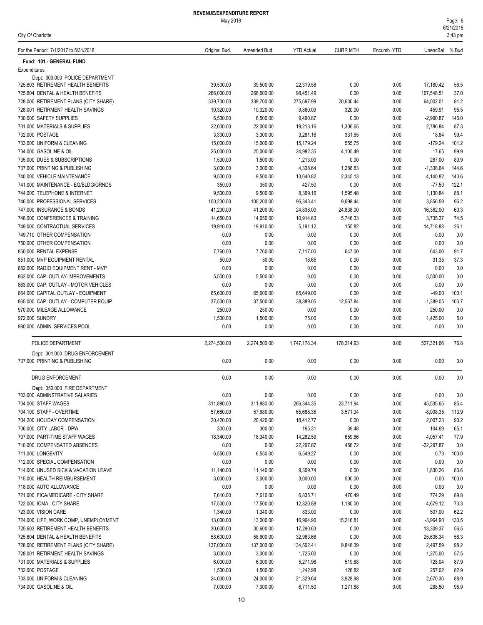| For the Period: 7/1/2017 to 5/31/2018                           | Original Bud.         | Amended Bud.          | <b>YTD Actual</b>     | <b>CURR MTH</b>  | Encumb. YTD  | UnencBal           | % Bud         |
|-----------------------------------------------------------------|-----------------------|-----------------------|-----------------------|------------------|--------------|--------------------|---------------|
| Fund: 101 - GENERAL FUND                                        |                       |                       |                       |                  |              |                    |               |
| Expenditures                                                    |                       |                       |                       |                  |              |                    |               |
| Dept: 300.000 POLICE DEPARTMENT                                 |                       |                       |                       |                  |              |                    |               |
| 725.603 RETIREMENT HEALTH BENEFITS                              | 39,500.00             | 39,500.00             | 22,319.58             | 0.00             | 0.00         | 17,180.42          | 56.5          |
| 725.604 DENTAL & HEALTH BENEFITS                                | 266,000.00            | 266,000.00            | 98,451.49             | 0.00             | 0.00         | 167,548.51         | 37.0          |
| 728.000 RETIREMENT PLANS (CITY SHARE)                           | 339,700.00            | 339,700.00            | 275,697.99            | 20,630.44        | 0.00         | 64,002.01          | 81.2          |
| 728.001 RETIRMENT HEALTH SAVINGS                                | 10,320.00             | 10,320.00             | 9,860.09              | 320.00           | 0.00         | 459.91             | 95.5          |
| 730.000 SAFETY SUPPLIES                                         | 6,500.00              | 6,500.00              | 9,490.87              | 0.00             | 0.00         | $-2,990.87$        | 146.0         |
| 731.000 MATERIALS & SUPPLIES                                    | 22,000.00             | 22,000.00             | 19,213.16             | 1,306.65         | 0.00         | 2,786.84           | 87.3          |
| 732.000 POSTAGE                                                 | 3,300.00              | 3,300.00              | 3,281.16              | 331.65           | 0.00         | 18.84              | 99.4          |
| 733.000 UNIFORM & CLEANING<br>734.000 GASOLINE & OIL            | 15,000.00             | 15,000.00             | 15,179.24             | 555.75           | 0.00         | $-179.24$<br>17.65 | 101.2<br>99.9 |
| 735.000 DUES & SUBSCRIPTIONS                                    | 25,000.00<br>1,500.00 | 25,000.00<br>1,500.00 | 24,982.35<br>1,213.00 | 4,105.49<br>0.00 | 0.00<br>0.00 | 287.00             | 80.9          |
| 737.000 PRINTING & PUBLISHING                                   | 3,000.00              | 3,000.00              | 4,338.64              | 1,288.83         | 0.00         | $-1,338.64$        | 144.6         |
| 740.000 VEHICLE MAINTENANCE                                     | 9,500.00              | 9,500.00              | 13,640.82             | 2,345.13         | 0.00         | $-4,140.82$        | 143.6         |
| 741.000 MAINTENANCE - EQ/BLDG/GRNDS                             | 350.00                | 350.00                | 427.50                | 0.00             | 0.00         | $-77.50$           | 122.1         |
| 744.000 TELEPHONE & INTERNET                                    | 9,500.00              | 9,500.00              | 8,369.16              | 1,595.48         | 0.00         | 1,130.84           | 88.1          |
| 746.000 PROFESSIONAL SERVICES                                   | 100,200.00            | 100,200.00            | 96,343.41             | 9,698.44         | 0.00         | 3,856.59           | 96.2          |
| 747.000 INSURANCE & BONDS                                       | 41,200.00             | 41,200.00             | 24.838.00             | 24,838.00        | 0.00         | 16,362.00          | 60.3          |
| 748.000 CONFERENCES & TRAINING                                  | 14,650.00             | 14,650.00             | 10,914.63             | 5,746.33         | 0.00         | 3,735.37           | 74.5          |
| 749.000 CONTRACTUAL SERVICES                                    | 19,910.00             | 19,910.00             | 5,191.12              | 155.82           | 0.00         | 14,718.88          | 26.1          |
| 749.710 OTHER COMPENSATION                                      | 0.00                  | 0.00                  | 0.00                  | 0.00             | 0.00         | 0.00               | 0.0           |
| 750.000 OTHER COMPENSATION                                      | 0.00                  | 0.00                  | 0.00                  | 0.00             | 0.00         | 0.00               | 0.0           |
| 850.000 RENTAL EXPENSE                                          | 7,760.00              | 7,760.00              | 7,117.00              | 647.00           | 0.00         | 643.00             | 91.7          |
| 851.000 MVP EQUIPMENT RENTAL                                    | 50.00                 | 50.00                 | 18.65                 | 0.00             | 0.00         | 31.35              | 37.3          |
| 852.000 RADIO EQUIPMENT RENT - MVP                              | 0.00                  | 0.00                  | 0.00                  | 0.00             | 0.00         | 0.00               | 0.0           |
| 862.000 CAP. OUTLAY-IMPROVEMENTS                                | 5,500.00              | 5,500.00              | 0.00                  | 0.00             | 0.00         | 5,500.00           | 0.0           |
| 863.000 CAP. OUTLAY - MOTOR VEHICLES                            | 0.00                  | 0.00                  | 0.00                  | 0.00             | 0.00         | 0.00               | 0.0           |
| 864.000 CAPITAL OUTLAY - EQUIPMENT                              | 65,600.00             | 65,600.00             | 65,649.00             | 0.00             | 0.00         | $-49.00$           | 100.1         |
| 865.000 CAP. OUTLAY - COMPUTER EQUIP                            | 37,500.00             | 37,500.00             | 38,889.05             | 12,567.84        | 0.00         | $-1,389.05$        | 103.7         |
| 970.000 MILEAGE ALLOWANCE                                       | 250.00                | 250.00                | 0.00                  | 0.00             | 0.00         | 250.00             | 0.0           |
| 972.000 SUNDRY                                                  | 1,500.00              | 1,500.00              | 75.00                 | 0.00             | 0.00         | 1,425.00           | 5.0           |
| 980.000 ADMIN. SERVICES POOL                                    | 0.00                  | 0.00                  | 0.00                  | 0.00             | 0.00         | 0.00               | 0.0           |
| POLICE DEPARTMENT                                               | 2,274,500.00          | 2,274,500.00          | 1,747,178.34          | 178,314.93       | 0.00         | 527,321.66         | 76.8          |
| Dept: 301.000 DRUG ENFORCEMENT<br>737.000 PRINTING & PUBLISHING | 0.00                  | 0.00                  | 0.00                  | 0.00             | 0.00         | 0.00               | 0.0           |
|                                                                 |                       |                       |                       |                  |              |                    |               |
| DRUG ENFORCEMENT                                                | 0.00                  | 0.00                  | 0.00                  | 0.00             | 0.00         | 0.00               | 0.0           |
| Dept: 350.000 FIRE DEPARTMENT                                   |                       |                       |                       |                  |              |                    |               |
| 703.000 ADMINSTRATIVE SALARIES                                  | 0.00                  | 0.00                  | 0.00                  | 0.00             | 0.00         | 0.00               | 0.0           |
| 704.000 STAFF WAGES                                             | 311,880.00            | 311,880.00            | 266,344.35            | 23,711.94        | 0.00         | 45,535.65          | 85.4          |
| 704.100 STAFF - OVERTIME                                        | 57,680.00             | 57,680.00             | 65,688.35             | 3,571.34         | 0.00         | $-8,008.35$        | 113.9         |
| 704.200 HOLIDAY COMPENSATION                                    | 20,420.00             | 20,420.00             | 18,412.77             | 0.00             | 0.00         | 2,007.23           | 90.2          |
| 706.000 CITY LABOR - DPW                                        | 300.00                | 300.00                | 195.31                | 39.48            | 0.00         | 104.69             | 65.1          |
| 707.000 PART-TIME STAFF WAGES                                   | 18,340.00             | 18,340.00             | 14,282.59             | 659.66           | 0.00         | 4,057.41           | 77.9          |
| 710.000 COMPENSATED ABSENCES                                    | 0.00                  | 0.00                  | 22,297.87             | 456.72           | 0.00         | $-22,297.87$       | 0.0           |
| 711.000 LONGEVITY                                               | 6,550.00              | 6,550.00              | 6,549.27              | 0.00             | 0.00         | 0.73               | 100.0         |
| 712.000 SPECIAL COMPENSATION                                    | 0.00                  | 0.00                  | 0.00                  | 0.00             | 0.00         | 0.00               | 0.0           |
| 714.000 UNUSED SICK & VACATION LEAVE                            | 11,140.00             | 11,140.00             | 9,309.74              | 0.00             | 0.00         | 1,830.26           | 83.6          |
| 715.000 HEALTH REIMBURSEMENT<br>718.000 AUTO ALLOWANCE          | 3,000.00<br>0.00      | 3,000.00<br>0.00      | 3,000.00              | 500.00<br>0.00   | 0.00<br>0.00 | 0.00<br>0.00       | 100.0<br>0.0  |
| 721.000 FICA/MEDICARE - CITY SHARE                              | 7,610.00              | 7,610.00              | 0.00<br>6,835.71      | 470.49           | 0.00         | 774.29             | 89.8          |
| 722.000 ICMA - CITY SHARE                                       | 17,500.00             | 17,500.00             | 12,820.88             | 1,180.00         | 0.00         | 4,679.12           | 73.3          |
| 723.000 VISION CARE                                             | 1,340.00              | 1,340.00              | 833.00                | 0.00             | 0.00         | 507.00             | 62.2          |
| 724.000 LIFE, WORK COMP, UNEMPLOYMENT                           | 13,000.00             | 13,000.00             | 16,964.90             | 15,216.81        | 0.00         | $-3,964.90$        | 130.5         |
| 725.603 RETIREMENT HEALTH BENEFITS                              | 30,600.00             | 30,600.00             | 17,290.63             | 0.00             | 0.00         | 13,309.37          | 56.5          |
| 725.604 DENTAL & HEALTH BENEFITS                                | 58,600.00             | 58,600.00             | 32,963.66             | 0.00             | 0.00         | 25,636.34          | 56.3          |
| 728.000 RETIREMENT PLANS (CITY SHARE)                           | 137,000.00            | 137,000.00            | 134,502.41            | 9,848.39         | 0.00         | 2,497.59           | 98.2          |
| 728.001 RETIRMENT HEALTH SAVINGS                                | 3,000.00              | 3,000.00              | 1,725.00              | 0.00             | 0.00         | 1,275.00           | 57.5          |
| 731.000 MATERIALS & SUPPLIES                                    | 6,000.00              | 6,000.00              | 5,271.96              | 519.68           | 0.00         | 728.04             | 87.9          |
| 732.000 POSTAGE                                                 | 1,500.00              | 1,500.00              | 1,242.98              | 126.82           | 0.00         | 257.02             | 82.9          |
| 733.000 UNIFORM & CLEANING                                      | 24,000.00             | 24,000.00             | 21,329.64             | 3,928.98         | 0.00         | 2,670.36           | 88.9          |
| 734.000 GASOLINE & OIL                                          | 7,000.00              | 7,000.00              | 6,711.50              | 1,271.88         | 0.00         | 288.50             | 95.9          |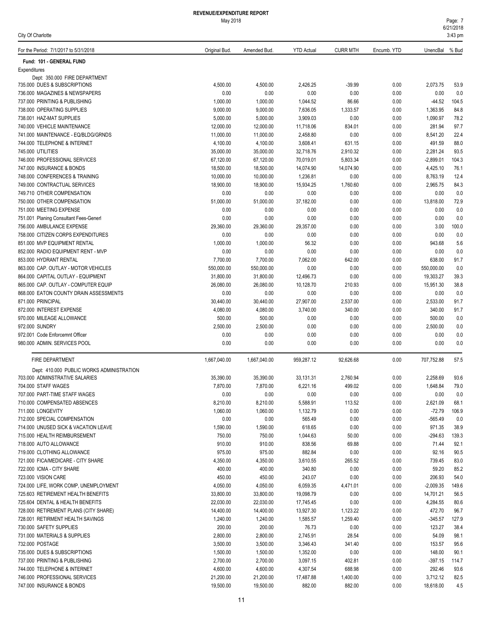| For the Period: 7/1/2017 to 5/31/2018                                  | Original Bud.         | Amended Bud.           | <b>YTD Actual</b>     | <b>CURR MTH</b>    | Encumb. YTD  | UnencBal % Bud           |              |
|------------------------------------------------------------------------|-----------------------|------------------------|-----------------------|--------------------|--------------|--------------------------|--------------|
| Fund: 101 - GENERAL FUND                                               |                       |                        |                       |                    |              |                          |              |
| Expenditures                                                           |                       |                        |                       |                    |              |                          |              |
| Dept: 350.000 FIRE DEPARTMENT                                          |                       |                        |                       |                    |              |                          |              |
| 735.000 DUES & SUBSCRIPTIONS                                           | 4,500.00              | 4,500.00               | 2,426.25              | $-39.99$           | 0.00         | 2,073.75                 | 53.9         |
| 736.000 MAGAZINES & NEWSPAPERS                                         | 0.00                  | 0.00                   | 0.00                  | 0.00               | 0.00         | 0.00                     | 0.0          |
| 737.000 PRINTING & PUBLISHING                                          | 1,000.00              | 1,000.00               | 1,044.52              | 86.66              | 0.00         | $-44.52$                 | 104.5        |
| 738.000 OPERATING SUPPLIES                                             | 9,000.00              | 9,000.00               | 7,636.05              | 1,333.57           | 0.00         | 1,363.95                 | 84.8         |
| 738.001 HAZ-MAT SUPPLIES                                               | 5,000.00              | 5,000.00               | 3,909.03              | 0.00               | 0.00         | 1,090.97                 | 78.2         |
| 740.000 VEHICLE MAINTENANCE                                            | 12,000.00             | 12,000.00              | 11,718.06             | 834.01             | 0.00         | 281.94                   | 97.7         |
| 741.000 MAINTENANCE - EQ/BLDG/GRNDS<br>744.000 TELEPHONE & INTERNET    | 11,000.00             | 11,000.00              | 2,458.80              | 0.00               | 0.00         | 8,541.20<br>491.59       | 22.4<br>88.0 |
| 745.000 UTILITIES                                                      | 4,100.00<br>35,000.00 | 4,100.00<br>35,000.00  | 3,608.41<br>32,718.76 | 631.15<br>2,910.32 | 0.00<br>0.00 | 2,281.24                 | 93.5         |
| 746.000 PROFESSIONAL SERVICES                                          | 67,120.00             | 67,120.00              | 70,019.01             | 5,803.34           | 0.00         | $-2,899.01$              | 104.3        |
| 747.000 INSURANCE & BONDS                                              | 18,500.00             | 18,500.00              | 14,074.90             | 14,074.90          | 0.00         | 4,425.10                 | 76.1         |
| 748.000 CONFERENCES & TRAINING                                         | 10,000.00             | 10,000.00              | 1,236.81              | 0.00               | 0.00         | 8,763.19                 | 12.4         |
| 749.000 CONTRACTUAL SERVICES                                           | 18,900.00             | 18,900.00              | 15,934.25             | 1,760.60           | 0.00         | 2,965.75                 | 84.3         |
| 749.710 OTHER COMPENSATION                                             | 0.00                  | 0.00                   | 0.00                  | 0.00               | 0.00         | 0.00                     | 0.0          |
| 750.000 OTHER COMPENSATION                                             | 51,000.00             | 51,000.00              | 37,182.00             | 0.00               | 0.00         | 13,818.00                | 72.9         |
| 751.000 MEETING EXPENSE                                                | 0.00                  | 0.00                   | 0.00                  | 0.00               | 0.00         | 0.00                     | 0.0          |
| 751.001 Planing Consultant Fees-Generl                                 | 0.00                  | 0.00                   | 0.00                  | 0.00               | 0.00         | 0.00                     | 0.0          |
| 756.000 AMBULANCE EXPENSE                                              | 29,360.00             | 29,360.00              | 29,357.00             | 0.00               | 0.00         | 3.00                     | 100.0        |
| 758.000 CITIZEN CORPS EXPENDITURES                                     | 0.00                  | 0.00                   | 0.00                  | 0.00               | 0.00         | 0.00                     | 0.0          |
| 851.000 MVP EQUIPMENT RENTAL                                           | 1,000.00              | 1,000.00               | 56.32                 | 0.00               | 0.00         | 943.68                   | 5.6          |
| 852.000 RADIO EQUIPMENT RENT - MVP                                     | 0.00                  | 0.00                   | 0.00                  | 0.00               | 0.00         | 0.00                     | 0.0          |
| 853.000 HYDRANT RENTAL                                                 | 7,700.00              | 7,700.00               | 7,062.00              | 642.00             | 0.00         | 638.00                   | 91.7         |
| 863.000 CAP. OUTLAY - MOTOR VEHICLES                                   | 550,000.00            | 550,000.00             | 0.00                  | 0.00               | 0.00         | 550,000.00               | 0.0          |
| 864.000 CAPITAL OUTLAY - EQUIPMENT                                     | 31,800.00             | 31,800.00              | 12,496.73             | 0.00               | 0.00         | 19,303.27                | 39.3         |
| 865.000 CAP. OUTLAY - COMPUTER EQUIP                                   | 26,080.00             | 26,080.00              | 10,128.70             | 210.93             | 0.00         | 15,951.30                | 38.8         |
| 868.000 EATON COUNTY DRAIN ASSESSMENTS                                 | 0.00                  | 0.00                   | 0.00                  | 0.00               | 0.00         | 0.00                     | 0.0          |
| 871.000 PRINCIPAL                                                      | 30,440.00             | 30,440.00              | 27,907.00             | 2,537.00           | 0.00         | 2,533.00                 | 91.7         |
| 872.000 INTEREST EXPENSE                                               | 4,080.00              | 4,080.00               | 3,740.00              | 340.00             | 0.00         | 340.00                   | 91.7         |
| 970.000 MILEAGE ALLOWANCE                                              | 500.00                | 500.00                 | 0.00                  | 0.00               | 0.00         | 500.00                   | 0.0          |
| 972.000 SUNDRY                                                         | 2,500.00              | 2,500.00               | 0.00                  | 0.00               | 0.00         | 2,500.00                 | 0.0          |
| 972.001 Code Enforcemnt Officer                                        | 0.00                  | 0.00                   | 0.00                  | 0.00               | 0.00         | 0.00                     | 0.0          |
| 980.000 ADMIN. SERVICES POOL                                           | 0.00                  | 0.00                   | 0.00                  | 0.00               | 0.00         | 0.00                     | 0.0          |
| FIRE DEPARTMENT                                                        | 1,667,040.00          | 1,667,040.00           | 959,287.12            | 92,626.68          | 0.00         | 707,752.88               | 57.5         |
| Dept: 410.000 PUBLIC WORKS ADMINISTRATION                              |                       |                        |                       |                    |              |                          |              |
| 703.000 ADMINSTRATIVE SALARIES                                         | 35,390.00             | 35,390.00              | 33,131.31             | 2,760.94           | 0.00         | 2,258.69                 | 93.6         |
| 704.000 STAFF WAGES                                                    | 7,870.00              | 7,870.00               | 6,221.16              | 499.02             | 0.00         | 1,648.84                 | 79.0         |
| 707.000 PART-TIME STAFF WAGES                                          | 0.00                  | 0.00                   | 0.00                  | 0.00               | 0.00         | 0.00                     | 0.0          |
| 710.000 COMPENSATED ABSENCES                                           | 8,210.00              | 8,210.00               | 5,588.91              | 113.52             | 0.00         | 2,621.09                 | 68.1         |
| 711.000 LONGEVITY                                                      | 1,060.00              | 1,060.00               | 1,132.79              | 0.00               | 0.00         | $-72.79$                 | 106.9        |
| 712.000 SPECIAL COMPENSATION                                           | 0.00                  | 0.00                   | 565.49                | 0.00               | 0.00         | $-565.49$                | 0.0          |
| 714.000 UNUSED SICK & VACATION LEAVE                                   | 1,590.00              | 1,590.00               | 618.65                | 0.00               | 0.00         | 971.35                   | 38.9         |
| 715.000 HEALTH REIMBURSEMENT                                           | 750.00                | 750.00                 | 1,044.63              | 50.00              | 0.00         | $-294.63$                | 139.3        |
| 718.000 AUTO ALLOWANCE                                                 | 910.00                | 910.00                 | 838.56                | 69.88              | 0.00         | 71.44                    | 92.1         |
| 719.000 CLOTHING ALLOWANCE                                             | 975.00                | 975.00                 | 882.84                | 0.00               | 0.00         | 92.16                    | 90.5         |
| 721.000 FICA/MEDICARE - CITY SHARE                                     | 4,350.00              | 4,350.00               | 3,610.55              | 265.52             | 0.00         | 739.45                   | 83.0         |
| 722.000 ICMA - CITY SHARE<br>723.000 VISION CARE                       | 400.00                | 400.00                 | 340.80                | 0.00               | 0.00         | 59.20                    | 85.2         |
|                                                                        | 450.00                | 450.00                 | 243.07                | 0.00               | 0.00         | 206.93                   | 54.0         |
| 724.000 LIFE, WORK COMP, UNEMPLOYMENT                                  | 4,050.00              | 4,050.00               | 6,059.35<br>19,098.79 | 4,471.01           | 0.00         | $-2,009.35$<br>14,701.21 | 149.6        |
| 725.603 RETIREMENT HEALTH BENEFITS<br>725.604 DENTAL & HEALTH BENEFITS | 33,800.00             | 33,800.00<br>22,030.00 | 17,745.45             | 0.00<br>0.00       | 0.00<br>0.00 | 4,284.55                 | 56.5         |
| 728.000 RETIREMENT PLANS (CITY SHARE)                                  |                       |                        |                       |                    |              |                          | 80.6<br>96.7 |
|                                                                        | 22,030.00             |                        |                       |                    |              |                          |              |
|                                                                        | 14,400.00             | 14,400.00              | 13,927.30             | 1,123.22           | 0.00         | 472.70                   |              |
| 728.001 RETIRMENT HEALTH SAVINGS                                       | 1,240.00              | 1,240.00               | 1,585.57              | 1,259.40           | 0.00         | $-345.57$                | 127.9        |
| 730.000 SAFETY SUPPLIES                                                | 200.00                | 200.00                 | 76.73                 | 0.00               | 0.00         | 123.27                   | 38.4         |
| 731.000 MATERIALS & SUPPLIES                                           | 2,800.00              | 2,800.00               | 2,745.91              | 28.54              | 0.00         | 54.09                    | 98.1         |
| 732.000 POSTAGE                                                        | 3,500.00              | 3,500.00               | 3,346.43              | 341.40             | 0.00         | 153.57                   | 95.6         |
| 735.000 DUES & SUBSCRIPTIONS                                           | 1,500.00              | 1,500.00               | 1,352.00              | 0.00               | 0.00         | 148.00                   | 90.1         |
| 737.000 PRINTING & PUBLISHING                                          | 2,700.00              | 2,700.00               | 3,097.15              | 402.81             | 0.00         | $-397.15$                | 114.7        |
| 744.000 TELEPHONE & INTERNET<br>746.000 PROFESSIONAL SERVICES          | 4,600.00<br>21,200.00 | 4,600.00<br>21,200.00  | 4,307.54<br>17,487.88 | 688.98<br>1,400.00 | 0.00<br>0.00 | 292.46<br>3,712.12       | 93.6<br>82.5 |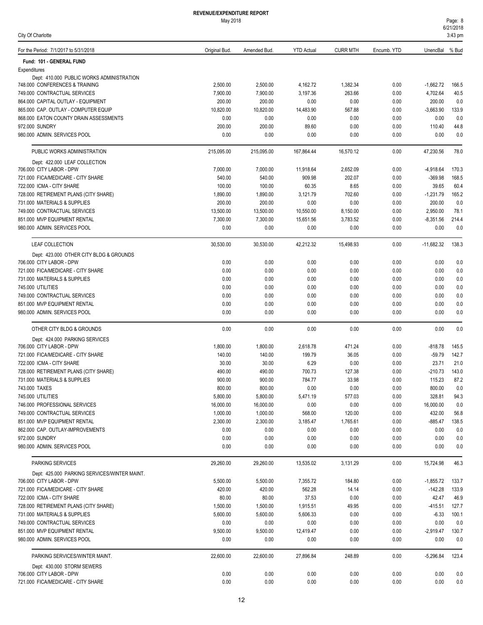| City Of Charlotte                                                           |                       |                       |                        |                      |              |                     | 3:43 pm     |
|-----------------------------------------------------------------------------|-----------------------|-----------------------|------------------------|----------------------|--------------|---------------------|-------------|
| For the Period: 7/1/2017 to 5/31/2018                                       | Original Bud.         | Amended Bud.          | <b>YTD Actual</b>      | <b>CURR MTH</b>      | Encumb. YTD  | UnencBal % Bud      |             |
| Fund: 101 - GENERAL FUND                                                    |                       |                       |                        |                      |              |                     |             |
| Expenditures                                                                |                       |                       |                        |                      |              |                     |             |
| Dept: 410.000 PUBLIC WORKS ADMINISTRATION<br>748.000 CONFERENCES & TRAINING | 2,500.00              | 2,500.00              | 4,162.72               | 1,382.34             | 0.00         | $-1,662.72$         | 166.5       |
| 749.000 CONTRACTUAL SERVICES                                                | 7,900.00              | 7,900.00              | 3,197.36               | 263.66               | 0.00         | 4,702.64            | 40.5        |
| 864.000 CAPITAL OUTLAY - EQUIPMENT                                          | 200.00                | 200.00                | 0.00                   | 0.00                 | 0.00         | 200.00              | 0.0         |
| 865,000 CAP, OUTLAY - COMPUTER EQUIP                                        | 10,820.00             | 10,820.00             | 14,483.90              | 567.88               | 0.00         | $-3,663.90$         | 133.9       |
| 868.000 EATON COUNTY DRAIN ASSESSMENTS                                      | 0.00                  | 0.00                  | 0.00                   | 0.00                 | 0.00         | 0.00                | 0.0         |
| 972.000 SUNDRY                                                              | 200.00                | 200.00                | 89.60                  | 0.00                 | 0.00         | 110.40              | 44.8        |
| 980.000 ADMIN. SERVICES POOL                                                | 0.00                  | 0.00                  | 0.00                   | 0.00                 | 0.00         | 0.00                | 0.0         |
| PUBLIC WORKS ADMINISTRATION                                                 | 215,095.00            | 215,095.00            | 167,864.44             | 16,570.12            | 0.00         | 47,230.56           | 78.0        |
| Dept: 422.000 LEAF COLLECTION                                               |                       |                       |                        |                      |              |                     |             |
| 706.000 CITY LABOR - DPW                                                    | 7,000.00              | 7,000.00              | 11,918.64              | 2,652.09             | 0.00         | $-4,918.64$         | 170.3       |
| 721.000 FICA/MEDICARE - CITY SHARE                                          | 540.00                | 540.00                | 909.98                 | 202.07               | 0.00         | -369.98             | 168.5       |
| 722.000 ICMA - CITY SHARE                                                   | 100.00                | 100.00                | 60.35                  | 8.65                 | 0.00         | 39.65               | 60.4        |
| 728.000 RETIREMENT PLANS (CITY SHARE)                                       | 1,890.00              | 1,890.00              | 3,121.79               | 702.60               | 0.00         | $-1,231.79$         | 165.2       |
| 731.000 MATERIALS & SUPPLIES<br>749.000 CONTRACTUAL SERVICES                | 200.00                | 200.00                | 0.00                   | 0.00                 | 0.00         | 200.00<br>2,950.00  | 0.0<br>78.1 |
| 851.000 MVP EQUIPMENT RENTAL                                                | 13,500.00<br>7,300.00 | 13,500.00<br>7,300.00 | 10,550.00<br>15,651.56 | 8,150.00<br>3,783.52 | 0.00<br>0.00 | $-8,351.56$         | 214.4       |
| 980.000 ADMIN. SERVICES POOL                                                | 0.00                  | 0.00                  | 0.00                   | 0.00                 | 0.00         | 0.00                | 0.0         |
|                                                                             |                       |                       |                        |                      |              |                     |             |
| LEAF COLLECTION<br>Dept: 423.000 OTHER CITY BLDG & GROUNDS                  | 30,530.00             | 30,530.00             | 42,212.32              | 15,498.93            | 0.00         | $-11,682.32$        | 138.3       |
| 706.000 CITY LABOR - DPW                                                    | 0.00                  | 0.00                  | 0.00                   | 0.00                 | 0.00         | 0.00                | 0.0         |
| 721.000 FICA/MEDICARE - CITY SHARE                                          | 0.00                  | 0.00                  | 0.00                   | 0.00                 | 0.00         | 0.00                | 0.0         |
| 731.000 MATERIALS & SUPPLIES                                                | 0.00                  | 0.00                  | 0.00                   | 0.00                 | 0.00         | 0.00                | 0.0         |
| 745.000 UTILITIES                                                           | 0.00                  | 0.00                  | 0.00                   | 0.00                 | 0.00         | 0.00                | 0.0         |
| 749.000 CONTRACTUAL SERVICES                                                | 0.00                  | 0.00                  | 0.00                   | 0.00                 | 0.00         | 0.00                | 0.0         |
| 851.000 MVP EQUIPMENT RENTAL                                                | 0.00                  | 0.00                  | 0.00                   | 0.00                 | 0.00         | 0.00                | 0.0         |
| 980.000 ADMIN. SERVICES POOL                                                | 0.00                  | 0.00                  | 0.00                   | 0.00                 | 0.00         | 0.00                | 0.0         |
| OTHER CITY BLDG & GROUNDS                                                   | 0.00                  | 0.00                  | 0.00                   | 0.00                 | 0.00         | 0.00                | 0.0         |
| Dept: 424.000 PARKING SERVICES                                              |                       |                       |                        |                      |              |                     |             |
| 706.000 CITY LABOR - DPW                                                    | 1,800.00              | 1,800.00              | 2,618.78               | 471.24               | 0.00         | -818.78             | 145.5       |
| 721.000 FICA/MEDICARE - CITY SHARE                                          | 140.00                | 140.00                | 199.79                 | 36.05                | 0.00         | $-59.79$            | 142.7       |
| 722.000 ICMA - CITY SHARE                                                   | 30.00                 | 30.00                 | 6.29                   | 0.00                 | 0.00         | 23.71               | 21.0        |
| 728.000 RETIREMENT PLANS (CITY SHARE)                                       | 490.00                | 490.00                | 700.73                 | 127.38               | 0.00         | $-210.73$           | 143.0       |
| 731.000 MATERIALS & SUPPLIES                                                | 900.00                | 900.00                | 784.77                 | 33.98                | 0.00         | 115.23              | 87.2        |
| 743.000 TAXES                                                               | 800.00                | 800.00                | 0.00                   | 0.00                 | 0.00         | 800.00              | 0.0         |
| 745.000 UTILITIES                                                           | 5,800.00              | 5,800.00              | 5,471.19               | 577.03               | 0.00         | 328.81              | 94.3        |
| 746.000 PROFESSIONAL SERVICES<br>749.000 CONTRACTUAL SERVICES               | 16,000.00<br>1,000.00 | 16,000.00<br>1,000.00 | 0.00<br>568.00         | 0.00<br>120.00       | 0.00<br>0.00 | 16,000.00<br>432.00 | 0.0<br>56.8 |
| 851.000 MVP EQUIPMENT RENTAL                                                | 2,300.00              | 2,300.00              | 3,185.47               | 1,765.61             | 0.00         | $-885.47$           | 138.5       |
| 862.000 CAP. OUTLAY-IMPROVEMENTS                                            | 0.00                  | 0.00                  | 0.00                   | 0.00                 | 0.00         | 0.00                | 0.0         |
| 972.000 SUNDRY                                                              | 0.00                  | 0.00                  | 0.00                   | 0.00                 | 0.00         | 0.00                | 0.0         |
| 980.000 ADMIN. SERVICES POOL                                                | 0.00                  | 0.00                  | 0.00                   | 0.00                 | 0.00         | 0.00                | 0.0         |
| <b>PARKING SERVICES</b>                                                     | 29,260.00             | 29,260.00             | 13,535.02              | 3,131.29             | 0.00         | 15,724.98           | 46.3        |
| Dept: 425.000 PARKING SERVICES/WINTER MAINT.                                |                       |                       |                        |                      |              |                     |             |
| 706.000 CITY LABOR - DPW                                                    | 5,500.00              | 5,500.00              | 7,355.72               | 184.80               | 0.00         | $-1,855.72$         | 133.7       |
| 721.000 FICA/MEDICARE - CITY SHARE                                          | 420.00                | 420.00                | 562.28                 | 14.14                | 0.00         | $-142.28$           | 133.9       |
| 722.000 ICMA - CITY SHARE                                                   | 80.00                 | 80.00                 | 37.53                  | 0.00                 | 0.00         | 42.47               | 46.9        |
| 728.000 RETIREMENT PLANS (CITY SHARE)                                       | 1,500.00              | 1,500.00              | 1,915.51               | 49.95                | 0.00         | $-415.51$           | 127.7       |
| 731.000 MATERIALS & SUPPLIES                                                | 5,600.00              | 5,600.00              | 5,606.33               | 0.00                 | 0.00         | $-6.33$             | 100.1       |
| 749.000 CONTRACTUAL SERVICES                                                | 0.00                  | 0.00                  | 0.00                   | 0.00                 | 0.00         | 0.00                | 0.0         |
| 851.000 MVP EQUIPMENT RENTAL                                                | 9,500.00              | 9,500.00              | 12,419.47              | 0.00                 | 0.00         | $-2,919.47$         | 130.7       |
| 980.000 ADMIN. SERVICES POOL                                                | 0.00                  | 0.00                  | 0.00                   | 0.00                 | 0.00         | 0.00                | 0.0         |
| PARKING SERVICES/WINTER MAINT.                                              | 22,600.00             | 22,600.00             | 27,896.84              | 248.89               | 0.00         | $-5,296.84$         | 123.4       |
| Dept: 430.000 STORM SEWERS                                                  |                       |                       |                        |                      |              |                     |             |
| 706.000 CITY LABOR - DPW                                                    | 0.00                  | 0.00                  | 0.00                   | 0.00                 | 0.00         | 0.00                | 0.0         |
| 721.000 FICA/MEDICARE - CITY SHARE                                          | 0.00                  | 0.00                  | 0.00                   | 0.00                 | 0.00         | 0.00                | 0.0         |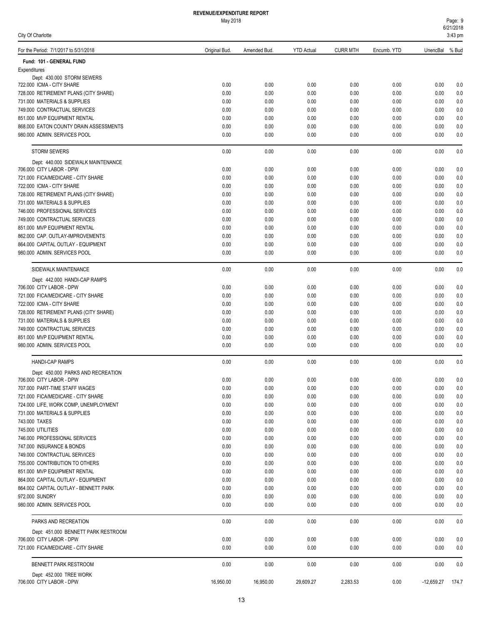| Page: 9   |  |
|-----------|--|
| 6/21/2018 |  |

| City Of Charlotte                                              |               |              |                   |                 |              |                    | 3:43 pm    |
|----------------------------------------------------------------|---------------|--------------|-------------------|-----------------|--------------|--------------------|------------|
| For the Period: 7/1/2017 to 5/31/2018                          | Original Bud. | Amended Bud. | <b>YTD Actual</b> | <b>CURR MTH</b> | Encumb. YTD  | UnencBal % Bud     |            |
| Fund: 101 - GENERAL FUND                                       |               |              |                   |                 |              |                    |            |
| Expenditures<br>Dept: 430.000 STORM SEWERS                     |               |              |                   |                 |              |                    |            |
| 722.000 ICMA - CITY SHARE                                      | 0.00          | 0.00         | 0.00              | 0.00            | 0.00         | 0.00               | 0.0        |
| 728.000 RETIREMENT PLANS (CITY SHARE)                          | 0.00          | 0.00         | 0.00              | 0.00            | 0.00         | 0.00               | 0.0        |
| 731.000 MATERIALS & SUPPLIES                                   | 0.00          | 0.00         | 0.00              | 0.00            | 0.00         | 0.00               | $0.0\,$    |
| 749.000 CONTRACTUAL SERVICES                                   | 0.00          | 0.00         | 0.00              | 0.00            | 0.00         | 0.00               | 0.0        |
| 851.000 MVP EQUIPMENT RENTAL                                   | 0.00          | 0.00         | 0.00              | 0.00            | 0.00         | 0.00               | 0.0        |
| 868.000 EATON COUNTY DRAIN ASSESSMENTS                         | 0.00          | 0.00         | 0.00              | 0.00            | 0.00         | 0.00               | 0.0        |
| 980.000 ADMIN. SERVICES POOL                                   | 0.00          | 0.00         | 0.00              | 0.00            | 0.00         | 0.00               | 0.0        |
| <b>STORM SEWERS</b>                                            | 0.00          | 0.00         | 0.00              | 0.00            | 0.00         | 0.00               | 0.0        |
| Dept: 440.000 SIDEWALK MAINTENANCE<br>706.000 CITY LABOR - DPW | 0.00          | 0.00         | 0.00              | 0.00            | 0.00         | 0.00               | 0.0        |
| 721.000 FICA/MEDICARE - CITY SHARE                             | 0.00          | 0.00         | 0.00              | 0.00            | 0.00         | 0.00               | $0.0\,$    |
| 722.000 ICMA - CITY SHARE                                      | 0.00          | 0.00         | 0.00              | 0.00            | 0.00         | 0.00               | $0.0\,$    |
| 728.000 RETIREMENT PLANS (CITY SHARE)                          | 0.00          | 0.00         | 0.00              | 0.00            | 0.00         | 0.00               | $0.0\,$    |
| 731.000 MATERIALS & SUPPLIES                                   | 0.00          | 0.00         | 0.00              | 0.00            | 0.00         | 0.00               | 0.0        |
| 746.000 PROFESSIONAL SERVICES                                  | 0.00          | 0.00         | 0.00              | 0.00            | 0.00         | 0.00               | $0.0\,$    |
| 749.000 CONTRACTUAL SERVICES                                   | 0.00          | 0.00         | 0.00              | 0.00            | 0.00         | 0.00               | 0.0        |
| 851.000 MVP EQUIPMENT RENTAL                                   | 0.00          | 0.00         | 0.00              | 0.00            | 0.00         | 0.00               | 0.0        |
| 862.000 CAP. OUTLAY-IMPROVEMENTS                               | 0.00          | 0.00         | 0.00              | 0.00            | 0.00         | 0.00               | 0.0        |
| 864.000 CAPITAL OUTLAY - EQUIPMENT                             | 0.00          | 0.00         | 0.00              | 0.00            | 0.00         | 0.00               | 0.0        |
| 980.000 ADMIN. SERVICES POOL                                   | 0.00          | 0.00         | 0.00              | 0.00            | 0.00         | 0.00               | 0.0        |
| SIDEWALK MAINTENANCE                                           | 0.00          | 0.00         | 0.00              | 0.00            | 0.00         | 0.00               | 0.0        |
| Dept: 442.000 HANDI-CAP RAMPS                                  |               |              |                   |                 |              |                    |            |
| 706.000 CITY LABOR - DPW                                       | 0.00          | 0.00         | 0.00              | 0.00            | 0.00         | 0.00               | 0.0        |
| 721.000 FICA/MEDICARE - CITY SHARE                             | 0.00          | 0.00         | 0.00              | 0.00            | 0.00         | 0.00               | 0.0        |
| 722.000 ICMA - CITY SHARE                                      | 0.00          | 0.00         | 0.00              | 0.00            | 0.00         | 0.00               | 0.0        |
| 728.000 RETIREMENT PLANS (CITY SHARE)                          | 0.00          | 0.00         | 0.00              | 0.00            | 0.00         | 0.00               | 0.0        |
| 731.000 MATERIALS & SUPPLIES                                   | 0.00          | 0.00         | 0.00              | 0.00            | 0.00         | 0.00               | $0.0\,$    |
| 749.000 CONTRACTUAL SERVICES                                   | 0.00          | 0.00         | 0.00              | 0.00            | 0.00         | 0.00               | $0.0\,$    |
| 851.000 MVP EQUIPMENT RENTAL                                   | 0.00          | 0.00         | 0.00              | 0.00            | 0.00         | 0.00               | 0.0        |
| 980.000 ADMIN. SERVICES POOL                                   | 0.00          | 0.00         | 0.00              | 0.00            | 0.00         | 0.00               | 0.0        |
| <b>HANDI-CAP RAMPS</b>                                         | 0.00          | 0.00         | 0.00              | 0.00            | 0.00         | 0.00               | 0.0        |
| Dept: 450.000 PARKS AND RECREATION                             |               |              |                   |                 |              |                    |            |
| 706.000 CITY LABOR - DPW<br>707.000 PART-TIME STAFF WAGES      | 0.00          | 0.00         | 0.00              | 0.00            | 0.00         | 0.00               | 0.0<br>0.0 |
| 721.000 FICA/MEDICARE - CITY SHARE                             | 0.00<br>0.00  | 0.00<br>0.00 | 0.00<br>0.00      | 0.00<br>0.00    | 0.00<br>0.00 | 0.00<br>0.00       | 0.0        |
| 724.000 LIFE, WORK COMP, UNEMPLOYMENT                          | 0.00          | 0.00         | 0.00              | 0.00            | 0.00         | 0.00               | $0.0\,$    |
| 731.000 MATERIALS & SUPPLIES                                   | 0.00          | 0.00         | 0.00              | 0.00            | 0.00         | 0.00               | 0.0        |
| 743.000 TAXES                                                  | 0.00          | 0.00         | 0.00              | 0.00            | 0.00         | 0.00               | $0.0\,$    |
| 745.000 UTILITIES                                              | 0.00          | 0.00         | 0.00              | 0.00            | 0.00         | 0.00               | $0.0\,$    |
| 746.000 PROFESSIONAL SERVICES                                  | 0.00          | 0.00         | 0.00              | 0.00            | 0.00         | 0.00               | $0.0\,$    |
| 747.000 INSURANCE & BONDS                                      | 0.00          | 0.00         | 0.00              | 0.00            | 0.00         | 0.00               | $0.0\,$    |
| 749.000 CONTRACTUAL SERVICES                                   | 0.00          | 0.00         | 0.00              | 0.00            | 0.00         | 0.00               | $0.0\,$    |
| 755.000 CONTRIBUTION TO OTHERS                                 | 0.00          | 0.00         | 0.00              | 0.00            | 0.00         | 0.00               | $0.0\,$    |
| 851.000 MVP EQUIPMENT RENTAL                                   | 0.00          | 0.00         | 0.00              | 0.00            | 0.00         | 0.00               | 0.0        |
| 864.000 CAPITAL OUTLAY - EQUIPMENT                             | 0.00          | 0.00         | 0.00              | 0.00            | 0.00         | 0.00               | 0.0        |
| 864.002 CAPITAL OUTLAY - BENNETT PARK                          | 0.00          | 0.00         | 0.00              | 0.00            | 0.00         | 0.00               | 0.0        |
| 972.000 SUNDRY                                                 | 0.00          | 0.00         | 0.00              | 0.00            | 0.00         | 0.00               | $0.0\,$    |
| 980.000 ADMIN. SERVICES POOL                                   | 0.00          | 0.00         | 0.00              | 0.00            | 0.00         | 0.00               | 0.0        |
| PARKS AND RECREATION                                           | 0.00          | 0.00         | 0.00              | 0.00            | 0.00         | 0.00               | 0.0        |
| Dept: 451.000 BENNETT PARK RESTROOM                            |               |              |                   |                 |              |                    |            |
| 706.000 CITY LABOR - DPW                                       | 0.00          | 0.00         | 0.00              | 0.00            | 0.00         | 0.00               | 0.0        |
| 721.000 FICA/MEDICARE - CITY SHARE                             | 0.00          | 0.00         | 0.00              | 0.00            | 0.00         | 0.00               | 0.0        |
| BENNETT PARK RESTROOM                                          | 0.00          | 0.00         | 0.00              | 0.00            | 0.00         | 0.00               | 0.0        |
| Dept: 452.000 TREE WORK<br>706.000 CITY LABOR - DPW            | 16,950.00     | 16,950.00    | 29,609.27         | 2,283.53        | 0.00         | $-12,659.27$ 174.7 |            |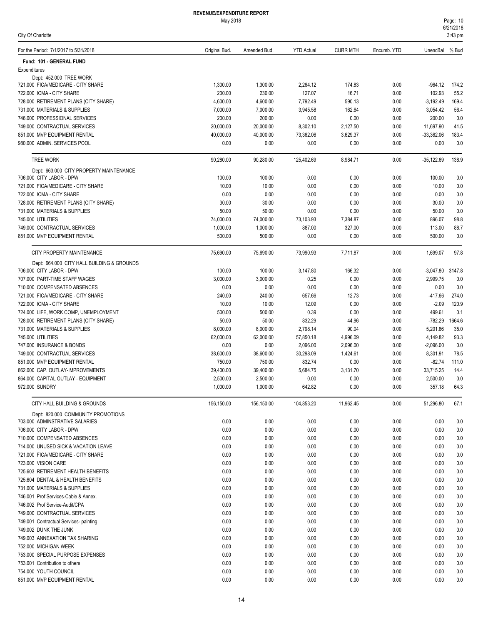| For the Period: 7/1/2017 to 5/31/2018                                  | Original Bud.     | Amended Bud.      | <b>YTD Actual</b> | <b>CURR MTH</b>  | Encumb. YTD  | UnencBal % Bud       |              |
|------------------------------------------------------------------------|-------------------|-------------------|-------------------|------------------|--------------|----------------------|--------------|
| Fund: 101 - GENERAL FUND                                               |                   |                   |                   |                  |              |                      |              |
| Expenditures                                                           |                   |                   |                   |                  |              |                      |              |
| Dept: 452.000 TREE WORK                                                |                   |                   |                   |                  |              |                      |              |
| 721.000 FICA/MEDICARE - CITY SHARE                                     | 1,300.00          | 1,300.00          | 2,264.12          | 174.83           | 0.00         | -964.12              | 174.2        |
| 722.000 ICMA - CITY SHARE                                              | 230.00            | 230.00            | 127.07            | 16.71            | 0.00         | 102.93               | 55.2         |
| 728.000 RETIREMENT PLANS (CITY SHARE)                                  | 4,600.00          | 4,600.00          | 7,792.49          | 590.13           | 0.00         | $-3,192.49$          | 169.4        |
| 731.000 MATERIALS & SUPPLIES                                           | 7,000.00          | 7,000.00          | 3,945.58          | 162.64           | 0.00         | 3,054.42             | 56.4         |
| 746.000 PROFESSIONAL SERVICES                                          | 200.00            | 200.00            | 0.00              | 0.00             | 0.00         | 200.00               | 0.0          |
| 749.000 CONTRACTUAL SERVICES                                           | 20,000.00         | 20,000.00         | 8,302.10          | 2,127.50         | 0.00         | 11,697.90            | 41.5         |
| 851.000 MVP EQUIPMENT RENTAL<br>980.000 ADMIN. SERVICES POOL           | 40,000.00<br>0.00 | 40.000.00<br>0.00 | 73,362.06<br>0.00 | 3,629.37<br>0.00 | 0.00<br>0.00 | $-33,362.06$<br>0.00 | 183.4<br>0.0 |
|                                                                        |                   |                   |                   |                  |              |                      |              |
| <b>TREE WORK</b>                                                       | 90,280.00         | 90,280.00         | 125,402.69        | 8,984.71         | 0.00         | $-35,122.69$         | 138.9        |
| Dept: 663.000 CITY PROPERTY MAINTENANCE<br>706.000 CITY LABOR - DPW    | 100.00            | 100.00            | 0.00              | 0.00             |              | 100.00               |              |
| 721.000 FICA/MEDICARE - CITY SHARE                                     | 10.00             | 10.00             | 0.00              | 0.00             | 0.00<br>0.00 | 10.00                | 0.0<br>0.0   |
| 722.000 ICMA - CITY SHARE                                              | 0.00              | 0.00              | 0.00              | 0.00             | 0.00         | 0.00                 | 0.0          |
| 728.000 RETIREMENT PLANS (CITY SHARE)                                  | 30.00             | 30.00             | 0.00              | 0.00             | 0.00         | 30.00                | 0.0          |
| 731.000 MATERIALS & SUPPLIES                                           | 50.00             | 50.00             | 0.00              | 0.00             | 0.00         | 50.00                | 0.0          |
| 745.000 UTILITIES                                                      | 74,000.00         | 74,000.00         | 73,103.93         | 7,384.87         | 0.00         | 896.07               | 98.8         |
| 749.000 CONTRACTUAL SERVICES                                           | 1,000.00          | 1,000.00          | 887.00            | 327.00           | 0.00         | 113.00               | 88.7         |
| 851.000 MVP EQUIPMENT RENTAL                                           | 500.00            | 500.00            | 0.00              | 0.00             | 0.00         | 500.00               | 0.0          |
|                                                                        |                   |                   |                   |                  |              |                      |              |
| CITY PROPERTY MAINTENANCE                                              | 75,690.00         | 75,690.00         | 73,990.93         | 7,711.87         | 0.00         | 1,699.07             | 97.8         |
| Dept: 664.000 CITY HALL BUILDING & GROUNDS<br>706.000 CITY LABOR - DPW | 100.00            | 100.00            | 3,147.80          | 166.32           | 0.00         | $-3,047.80$          | 3147.8       |
| 707.000 PART-TIME STAFF WAGES                                          | 3,000.00          | 3,000.00          | 0.25              | 0.00             | 0.00         | 2,999.75             | 0.0          |
| 710.000 COMPENSATED ABSENCES                                           | 0.00              | 0.00              | 0.00              | 0.00             | 0.00         | 0.00                 | 0.0          |
| 721.000 FICA/MEDICARE - CITY SHARE                                     | 240.00            | 240.00            | 657.66            | 12.73            | 0.00         | $-417.66$            | 274.0        |
| 722.000 ICMA - CITY SHARE                                              | 10.00             | 10.00             | 12.09             | 0.00             | 0.00         | $-2.09$              | 120.9        |
| 724.000 LIFE, WORK COMP, UNEMPLOYMENT                                  | 500.00            | 500.00            | 0.39              | 0.00             | 0.00         | 499.61               | 0.1          |
| 728.000 RETIREMENT PLANS (CITY SHARE)                                  | 50.00             | 50.00             | 832.29            | 44.96            | 0.00         | $-782.29$            | 1664.6       |
| 731.000 MATERIALS & SUPPLIES                                           | 8,000.00          | 8,000.00          | 2,798.14          | 90.04            | 0.00         | 5,201.86             | 35.0         |
| 745.000 UTILITIES                                                      | 62,000.00         | 62,000.00         | 57,850.18         | 4,996.09         | 0.00         | 4,149.82             | 93.3         |
| 747.000 INSURANCE & BONDS                                              | 0.00              | 0.00              | 2,096.00          | 2,096.00         | 0.00         | $-2,096.00$          | 0.0          |
| 749.000 CONTRACTUAL SERVICES                                           | 38,600.00         | 38,600.00         | 30,298.09         | 1,424.61         | 0.00         | 8,301.91             | 78.5         |
| 851.000 MVP EQUIPMENT RENTAL                                           | 750.00            | 750.00            | 832.74            | 0.00             | 0.00         | $-82.74$             | 111.0        |
| 862.000 CAP. OUTLAY-IMPROVEMENTS                                       | 39,400.00         | 39,400.00         | 5,684.75          | 3,131.70         | 0.00         | 33,715.25            | 14.4         |
| 864.000 CAPITAL OUTLAY - EQUIPMENT                                     | 2,500.00          | 2,500.00          | 0.00              | 0.00             | 0.00         | 2,500.00             | 0.0          |
| 972.000 SUNDRY                                                         | 1,000.00          | 1,000.00          | 642.82            | 0.00             | 0.00         | 357.18               | 64.3         |
| CITY HALL BUILDING & GROUNDS                                           | 156,150.00        | 156,150.00        | 104,853.20        | 11,962.45        | 0.00         | 51,296.80            | 67.1         |
| Dept: 820.000 COMMUNITY PROMOTIONS                                     |                   |                   |                   |                  |              |                      |              |
| 703.000 ADMINSTRATIVE SALARIES                                         | 0.00              | 0.00              | 0.00              | 0.00             | 0.00         | 0.00                 | 0.0          |
| 706.000 CITY LABOR - DPW                                               | 0.00              | 0.00              | 0.00              | 0.00             | 0.00         | 0.00                 | 0.0          |
| 710.000 COMPENSATED ABSENCES                                           | 0.00              | 0.00              | 0.00              | 0.00             | 0.00         | 0.00                 | 0.0          |
| 714.000 UNUSED SICK & VACATION LEAVE                                   | 0.00              | 0.00              | 0.00              | 0.00             | 0.00         | 0.00                 | 0.0          |
| 721.000 FICA/MEDICARE - CITY SHARE                                     | 0.00              | 0.00              | 0.00              | 0.00             | 0.00         | 0.00                 | 0.0          |
| 723.000 VISION CARE<br>725.603 RETIREMENT HEALTH BENEFITS              | 0.00<br>0.00      | 0.00<br>0.00      | 0.00<br>0.00      | 0.00<br>0.00     | 0.00<br>0.00 | 0.00<br>0.00         | 0.0<br>0.0   |
| 725.604 DENTAL & HEALTH BENEFITS                                       | 0.00              | 0.00              | 0.00              | 0.00             | 0.00         | 0.00                 | 0.0          |
| 731.000 MATERIALS & SUPPLIES                                           | 0.00              | 0.00              | 0.00              | 0.00             | 0.00         | 0.00                 | 0.0          |
| 746.001 Prof Services-Cable & Annex.                                   | 0.00              | 0.00              | 0.00              | 0.00             | 0.00         | 0.00                 | 0.0          |
| 746.002 Prof Service-Audit/CPA                                         | 0.00              | 0.00              | 0.00              | 0.00             | 0.00         | 0.00                 | 0.0          |
| 749.000 CONTRACTUAL SERVICES                                           | 0.00              | 0.00              | 0.00              | 0.00             | 0.00         | 0.00                 | 0.0          |
| 749.001 Contractual Services- painting                                 | 0.00              | 0.00              | 0.00              | 0.00             | 0.00         | 0.00                 | 0.0          |
| 749.002 DUNK THE JUNK                                                  | 0.00              | 0.00              | 0.00              | 0.00             | 0.00         | 0.00                 | 0.0          |
| 749.003 ANNEXATION TAX SHARING                                         | 0.00              | 0.00              | 0.00              | 0.00             | 0.00         | 0.00                 | 0.0          |
| 752.000 MICHIGAN WEEK                                                  | 0.00              | 0.00              | 0.00              | 0.00             | 0.00         | 0.00                 | 0.0          |
| 753.000 SPECIAL PURPOSE EXPENSES                                       | 0.00              | 0.00              | 0.00              | 0.00             | 0.00         | 0.00                 | 0.0          |
| 753.001 Contribution to others                                         | 0.00              | 0.00              | 0.00              | 0.00             | 0.00         | 0.00                 | 0.0          |
| 754.000 YOUTH COUNCIL                                                  | 0.00              | 0.00              | 0.00              | 0.00             | 0.00         | 0.00                 | 0.0          |
| 851.000 MVP EQUIPMENT RENTAL                                           | 0.00              | 0.00              | 0.00              | 0.00             | 0.00         | 0.00                 | 0.0          |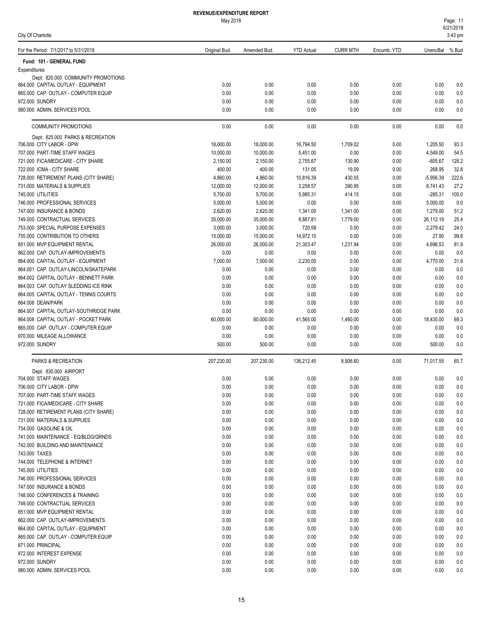| Page: 11  |  |
|-----------|--|
| 6/21/2018 |  |
| 3:43 pm   |  |

| For the Period: 7/1/2017 to 5/31/2018                        | Original Bud.        | Amended Bud.          | <b>YTD Actual</b>    | <b>CURR MTH</b>      | Encumb. YTD  | UnencBal % Bud       |             |
|--------------------------------------------------------------|----------------------|-----------------------|----------------------|----------------------|--------------|----------------------|-------------|
| Fund: 101 - GENERAL FUND                                     |                      |                       |                      |                      |              |                      |             |
| Expenditures                                                 |                      |                       |                      |                      |              |                      |             |
| Dept: 820.000 COMMUNITY PROMOTIONS                           |                      |                       |                      |                      |              |                      |             |
| 864.000 CAPITAL OUTLAY - EQUIPMENT                           | 0.00                 | 0.00                  | 0.00                 | 0.00                 | 0.00         | 0.00                 | 0.0         |
| 865,000 CAP, OUTLAY - COMPUTER EQUIP                         | 0.00                 | 0.00                  | 0.00                 | 0.00                 | 0.00         | 0.00                 | 0.0         |
| 972.000 SUNDRY                                               | 0.00                 | 0.00                  | 0.00                 | 0.00                 | 0.00         | 0.00                 | 0.0         |
| 980.000 ADMIN. SERVICES POOL                                 | 0.00                 | 0.00                  | 0.00                 | 0.00                 | 0.00         | 0.00                 | 0.0         |
| <b>COMMUNITY PROMOTIONS</b>                                  | 0.00                 | 0.00                  | 0.00                 | 0.00                 | 0.00         | 0.00                 | 0.0         |
| Dept: 825.000 PARKS & RECREATION                             |                      |                       |                      |                      |              |                      |             |
| 706.000 CITY LABOR - DPW                                     | 18,000.00            | 18,000.00             | 16,794.50            | 1,709.02             | 0.00         | 1,205.50             | 93.3        |
| 707.000 PART-TIME STAFF WAGES                                | 10,000.00            | 10,000.00             | 5,451.00             | 0.00                 | 0.00         | 4,549.00             | 54.5        |
| 721.000 FICA/MEDICARE - CITY SHARE                           | 2,150.00             | 2,150.00              | 2,755.67             | 130.90               | 0.00         | $-605.67$            | 128.2       |
| 722.000 ICMA - CITY SHARE                                    | 400.00               | 400.00                | 131.05               | 19.09                | 0.00         | 268.95               | 32.8        |
| 728.000 RETIREMENT PLANS (CITY SHARE)                        | 4,860.00             | 4,860.00              | 10,816.39            | 430.55               | 0.00         | $-5,956.39$          | 222.6       |
| 731.000 MATERIALS & SUPPLIES                                 | 12,000.00            | 12,000.00             | 3,258.57             | 390.95               | 0.00         | 8,741.43             | 27.2        |
| 745.000 UTILITIES                                            | 5,700.00             | 5,700.00              | 5,985.31             | 414.15               | 0.00         | $-285.31$            | 105.0       |
| 746.000 PROFESSIONAL SERVICES<br>747.000 INSURANCE & BONDS   | 5,000.00<br>2,620.00 | 5,000.00              | 0.00                 | 0.00                 | 0.00         | 5,000.00<br>1,279.00 | 0.0<br>51.2 |
| 749.000 CONTRACTUAL SERVICES                                 | 35,000.00            | 2,620.00<br>35,000.00 | 1,341.00<br>8,887.81 | 1,341.00<br>1,779.00 | 0.00<br>0.00 | 26,112.19            | 25.4        |
| 753.000 SPECIAL PURPOSE EXPENSES                             | 3,000.00             | 3,000.00              | 720.58               | 0.00                 | 0.00         | 2,279.42             | 24.0        |
| 755.000 CONTRIBUTION TO OTHERS                               | 15,000.00            | 15,000.00             | 14,972.10            | 0.00                 | 0.00         | 27.90                | 99.8        |
| 851.000 MVP EQUIPMENT RENTAL                                 | 26,000.00            | 26,000.00             | 21,303.47            | 1,231.94             | 0.00         | 4,696.53             | 81.9        |
| 862.000 CAP. OUTLAY-IMPROVEMENTS                             | 0.00                 | 0.00                  | 0.00                 | 0.00                 | 0.00         | 0.00                 | 0.0         |
| 864.000 CAPITAL OUTLAY - EQUIPMENT                           | 7,000.00             | 7,000.00              | 2,230.00             | 0.00                 | 0.00         | 4,770.00             | 31.9        |
| 864.001 CAP. OUTLAY-LINCOLN/SKATEPARK                        | 0.00                 | 0.00                  | 0.00                 | 0.00                 | 0.00         | 0.00                 | 0.0         |
| 864.002 CAPITAL OUTLAY - BENNETT PARK                        | 0.00                 | 0.00                  | 0.00                 | 0.00                 | 0.00         | 0.00                 | 0.0         |
| 864.003 CAP. OUTLAY SLEDDING ICE RINK                        | 0.00                 | 0.00                  | 0.00                 | 0.00                 | 0.00         | 0.00                 | 0.0         |
| 864.005 CAPITAL OUTLAY - TENNIS COURTS                       | 0.00                 | 0.00                  | 0.00                 | 0.00                 | 0.00         | 0.00                 | 0.0         |
| 864.006 DEAN/PARK                                            | 0.00                 | 0.00                  | 0.00                 | 0.00                 | 0.00         | 0.00                 | 0.0         |
| 864.007 CAPITAL OUTLAY-SOUTHRIDGE PARK                       | 0.00                 | 0.00                  | 0.00                 | 0.00                 | 0.00         | 0.00                 | 0.0         |
| 864.008 CAPITAL OUTLAY - POCKET PARK                         | 60,000.00            | 60,000.00             | 41,565.00            | 1,460.00             | 0.00         | 18,435.00            | 69.3        |
| 865.000 CAP. OUTLAY - COMPUTER EQUIP                         | 0.00                 | 0.00                  | 0.00                 | 0.00                 | 0.00         | 0.00                 | 0.0         |
| 970.000 MILEAGE ALLOWANCE                                    | 0.00                 | 0.00                  | 0.00                 | 0.00                 | 0.00         | 0.00                 | 0.0         |
| 972.000 SUNDRY                                               | 500.00               | 500.00                | 0.00                 | 0.00                 | 0.00         | 500.00               | 0.0         |
| PARKS & RECREATION                                           | 207,230.00           | 207,230.00            | 136,212.45           | 8,906.60             | 0.00         | 71,017.55            | 65.7        |
| Dept: 830.000 AIRPORT                                        |                      |                       |                      |                      |              |                      |             |
| 704.000 STAFF WAGES                                          | 0.00                 | 0.00                  | 0.00                 | 0.00                 | 0.00         | 0.00                 | 0.0         |
| 706.000 CITY LABOR - DPW                                     | 0.00                 | 0.00                  | 0.00                 | 0.00                 | 0.00         | 0.00                 | 0.0         |
| 707.000 PART-TIME STAFF WAGES                                | 0.00                 | 0.00                  | 0.00                 | 0.00                 | 0.00         | 0.00                 | 0.0         |
| 721.000 FICA/MEDICARE - CITY SHARE                           | 0.00                 | 0.00                  | 0.00                 | 0.00                 | 0.00         | 0.00                 | 0.0         |
| 728.000 RETIREMENT PLANS (CITY SHARE)                        | 0.00                 | 0.00                  | 0.00                 | 0.00                 | 0.00         | 0.00                 | 0.0         |
| 731.000 MATERIALS & SUPPLIES                                 | 0.00                 | 0.00                  | 0.00                 | 0.00                 | 0.00         | 0.00                 | 0.0         |
| 734.000 GASOLINE & OIL                                       | 0.00                 | 0.00                  | 0.00                 | 0.00                 | 0.00         | 0.00                 | 0.0         |
| 741.000 MAINTENANCE - EQ/BLDG/GRNDS                          | 0.00                 | 0.00                  | 0.00                 | 0.00                 | 0.00         | 0.00                 | 0.0         |
| 742.000 BUILDING AND MAINTENANCE                             | 0.00                 | 0.00                  | 0.00                 | 0.00                 | 0.00         | 0.00                 | 0.0         |
| 743.000 TAXES                                                | 0.00                 | 0.00                  | 0.00                 | 0.00                 | 0.00         | 0.00                 | 0.0         |
| 744.000 TELEPHONE & INTERNET                                 | 0.00                 | 0.00                  | 0.00                 | 0.00                 | 0.00         | 0.00                 | 0.0         |
| 745.000 UTILITIES                                            | 0.00                 | 0.00                  | 0.00                 | 0.00                 | 0.00         | 0.00                 | 0.0         |
| 746.000 PROFESSIONAL SERVICES                                | 0.00                 | 0.00                  | 0.00                 | 0.00                 | 0.00         | 0.00                 | 0.0         |
| 747,000 INSURANCE & BONDS                                    | 0.00                 | 0.00                  | 0.00                 | 0.00                 | 0.00         | 0.00                 | 0.0         |
| 748.000 CONFERENCES & TRAINING                               | 0.00                 | 0.00                  | 0.00                 | 0.00                 | 0.00         | 0.00                 | 0.0         |
| 749.000 CONTRACTUAL SERVICES<br>851.000 MVP EQUIPMENT RENTAL | 0.00                 | 0.00                  | 0.00                 | 0.00                 | 0.00         | 0.00                 | 0.0         |
| 862.000 CAP. OUTLAY-IMPROVEMENTS                             | 0.00<br>0.00         | 0.00<br>0.00          | 0.00<br>0.00         | 0.00<br>0.00         | 0.00<br>0.00 | 0.00<br>0.00         | 0.0<br>0.0  |
| 864.000 CAPITAL OUTLAY - EQUIPMENT                           | 0.00                 | 0.00                  | 0.00                 | 0.00                 | 0.00         | 0.00                 | 0.0         |
| 865.000 CAP. OUTLAY - COMPUTER EQUIP                         | 0.00                 | 0.00                  | 0.00                 | 0.00                 | 0.00         | 0.00                 | 0.0         |
| 871.000 PRINCIPAL                                            | 0.00                 | 0.00                  | 0.00                 | 0.00                 | 0.00         | 0.00                 | 0.0         |
| 872.000 INTEREST EXPENSE                                     | 0.00                 | 0.00                  | 0.00                 | 0.00                 | 0.00         | 0.00                 | 0.0         |
| 972.000 SUNDRY                                               | 0.00                 | 0.00                  | 0.00                 | 0.00                 | 0.00         | 0.00                 | 0.0         |
| 980.000 ADMIN. SERVICES POOL                                 | 0.00                 | 0.00                  | 0.00                 | 0.00                 | 0.00         | 0.00                 | 0.0         |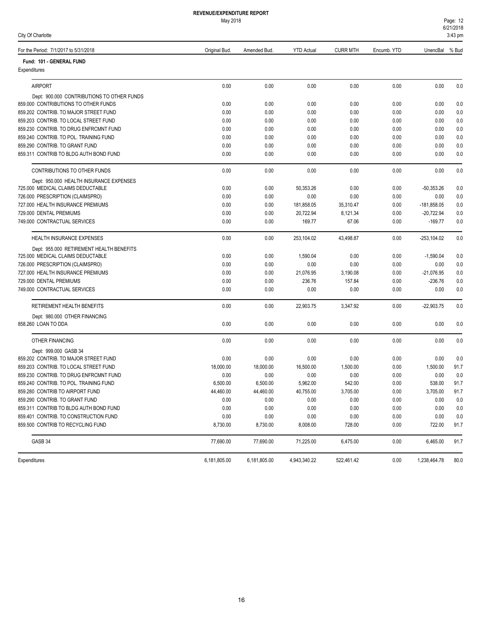| City Of Charlotte                          |               |              |                   |                 |             |                | 3:43 pm |
|--------------------------------------------|---------------|--------------|-------------------|-----------------|-------------|----------------|---------|
| For the Period: 7/1/2017 to 5/31/2018      | Original Bud. | Amended Bud. | <b>YTD Actual</b> | <b>CURR MTH</b> | Encumb. YTD | UnencBal       | % Bud   |
| Fund: 101 - GENERAL FUND                   |               |              |                   |                 |             |                |         |
| Expenditures                               |               |              |                   |                 |             |                |         |
| <b>AIRPORT</b>                             | 0.00          | 0.00         | 0.00              | 0.00            | 0.00        | 0.00           | 0.0     |
| Dept: 900.000 CONTRIBUTIONS TO OTHER FUNDS |               |              |                   |                 |             |                |         |
| 859.000 CONTRIBUTIONS TO OTHER FUNDS       | 0.00          | 0.00         | 0.00              | 0.00            | 0.00        | 0.00           | 0.0     |
| 859.202 CONTRIB. TO MAJOR STREET FUND      | 0.00          | 0.00         | 0.00              | 0.00            | 0.00        | 0.00           | 0.0     |
| 859.203 CONTRIB. TO LOCAL STREET FUND      | 0.00          | 0.00         | 0.00              | 0.00            | 0.00        | 0.00           | 0.0     |
| 859.230 CONTRIB. TO DRUG ENFRCMNT FUND     | 0.00          | 0.00         | 0.00              | 0.00            | 0.00        | 0.00           | 0.0     |
| 859.240 CONTRIB. TO POL. TRAINING FUND     | 0.00          | 0.00         | 0.00              | 0.00            | 0.00        | 0.00           | 0.0     |
| 859.290 CONTRIB. TO GRANT FUND             | 0.00          | 0.00         | 0.00              | 0.00            | 0.00        | 0.00           | 0.0     |
| 859.311 CONTRIB TO BLDG AUTH BOND FUND     | 0.00          | 0.00         | 0.00              | 0.00            | 0.00        | 0.00           | 0.0     |
| CONTRIBUTIONS TO OTHER FUNDS               | 0.00          | 0.00         | 0.00              | 0.00            | 0.00        | 0.00           | 0.0     |
| Dept: 950.000 HEALTH INSURANCE EXPENSES    |               |              |                   |                 |             |                |         |
| 725.000 MEDICAL CLAIMS DEDUCTABLE          | 0.00          | 0.00         | 50,353.26         | 0.00            | 0.00        | $-50,353.26$   | 0.0     |
| 726.000 PRESCRIPTION (CLAIMSPRO)           | 0.00          | 0.00         | 0.00              | 0.00            | 0.00        | 0.00           | 0.0     |
| 727.000 HEALTH INSURANCE PREMIUMS          | 0.00          | 0.00         | 181,858.05        | 35,310.47       | 0.00        | $-181,858.05$  | 0.0     |
| 729.000 DENTAL PREMIUMS                    | 0.00          | 0.00         | 20,722.94         | 8,121.34        | 0.00        | $-20,722.94$   | 0.0     |
| 749.000 CONTRACTUAL SERVICES               | 0.00          | 0.00         | 169.77            | 67.06           | 0.00        | $-169.77$      | 0.0     |
| <b>HEALTH INSURANCE EXPENSES</b>           | 0.00          | 0.00         | 253,104.02        | 43,498.87       | 0.00        | $-253, 104.02$ | 0.0     |
| Dept: 955.000 RETIREMENT HEALTH BENEFITS   |               |              |                   |                 |             |                |         |
| 725.000 MEDICAL CLAIMS DEDUCTABLE          | 0.00          | 0.00         | 1,590.04          | 0.00            | 0.00        | $-1,590.04$    | 0.0     |
| 726.000 PRESCRIPTION (CLAIMSPRO)           | 0.00          | 0.00         | 0.00              | 0.00            | 0.00        | 0.00           | 0.0     |
| 727.000 HEALTH INSURANCE PREMIUMS          | 0.00          | 0.00         | 21,076.95         | 3,190.08        | 0.00        | $-21,076.95$   | 0.0     |
| 729.000 DENTAL PREMIUMS                    | 0.00          | 0.00         | 236.76            | 157.84          | 0.00        | $-236.76$      | 0.0     |
| 749.000 CONTRACTUAL SERVICES               | 0.00          | 0.00         | 0.00              | 0.00            | 0.00        | 0.00           | 0.0     |
| RETIREMENT HEALTH BENEFITS                 | 0.00          | 0.00         | 22,903.75         | 3,347.92        | 0.00        | $-22,903.75$   | 0.0     |
| Dept: 980.000 OTHER FINANCING              |               |              |                   |                 |             |                |         |
| 858.260 LOAN TO DDA                        | 0.00          | 0.00         | 0.00              | 0.00            | 0.00        | 0.00           | 0.0     |
| <b>OTHER FINANCING</b>                     | 0.00          | 0.00         | 0.00              | 0.00            | 0.00        | 0.00           | 0.0     |
| Dept: 999.000 GASB 34                      |               |              |                   |                 |             |                |         |
| 859.202 CONTRIB. TO MAJOR STREET FUND      | 0.00          | 0.00         | 0.00              | 0.00            | 0.00        | 0.00           | 0.0     |
| 859.203 CONTRIB. TO LOCAL STREET FUND      | 18,000.00     | 18,000.00    | 16,500.00         | 1,500.00        | 0.00        | 1,500.00       | 91.7    |
| 859.230 CONTRIB. TO DRUG ENFRCMNT FUND     | 0.00          | 0.00         | 0.00              | 0.00            | 0.00        | 0.00           | 0.0     |
| 859.240 CONTRIB. TO POL. TRAINING FUND     | 6,500.00      | 6,500.00     | 5,962.00          | 542.00          | 0.00        | 538.00         | 91.7    |
| 859.280 CONTRIB TO AIRPORT FUND            | 44,460.00     | 44,460.00    | 40,755.00         | 3,705.00        | 0.00        | 3,705.00       | 91.7    |
| 859.290 CONTRIB. TO GRANT FUND             | 0.00          | 0.00         | 0.00              | 0.00            | 0.00        | 0.00           | 0.0     |
| 859.311 CONTRIB TO BLDG AUTH BOND FUND     | 0.00          | 0.00         | 0.00              | 0.00            | 0.00        | 0.00           | 0.0     |
| 859.401 CONTRIB. TO CONSTRUCTION FUND      | 0.00          | 0.00         | 0.00              | 0.00            | 0.00        | 0.00           | 0.0     |
| 859.500 CONTRIB TO RECYCLING FUND          | 8,730.00      | 8,730.00     | 8,008.00          | 728.00          | 0.00        | 722.00         | 91.7    |
| GASB 34                                    | 77,690.00     | 77,690.00    | 71,225.00         | 6,475.00        | 0.00        | 6,465.00       | 91.7    |

Expenditures 6,181,805.00 6,181,805.00 4,943,340.22 522,461.42 0.00 1,238,464.78 80.0

# **REVENUE/EXPENDITURE REPORT**

- 
- $\frac{121}{2}$ <br>3:43 pm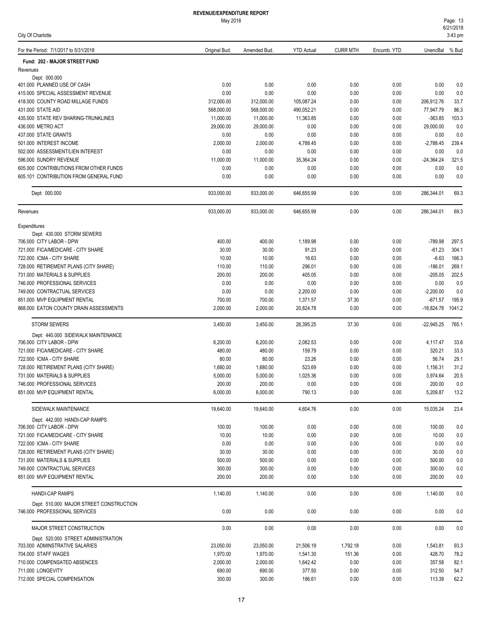|  |  | City Of Charlotte |  |
|--|--|-------------------|--|
|--|--|-------------------|--|

| For the Period: 7/1/2017 to 5/31/2018                                   | Original Bud.    | Amended Bud.       | <b>YTD Actual</b>  | <b>CURR MTH</b> | Encumb. YTD  | UnencBal               | % Bud          |
|-------------------------------------------------------------------------|------------------|--------------------|--------------------|-----------------|--------------|------------------------|----------------|
| Fund: 202 - MAJOR STREET FUND                                           |                  |                    |                    |                 |              |                        |                |
| Revenues                                                                |                  |                    |                    |                 |              |                        |                |
| Dept: 000.000                                                           |                  |                    |                    |                 |              |                        |                |
| 401.000 PLANNED USE OF CASH                                             | 0.00<br>0.00     | 0.00               | 0.00               | 0.00            | 0.00         | 0.00                   | 0.0            |
| 415.000 SPECIAL ASSESSMENT REVENUE<br>418.000 COUNTY ROAD MILLAGE FUNDS | 312,000.00       | 0.00<br>312,000.00 | 0.00<br>105,087.24 | 0.00<br>0.00    | 0.00<br>0.00 | 0.00<br>206,912.76     | 0.0<br>33.7    |
| 431.000 STATE AID                                                       | 568,000.00       | 568,000.00         | 490,052.21         | 0.00            | 0.00         | 77,947.79              | 86.3           |
| 435.000 STATE REV SHARING-TRUNKLINES                                    | 11,000.00        | 11,000.00          | 11,363.85          | 0.00            | 0.00         | $-363.85$              | 103.3          |
| 436.000 METRO ACT                                                       | 29,000.00        | 29,000.00          | 0.00               | 0.00            | 0.00         | 29,000.00              | 0.0            |
| 437.000 STATE GRANTS                                                    | 0.00             | 0.00               | 0.00               | 0.00            | 0.00         | 0.00                   | 0.0            |
| 501.000 INTEREST INCOME                                                 | 2,000.00         | 2,000.00           | 4,788.45           | 0.00            | 0.00         | $-2,788.45$            | 239.4          |
| 502.000 ASSESSMENT/LIEN INTEREST                                        | 0.00             | 0.00               | 0.00               | 0.00            | 0.00         | 0.00                   | 0.0            |
| 596.000 SUNDRY REVENUE                                                  | 11,000.00        | 11,000.00          | 35,364.24          | 0.00            | 0.00         | $-24,364.24$           | 321.5          |
| 605.000 CONTRIBUTIONS FROM OTHER FUNDS                                  | 0.00             | 0.00               | 0.00               | 0.00            | 0.00         | 0.00                   | 0.0            |
| 605.101 CONTRIBUTION FROM GENERAL FUND                                  | 0.00             | 0.00               | 0.00               | 0.00            | 0.00         | 0.00                   | 0.0            |
| Dept: 000.000                                                           | 933,000.00       | 933,000.00         | 646,655.99         | 0.00            | 0.00         | 286,344.01             | 69.3           |
| Revenues                                                                | 933,000.00       | 933,000.00         | 646,655.99         | 0.00            | 0.00         | 286,344.01             | 69.3           |
| Expenditures                                                            |                  |                    |                    |                 |              |                        |                |
| Dept: 430.000 STORM SEWERS                                              |                  |                    |                    |                 |              |                        |                |
| 706.000 CITY LABOR - DPW                                                | 400.00           | 400.00             | 1,189.98           | 0.00            | 0.00         | $-789.98$              | 297.5          |
| 721.000 FICA/MEDICARE - CITY SHARE                                      | 30.00            | 30.00              | 91.23              | 0.00            | 0.00         | $-61.23$               | 304.1          |
| 722.000 ICMA - CITY SHARE                                               | 10.00            | 10.00              | 16.63              | 0.00            | 0.00         | $-6.63$                | 166.3          |
| 728.000 RETIREMENT PLANS (CITY SHARE)<br>731.000 MATERIALS & SUPPLIES   | 110.00<br>200.00 | 110.00             | 296.01<br>405.05   | 0.00            | 0.00<br>0.00 | $-186.01$<br>$-205.05$ | 269.1<br>202.5 |
| 746.000 PROFESSIONAL SERVICES                                           | 0.00             | 200.00<br>0.00     | 0.00               | 0.00<br>0.00    | 0.00         | 0.00                   | 0.0            |
| 749.000 CONTRACTUAL SERVICES                                            | 0.00             | 0.00               | 2,200.00           | 0.00            | 0.00         | $-2,200.00$            | 0.0            |
| 851.000 MVP EQUIPMENT RENTAL                                            | 700.00           | 700.00             | 1,371.57           | 37.30           | 0.00         | $-671.57$              | 195.9          |
| 868.000 EATON COUNTY DRAIN ASSESSMENTS                                  | 2,000.00         | 2,000.00           | 20,824.78          | 0.00            | 0.00         | $-18,824.78$           | 1041.2         |
| <b>STORM SEWERS</b>                                                     | 3,450.00         | 3,450.00           | 26,395.25          | 37.30           | 0.00         | $-22,945.25$           | 765.1          |
| Dept: 440.000 SIDEWALK MAINTENANCE                                      |                  |                    |                    |                 |              |                        |                |
| 706.000 CITY LABOR - DPW                                                | 6,200.00         | 6,200.00           | 2,082.53           | 0.00            | 0.00         | 4,117.47               | 33.6           |
| 721.000 FICA/MEDICARE - CITY SHARE                                      | 480.00           | 480.00             | 159.79             | 0.00            | 0.00         | 320.21                 | 33.3           |
| 722.000 ICMA - CITY SHARE                                               | 80.00            | 80.00              | 23.26              | 0.00            | 0.00         | 56.74                  | 29.1           |
| 728.000 RETIREMENT PLANS (CITY SHARE)                                   | 1,680.00         | 1,680.00           | 523.69             | 0.00            | 0.00         | 1,156.31               | 31.2           |
| 731.000 MATERIALS & SUPPLIES                                            | 5,000.00         | 5,000.00           | 1,025.36           | 0.00            | 0.00         | 3,974.64               | 20.5           |
| 746.000 PROFESSIONAL SERVICES                                           | 200.00           | 200.00             | 0.00               | 0.00            | 0.00         | 200.00                 | 0.0            |
| 851.000 MVP EQUIPMENT RENTAL                                            | 6.000.00         | 6,000.00           | 790.13             | 0.00            | 0.00         | 5,209.87               | 13.2           |
| SIDEWALK MAINTENANCE                                                    | 19,640.00        | 19,640.00          | 4,604.76           | 0.00            | 0.00         | 15,035.24              | 23.4           |
| Dept: 442.000 HANDI-CAP RAMPS<br>706.000 CITY LABOR - DPW               | 100.00           | 100.00             | 0.00               | 0.00            | 0.00         | 100.00                 | 0.0            |
| 721.000 FICA/MEDICARE - CITY SHARE                                      | 10.00            | 10.00              | 0.00               | 0.00            | 0.00         | 10.00                  | 0.0            |
| 722.000 ICMA - CITY SHARE                                               | 0.00             | 0.00               | 0.00               | 0.00            | 0.00         | 0.00                   | 0.0            |
| 728.000 RETIREMENT PLANS (CITY SHARE)                                   | 30.00            | 30.00              | 0.00               | 0.00            | 0.00         | 30.00                  | 0.0            |
| 731.000 MATERIALS & SUPPLIES                                            | 500.00           | 500.00             | 0.00               | 0.00            | 0.00         | 500.00                 | 0.0            |
| 749.000 CONTRACTUAL SERVICES                                            | 300.00           | 300.00             | 0.00               | 0.00            | 0.00         | 300.00                 | 0.0            |
| 851.000 MVP EQUIPMENT RENTAL                                            | 200.00           | 200.00             | 0.00               | 0.00            | 0.00         | 200.00                 | 0.0            |
| <b>HANDI-CAP RAMPS</b>                                                  | 1,140.00         | 1,140.00           | 0.00               | 0.00            | 0.00         | 1,140.00               | 0.0            |
| Dept: 510.000 MAJOR STREET CONSTRUCTION                                 |                  |                    |                    |                 |              |                        |                |
| 746.000 PROFESSIONAL SERVICES                                           | 0.00             | 0.00               | 0.00               | 0.00            | 0.00         | 0.00                   | 0.0            |
| MAJOR STREET CONSTRUCTION                                               | 0.00             | 0.00               | 0.00               | 0.00            | 0.00         | 0.00                   | 0.0            |
| Dept: 520.000 STREET ADMINISTRATION<br>703.000 ADMINSTRATIVE SALARIES   | 23,050.00        | 23,050.00          | 21,506.19          | 1,792.18        | 0.00         | 1,543.81               | 93.3           |
| 704.000 STAFF WAGES                                                     | 1,970.00         | 1,970.00           | 1,541.30           | 151.36          | 0.00         | 428.70                 | 78.2           |
| 710.000 COMPENSATED ABSENCES                                            | 2,000.00         | 2,000.00           | 1,642.42           | 0.00            | 0.00         | 357.58                 | 82.1           |
| 711.000 LONGEVITY                                                       | 690.00           | 690.00             | 377.50             | 0.00            | 0.00         | 312.50                 | 54.7           |
| 712.000 SPECIAL COMPENSATION                                            | 300.00           | 300.00             | 186.61             | 0.00            | 0.00         | 113.39                 | 62.2           |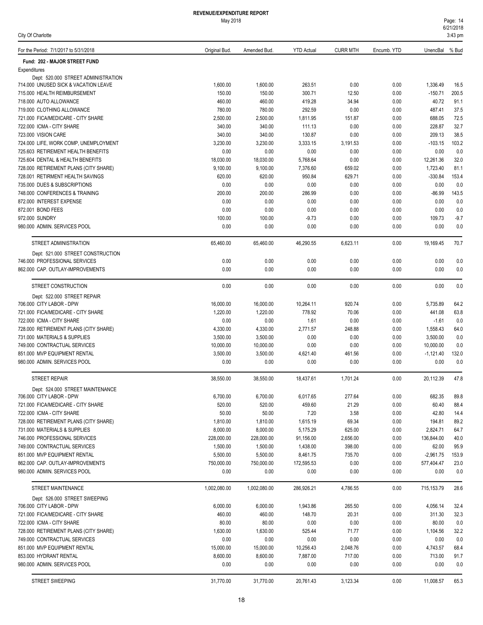| City Of Charlotte                                                           |                   |                   |                   |                 |              |                   | $3:43$ pm    |
|-----------------------------------------------------------------------------|-------------------|-------------------|-------------------|-----------------|--------------|-------------------|--------------|
| For the Period: 7/1/2017 to 5/31/2018                                       | Original Bud.     | Amended Bud.      | <b>YTD Actual</b> | <b>CURR MTH</b> | Encumb. YTD  | UnencBal          | % Bud        |
| Fund: 202 - MAJOR STREET FUND                                               |                   |                   |                   |                 |              |                   |              |
| Expenditures                                                                |                   |                   |                   |                 |              |                   |              |
| Dept: 520,000 STREET ADMINISTRATION<br>714.000 UNUSED SICK & VACATION LEAVE | 1,600.00          | 1,600.00          | 263.51            | 0.00            | 0.00         | 1,336.49          | 16.5         |
| 715.000 HEALTH REIMBURSEMENT                                                | 150.00            | 150.00            | 300.71            | 12.50           | 0.00         | $-150.71$         | 200.5        |
| 718.000 AUTO ALLOWANCE                                                      | 460.00            | 460.00            | 419.28            | 34.94           | 0.00         | 40.72             | 91.1         |
| 719.000 CLOTHING ALLOWANCE                                                  | 780.00            | 780.00            | 292.59            | 0.00            | 0.00         | 487.41            | 37.5         |
| 721.000 FICA/MEDICARE - CITY SHARE                                          | 2,500.00          | 2,500.00          | 1,811.95          | 151.87          | 0.00         | 688.05            | 72.5         |
| 722.000 ICMA - CITY SHARE                                                   | 340.00            | 340.00            | 111.13            | 0.00            | 0.00         | 228.87            | 32.7         |
| 723.000 VISION CARE                                                         | 340.00            | 340.00            | 130.87            | 0.00            | 0.00         | 209.13            | 38.5         |
| 724.000 LIFE, WORK COMP, UNEMPLOYMENT                                       | 3,230.00          | 3,230.00          | 3,333.15          | 3.191.53        | 0.00         | $-103.15$         | 103.2        |
| 725.603 RETIREMENT HEALTH BENEFITS<br>725.604 DENTAL & HEALTH BENEFITS      | 0.00<br>18,030.00 | 0.00<br>18,030.00 | 0.00<br>5,768.64  | 0.00<br>0.00    | 0.00<br>0.00 | 0.00<br>12,261.36 | 0.0<br>32.0  |
| 728.000 RETIREMENT PLANS (CITY SHARE)                                       | 9,100.00          | 9,100.00          | 7,376.60          | 659.02          | 0.00         | 1,723.40          | 81.1         |
| 728.001 RETIRMENT HEALTH SAVINGS                                            | 620.00            | 620.00            | 950.84            | 629.71          | 0.00         | $-330.84$         | 153.4        |
| 735,000 DUES & SUBSCRIPTIONS                                                | 0.00              | 0.00              | 0.00              | 0.00            | 0.00         | 0.00              | 0.0          |
| 748.000 CONFERENCES & TRAINING                                              | 200.00            | 200.00            | 286.99            | 0.00            | 0.00         | $-86.99$          | 143.5        |
| 872.000 INTEREST EXPENSE                                                    | 0.00              | 0.00              | 0.00              | 0.00            | 0.00         | 0.00              | 0.0          |
| 872.001 BOND FEES                                                           | 0.00              | 0.00              | 0.00              | 0.00            | 0.00         | 0.00              | 0.0          |
| 972.000 SUNDRY                                                              | 100.00            | 100.00            | $-9.73$           | 0.00            | 0.00         | 109.73            | $-9.7$       |
| 980.000 ADMIN. SERVICES POOL                                                | 0.00              | 0.00              | 0.00              | 0.00            | 0.00         | 0.00              | 0.0          |
| STREET ADMINISTRATION                                                       | 65,460.00         | 65,460.00         | 46,290.55         | 6,623.11        | 0.00         | 19,169.45         | 70.7         |
| Dept: 521.000 STREET CONSTRUCTION                                           |                   |                   |                   |                 |              |                   |              |
| 746.000 PROFESSIONAL SERVICES                                               | 0.00              | 0.00              | 0.00              | 0.00            | 0.00         | 0.00              | 0.0          |
| 862.000 CAP. OUTLAY-IMPROVEMENTS                                            | 0.00              | 0.00              | 0.00              | 0.00            | 0.00         | 0.00              | 0.0          |
| STREET CONSTRUCTION                                                         | 0.00              | 0.00              | 0.00              | 0.00            | 0.00         | 0.00              | 0.0          |
| Dept: 522.000 STREET REPAIR<br>706.000 CITY LABOR - DPW                     | 16,000.00         | 16,000.00         | 10,264.11         | 920.74          | 0.00         | 5,735.89          | 64.2         |
| 721.000 FICA/MEDICARE - CITY SHARE                                          | 1,220.00          | 1,220.00          | 778.92            | 70.06           | 0.00         | 441.08            | 63.8         |
| 722.000 ICMA - CITY SHARE                                                   | 0.00              | 0.00              | 1.61              | 0.00            | 0.00         | $-1.61$           | 0.0          |
| 728.000 RETIREMENT PLANS (CITY SHARE)                                       | 4,330.00          | 4,330.00          | 2,771.57          | 248.88          | 0.00         | 1,558.43          | 64.0         |
| 731.000 MATERIALS & SUPPLIES                                                | 3,500.00          | 3,500.00          | 0.00              | 0.00            | 0.00         | 3,500.00          | 0.0          |
| 749.000 CONTRACTUAL SERVICES                                                | 10,000.00         | 10,000.00         | 0.00              | 0.00            | 0.00         | 10,000.00         | 0.0          |
| 851.000 MVP EQUIPMENT RENTAL                                                | 3,500.00          | 3,500.00          | 4,621.40          | 461.56          | 0.00         | $-1,121.40$       | 132.0        |
| 980.000 ADMIN. SERVICES POOL                                                | 0.00              | 0.00              | 0.00              | 0.00            | 0.00         | 0.00              | 0.0          |
| <b>STREET REPAIR</b>                                                        | 38.550.00         | 38,550.00         | 18,437.61         | 1,701.24        | 0.00         | 20,112.39         | 47.8         |
| Dept: 524.000 STREET MAINTENANCE                                            |                   |                   |                   |                 |              |                   |              |
| 706.000 CITY LABOR - DPW<br>721.000 FICA/MEDICARE - CITY SHARE              | 6,700.00          | 6,700.00          | 6,017.65          | 277.64          | 0.00         | 682.35            | 89.8         |
| 722.000 ICMA - CITY SHARE                                                   | 520.00<br>50.00   | 520.00<br>50.00   | 459.60<br>7.20    | 21.29<br>3.58   | 0.00<br>0.00 | 60.40<br>42.80    | 88.4<br>14.4 |
| 728.000 RETIREMENT PLANS (CITY SHARE)                                       | 1,810.00          | 1,810.00          | 1,615.19          | 69.34           | 0.00         | 194.81            | 89.2         |
| 731,000 MATERIALS & SUPPLIES                                                | 8,000.00          | 8,000.00          | 5,175.29          | 625.00          | 0.00         | 2,824.71          | 64.7         |
| 746.000 PROFESSIONAL SERVICES                                               | 228,000.00        | 228,000.00        | 91,156.00         | 2,656.00        | 0.00         | 136,844.00        | 40.0         |
| 749.000 CONTRACTUAL SERVICES                                                | 1,500.00          | 1,500.00          | 1,438.00          | 398.00          | 0.00         | 62.00             | 95.9         |
| 851.000 MVP EQUIPMENT RENTAL                                                | 5,500.00          | 5,500.00          | 8,461.75          | 735.70          | 0.00         | $-2,961.75$       | 153.9        |
| 862.000 CAP. OUTLAY-IMPROVEMENTS                                            | 750,000.00        | 750,000.00        | 172,595.53        | 0.00            | 0.00         | 577,404.47        | 23.0         |
| 980.000 ADMIN. SERVICES POOL                                                | 0.00              | 0.00              | 0.00              | 0.00            | 0.00         | 0.00              | 0.0          |
| STREET MAINTENANCE                                                          | 1,002,080.00      | 1,002,080.00      | 286,926.21        | 4,786.55        | 0.00         | 715, 153.79       | 28.6         |
| Dept: 526.000 STREET SWEEPING                                               |                   |                   |                   |                 |              |                   |              |
| 706.000 CITY LABOR - DPW                                                    | 6,000.00          | 6,000.00          | 1,943.86          | 265.50          | 0.00         | 4,056.14          | 32.4         |
| 721.000 FICA/MEDICARE - CITY SHARE                                          | 460.00            | 460.00            | 148.70            | 20.31           | 0.00         | 311.30            | 32.3         |
| 722.000 ICMA - CITY SHARE                                                   | 80.00             | 80.00             | 0.00              | 0.00            | 0.00         | 80.00             | 0.0          |
| 728.000 RETIREMENT PLANS (CITY SHARE)<br>749.000 CONTRACTUAL SERVICES       | 1,630.00<br>0.00  | 1,630.00<br>0.00  | 525.44<br>0.00    | 71.77<br>0.00   | 0.00<br>0.00 | 1,104.56<br>0.00  | 32.2<br>0.0  |
| 851.000 MVP EQUIPMENT RENTAL                                                | 15,000.00         | 15,000.00         | 10,256.43         | 2,048.76        | 0.00         | 4,743.57          | 68.4         |
| 853.000 HYDRANT RENTAL                                                      | 8,600.00          | 8,600.00          | 7,887.00          | 717.00          | 0.00         | 713.00            | 91.7         |
| 980.000 ADMIN. SERVICES POOL                                                | 0.00              | 0.00              | 0.00              | 0.00            | 0.00         | 0.00              | 0.0          |
| STREET SWEEPING                                                             | 31,770.00         | 31,770.00         | 20,761.43         | 3,123.34        | 0.00         | 11,008.57         | 65.3         |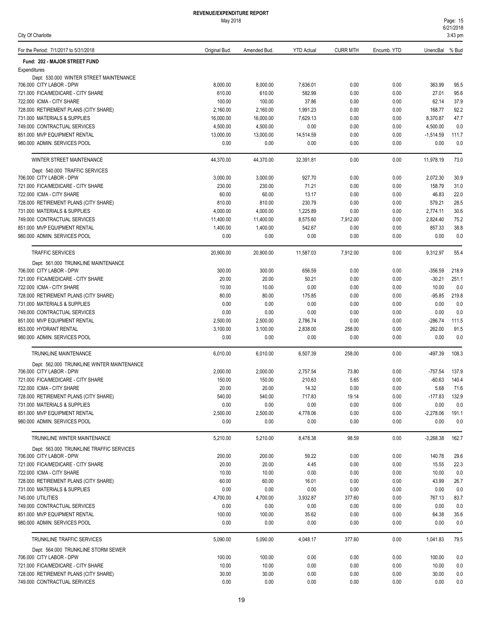| City Of Charlotte |
|-------------------|
|-------------------|

| For the Period: 7/1/2017 to 5/31/2018                              | Original Bud.      | Amended Bud.       | <b>YTD Actual</b>  | <b>CURR MTH</b> | Encumb. YTD  | UnencBal % Bud  |              |
|--------------------------------------------------------------------|--------------------|--------------------|--------------------|-----------------|--------------|-----------------|--------------|
| Fund: 202 - MAJOR STREET FUND                                      |                    |                    |                    |                 |              |                 |              |
| Expenditures                                                       |                    |                    |                    |                 |              |                 |              |
| Dept: 530.000 WINTER STREET MAINTENANCE                            |                    |                    |                    |                 |              |                 |              |
| 706.000 CITY LABOR - DPW<br>721.000 FICA/MEDICARE - CITY SHARE     | 8,000.00<br>610.00 | 8,000.00<br>610.00 | 7,636.01<br>582.99 | 0.00<br>0.00    | 0.00<br>0.00 | 363.99<br>27.01 | 95.5<br>95.6 |
| 722.000 ICMA - CITY SHARE                                          | 100.00             | 100.00             | 37.86              | 0.00            | 0.00         | 62.14           | 37.9         |
| 728.000 RETIREMENT PLANS (CITY SHARE)                              | 2,160.00           | 2,160.00           | 1,991.23           | 0.00            | 0.00         | 168.77          | 92.2         |
| 731.000 MATERIALS & SUPPLIES                                       | 16,000.00          | 16,000.00          | 7,629.13           | 0.00            | 0.00         | 8,370.87        | 47.7         |
| 749.000 CONTRACTUAL SERVICES                                       | 4,500.00           | 4,500.00           | 0.00               | 0.00            | 0.00         | 4,500.00        | 0.0          |
| 851.000 MVP EQUIPMENT RENTAL                                       | 13.000.00          | 13,000.00          | 14,514.59          | 0.00            | 0.00         | $-1,514.59$     | 111.7        |
| 980.000 ADMIN. SERVICES POOL                                       | 0.00               | 0.00               | 0.00               | 0.00            | 0.00         | 0.00            | 0.0          |
| WINTER STREET MAINTENANCE                                          | 44,370.00          | 44,370.00          | 32,391.81          | 0.00            | 0.00         | 11,978.19       | 73.0         |
| Dept: 540.000 TRAFFIC SERVICES                                     |                    |                    |                    |                 |              |                 |              |
| 706.000 CITY LABOR - DPW                                           | 3,000.00           | 3,000.00           | 927.70             | 0.00            | 0.00         | 2,072.30        | 30.9         |
| 721.000 FICA/MEDICARE - CITY SHARE                                 | 230.00             | 230.00             | 71.21              | 0.00            | 0.00         | 158.79          | 31.0         |
| 722.000 ICMA - CITY SHARE                                          | 60.00              | 60.00              | 13.17              | 0.00            | 0.00         | 46.83           | 22.0         |
| 728.000 RETIREMENT PLANS (CITY SHARE)                              | 810.00             | 810.00             | 230.79             | 0.00            | 0.00         | 579.21          | 28.5         |
| 731.000 MATERIALS & SUPPLIES                                       | 4,000.00           | 4,000.00           | 1,225.89           | 0.00            | 0.00         | 2,774.11        | 30.6         |
| 749.000 CONTRACTUAL SERVICES                                       | 11,400.00          | 11,400.00          | 8,575.60           | 7,912.00        | 0.00         | 2,824.40        | 75.2         |
| 851.000 MVP EQUIPMENT RENTAL                                       | 1,400.00           | 1,400.00           | 542.67             | 0.00            | 0.00         | 857.33          | 38.8         |
| 980.000 ADMIN. SERVICES POOL                                       | 0.00               | 0.00               | 0.00               | 0.00            | 0.00         | 0.00            | 0.0          |
| <b>TRAFFIC SERVICES</b>                                            | 20,900.00          | 20,900.00          | 11,587.03          | 7,912.00        | 0.00         | 9,312.97        | 55.4         |
| Dept: 561.000 TRUNKLINE MAINTENANCE                                |                    |                    |                    |                 |              |                 |              |
| 706.000 CITY LABOR - DPW                                           | 300.00             | 300.00             | 656.59             | 0.00            | 0.00         | $-356.59$       | 218.9        |
| 721.000 FICA/MEDICARE - CITY SHARE                                 | 20.00              | 20.00              | 50.21              | 0.00            | 0.00         | $-30.21$        | 251.1        |
| 722.000 ICMA - CITY SHARE                                          | 10.00              | 10.00              | 0.00               | 0.00            | 0.00         | 10.00           | 0.0          |
| 728.000 RETIREMENT PLANS (CITY SHARE)                              | 80.00              | 80.00              | 175.85             | 0.00            | 0.00         | $-95.85$        | 219.8        |
| 731.000 MATERIALS & SUPPLIES<br>749.000 CONTRACTUAL SERVICES       | 0.00<br>0.00       | 0.00               | 0.00<br>0.00       | 0.00            | 0.00<br>0.00 | 0.00<br>0.00    | 0.0<br>0.0   |
| 851.000 MVP EQUIPMENT RENTAL                                       | 2,500.00           | 0.00<br>2,500.00   | 2,786.74           | 0.00<br>0.00    | 0.00         | $-286.74$       | 111.5        |
| 853.000 HYDRANT RENTAL                                             | 3,100.00           | 3,100.00           | 2,838.00           | 258.00          | 0.00         | 262.00          | 91.5         |
| 980.000 ADMIN. SERVICES POOL                                       | 0.00               | 0.00               | 0.00               | 0.00            | 0.00         | 0.00            | 0.0          |
| TRUNKLINE MAINTENANCE                                              | 6,010.00           | 6,010.00           | 6,507.39           | 258.00          | 0.00         | -497.39         | 108.3        |
| Dept: 562.000 TRUNKLINE WINTER MAINTENANCE                         |                    |                    |                    |                 |              |                 |              |
| 706.000 CITY LABOR - DPW                                           | 2,000.00           | 2.000.00           | 2.757.54           | 73.80           | 0.00         | $-757.54$       | 137.9        |
| 721.000 FICA/MEDICARE - CITY SHARE                                 | 150.00             | 150.00             | 210.63             | 5.65            | 0.00         | $-60.63$        | 140.4        |
| 722.000 ICMA - CITY SHARE                                          | 20.00              | 20.00              | 14.32              | 0.00            | 0.00         | 5.68            | 71.6         |
| 728.000 RETIREMENT PLANS (CITY SHARE)                              | 540.00             | 540.00             | 717.83             | 19.14           | 0.00         | $-177.83$       | 132.9        |
| 731.000 MATERIALS & SUPPLIES                                       | 0.00               | 0.00               | 0.00               | 0.00            | 0.00         | 0.00            | 0.0          |
| 851.000 MVP EQUIPMENT RENTAL                                       | 2,500.00           | 2,500.00           | 4,778.06           | 0.00            | 0.00         | $-2,278.06$     | 191.1        |
| 980.000 ADMIN. SERVICES POOL                                       | 0.00               | 0.00               | 0.00               | 0.00            | 0.00         | 0.00            | 0.0          |
| TRUNKLINE WINTER MAINTENANCE                                       | 5,210.00           | 5,210.00           | 8,478.38           | 98.59           | 0.00         | $-3,268.38$     | 162.7        |
| Dept: 563.000 TRUNKLINE TRAFFIC SERVICES                           |                    |                    |                    |                 |              |                 |              |
| 706.000 CITY LABOR - DPW                                           | 200.00             | 200.00             | 59.22              | 0.00            | 0.00         | 140.78          | 29.6         |
| 721.000 FICA/MEDICARE - CITY SHARE                                 | 20.00              | 20.00              | 4.45               | 0.00            | 0.00         | 15.55           | 22.3         |
| 722.000 ICMA - CITY SHARE<br>728.000 RETIREMENT PLANS (CITY SHARE) | 10.00              | 10.00              | 0.00               | 0.00            | 0.00         | 10.00           | 0.0          |
|                                                                    | 60.00              | 60.00              | 16.01              | 0.00            | 0.00         | 43.99           | 26.7         |
| 731.000 MATERIALS & SUPPLIES                                       | 0.00               | 0.00               | 0.00               | 0.00            | 0.00         | 0.00            | 0.0          |
| 745.000 UTILITIES<br>749.000 CONTRACTUAL SERVICES                  | 4,700.00<br>0.00   | 4,700.00<br>0.00   | 3,932.87<br>0.00   | 377.60<br>0.00  | 0.00<br>0.00 | 767.13<br>0.00  | 83.7         |
| 851.000 MVP EQUIPMENT RENTAL                                       | 100.00             | 100.00             | 35.62              | 0.00            | 0.00         | 64.38           | 0.0<br>35.6  |
| 980.000 ADMIN. SERVICES POOL                                       | 0.00               | 0.00               | 0.00               | 0.00            | 0.00         | 0.00            | 0.0          |
| TRUNKLINE TRAFFIC SERVICES                                         | 5,090.00           | 5,090.00           | 4,048.17           | 377.60          | 0.00         | 1,041.83        | 79.5         |
| Dept: 564.000 TRUNKLINE STORM SEWER                                |                    |                    |                    |                 |              |                 |              |
| 706.000 CITY LABOR - DPW                                           | 100.00             | 100.00             | 0.00               | 0.00            | 0.00         | 100.00          | 0.0          |
| 721.000 FICA/MEDICARE - CITY SHARE                                 | 10.00              | 10.00              | 0.00               | 0.00            | 0.00         | 10.00           | 0.0          |
| 728.000 RETIREMENT PLANS (CITY SHARE)                              | 30.00              | 30.00              | 0.00               | 0.00            | 0.00         | 30.00           | 0.0          |
| 749.000 CONTRACTUAL SERVICES                                       | 0.00               | 0.00               | 0.00               | 0.00            | 0.00         | 0.00            | $0.0\,$      |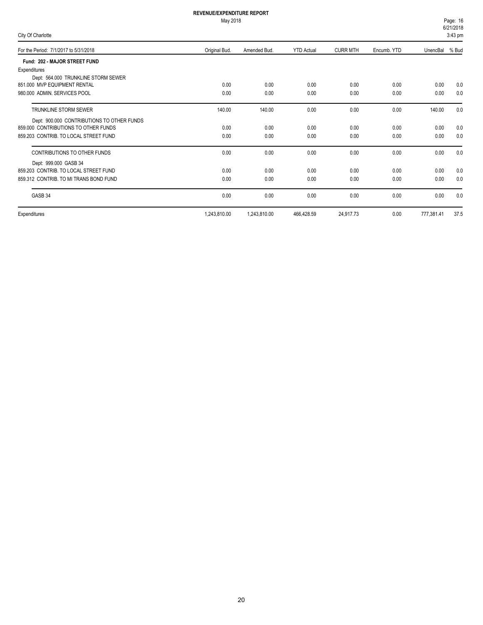| Page: 16              |  |
|-----------------------|--|
| 6/21/2018             |  |
| $2.12 \, \mathrm{nm}$ |  |

| $V = U - V - V$<br>City Of Charlotte<br>$3:43$ pm |               |              |                   |                 |             |                |      |
|---------------------------------------------------|---------------|--------------|-------------------|-----------------|-------------|----------------|------|
| For the Period: 7/1/2017 to 5/31/2018             | Original Bud. | Amended Bud. | <b>YTD Actual</b> | <b>CURR MTH</b> | Encumb. YTD | UnencBal % Bud |      |
| Fund: 202 - MAJOR STREET FUND                     |               |              |                   |                 |             |                |      |
| Expenditures                                      |               |              |                   |                 |             |                |      |
| Dept: 564.000 TRUNKLINE STORM SEWER               |               |              |                   |                 |             |                |      |
| 851.000 MVP EQUIPMENT RENTAL                      | 0.00          | 0.00         | 0.00              | 0.00            | 0.00        | 0.00           | 0.0  |
| 980.000 ADMIN, SERVICES POOL                      | 0.00          | 0.00         | 0.00              | 0.00            | 0.00        | 0.00           | 0.0  |
| TRUNKLINE STORM SEWER                             | 140.00        | 140.00       | 0.00              | 0.00            | 0.00        | 140.00         | 0.0  |
| Dept: 900.000 CONTRIBUTIONS TO OTHER FUNDS        |               |              |                   |                 |             |                |      |
| 859,000 CONTRIBUTIONS TO OTHER FUNDS              | 0.00          | 0.00         | 0.00              | 0.00            | 0.00        | 0.00           | 0.0  |
| 859.203 CONTRIB. TO LOCAL STREET FUND             | 0.00          | 0.00         | 0.00              | 0.00            | 0.00        | 0.00           | 0.0  |
| CONTRIBUTIONS TO OTHER FUNDS                      | 0.00          | 0.00         | 0.00              | 0.00            | 0.00        | 0.00           | 0.0  |
| Dept: 999.000 GASB 34                             |               |              |                   |                 |             |                |      |
| 859.203 CONTRIB. TO LOCAL STREET FUND             | 0.00          | 0.00         | 0.00              | 0.00            | 0.00        | 0.00           | 0.0  |
| 859.312 CONTRIB. TO MI TRANS BOND FUND            | 0.00          | 0.00         | 0.00              | 0.00            | 0.00        | 0.00           | 0.0  |
| GASB 34                                           | 0.00          | 0.00         | 0.00              | 0.00            | 0.00        | 0.00           | 0.0  |
| Expenditures                                      | 1,243,810.00  | 1,243,810.00 | 466,428.59        | 24,917.73       | 0.00        | 777,381.41     | 37.5 |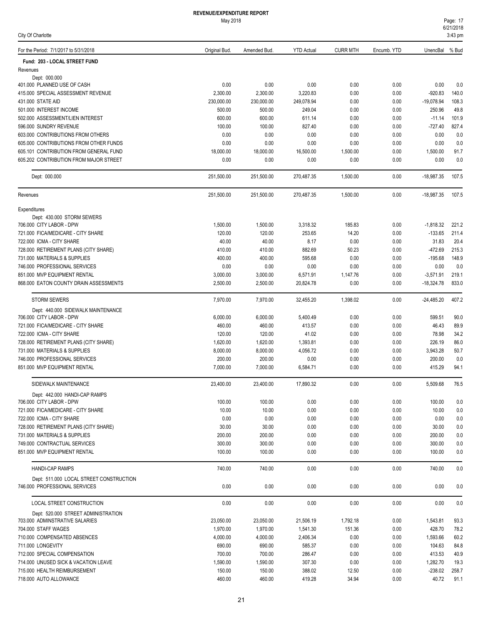| For the Period: 7/1/2017 to 5/31/2018                                | Original Bud.          | Amended Bud.           | <b>YTD Actual</b>      | <b>CURR MTH</b> | Encumb. YTD  | UnencBal                  | % Bud          |
|----------------------------------------------------------------------|------------------------|------------------------|------------------------|-----------------|--------------|---------------------------|----------------|
| Fund: 203 - LOCAL STREET FUND                                        |                        |                        |                        |                 |              |                           |                |
| Revenues                                                             |                        |                        |                        |                 |              |                           |                |
| Dept: 000.000                                                        |                        |                        |                        |                 |              |                           |                |
| 401.000 PLANNED USE OF CASH                                          | 0.00                   | 0.00                   | 0.00                   | 0.00            | 0.00         | 0.00                      | 0.0            |
| 415.000 SPECIAL ASSESSMENT REVENUE<br>431.000 STATE AID              | 2,300.00<br>230,000.00 | 2,300.00<br>230,000.00 | 3,220.83<br>249,078.94 | 0.00<br>0.00    | 0.00<br>0.00 | $-920.83$<br>$-19,078.94$ | 140.0<br>108.3 |
| 501.000 INTEREST INCOME                                              | 500.00                 | 500.00                 | 249.04                 | 0.00            | 0.00         | 250.96                    | 49.8           |
| 502.000 ASSESSMENT/LIEN INTEREST                                     | 600.00                 | 600.00                 | 611.14                 | 0.00            | 0.00         | $-11.14$                  | 101.9          |
| 596.000 SUNDRY REVENUE                                               | 100.00                 | 100.00                 | 827.40                 | 0.00            | 0.00         | $-727.40$                 | 827.4          |
| 603.000 CONTRIBUTIONS FROM OTHERS                                    | 0.00                   | 0.00                   | 0.00                   | 0.00            | 0.00         | 0.00                      | 0.0            |
| 605,000 CONTRIBUTIONS FROM OTHER FUNDS                               | 0.00                   | 0.00                   | 0.00                   | 0.00            | 0.00         | 0.00                      | 0.0            |
| 605.101 CONTRIBUTION FROM GENERAL FUND                               | 18,000.00              | 18,000.00              | 16,500.00              | 1,500.00        | 0.00         | 1,500.00                  | 91.7           |
| 605.202 CONTRIBUTION FROM MAJOR STREET                               | 0.00                   | 0.00                   | 0.00                   | 0.00            | 0.00         | 0.00                      | 0.0            |
| Dept: 000.000                                                        | 251,500.00             | 251,500.00             | 270,487.35             | 1,500.00        | 0.00         | $-18,987.35$              | 107.5          |
| Revenues                                                             | 251,500.00             | 251,500.00             | 270,487.35             | 1,500.00        | 0.00         | $-18,987.35$              | 107.5          |
| Expenditures                                                         |                        |                        |                        |                 |              |                           |                |
| Dept: 430.000 STORM SEWERS                                           |                        |                        |                        |                 |              |                           |                |
| 706.000 CITY LABOR - DPW                                             | 1,500.00               | 1,500.00               | 3,318.32               | 185.83          | 0.00         | $-1,818.32$               | 221.2          |
| 721.000 FICA/MEDICARE - CITY SHARE                                   | 120.00                 | 120.00                 | 253.65                 | 14.20           | 0.00         | $-133.65$                 | 211.4          |
| 722.000 ICMA - CITY SHARE                                            | 40.00                  | 40.00                  | 8.17                   | 0.00            | 0.00         | 31.83                     | 20.4           |
| 728.000 RETIREMENT PLANS (CITY SHARE)                                | 410.00                 | 410.00                 | 882.69                 | 50.23           | 0.00         | $-472.69$                 | 215.3          |
| 731.000 MATERIALS & SUPPLIES<br>746.000 PROFESSIONAL SERVICES        | 400.00<br>0.00         | 400.00<br>0.00         | 595.68<br>0.00         | 0.00<br>0.00    | 0.00<br>0.00 | $-195.68$<br>0.00         | 148.9<br>0.0   |
| 851.000 MVP EQUIPMENT RENTAL                                         | 3,000.00               | 3,000.00               | 6,571.91               | 1,147.76        | 0.00         | $-3,571.91$               | 219.1          |
| 868.000 EATON COUNTY DRAIN ASSESSMENTS                               | 2,500.00               | 2,500.00               | 20,824.78              | 0.00            | 0.00         | $-18,324.78$              | 833.0          |
| <b>STORM SEWERS</b>                                                  | 7,970.00               | 7,970.00               | 32,455.20              | 1,398.02        | 0.00         | $-24,485.20$              | 407.2          |
| Dept: 440.000 SIDEWALK MAINTENANCE                                   |                        |                        |                        |                 |              |                           |                |
| 706.000 CITY LABOR - DPW                                             | 6,000.00               | 6,000.00               | 5,400.49               | 0.00            | 0.00         | 599.51                    | 90.0           |
| 721.000 FICA/MEDICARE - CITY SHARE                                   | 460.00                 | 460.00                 | 413.57                 | 0.00            | 0.00         | 46.43                     | 89.9           |
| 722.000 ICMA - CITY SHARE                                            | 120.00                 | 120.00                 | 41.02                  | 0.00            | 0.00         | 78.98                     | 34.2           |
| 728.000 RETIREMENT PLANS (CITY SHARE)                                | 1,620.00               | 1,620.00               | 1,393.81               | 0.00            | 0.00         | 226.19                    | 86.0           |
| 731.000 MATERIALS & SUPPLIES                                         | 8,000.00               | 8,000.00               | 4,056.72               | 0.00            | 0.00         | 3,943.28                  | 50.7           |
| 746.000 PROFESSIONAL SERVICES                                        | 200.00                 | 200.00                 | 0.00                   | 0.00            | 0.00         | 200.00                    | 0.0            |
| 851.000 MVP EQUIPMENT RENTAL                                         | 7,000.00               | 7,000.00               | 6,584.71               | 0.00            | 0.00         | 415.29                    | 94.1           |
| SIDEWALK MAINTENANCE                                                 | 23,400.00              | 23,400.00              | 17,890.32              | 0.00            | 0.00         | 5,509.68                  | 76.5           |
| Dept: 442,000 HANDI-CAP RAMPS                                        |                        |                        |                        |                 |              |                           |                |
| 706.000 CITY LABOR - DPW                                             | 100.00                 | 100.00                 | 0.00                   | 0.00            | 0.00         | 100.00                    | 0.0            |
| 721.000 FICA/MEDICARE - CITY SHARE<br>722.000 ICMA - CITY SHARE      | 10.00<br>0.00          | 10.00<br>0.00          | 0.00<br>0.00           | 0.00<br>0.00    | 0.00<br>0.00 | 10.00<br>0.00             | 0.0<br>0.0     |
| 728.000 RETIREMENT PLANS (CITY SHARE)                                | 30.00                  | 30.00                  | 0.00                   | 0.00            | 0.00         | 30.00                     | 0.0            |
| 731.000 MATERIALS & SUPPLIES                                         | 200.00                 | 200.00                 | 0.00                   | 0.00            | 0.00         | 200.00                    | 0.0            |
| 749.000 CONTRACTUAL SERVICES                                         | 300.00                 | 300.00                 | 0.00                   | 0.00            | 0.00         | 300.00                    | 0.0            |
| 851.000 MVP EQUIPMENT RENTAL                                         | 100.00                 | 100.00                 | 0.00                   | 0.00            | 0.00         | 100.00                    | 0.0            |
| <b>HANDI-CAP RAMPS</b>                                               | 740.00                 | 740.00                 | 0.00                   | 0.00            | 0.00         | 740.00                    | 0.0            |
| Dept: 511.000 LOCAL STREET CONSTRUCTION                              |                        |                        |                        |                 |              |                           |                |
| 746.000 PROFESSIONAL SERVICES                                        | 0.00                   | 0.00                   | 0.00                   | 0.00            | 0.00         | 0.00                      | 0.0            |
| LOCAL STREET CONSTRUCTION                                            | 0.00                   | 0.00                   | 0.00                   | 0.00            | 0.00         | 0.00                      | 0.0            |
| Dept: 520.000 STREET ADMINISTRATION                                  |                        |                        |                        |                 |              |                           |                |
| 703.000 ADMINSTRATIVE SALARIES                                       | 23,050.00              | 23,050.00              | 21,506.19              | 1,792.18        | 0.00         | 1,543.81                  | 93.3           |
| 704.000 STAFF WAGES                                                  | 1,970.00               | 1,970.00               | 1,541.30               | 151.36          | 0.00         | 428.70                    | 78.2           |
| 710.000 COMPENSATED ABSENCES                                         | 4,000.00               | 4,000.00               | 2,406.34               | 0.00            | 0.00         | 1,593.66                  | 60.2           |
| 711.000 LONGEVITY                                                    | 690.00                 | 690.00                 | 585.37                 | 0.00            | 0.00         | 104.63                    | 84.8           |
| 712.000 SPECIAL COMPENSATION                                         | 700.00                 | 700.00                 | 286.47                 | 0.00            | 0.00         | 413.53                    | 40.9           |
| 714.000 UNUSED SICK & VACATION LEAVE<br>715.000 HEALTH REIMBURSEMENT | 1,590.00<br>150.00     | 1,590.00<br>150.00     | 307.30<br>388.02       | 0.00<br>12.50   | 0.00<br>0.00 | 1,282.70<br>$-238.02$     | 19.3<br>258.7  |
| 718.000 AUTO ALLOWANCE                                               | 460.00                 | 460.00                 | 419.28                 | 34.94           | 0.00         | 40.72                     | 91.1           |
|                                                                      |                        |                        |                        |                 |              |                           |                |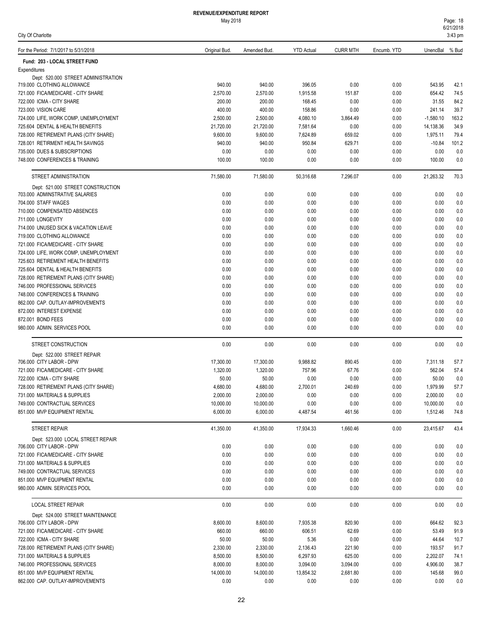#### May 2018

City Of Charlotte

| For the Period: 7/1/2017 to 5/31/2018                                  | Original Bud.         | Amended Bud.          | <b>YTD Actual</b>     | <b>CURR MTH</b>      | Encumb. YTD  | UnencBal % Bud     |              |
|------------------------------------------------------------------------|-----------------------|-----------------------|-----------------------|----------------------|--------------|--------------------|--------------|
| Fund: 203 - LOCAL STREET FUND                                          |                       |                       |                       |                      |              |                    |              |
| Expenditures                                                           |                       |                       |                       |                      |              |                    |              |
| Dept: 520.000 STREET ADMINISTRATION                                    |                       |                       |                       |                      |              |                    |              |
| 719.000 CLOTHING ALLOWANCE                                             | 940.00                | 940.00                | 396.05                | 0.00                 | 0.00         | 543.95             | 42.1         |
| 721.000 FICA/MEDICARE - CITY SHARE                                     | 2,570.00              | 2,570.00              | 1,915.58              | 151.87               | 0.00         | 654.42             | 74.5         |
| 722.000 ICMA - CITY SHARE<br>723.000 VISION CARE                       | 200.00<br>400.00      | 200.00<br>400.00      | 168.45<br>158.86      | 0.00<br>0.00         | 0.00         | 31.55<br>241.14    | 84.2<br>39.7 |
| 724.000 LIFE, WORK COMP, UNEMPLOYMENT                                  | 2,500.00              | 2,500.00              | 4,080.10              | 3,864.49             | 0.00<br>0.00 | $-1,580.10$        | 163.2        |
| 725.604 DENTAL & HEALTH BENEFITS                                       | 21,720.00             | 21,720.00             | 7,581.64              | 0.00                 | 0.00         | 14,138.36          | 34.9         |
| 728.000 RETIREMENT PLANS (CITY SHARE)                                  | 9,600.00              | 9,600.00              | 7,624.89              | 659.02               | 0.00         | 1,975.11           | 79.4         |
| 728.001 RETIRMENT HEALTH SAVINGS                                       | 940.00                | 940.00                | 950.84                | 629.71               | 0.00         | $-10.84$           | 101.2        |
| 735,000 DUES & SUBSCRIPTIONS                                           | 0.00                  | 0.00                  | 0.00                  | 0.00                 | 0.00         | 0.00               | 0.0          |
| 748.000 CONFERENCES & TRAINING                                         | 100.00                | 100.00                | 0.00                  | 0.00                 | 0.00         | 100.00             | 0.0          |
| STREET ADMINISTRATION                                                  | 71,580.00             | 71,580.00             | 50,316.68             | 7,296.07             | 0.00         | 21,263.32          | 70.3         |
| Dept: 521.000 STREET CONSTRUCTION                                      |                       |                       |                       |                      |              |                    |              |
| 703.000 ADMINSTRATIVE SALARIES                                         | 0.00                  | 0.00                  | 0.00                  | 0.00                 | 0.00         | 0.00               | 0.0          |
| 704.000 STAFF WAGES                                                    | 0.00                  | 0.00                  | 0.00                  | 0.00                 | 0.00         | 0.00               | 0.0          |
| 710.000 COMPENSATED ABSENCES                                           | 0.00                  | 0.00                  | 0.00                  | 0.00                 | 0.00         | 0.00               | 0.0          |
| 711.000 LONGEVITY                                                      | 0.00                  | 0.00                  | 0.00                  | 0.00                 | 0.00         | 0.00               | 0.0          |
| 714.000 UNUSED SICK & VACATION LEAVE                                   | 0.00                  | 0.00                  | 0.00                  | 0.00                 | 0.00         | 0.00               | 0.0          |
| 719.000 CLOTHING ALLOWANCE                                             | 0.00                  | 0.00                  | 0.00                  | 0.00                 | 0.00         | 0.00               | 0.0          |
| 721.000 FICA/MEDICARE - CITY SHARE                                     | 0.00                  | 0.00                  | 0.00                  | 0.00                 | 0.00         | 0.00               | 0.0          |
| 724.000 LIFE, WORK COMP, UNEMPLOYMENT                                  | 0.00                  | 0.00                  | 0.00                  | 0.00                 | 0.00         | 0.00               | 0.0          |
| 725.603 RETIREMENT HEALTH BENEFITS                                     | 0.00                  | 0.00                  | 0.00                  | 0.00                 | 0.00         | 0.00               | 0.0          |
| 725.604 DENTAL & HEALTH BENEFITS                                       | 0.00                  | 0.00                  | 0.00                  | 0.00                 | 0.00         | 0.00               | 0.0          |
| 728.000 RETIREMENT PLANS (CITY SHARE)<br>746.000 PROFESSIONAL SERVICES | 0.00<br>0.00          | 0.00<br>0.00          | 0.00<br>0.00          | 0.00<br>0.00         | 0.00<br>0.00 | 0.00<br>0.00       | 0.0<br>0.0   |
| 748.000 CONFERENCES & TRAINING                                         | 0.00                  | 0.00                  | 0.00                  | 0.00                 | 0.00         | 0.00               | 0.0          |
| 862.000 CAP. OUTLAY-IMPROVEMENTS                                       | 0.00                  | 0.00                  | 0.00                  | 0.00                 | 0.00         | 0.00               | 0.0          |
| 872.000 INTEREST EXPENSE                                               | 0.00                  | 0.00                  | 0.00                  | 0.00                 | 0.00         | 0.00               | 0.0          |
| 872.001 BOND FEES                                                      | 0.00                  | 0.00                  | 0.00                  | 0.00                 | 0.00         | 0.00               | 0.0          |
| 980.000 ADMIN. SERVICES POOL                                           | 0.00                  | 0.00                  | 0.00                  | 0.00                 | 0.00         | 0.00               | 0.0          |
| STREET CONSTRUCTION                                                    | 0.00                  | 0.00                  | 0.00                  | 0.00                 | 0.00         | 0.00               | 0.0          |
| Dept: 522.000 STREET REPAIR                                            |                       |                       |                       |                      |              |                    |              |
| 706.000 CITY LABOR - DPW                                               | 17,300.00             | 17,300.00             | 9,988.82              | 890.45               | 0.00         | 7,311.18           | 57.7         |
| 721.000 FICA/MEDICARE - CITY SHARE                                     | 1,320.00              | 1,320.00              | 757.96                | 67.76                | 0.00         | 562.04             | 57.4         |
| 722.000 ICMA - CITY SHARE                                              | 50.00                 | 50.00                 | 0.00                  | 0.00                 | 0.00         | 50.00              | 0.0          |
| 728.000 RETIREMENT PLANS (CITY SHARE)                                  | 4,680.00              | 4,680.00              | 2,700.01              | 240.69               | 0.00         | 1,979.99           | 57.7         |
| 731.000 MATERIALS & SUPPLIES                                           | 2,000.00              | 2,000.00              | 0.00                  | 0.00                 | 0.00         | 2,000.00           | 0.0          |
| 749.000 CONTRACTUAL SERVICES                                           | 10,000.00             | 10,000.00             | 0.00                  | 0.00                 | 0.00         | 10,000.00          | 0.0          |
| 851.000 MVP EQUIPMENT RENTAL                                           | 6,000.00              | 6,000.00              | 4,487.54              | 461.56               | 0.00         | 1,512.46           | 74.8         |
| <b>STREET REPAIR</b>                                                   | 41,350.00             | 41,350.00             | 17,934.33             | 1.660.46             | 0.00         | 23,415.67          | 43.4         |
| Dept: 523.000 LOCAL STREET REPAIR<br>706.000 CITY LABOR - DPW          | 0.00                  | 0.00                  | 0.00                  | 0.00                 | 0.00         | 0.00               | 0.0          |
| 721.000 FICA/MEDICARE - CITY SHARE                                     | 0.00                  | 0.00                  | 0.00                  | 0.00                 | 0.00         | 0.00               | 0.0          |
| 731.000 MATERIALS & SUPPLIES                                           | 0.00                  | 0.00                  | 0.00                  | 0.00                 | 0.00         | 0.00               | 0.0          |
| 749.000 CONTRACTUAL SERVICES                                           | 0.00                  | 0.00                  | 0.00                  | 0.00                 | 0.00         | 0.00               | 0.0          |
| 851.000 MVP EQUIPMENT RENTAL                                           | 0.00                  | 0.00                  | 0.00                  | 0.00                 | 0.00         | 0.00               | 0.0          |
| 980.000 ADMIN. SERVICES POOL                                           | 0.00                  | 0.00                  | 0.00                  | 0.00                 | 0.00         | 0.00               | 0.0          |
| LOCAL STREET REPAIR                                                    | 0.00                  | 0.00                  | 0.00                  | 0.00                 | 0.00         | 0.00               | 0.0          |
| Dept: 524.000 STREET MAINTENANCE                                       |                       |                       |                       |                      |              |                    |              |
| 706.000 CITY LABOR - DPW                                               | 8,600.00              | 8,600.00              | 7,935.38              | 820.90               | 0.00         | 664.62             | 92.3         |
| 721.000 FICA/MEDICARE - CITY SHARE                                     | 660.00                | 660.00                | 606.51                | 62.69                | 0.00         | 53.49              | 91.9         |
| 722.000 ICMA - CITY SHARE                                              | 50.00                 | 50.00                 | 5.36                  | 0.00                 | 0.00         | 44.64              | 10.7         |
| 728.000 RETIREMENT PLANS (CITY SHARE)                                  | 2,330.00              | 2,330.00              | 2,136.43              | 221.90               | 0.00         | 193.57             | 91.7         |
| 731.000 MATERIALS & SUPPLIES                                           | 8,500.00              | 8,500.00              | 6,297.93              | 625.00               | 0.00         | 2,202.07           | 74.1         |
| 746.000 PROFESSIONAL SERVICES<br>851.000 MVP EQUIPMENT RENTAL          | 8,000.00<br>14,000.00 | 8,000.00<br>14,000.00 | 3,094.00<br>13,854.32 | 3,094.00<br>2,681.80 | 0.00<br>0.00 | 4,906.00<br>145.68 | 38.7<br>99.0 |
| 862.000 CAP. OUTLAY-IMPROVEMENTS                                       | 0.00                  | 0.00                  | 0.00                  | 0.00                 | 0.00         | 0.00               | 0.0          |
|                                                                        |                       |                       |                       |                      |              |                    |              |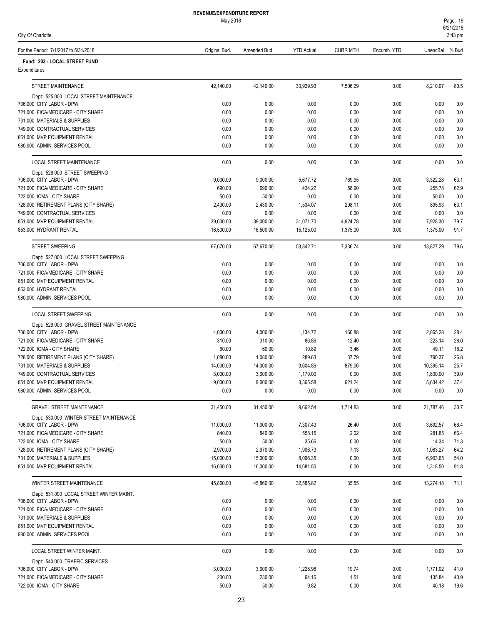| <b>REVENUE/EXPENDITURE REPORT</b> |  |
|-----------------------------------|--|
| May 2018                          |  |

| May 2018 |  |
|----------|--|
|          |  |

| Page: 19  |  |
|-----------|--|
| 6/21/2018 |  |
| 3:43 pm   |  |

| For the Period: 7/1/2017 to 5/31/2018                                | Original Bud.      | Amended Bud.       | <b>YTD Actual</b> | <b>CURR MTH</b> | Encumb. YTD  | UnencBal % Bud     |              |
|----------------------------------------------------------------------|--------------------|--------------------|-------------------|-----------------|--------------|--------------------|--------------|
| Fund: 203 - LOCAL STREET FUND<br>Expenditures                        |                    |                    |                   |                 |              |                    |              |
| STREET MAINTENANCE                                                   | 42,140.00          | 42,140.00          | 33,929.93         | 7,506.29        | 0.00         | 8,210.07           | 80.5         |
| Dept: 525.000 LOCAL STREET MAINTENANCE                               |                    |                    |                   |                 |              |                    |              |
| 706.000 CITY LABOR - DPW<br>721.000 FICA/MEDICARE - CITY SHARE       | 0.00<br>0.00       | 0.00<br>0.00       | 0.00<br>0.00      | 0.00<br>0.00    | 0.00<br>0.00 | 0.00<br>0.00       | 0.0<br>0.0   |
| 731.000 MATERIALS & SUPPLIES                                         | 0.00               | 0.00               | 0.00              | 0.00            | 0.00         | 0.00               | $0.0\,$      |
| 749.000 CONTRACTUAL SERVICES                                         | 0.00               | 0.00               | 0.00              | 0.00            | 0.00         | 0.00               | $0.0\,$      |
| 851.000 MVP EQUIPMENT RENTAL                                         | 0.00               | 0.00               | 0.00              | 0.00            | 0.00         | 0.00               | 0.0          |
| 980.000 ADMIN. SERVICES POOL                                         | 0.00               | 0.00               | 0.00              | 0.00            | 0.00         | 0.00               | 0.0          |
| LOCAL STREET MAINTENANCE                                             | 0.00               | 0.00               | 0.00              | 0.00            | 0.00         | 0.00               | 0.0          |
| Dept: 526.000 STREET SWEEPING<br>706.000 CITY LABOR - DPW            | 9,000.00           | 9,000.00           | 5,677.72          | 769.95          | 0.00         | 3,322.28           | 63.1         |
| 721.000 FICA/MEDICARE - CITY SHARE                                   | 690.00             | 690.00             | 434.22            | 58.90           | 0.00         | 255.78             | 62.9         |
| 722.000 ICMA - CITY SHARE                                            | 50.00              | 50.00              | 0.00              | 0.00            | 0.00         | 50.00              | 0.0          |
| 728.000 RETIREMENT PLANS (CITY SHARE)                                | 2,430.00           | 2,430.00           | 1,534.07          | 208.11          | 0.00         | 895.93             | 63.1         |
| 749.000 CONTRACTUAL SERVICES                                         | 0.00               | 0.00               | 0.00              | 0.00            | 0.00         | 0.00               | 0.0          |
| 851.000 MVP EQUIPMENT RENTAL                                         | 39,000.00          | 39,000.00          | 31,071.70         | 4,924.78        | 0.00         | 7,928.30           | 79.7         |
| 853.000 HYDRANT RENTAL                                               | 16,500.00          | 16,500.00          | 15,125.00         | 1,375.00        | 0.00         | 1,375.00           | 91.7         |
| <b>STREET SWEEPING</b>                                               | 67,670.00          | 67,670.00          | 53,842.71         | 7,336.74        | 0.00         | 13,827.29          | 79.6         |
| Dept: 527.000 LOCAL STREET SWEEPING<br>706.000 CITY LABOR - DPW      | 0.00               | 0.00               | 0.00              | 0.00            | 0.00         | 0.00               | 0.0          |
| 721.000 FICA/MEDICARE - CITY SHARE                                   | 0.00               | 0.00               | 0.00              | 0.00            | 0.00         | 0.00               | 0.0          |
| 851.000 MVP EQUIPMENT RENTAL                                         | 0.00               | 0.00               | 0.00              | 0.00            | 0.00         | 0.00               | 0.0          |
| 853.000 HYDRANT RENTAL                                               | 0.00               | 0.00               | 0.00              | 0.00            | 0.00         | 0.00               | 0.0          |
| 980.000 ADMIN. SERVICES POOL                                         | 0.00               | 0.00               | 0.00              | 0.00            | 0.00         | 0.00               | 0.0          |
| <b>LOCAL STREET SWEEPING</b>                                         | 0.00               | 0.00               | 0.00              | 0.00            | 0.00         | 0.00               | 0.0          |
| Dept: 529.000 GRAVEL STREET MAINTENANCE<br>706.000 CITY LABOR - DPW  | 4,000.00           | 4,000.00           | 1,134.72          | 160.88          | 0.00         | 2,865.28           | 28.4         |
| 721.000 FICA/MEDICARE - CITY SHARE                                   | 310.00             | 310.00             | 86.86             | 12.40           | 0.00         | 223.14             | 28.0         |
| 722.000 ICMA - CITY SHARE                                            | 60.00              | 60.00              | 10.89             | 3.46            | 0.00         | 49.11              | 18.2         |
| 728.000 RETIREMENT PLANS (CITY SHARE)                                | 1,080.00           | 1,080.00           | 289.63            | 37.79           | 0.00         | 790.37             | 26.8         |
| 731.000 MATERIALS & SUPPLIES                                         | 14,000.00          | 14,000.00          | 3,604.86          | 879.06          | 0.00         | 10,395.14          | 25.7         |
| 749.000 CONTRACTUAL SERVICES                                         | 3,000.00           | 3,000.00           | 1,170.00          | 0.00            | 0.00         | 1,830.00           | 39.0         |
| 851.000 MVP EQUIPMENT RENTAL                                         | 9,000.00           | 9,000.00           | 3,365.58          | 621.24          | 0.00         | 5,634.42           | 37.4         |
| 980.000 ADMIN. SERVICES POOL                                         | 0.00               | 0.00               | 0.00              | 0.00            | 0.00         | 0.00               | 0.0          |
| <b>GRAVEL STREET MAINTENANCE</b>                                     | 31,450.00          | 31,450.00          | 9,662.54          | 1,714.83        | 0.00         | 21,787.46          | 30.7         |
| Dept: 530.000 WINTER STREET MAINTENANCE<br>706.000 CITY LABOR - DPW  | 11,000.00          | 11,000.00          | 7,307.43          | 26.40           | 0.00         | 3,692.57           | 66.4         |
| 721.000 FICA/MEDICARE - CITY SHARE                                   | 840.00             | 840.00             | 558.15            | 2.02            | 0.00         | 281.85             | 66.4         |
| 722.000 ICMA - CITY SHARE                                            | 50.00              | 50.00              | 35.66             | 0.00            | 0.00         | 14.34              | 71.3         |
| 728.000 RETIREMENT PLANS (CITY SHARE)                                | 2,970.00           | 2,970.00           | 1,906.73          | 7.13            | 0.00         | 1,063.27           | 64.2         |
| 731.000 MATERIALS & SUPPLIES                                         | 15,000.00          | 15,000.00          | 8,096.35          | 0.00            | 0.00         | 6,903.65           | 54.0         |
| 851.000 MVP EQUIPMENT RENTAL                                         | 16,000.00          | 16,000.00          | 14,681.50         | 0.00            | 0.00         | 1,318.50           | 91.8         |
| WINTER STREET MAINTENANCE                                            | 45,860.00          | 45.860.00          | 32,585.82         | 35.55           | 0.00         | 13,274.18          | 71.1         |
| Dept: 531.000 LOCAL STREET WINTER MAINT.<br>706.000 CITY LABOR - DPW | 0.00               | 0.00               | 0.00              | 0.00            | 0.00         | 0.00               | 0.0          |
| 721.000 FICA/MEDICARE - CITY SHARE                                   | 0.00               | 0.00               | 0.00              | 0.00            | 0.00         | 0.00               | 0.0          |
| 731.000 MATERIALS & SUPPLIES                                         | 0.00               | 0.00               | 0.00              | 0.00            | 0.00         | 0.00               | 0.0          |
| 851.000 MVP EQUIPMENT RENTAL                                         | 0.00               | 0.00               | 0.00              | 0.00            | 0.00         | 0.00               | 0.0          |
| 980.000 ADMIN. SERVICES POOL                                         | 0.00               | 0.00               | 0.00              | 0.00            | 0.00         | 0.00               | 0.0          |
| LOCAL STREET WINTER MAINT.                                           | 0.00               | 0.00               | 0.00              | 0.00            | 0.00         | 0.00               | 0.0          |
| Dept: 540.000 TRAFFIC SERVICES                                       |                    |                    |                   |                 |              |                    |              |
| 706.000 CITY LABOR - DPW<br>721.000 FICA/MEDICARE - CITY SHARE       | 3,000.00<br>230.00 | 3,000.00<br>230.00 | 1,228.98<br>94.16 | 19.74<br>1.51   | 0.00<br>0.00 | 1,771.02<br>135.84 | 41.0<br>40.9 |
| 722.000 ICMA - CITY SHARE                                            | 50.00              | 50.00              | 9.82              | 0.00            | 0.00         | 40.18              | 19.6         |
|                                                                      |                    |                    |                   |                 |              |                    |              |

23

City Of Charlotte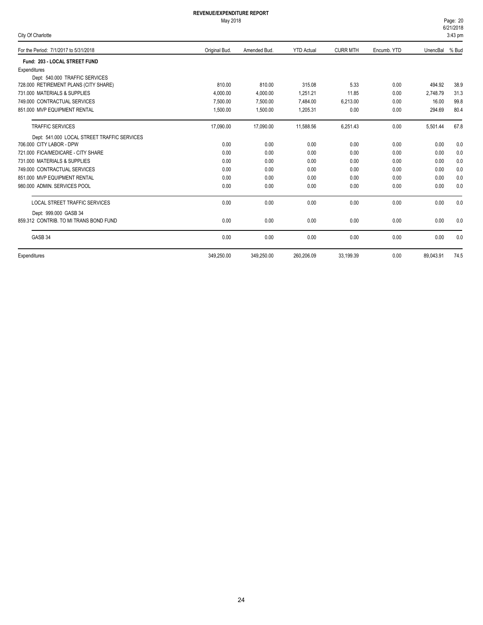#### May 2018

|  |  | City Of Charlotte |
|--|--|-------------------|
|--|--|-------------------|

6/21/2018 Page: 20 3:43 pm

| For the Period: 7/1/2017 to 5/31/2018       | Original Bud. | Amended Bud. | <b>YTD Actual</b> | <b>CURR MTH</b> | Encumb. YTD | UnencBal  | % Bud |
|---------------------------------------------|---------------|--------------|-------------------|-----------------|-------------|-----------|-------|
| Fund: 203 - LOCAL STREET FUND               |               |              |                   |                 |             |           |       |
| Expenditures                                |               |              |                   |                 |             |           |       |
| Dept: 540.000 TRAFFIC SERVICES              |               |              |                   |                 |             |           |       |
| 728.000 RETIREMENT PLANS (CITY SHARE)       | 810.00        | 810.00       | 315.08            | 5.33            | 0.00        | 494.92    | 38.9  |
| 731,000 MATERIALS & SUPPLIES                | 4,000.00      | 4,000.00     | 1,251.21          | 11.85           | 0.00        | 2,748.79  | 31.3  |
| 749.000 CONTRACTUAL SERVICES                | 7,500.00      | 7,500.00     | 7,484.00          | 6,213.00        | 0.00        | 16.00     | 99.8  |
| 851.000 MVP EQUIPMENT RENTAL                | 1,500.00      | 1,500.00     | 1,205.31          | 0.00            | 0.00        | 294.69    | 80.4  |
| <b>TRAFFIC SERVICES</b>                     | 17,090.00     | 17,090.00    | 11,588.56         | 6,251.43        | 0.00        | 5,501.44  | 67.8  |
| Dept: 541.000 LOCAL STREET TRAFFIC SERVICES |               |              |                   |                 |             |           |       |
| 706,000 CITY LABOR - DPW                    | 0.00          | 0.00         | 0.00              | 0.00            | 0.00        | 0.00      | 0.0   |
| 721.000 FICA/MEDICARE - CITY SHARE          | 0.00          | 0.00         | 0.00              | 0.00            | 0.00        | 0.00      | 0.0   |
| 731,000 MATERIALS & SUPPLIES                | 0.00          | 0.00         | 0.00              | 0.00            | 0.00        | 0.00      | 0.0   |
| 749.000 CONTRACTUAL SERVICES                | 0.00          | 0.00         | 0.00              | 0.00            | 0.00        | 0.00      | 0.0   |
| 851.000 MVP EQUIPMENT RENTAL                | 0.00          | 0.00         | 0.00              | 0.00            | 0.00        | 0.00      | 0.0   |
| 980.000 ADMIN, SERVICES POOL                | 0.00          | 0.00         | 0.00              | 0.00            | 0.00        | 0.00      | 0.0   |
| <b>LOCAL STREET TRAFFIC SERVICES</b>        | 0.00          | 0.00         | 0.00              | 0.00            | 0.00        | 0.00      | 0.0   |
| Dept: 999.000 GASB 34                       |               |              |                   |                 |             |           |       |
| 859.312 CONTRIB. TO MI TRANS BOND FUND      | 0.00          | 0.00         | 0.00              | 0.00            | 0.00        | 0.00      | 0.0   |
| GASB 34                                     | 0.00          | 0.00         | 0.00              | 0.00            | 0.00        | 0.00      | 0.0   |
| Expenditures                                | 349,250.00    | 349,250.00   | 260,206.09        | 33,199.39       | 0.00        | 89,043.91 | 74.5  |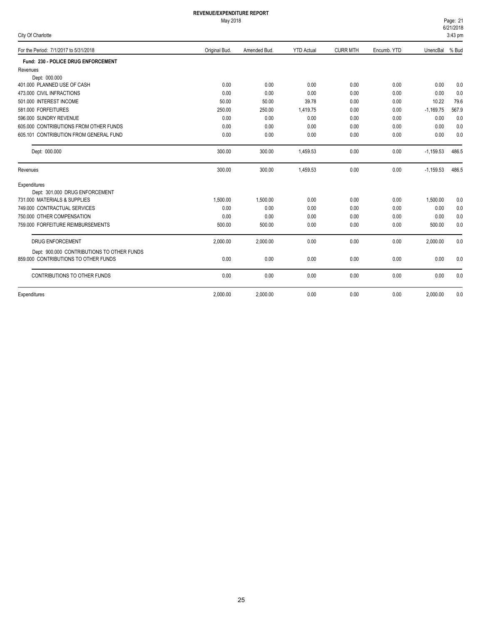# May 2018

6/21/2018 Page: 21

| City Of Charlotte                          |               |              |                   |                 |             |             | $3:43$ pm |
|--------------------------------------------|---------------|--------------|-------------------|-----------------|-------------|-------------|-----------|
| For the Period: 7/1/2017 to 5/31/2018      | Original Bud. | Amended Bud. | <b>YTD Actual</b> | <b>CURR MTH</b> | Encumb. YTD | UnencBal    | % Bud     |
| Fund: 230 - POLICE DRUG ENFORCEMENT        |               |              |                   |                 |             |             |           |
| Revenues                                   |               |              |                   |                 |             |             |           |
| Dept: 000.000                              |               |              |                   |                 |             |             |           |
| 401.000 PLANNED USE OF CASH                | 0.00          | 0.00         | 0.00              | 0.00            | 0.00        | 0.00        | 0.0       |
| 473.000 CIVIL INFRACTIONS                  | 0.00          | 0.00         | 0.00              | 0.00            | 0.00        | 0.00        | 0.0       |
| 501.000 INTEREST INCOME                    | 50.00         | 50.00        | 39.78             | 0.00            | 0.00        | 10.22       | 79.6      |
| 581.000 FORFEITURES                        | 250.00        | 250.00       | 1,419.75          | 0.00            | 0.00        | $-1,169.75$ | 567.9     |
| 596.000 SUNDRY REVENUE                     | 0.00          | 0.00         | 0.00              | 0.00            | 0.00        | 0.00        | 0.0       |
| 605,000 CONTRIBUTIONS FROM OTHER FUNDS     | 0.00          | 0.00         | 0.00              | 0.00            | 0.00        | 0.00        | 0.0       |
| 605.101 CONTRIBUTION FROM GENERAL FUND     | 0.00          | 0.00         | 0.00              | 0.00            | 0.00        | 0.00        | 0.0       |
| Dept: 000.000                              | 300.00        | 300.00       | 1,459.53          | 0.00            | 0.00        | $-1,159.53$ | 486.5     |
| Revenues                                   | 300.00        | 300.00       | 1,459.53          | 0.00            | 0.00        | $-1,159.53$ | 486.5     |
| Expenditures                               |               |              |                   |                 |             |             |           |
| Dept: 301.000 DRUG ENFORCEMENT             |               |              |                   |                 |             |             |           |
| 731.000 MATERIALS & SUPPLIES               | 1.500.00      | 1.500.00     | 0.00              | 0.00            | 0.00        | 1,500.00    | 0.0       |
| 749.000 CONTRACTUAL SERVICES               | 0.00          | 0.00         | 0.00              | 0.00            | 0.00        | 0.00        | 0.0       |
| 750.000 OTHER COMPENSATION                 | 0.00          | 0.00         | 0.00              | 0.00            | 0.00        | 0.00        | 0.0       |
| 759.000 FORFEITURE REIMBURSEMENTS          | 500.00        | 500.00       | 0.00              | 0.00            | 0.00        | 500.00      | 0.0       |
| <b>DRUG ENFORCEMENT</b>                    | 2,000.00      | 2,000.00     | 0.00              | 0.00            | 0.00        | 2,000.00    | 0.0       |
| Dept: 900.000 CONTRIBUTIONS TO OTHER FUNDS |               |              |                   |                 |             |             |           |
| 859.000 CONTRIBUTIONS TO OTHER FUNDS       | 0.00          | 0.00         | 0.00              | 0.00            | 0.00        | 0.00        | 0.0       |
| CONTRIBUTIONS TO OTHER FUNDS               | 0.00          | 0.00         | 0.00              | 0.00            | 0.00        | 0.00        | 0.0       |
| Expenditures                               | 2.000.00      | 2,000.00     | 0.00              | 0.00            | 0.00        | 2,000.00    | 0.0       |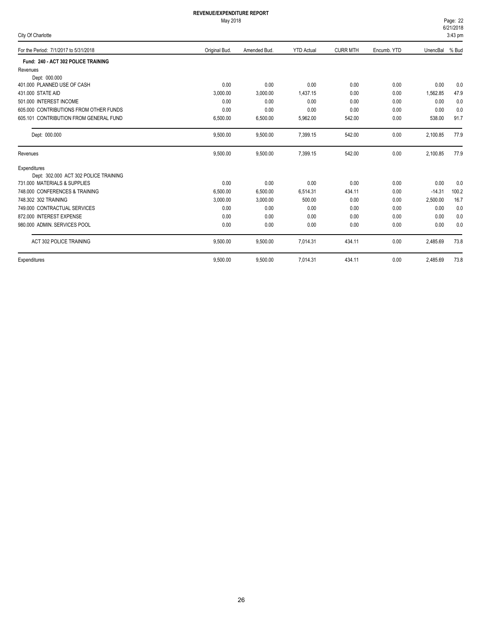| City Of Charlotte                      |               |              |                   |                 |             |          | 3:43 pm |  |
|----------------------------------------|---------------|--------------|-------------------|-----------------|-------------|----------|---------|--|
| For the Period: 7/1/2017 to 5/31/2018  | Original Bud. | Amended Bud. | <b>YTD Actual</b> | <b>CURR MTH</b> | Encumb. YTD | UnencBal | % Bud   |  |
| Fund: 240 - ACT 302 POLICE TRAINING    |               |              |                   |                 |             |          |         |  |
| Revenues                               |               |              |                   |                 |             |          |         |  |
| Dept: 000.000                          |               |              |                   |                 |             |          |         |  |
| 401.000 PLANNED USE OF CASH            | 0.00          | 0.00         | 0.00              | 0.00            | 0.00        | 0.00     | 0.0     |  |
| 431,000 STATE AID                      | 3,000.00      | 3,000.00     | 1,437.15          | 0.00            | 0.00        | 1,562.85 | 47.9    |  |
| 501.000 INTEREST INCOME                | 0.00          | 0.00         | 0.00              | 0.00            | 0.00        | 0.00     | 0.0     |  |
| 605,000 CONTRIBUTIONS FROM OTHER FUNDS | 0.00          | 0.00         | 0.00              | 0.00            | 0.00        | 0.00     | 0.0     |  |
| 605.101 CONTRIBUTION FROM GENERAL FUND | 6,500.00      | 6,500.00     | 5,962.00          | 542.00          | 0.00        | 538.00   | 91.7    |  |
| Dept: 000.000                          | 9,500.00      | 9,500.00     | 7,399.15          | 542.00          | 0.00        | 2,100.85 | 77.9    |  |
| Revenues                               | 9,500.00      | 9,500.00     | 7,399.15          | 542.00          | 0.00        | 2,100.85 | 77.9    |  |
| Expenditures                           |               |              |                   |                 |             |          |         |  |
| Dept: 302.000 ACT 302 POLICE TRAINING  |               |              |                   |                 |             |          |         |  |
| 731.000 MATERIALS & SUPPLIES           | 0.00          | 0.00         | 0.00              | 0.00            | 0.00        | 0.00     | 0.0     |  |
| 748,000 CONFERENCES & TRAINING         | 6,500.00      | 6,500.00     | 6,514.31          | 434.11          | 0.00        | $-14.31$ | 100.2   |  |
| 748.302 302 TRAINING                   | 3,000.00      | 3,000.00     | 500.00            | 0.00            | 0.00        | 2,500.00 | 16.7    |  |
| 749.000 CONTRACTUAL SERVICES           | 0.00          | 0.00         | 0.00              | 0.00            | 0.00        | 0.00     | 0.0     |  |
| 872.000 INTEREST EXPENSE               | 0.00          | 0.00         | 0.00              | 0.00            | 0.00        | 0.00     | 0.0     |  |
| 980.000 ADMIN, SERVICES POOL           | 0.00          | 0.00         | 0.00              | 0.00            | 0.00        | 0.00     | 0.0     |  |
| ACT 302 POLICE TRAINING                | 9,500.00      | 9,500.00     | 7,014.31          | 434.11          | 0.00        | 2,485.69 | 73.8    |  |
| Expenditures                           | 9,500.00      | 9,500.00     | 7,014.31          | 434.11          | 0.00        | 2,485.69 | 73.8    |  |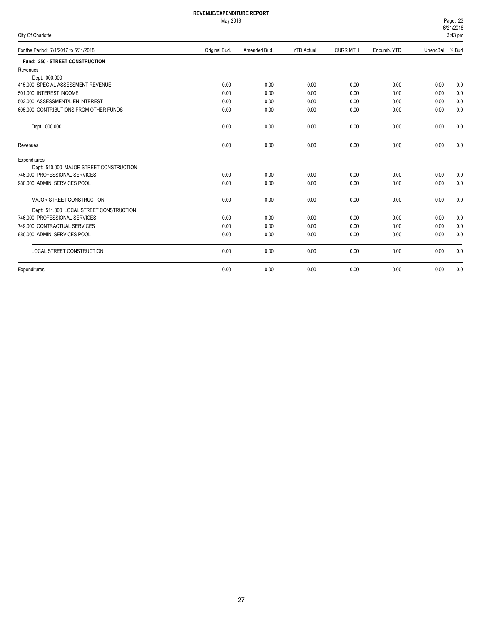#### May 2018

|  |  | City Of Charlotte |
|--|--|-------------------|
|--|--|-------------------|

6/21/2018 Page: 23  $3:43$  pm

| <b>UITA OF CHANGE</b>                   |               |              |                   |                 |             |          | o.40 pm |
|-----------------------------------------|---------------|--------------|-------------------|-----------------|-------------|----------|---------|
| For the Period: 7/1/2017 to 5/31/2018   | Original Bud. | Amended Bud. | <b>YTD Actual</b> | <b>CURR MTH</b> | Encumb. YTD | UnencBal | % Bud   |
| Fund: 250 - STREET CONSTRUCTION         |               |              |                   |                 |             |          |         |
| Revenues                                |               |              |                   |                 |             |          |         |
| Dept: 000.000                           |               |              |                   |                 |             |          |         |
| 415.000 SPECIAL ASSESSMENT REVENUE      | 0.00          | 0.00         | 0.00              | 0.00            | 0.00        | 0.00     | 0.0     |
| 501.000 INTEREST INCOME                 | 0.00          | 0.00         | 0.00              | 0.00            | 0.00        | 0.00     | 0.0     |
| 502.000 ASSESSMENT/LIEN INTEREST        | 0.00          | 0.00         | 0.00              | 0.00            | 0.00        | 0.00     | 0.0     |
| 605,000 CONTRIBUTIONS FROM OTHER FUNDS  | 0.00          | 0.00         | 0.00              | 0.00            | 0.00        | 0.00     | 0.0     |
| Dept: 000.000                           | 0.00          | 0.00         | 0.00              | 0.00            | 0.00        | 0.00     | 0.0     |
| Revenues                                | 0.00          | 0.00         | 0.00              | 0.00            | 0.00        | 0.00     | 0.0     |
| Expenditures                            |               |              |                   |                 |             |          |         |
| Dept: 510.000 MAJOR STREET CONSTRUCTION |               |              |                   |                 |             |          |         |
| 746.000 PROFESSIONAL SERVICES           | 0.00          | 0.00         | 0.00              | 0.00            | 0.00        | 0.00     | 0.0     |
| 980.000 ADMIN. SERVICES POOL            | 0.00          | 0.00         | 0.00              | 0.00            | 0.00        | 0.00     | 0.0     |
| MAJOR STREET CONSTRUCTION               | 0.00          | 0.00         | 0.00              | 0.00            | 0.00        | 0.00     | 0.0     |
| Dept: 511.000 LOCAL STREET CONSTRUCTION |               |              |                   |                 |             |          |         |
| 746.000 PROFESSIONAL SERVICES           | 0.00          | 0.00         | 0.00              | 0.00            | 0.00        | 0.00     | 0.0     |
| 749.000 CONTRACTUAL SERVICES            | 0.00          | 0.00         | 0.00              | 0.00            | 0.00        | 0.00     | 0.0     |
| 980.000 ADMIN. SERVICES POOL            | 0.00          | 0.00         | 0.00              | 0.00            | 0.00        | 0.00     | 0.0     |
| <b>LOCAL STREET CONSTRUCTION</b>        | 0.00          | 0.00         | 0.00              | 0.00            | 0.00        | 0.00     | 0.0     |
| Expenditures                            | 0.00          | 0.00         | 0.00              | 0.00            | 0.00        | 0.00     | 0.0     |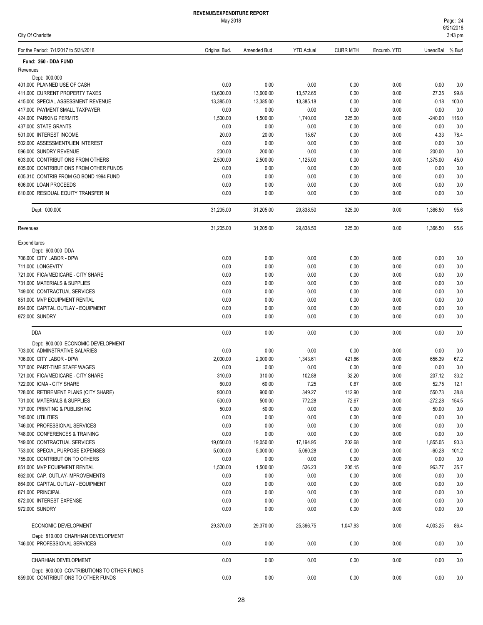| For the Period: 7/1/2017 to 5/31/2018                               | Original Bud.      | Amended Bud.       | <b>YTD Actual</b> | <b>CURR MTH</b> | Encumb. YTD  | UnencBal % Bud     |             |
|---------------------------------------------------------------------|--------------------|--------------------|-------------------|-----------------|--------------|--------------------|-------------|
| Fund: 260 - DDA FUND                                                |                    |                    |                   |                 |              |                    |             |
| Revenues                                                            |                    |                    |                   |                 |              |                    |             |
| Dept: 000.000<br>401.000 PLANNED USE OF CASH                        | 0.00               | 0.00               | 0.00              | 0.00            | 0.00         | 0.00               | 0.0         |
| 411.000 CURRENT PROPERTY TAXES                                      | 13,600.00          | 13,600.00          | 13,572.65         | 0.00            | 0.00         | 27.35              | 99.8        |
| 415.000 SPECIAL ASSESSMENT REVENUE                                  | 13,385.00          | 13,385.00          | 13,385.18         | 0.00            | 0.00         | $-0.18$            | 100.0       |
| 417.000 PAYMENT SMALL TAXPAYER                                      | 0.00               | 0.00               | 0.00              | 0.00            | 0.00         | 0.00               | 0.0         |
| 424.000 PARKING PERMITS                                             | 1,500.00           | 1,500.00           | 1,740.00          | 325.00          | 0.00         | $-240.00$          | 116.0       |
| 437.000 STATE GRANTS                                                | 0.00               | 0.00               | 0.00              | 0.00            | 0.00         | 0.00               | 0.0         |
| 501.000 INTEREST INCOME                                             | 20.00              | 20.00              | 15.67             | 0.00            | 0.00         | 4.33               | 78.4        |
| 502.000 ASSESSMENT/LIEN INTEREST                                    | 0.00               | 0.00               | 0.00              | 0.00            | 0.00         | 0.00               | 0.0         |
| 596.000 SUNDRY REVENUE<br>603.000 CONTRIBUTIONS FROM OTHERS         | 200.00<br>2,500.00 | 200.00<br>2,500.00 | 0.00<br>1,125.00  | 0.00<br>0.00    | 0.00<br>0.00 | 200.00<br>1,375.00 | 0.0<br>45.0 |
| 605.000 CONTRIBUTIONS FROM OTHER FUNDS                              | 0.00               | 0.00               | 0.00              | 0.00            | 0.00         | 0.00               | 0.0         |
| 605.310 CONTRIB FROM GO BOND 1994 FUND                              | 0.00               | 0.00               | 0.00              | 0.00            | 0.00         | 0.00               | 0.0         |
| 606.000 LOAN PROCEEDS                                               | 0.00               | 0.00               | 0.00              | 0.00            | 0.00         | 0.00               | 0.0         |
| 610.000 RESIDUAL EQUITY TRANSFER IN                                 | 0.00               | 0.00               | 0.00              | 0.00            | 0.00         | 0.00               | 0.0         |
| Dept: 000.000                                                       | 31,205.00          | 31,205.00          | 29,838.50         | 325.00          | 0.00         | 1,366.50           | 95.6        |
| Revenues                                                            | 31,205.00          | 31,205.00          | 29,838.50         | 325.00          | 0.00         | 1,366.50           | 95.6        |
| Expenditures                                                        |                    |                    |                   |                 |              |                    |             |
| Dept: 600.000 DDA                                                   |                    |                    |                   |                 |              |                    |             |
| 706.000 CITY LABOR - DPW                                            | 0.00               | 0.00               | 0.00              | 0.00            | 0.00         | 0.00               | 0.0         |
| 711.000 LONGEVITY                                                   | 0.00               | 0.00               | 0.00              | 0.00            | 0.00         | 0.00               | 0.0         |
| 721.000 FICA/MEDICARE - CITY SHARE                                  | 0.00               | 0.00               | 0.00              | 0.00            | 0.00         | 0.00               | 0.0         |
| 731.000 MATERIALS & SUPPLIES<br>749.000 CONTRACTUAL SERVICES        | 0.00<br>0.00       | 0.00<br>0.00       | 0.00<br>0.00      | 0.00<br>0.00    | 0.00<br>0.00 | 0.00<br>0.00       | 0.0<br>0.0  |
| 851.000 MVP EQUIPMENT RENTAL                                        | 0.00               | 0.00               | 0.00              | 0.00            | 0.00         | 0.00               | 0.0         |
| 864.000 CAPITAL OUTLAY - EQUIPMENT                                  | 0.00               | 0.00               | 0.00              | 0.00            | 0.00         | 0.00               | 0.0         |
| 972.000 SUNDRY                                                      | 0.00               | 0.00               | 0.00              | 0.00            | 0.00         | 0.00               | 0.0         |
| <b>DDA</b>                                                          | 0.00               | 0.00               | 0.00              | 0.00            | 0.00         | 0.00               | 0.0         |
| Dept: 800.000 ECONOMIC DEVELOPMENT                                  |                    |                    |                   |                 |              |                    |             |
| 703.000 ADMINSTRATIVE SALARIES                                      | 0.00               | 0.00               | 0.00              | 0.00            | 0.00         | 0.00               | 0.0         |
| 706.000 CITY LABOR - DPW<br>707.000 PART-TIME STAFF WAGES           | 2,000.00           | 2,000.00           | 1,343.61          | 421.66<br>0.00  | 0.00         | 656.39             | 67.2        |
| 721.000 FICA/MEDICARE - CITY SHARE                                  | 0.00<br>310.00     | 0.00<br>310.00     | 0.00<br>102.88    | 32.20           | 0.00<br>0.00 | 0.00<br>207.12     | 0.0<br>33.2 |
| 722.000 ICMA - CITY SHARE                                           | 60.00              | 60.00              | 7.25              | 0.67            | 0.00         | 52.75              | 12.1        |
| 728.000 RETIREMENT PLANS (CITY SHARE)                               | 900.00             | 900.00             | 349.27            | 112.90          | $0.00\,$     | 550.73             | 38.8        |
| 731.000 MATERIALS & SUPPLIES                                        | 500.00             | 500.00             | 772.28            | 72.67           | 0.00         | $-272.28$          | 154.5       |
| 737.000 PRINTING & PUBLISHING                                       | 50.00              | 50.00              | 0.00              | 0.00            | 0.00         | 50.00              | 0.0         |
| 745.000 UTILITIES                                                   | 0.00               | 0.00               | 0.00              | 0.00            | 0.00         | 0.00               | 0.0         |
| 746.000 PROFESSIONAL SERVICES                                       | 0.00               | 0.00               | 0.00              | 0.00            | 0.00         | 0.00               | 0.0         |
| 748.000 CONFERENCES & TRAINING                                      | 0.00               | 0.00               | 0.00              | 0.00            | 0.00         | 0.00               | 0.0         |
| 749.000 CONTRACTUAL SERVICES                                        | 19,050.00          | 19,050.00          | 17,194.95         | 202.68          | 0.00         | 1,855.05           | 90.3        |
| 753.000 SPECIAL PURPOSE EXPENSES                                    | 5,000.00           | 5,000.00           | 5,060.28          | 0.00            | 0.00         | $-60.28$           | 101.2       |
| 755.000 CONTRIBUTION TO OTHERS<br>851.000 MVP EQUIPMENT RENTAL      | 0.00<br>1,500.00   | 0.00<br>1,500.00   | 0.00<br>536.23    | 0.00<br>205.15  | 0.00         | 0.00               | 0.0         |
| 862.000 CAP. OUTLAY-IMPROVEMENTS                                    | 0.00               | 0.00               | 0.00              | 0.00            | 0.00<br>0.00 | 963.77<br>0.00     | 35.7<br>0.0 |
| 864.000 CAPITAL OUTLAY - EQUIPMENT                                  | 0.00               | 0.00               | 0.00              | 0.00            | 0.00         | 0.00               | 0.0         |
| 871.000 PRINCIPAL                                                   | 0.00               | 0.00               | 0.00              | 0.00            | 0.00         | 0.00               | 0.0         |
| 872.000 INTEREST EXPENSE                                            | 0.00               | 0.00               | 0.00              | 0.00            | 0.00         | 0.00               | 0.0         |
| 972.000 SUNDRY                                                      | 0.00               | 0.00               | 0.00              | 0.00            | 0.00         | 0.00               | 0.0         |
| ECONOMIC DEVELOPMENT                                                | 29,370.00          | 29,370.00          | 25,366.75         | 1,047.93        | 0.00         | 4,003.25           | 86.4        |
| Dept: 810.000 CHARHIAN DEVELOPMENT<br>746.000 PROFESSIONAL SERVICES | 0.00               | 0.00               | 0.00              | 0.00            | 0.00         | 0.00               | 0.0         |
|                                                                     |                    |                    |                   |                 |              |                    |             |
| CHARHIAN DEVELOPMENT<br>Dept: 900.000 CONTRIBUTIONS TO OTHER FUNDS  | 0.00               | 0.00               | 0.00              | 0.00            | 0.00         | 0.00               | 0.0         |
| 859.000 CONTRIBUTIONS TO OTHER FUNDS                                | 0.00               | 0.00               | 0.00              | 0.00            | 0.00         | 0.00               | 0.0         |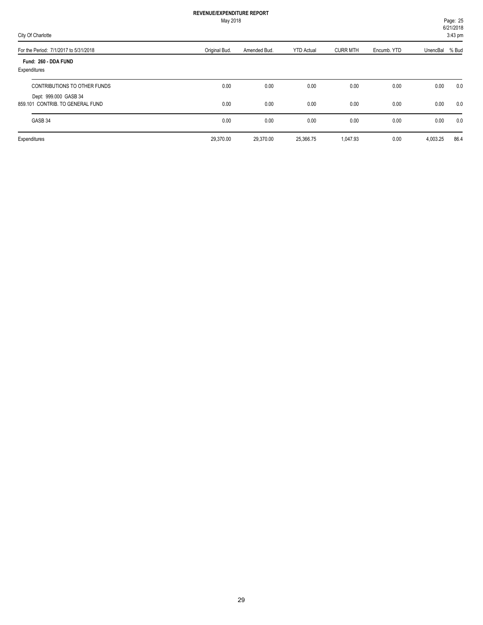| May 2018                                                  |               |              |                   |                 |             |          | Page: 25<br>6/21/2018 |  |
|-----------------------------------------------------------|---------------|--------------|-------------------|-----------------|-------------|----------|-----------------------|--|
| City Of Charlotte                                         |               |              |                   |                 |             |          | 3:43 pm               |  |
| For the Period: 7/1/2017 to 5/31/2018                     | Original Bud. | Amended Bud. | <b>YTD Actual</b> | <b>CURR MTH</b> | Encumb. YTD | UnencBal | % Bud                 |  |
| Fund: 260 - DDA FUND<br>Expenditures                      |               |              |                   |                 |             |          |                       |  |
| CONTRIBUTIONS TO OTHER FUNDS                              | 0.00          | 0.00         | 0.00              | 0.00            | 0.00        | 0.00     | 0.0                   |  |
| Dept: 999.000 GASB 34<br>859.101 CONTRIB. TO GENERAL FUND | 0.00          | 0.00         | 0.00              | 0.00            | 0.00        | 0.00     | 0.0                   |  |
| GASB 34                                                   | 0.00          | 0.00         | 0.00              | 0.00            | 0.00        | 0.00     | 0.0                   |  |
| Expenditures                                              | 29,370.00     | 29,370.00    | 25,366.75         | 1,047.93        | 0.00        | 4,003.25 | 86.4                  |  |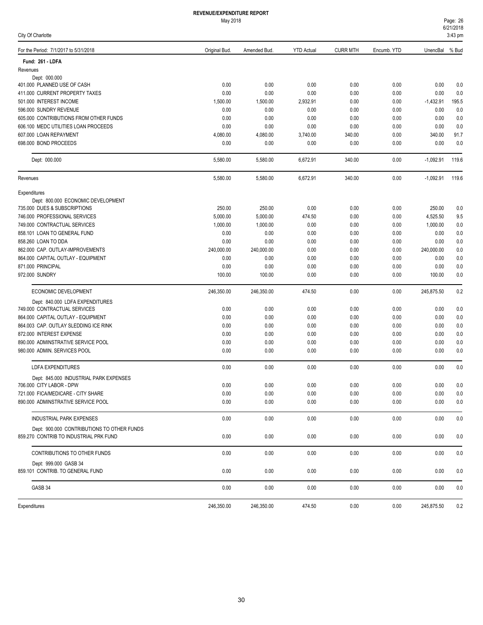|  |  | City Of Charlotte |
|--|--|-------------------|
|--|--|-------------------|

| For the Period: 7/1/2017 to 5/31/2018                          | Original Bud. | Amended Bud. | <b>YTD Actual</b> | <b>CURR MTH</b> | Encumb. YTD  | UnencBal     | % Bud      |
|----------------------------------------------------------------|---------------|--------------|-------------------|-----------------|--------------|--------------|------------|
| Fund: 261 - LDFA                                               |               |              |                   |                 |              |              |            |
| Revenues                                                       |               |              |                   |                 |              |              |            |
| Dept: 000.000                                                  |               |              |                   |                 |              |              |            |
| 401.000 PLANNED USE OF CASH                                    | 0.00          | 0.00         | 0.00              | 0.00            | 0.00         | 0.00         | 0.0        |
| 411.000 CURRENT PROPERTY TAXES                                 | 0.00          | 0.00         | 0.00              | 0.00            | 0.00         | 0.00         | 0.0        |
| 501.000 INTEREST INCOME                                        | 1,500.00      | 1,500.00     | 2,932.91          | 0.00            | 0.00         | $-1,432.91$  | 195.5      |
| 596.000 SUNDRY REVENUE                                         | 0.00          | 0.00         | 0.00              | 0.00            | 0.00         | 0.00         | 0.0        |
| 605,000 CONTRIBUTIONS FROM OTHER FUNDS                         | 0.00          | 0.00         | 0.00              | 0.00            | 0.00         | 0.00         | 0.0        |
| 606.100 MEDC UTILITIES LOAN PROCEEDS                           | 0.00          | 0.00         | 0.00              | 0.00            | 0.00         | 0.00         | 0.0        |
| 607.000 LOAN REPAYMENT                                         | 4,080.00      | 4,080.00     | 3,740.00          | 340.00          | 0.00         | 340.00       | 91.7       |
| 698.000 BOND PROCEEDS                                          | 0.00          | 0.00         | 0.00              | 0.00            | 0.00         | 0.00         | 0.0        |
| Dept: 000.000                                                  | 5,580.00      | 5,580.00     | 6,672.91          | 340.00          | 0.00         | $-1,092.91$  | 119.6      |
| Revenues                                                       | 5,580.00      | 5,580.00     | 6,672.91          | 340.00          | 0.00         | $-1,092.91$  | 119.6      |
| Expenditures                                                   |               |              |                   |                 |              |              |            |
| Dept: 800.000 ECONOMIC DEVELOPMENT                             |               |              |                   |                 |              |              |            |
| 735.000 DUES & SUBSCRIPTIONS                                   | 250.00        | 250.00       | 0.00              | 0.00            | 0.00         | 250.00       | 0.0        |
| 746.000 PROFESSIONAL SERVICES                                  | 5,000.00      | 5,000.00     | 474.50            | 0.00            | 0.00         | 4,525.50     | 9.5        |
| 749.000 CONTRACTUAL SERVICES                                   | 1,000.00      | 1,000.00     | 0.00              | 0.00            | 0.00         | 1,000.00     | 0.0        |
| 858.101 LOAN TO GENERAL FUND                                   | 0.00          | 0.00         | 0.00              | 0.00            | 0.00         | 0.00         | 0.0        |
| 858.260 LOAN TO DDA                                            | 0.00          | 0.00         | 0.00              | 0.00            | 0.00         | 0.00         | 0.0        |
| 862.000 CAP. OUTLAY-IMPROVEMENTS                               | 240,000.00    | 240,000.00   | 0.00              | 0.00            | 0.00         | 240,000.00   | 0.0        |
| 864.000 CAPITAL OUTLAY - EQUIPMENT                             | 0.00          | 0.00         | 0.00              | 0.00            | 0.00         | 0.00         | 0.0        |
| 871.000 PRINCIPAL                                              | 0.00          | 0.00         | 0.00              | 0.00            | 0.00         | 0.00         | 0.0        |
| 972.000 SUNDRY                                                 | 100.00        | 100.00       | 0.00              | 0.00            | 0.00         | 100.00       | 0.0        |
| ECONOMIC DEVELOPMENT                                           | 246,350.00    | 246,350.00   | 474.50            | 0.00            | 0.00         | 245,875.50   | 0.2        |
| Dept: 840.000 LDFA EXPENDITURES                                |               |              |                   |                 |              |              |            |
| 749.000 CONTRACTUAL SERVICES                                   | 0.00          | 0.00         | 0.00              | 0.00            | 0.00         | 0.00         | 0.0        |
| 864.000 CAPITAL OUTLAY - EQUIPMENT                             | 0.00          | 0.00         | 0.00              | 0.00            | 0.00         | 0.00         | 0.0        |
| 864.003 CAP. OUTLAY SLEDDING ICE RINK                          | 0.00          | 0.00         | 0.00              | 0.00            | 0.00         | 0.00         | 0.0        |
| 872.000 INTEREST EXPENSE<br>890.000 ADMINSTRATIVE SERVICE POOL | 0.00          | 0.00         | 0.00              | 0.00            | 0.00<br>0.00 | 0.00<br>0.00 | 0.0        |
| 980.000 ADMIN. SERVICES POOL                                   | 0.00<br>0.00  | 0.00<br>0.00 | 0.00<br>0.00      | 0.00<br>0.00    | 0.00         | 0.00         | 0.0<br>0.0 |
|                                                                |               |              |                   |                 |              |              |            |
| LDFA EXPENDITURES                                              | 0.00          | 0.00         | 0.00              | 0.00            | 0.00         | 0.00         | 0.0        |
| Dept: 845.000 INDUSTRIAL PARK EXPENSES                         |               |              |                   |                 |              |              |            |
| 706.000 CITY LABOR - DPW                                       | 0.00          | 0.00         | 0.00              | 0.00            | 0.00         | 0.00         | 0.0        |
| 721.000 FICA/MEDICARE - CITY SHARE                             | 0.00          | 0.00         | 0.00              | 0.00            | 0.00         | 0.00         | 0.0        |
| 890.000 ADMINSTRATIVE SERVICE POOL                             | 0.00          | 0.00         | 0.00              | 0.00            | 0.00         | 0.00         | 0.0        |
| INDUSTRIAL PARK EXPENSES                                       | 0.00          | 0.00         | 0.00              | 0.00            | 0.00         | 0.00         | 0.0        |
| Dept: 900.000 CONTRIBUTIONS TO OTHER FUNDS                     |               |              |                   |                 |              |              |            |
| 859.270 CONTRIB TO INDUSTRIAL PRK FUND                         | 0.00          | 0.00         | 0.00              | 0.00            | 0.00         | 0.00         | 0.0        |
| CONTRIBUTIONS TO OTHER FUNDS                                   | 0.00          | 0.00         | 0.00              | 0.00            | 0.00         | 0.00         | 0.0        |
| Dept: 999.000 GASB 34<br>859.101 CONTRIB. TO GENERAL FUND      | 0.00          | 0.00         | 0.00              | 0.00            | 0.00         | 0.00         | 0.0        |
| GASB 34                                                        | 0.00          | 0.00         | 0.00              | 0.00            | 0.00         | 0.00         | 0.0        |
|                                                                |               |              |                   |                 |              |              |            |
| Expenditures                                                   | 246,350.00    | 246,350.00   | 474.50            | 0.00            | 0.00         | 245,875.50   | 0.2        |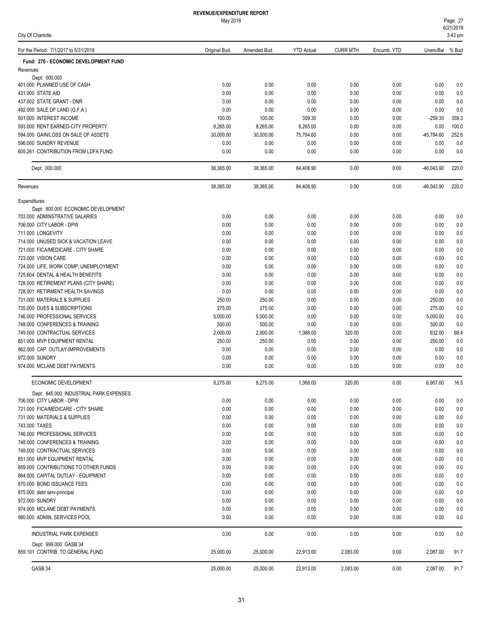|  |  | City Of Charlotte |  |
|--|--|-------------------|--|
|--|--|-------------------|--|

| For the Period: 7/1/2017 to 5/31/2018                                | Original Bud.      | Amended Bud.       | <b>YTD Actual</b> | <b>CURR MTH</b> | Encumb. YTD  | UnencBal         | % Bud              |
|----------------------------------------------------------------------|--------------------|--------------------|-------------------|-----------------|--------------|------------------|--------------------|
| Fund: 270 - ECONOMIC DEVELOPMENT FUND                                |                    |                    |                   |                 |              |                  |                    |
| Revenues                                                             |                    |                    |                   |                 |              |                  |                    |
| Dept: 000.000                                                        |                    |                    |                   |                 |              |                  |                    |
| 401.000 PLANNED USE OF CASH                                          | 0.00               | 0.00               | 0.00              | 0.00            | 0.00         | 0.00             | 0.0                |
| 431.000 STATE AID                                                    | 0.00               | 0.00               | 0.00              | 0.00            | 0.00         | 0.00             | 0.0                |
| 437.002 STATE GRANT - DNR                                            | 0.00<br>0.00       | 0.00<br>0.00       | 0.00<br>0.00      | 0.00<br>0.00    | 0.00<br>0.00 | 0.00<br>0.00     | 0.0<br>0.0         |
| 492.000 SALE OF LAND (G.F.A.)<br>501.000 INTEREST INCOME             | 100.00             | 100.00             | 359.30            | 0.00            | 0.00         | $-259.30$        | 359.3              |
| 593.000 RENT EARNED-CITY PROPERTY                                    | 8,265.00           | 8,265.00           | 8,265.00          | 0.00            | 0.00         | 0.00             | 100.0              |
| 594.000 GAIN/LOSS ON SALE OF ASSETS                                  | 30.000.00          | 30,000.00          | 75,784.60         | 0.00            | 0.00         | -45,784.60       | 252.6              |
| 596.000 SUNDRY REVENUE                                               | 0.00               | 0.00               | 0.00              | 0.00            | 0.00         | 0.00             | 0.0                |
| 605.261 CONTRIBUTION FROM LDFA FUND                                  | 0.00               | 0.00               | 0.00              | 0.00            | 0.00         | 0.00             | 0.0                |
| Dept: 000.000                                                        | 38,365.00          | 38,365.00          | 84,408.90         | 0.00            | 0.00         | $-46,043.90$     | 220.0              |
| Revenues                                                             | 38,365.00          | 38,365.00          | 84,408.90         | 0.00            | 0.00         | $-46,043.90$     | 220.0              |
| Expenditures                                                         |                    |                    |                   |                 |              |                  |                    |
| Dept: 800.000 ECONOMIC DEVELOPMENT                                   |                    |                    |                   |                 |              |                  |                    |
| 703.000 ADMINSTRATIVE SALARIES                                       | 0.00               | 0.00               | 0.00              | 0.00            | 0.00         | 0.00             | 0.0                |
| 706.000 CITY LABOR - DPW                                             | 0.00               | 0.00               | 0.00              | 0.00            | 0.00         | 0.00             | 0.0                |
| 711.000 LONGEVITY                                                    | 0.00               | 0.00               | 0.00              | 0.00            | 0.00         | 0.00             | 0.0                |
| 714.000 UNUSED SICK & VACATION LEAVE                                 | 0.00               | 0.00               | 0.00              | 0.00            | 0.00         | 0.00             | 0.0                |
| 721.000 FICA/MEDICARE - CITY SHARE                                   | 0.00               | 0.00               | 0.00              | 0.00            | 0.00         | 0.00             | 0.0                |
| 723.000 VISION CARE                                                  | 0.00               | 0.00               | 0.00              | 0.00            | 0.00         | 0.00             | 0.0                |
| 724.000 LIFE, WORK COMP, UNEMPLOYMENT                                | 0.00               | 0.00               | 0.00              | 0.00            | 0.00         | 0.00             | 0.0                |
| 725.604 DENTAL & HEALTH BENEFITS                                     | 0.00               | 0.00               | 0.00              | 0.00            | 0.00         | 0.00             | 0.0                |
| 728.000 RETIREMENT PLANS (CITY SHARE)                                | 0.00               | 0.00               | 0.00              | 0.00            | 0.00         | 0.00             | 0.0                |
| 728.001 RETIRMENT HEALTH SAVINGS                                     | 0.00               | 0.00               | 0.00              | 0.00            | 0.00         | 0.00             | 0.0                |
| 731.000 MATERIALS & SUPPLIES                                         | 250.00             | 250.00             | 0.00              | 0.00            | 0.00         | 250.00           | 0.0                |
| 735.000 DUES & SUBSCRIPTIONS                                         | 275.00             | 275.00             | 0.00              | 0.00            | 0.00         | 275.00           | 0.0                |
| 746.000 PROFESSIONAL SERVICES                                        | 5,000.00           | 5,000.00           | 0.00              | 0.00            | 0.00         | 5,000.00         | 0.0                |
| 748.000 CONFERENCES & TRAINING<br>749.000 CONTRACTUAL SERVICES       | 500.00<br>2,000.00 | 500.00<br>2,000.00 | 0.00<br>1,368.00  | 0.00<br>320.00  | 0.00<br>0.00 | 500.00<br>632.00 | 0.0<br>68.4        |
| 851.000 MVP EQUIPMENT RENTAL                                         | 250.00             | 250.00             | 0.00              | 0.00            | 0.00         | 250.00           | 0.0                |
| 862.000 CAP. OUTLAY-IMPROVEMENTS                                     | 0.00               | 0.00               | 0.00              | 0.00            | 0.00         | 0.00             | 0.0                |
| 972.000 SUNDRY                                                       | 0.00               | 0.00               | 0.00              | 0.00            | 0.00         | 0.00             | 0.0                |
| 974.000 MCLANE DEBT PAYMENTS                                         | 0.00               | 0.00               | 0.00              | 0.00            | 0.00         | 0.00             | 0.0                |
| ECONOMIC DEVELOPMENT                                                 | 8,275.00           | 8,275.00           | 1,368.00          | 320.00          | 0.00         | 6,907.00         | 16.5               |
| Dept: 845.000 INDUSTRIAL PARK EXPENSES                               |                    |                    |                   |                 |              |                  |                    |
| 706.000 CITY LABOR - DPW                                             | 0.00               | 0.00               | 0.00              | 0.00            | 0.00         | 0.00             | 0.0                |
| 721.000 FICA/MEDICARE - CITY SHARE                                   | 0.00               | 0.00               | 0.00              | 0.00            | 0.00         | 0.00             | $0.0\,$            |
| 731.000 MATERIALS & SUPPLIES                                         | 0.00               | 0.00               | 0.00              | 0.00            | 0.00         | 0.00             | 0.0                |
| 743.000 TAXES                                                        | 0.00               | 0.00               | 0.00              | 0.00            | 0.00         | 0.00             | $0.0\,$            |
| 746.000 PROFESSIONAL SERVICES                                        | 0.00               | 0.00               | 0.00              | 0.00            | 0.00         | 0.00             | $0.0\,$            |
| 748.000 CONFERENCES & TRAINING                                       | 0.00               | 0.00               | 0.00              | 0.00            | 0.00         | 0.00             | 0.0                |
| 749.000 CONTRACTUAL SERVICES                                         | 0.00               | 0.00               | 0.00              | 0.00            | 0.00         | 0.00             | 0.0                |
| 851.000 MVP EQUIPMENT RENTAL<br>859,000 CONTRIBUTIONS TO OTHER FUNDS | 0.00               | 0.00               | 0.00              | 0.00            | 0.00         | 0.00             | 0.0                |
| 864.000 CAPITAL OUTLAY - EQUIPMENT                                   | 0.00               | 0.00               | 0.00              | 0.00            | 0.00         | 0.00             | $0.0\,$<br>$0.0\,$ |
| 870.000 BOND ISSUANCE FEES                                           | 0.00<br>0.00       | 0.00<br>0.00       | 0.00<br>0.00      | 0.00<br>0.00    | 0.00<br>0.00 | 0.00<br>0.00     |                    |
| 875.000 debt serv-principal                                          | 0.00               | 0.00               | 0.00              | 0.00            | 0.00         | 0.00             | 0.0<br>0.0         |
| 972.000 SUNDRY                                                       | 0.00               | 0.00               | 0.00              | 0.00            | 0.00         | 0.00             | $0.0\,$            |
| 974.000 MCLANE DEBT PAYMENTS                                         | 0.00               | 0.00               | 0.00              | 0.00            | 0.00         | 0.00             | $0.0\,$            |
| 980.000 ADMIN. SERVICES POOL                                         | 0.00               | 0.00               | 0.00              | 0.00            | 0.00         | 0.00             | 0.0                |
| <b>INDUSTRIAL PARK EXPENSES</b>                                      | 0.00               | 0.00               | 0.00              | 0.00            | 0.00         | 0.00             | 0.0                |
| Dept: 999.000 GASB 34<br>859.101 CONTRIB. TO GENERAL FUND            | 25,000.00          | 25,000.00          | 22,913.00         | 2,083.00        | 0.00         | 2,087.00         | 91.7               |
| GASB 34                                                              | 25,000.00          | 25,000.00          | 22,913.00         | 2,083.00        | 0.00         | 2,087.00         | 91.7               |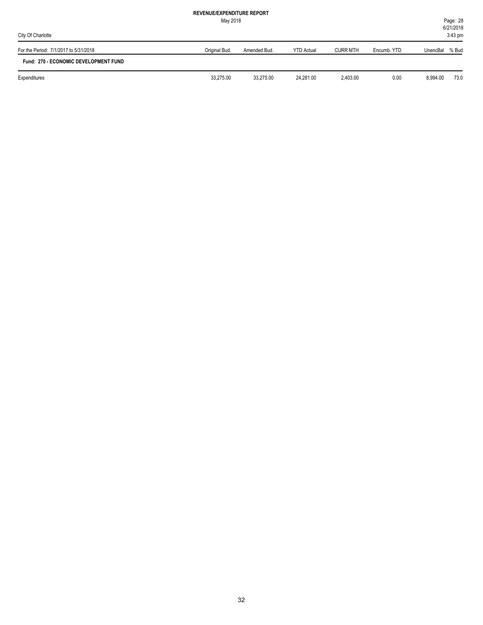| City Of Charlotte                     | May 2018      |              |                   |                 |             |          | Page: 28<br>6/21/2018<br>$3:43$ pm |
|---------------------------------------|---------------|--------------|-------------------|-----------------|-------------|----------|------------------------------------|
| For the Period: 7/1/2017 to 5/31/2018 | Original Bud. | Amended Bud. | <b>YTD Actual</b> | <b>CURR MTH</b> | Encumb, YTD | UnencBal | % Bud                              |
| Fund: 270 - ECONOMIC DEVELOPMENT FUND |               |              |                   |                 |             |          |                                    |
| Expenditures                          | 33,275.00     | 33,275.00    | 24.281.00         | 2.403.00        | 0.00        | 8,994.00 | 73.0                               |
|                                       |               |              |                   |                 |             |          |                                    |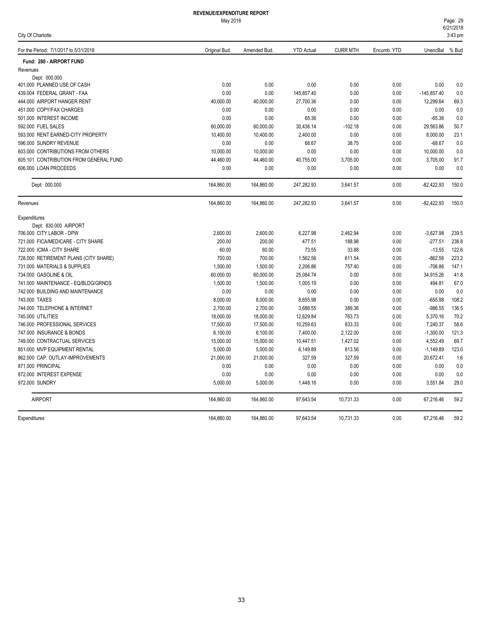| For the Period: 7/1/2017 to 5/31/2018  | Original Bud. | Amended Bud. | <b>YTD Actual</b> | <b>CURR MTH</b> | Encumb. YTD | UnencBal % Bud |       |
|----------------------------------------|---------------|--------------|-------------------|-----------------|-------------|----------------|-------|
| Fund: 280 - AIRPORT FUND               |               |              |                   |                 |             |                |       |
| Revenues                               |               |              |                   |                 |             |                |       |
| Dept: 000.000                          |               |              |                   |                 |             |                |       |
| 401.000 PLANNED USE OF CASH            | 0.00          | 0.00         | 0.00              | 0.00            | 0.00        | 0.00           | 0.0   |
| 439.004 FEDERAL GRANT - FAA            | 0.00          | 0.00         | 145,857.40        | 0.00            | 0.00        | $-145,857.40$  | 0.0   |
| 444.000 AIRPORT HANGER RENT            | 40,000.00     | 40,000.00    | 27,700.36         | 0.00            | 0.00        | 12,299.64      | 69.3  |
| 451.000 COPY/FAX CHARGES               | 0.00          | 0.00         | 0.00              | 0.00            | 0.00        | 0.00           | 0.0   |
| 501.000 INTEREST INCOME                | 0.00          | 0.00         | 65.36             | 0.00            | 0.00        | $-65.36$       | 0.0   |
| 592.000 FUEL SALES                     | 60,000.00     | 60,000.00    | 30,436.14         | $-102.18$       | 0.00        | 29,563.86      | 50.7  |
| 593.000 RENT EARNED-CITY PROPERTY      | 10,400.00     | 10,400.00    | 2,400.00          | 0.00            | 0.00        | 8,000.00       | 23.1  |
| 596.000 SUNDRY REVENUE                 | 0.00          | 0.00         | 68.67             | 38.75           | 0.00        | $-68.67$       | 0.0   |
| 603.000 CONTRIBUTIONS FROM OTHERS      | 10,000.00     | 10,000.00    | 0.00              | 0.00            | 0.00        | 10,000.00      | 0.0   |
| 605.101 CONTRIBUTION FROM GENERAL FUND | 44,460.00     | 44,460.00    | 40,755.00         | 3,705.00        | 0.00        | 3,705.00       | 91.7  |
| 606.000 LOAN PROCEEDS                  | 0.00          | 0.00         | 0.00              | 0.00            | 0.00        | 0.00           | 0.0   |
| Dept: 000.000                          | 164,860.00    | 164,860.00   | 247,282.93        | 3,641.57        | 0.00        | $-82,422.93$   | 150.0 |
| Revenues                               | 164,860.00    | 164,860.00   | 247,282.93        | 3,641.57        | 0.00        | $-82,422.93$   | 150.0 |
| Expenditures                           |               |              |                   |                 |             |                |       |
| Dept: 830.000 AIRPORT                  |               |              |                   |                 |             |                |       |
| 706,000 CITY LABOR - DPW               | 2,600.00      | 2,600.00     | 6,227.98          | 2,462.94        | 0.00        | $-3,627.98$    | 239.5 |
| 721.000 FICA/MEDICARE - CITY SHARE     | 200.00        | 200.00       | 477.51            | 188.98          | 0.00        | $-277.51$      | 238.8 |
| 722.000 ICMA - CITY SHARE              | 60.00         | 60.00        | 73.55             | 33.88           | 0.00        | $-13.55$       | 122.6 |
| 728.000 RETIREMENT PLANS (CITY SHARE)  | 700.00        | 700.00       | 1,562.56          | 611.54          | 0.00        | $-862.56$      | 223.2 |
| 731.000 MATERIALS & SUPPLIES           | 1,500.00      | 1,500.00     | 2,206.86          | 757.40          | 0.00        | $-706.86$      | 147.1 |
| 734.000 GASOLINE & OIL                 | 60,000.00     | 60,000.00    | 25,084.74         | 0.00            | 0.00        | 34,915.26      | 41.8  |
| 741.000 MAINTENANCE - EQ/BLDG/GRNDS    | 1,500.00      | 1,500.00     | 1,005.19          | 0.00            | 0.00        | 494.81         | 67.0  |
| 742.000 BUILDING AND MAINTENANCE       | 0.00          | 0.00         | 0.00              | 0.00            | 0.00        | 0.00           | 0.0   |
| 743,000 TAXES                          | 8,000.00      | 8,000.00     | 8,655.98          | 0.00            | 0.00        | $-655.98$      | 108.2 |
| 744.000 TELEPHONE & INTERNET           | 2,700.00      | 2,700.00     | 3,686.55          | 389.36          | 0.00        | $-986.55$      | 136.5 |
| 745.000 UTILITIES                      | 18,000.00     | 18,000.00    | 12,629.84         | 763.73          | 0.00        | 5,370.16       | 70.2  |
| 746.000 PROFESSIONAL SERVICES          | 17,500.00     | 17,500.00    | 10,259.63         | 833.33          | 0.00        | 7,240.37       | 58.6  |
| 747.000 INSURANCE & BONDS              | 6,100.00      | 6,100.00     | 7,400.00          | 2,122.00        | 0.00        | $-1,300.00$    | 121.3 |
| 749.000 CONTRACTUAL SERVICES           | 15,000.00     | 15,000.00    | 10,447.51         | 1,427.02        | 0.00        | 4,552.49       | 69.7  |
| 851.000 MVP EQUIPMENT RENTAL           | 5,000.00      | 5,000.00     | 6,149.89          | 813.56          | 0.00        | $-1,149.89$    | 123.0 |
| 862.000 CAP. OUTLAY-IMPROVEMENTS       | 21,000.00     | 21,000.00    | 327.59            | 327.59          | 0.00        | 20,672.41      | 1.6   |
| 871.000 PRINCIPAL                      | 0.00          | 0.00         | 0.00              | 0.00            | 0.00        | 0.00           | 0.0   |
| 872.000 INTEREST EXPENSE               | 0.00          | 0.00         | 0.00              | 0.00            | 0.00        | 0.00           | 0.0   |
| 972.000 SUNDRY                         | 5,000.00      | 5,000.00     | 1,448.16          | 0.00            | 0.00        | 3,551.84       | 29.0  |
| <b>AIRPORT</b>                         | 164,860.00    | 164,860.00   | 97,643.54         | 10,731.33       | 0.00        | 67,216.46      | 59.2  |
| Expenditures                           | 164.860.00    | 164.860.00   | 97.643.54         | 10.731.33       | 0.00        | 67.216.46      | 59.2  |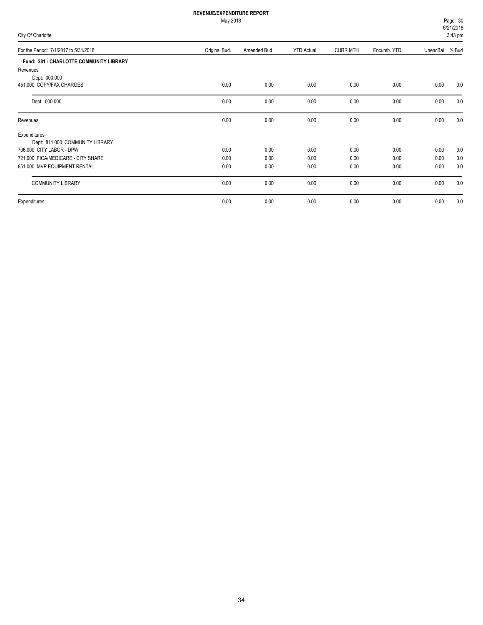| Page: 30          |  |
|-------------------|--|
| 6/21/2018         |  |
| $3.13 \text{ nm}$ |  |

| City Of Charlotte                       |               |              |                   |                 | $V = U - V$<br>$3:43$ pm |                |     |
|-----------------------------------------|---------------|--------------|-------------------|-----------------|--------------------------|----------------|-----|
| For the Period: 7/1/2017 to 5/31/2018   | Original Bud. | Amended Bud. | <b>YTD Actual</b> | <b>CURR MTH</b> | Encumb. YTD              | UnencBal % Bud |     |
| Fund: 281 - CHARLOTTE COMMUNITY LIBRARY |               |              |                   |                 |                          |                |     |
| Revenues                                |               |              |                   |                 |                          |                |     |
| Dept: 000.000                           |               |              |                   |                 |                          |                |     |
| 451.000 COPY/FAX CHARGES                | 0.00          | 0.00         | 0.00              | 0.00            | 0.00                     | 0.00           | 0.0 |
| Dept: 000.000                           | 0.00          | 0.00         | 0.00              | 0.00            | 0.00                     | 0.00           | 0.0 |
| Revenues                                | 0.00          | 0.00         | 0.00              | 0.00            | 0.00                     | 0.00           | 0.0 |
| Expenditures                            |               |              |                   |                 |                          |                |     |
| Dept: 811.000 COMMUNITY LIBRARY         |               |              |                   |                 |                          |                |     |
| 706.000 CITY LABOR - DPW                | 0.00          | 0.00         | 0.00              | 0.00            | 0.00                     | 0.00           | 0.0 |
| 721.000 FICA/MEDICARE - CITY SHARE      | 0.00          | 0.00         | 0.00              | 0.00            | 0.00                     | 0.00           | 0.0 |
| 851.000 MVP EQUIPMENT RENTAL            | 0.00          | 0.00         | 0.00              | 0.00            | 0.00                     | 0.00           | 0.0 |
| <b>COMMUNITY LIBRARY</b>                | 0.00          | 0.00         | 0.00              | 0.00            | 0.00                     | 0.00           | 0.0 |
| Expenditures                            | 0.00          | 0.00         | 0.00              | 0.00            | 0.00                     | 0.00           | 0.0 |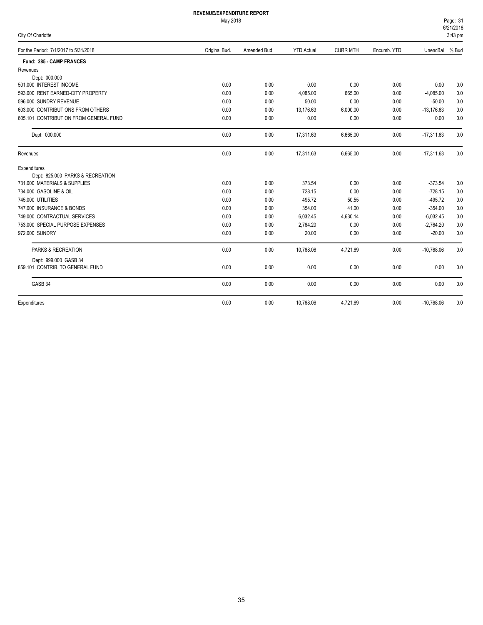#### May 2018

|  | City Of Charlotte |  |
|--|-------------------|--|
|--|-------------------|--|

6/21/2018 Page: 31 3:43 pm

| For the Period: 7/1/2017 to 5/31/2018  | Original Bud. | Amended Bud. | <b>YTD Actual</b> | <b>CURR MTH</b> | Encumb. YTD | UnencBal     | % Bud |
|----------------------------------------|---------------|--------------|-------------------|-----------------|-------------|--------------|-------|
| Fund: 285 - CAMP FRANCES               |               |              |                   |                 |             |              |       |
| Revenues                               |               |              |                   |                 |             |              |       |
| Dept: 000.000                          |               |              |                   |                 |             |              |       |
| 501.000 INTEREST INCOME                | 0.00          | 0.00         | 0.00              | 0.00            | 0.00        | 0.00         | 0.0   |
| 593.000 RENT EARNED-CITY PROPERTY      | 0.00          | 0.00         | 4,085.00          | 665.00          | 0.00        | $-4,085.00$  | 0.0   |
| 596.000 SUNDRY REVENUE                 | 0.00          | 0.00         | 50.00             | 0.00            | 0.00        | $-50.00$     | 0.0   |
| 603.000 CONTRIBUTIONS FROM OTHERS      | 0.00          | 0.00         | 13,176.63         | 6,000.00        | 0.00        | $-13,176.63$ | 0.0   |
| 605.101 CONTRIBUTION FROM GENERAL FUND | 0.00          | 0.00         | 0.00              | 0.00            | 0.00        | 0.00         | 0.0   |
| Dept: 000.000                          | 0.00          | 0.00         | 17.311.63         | 6.665.00        | 0.00        | $-17,311.63$ | 0.0   |
| Revenues                               | 0.00          | 0.00         | 17,311.63         | 6,665.00        | 0.00        | $-17,311.63$ | 0.0   |
| Expenditures                           |               |              |                   |                 |             |              |       |
| Dept: 825.000 PARKS & RECREATION       |               |              |                   |                 |             |              |       |
| 731.000 MATERIALS & SUPPLIES           | 0.00          | 0.00         | 373.54            | 0.00            | 0.00        | $-373.54$    | 0.0   |
| 734.000 GASOLINE & OIL                 | 0.00          | 0.00         | 728.15            | 0.00            | 0.00        | $-728.15$    | 0.0   |
| 745,000 UTILITIES                      | 0.00          | 0.00         | 495.72            | 50.55           | 0.00        | $-495.72$    | 0.0   |
| 747.000 INSURANCE & BONDS              | 0.00          | 0.00         | 354.00            | 41.00           | 0.00        | $-354.00$    | 0.0   |
| 749.000 CONTRACTUAL SERVICES           | 0.00          | 0.00         | 6,032.45          | 4,630.14        | 0.00        | $-6,032.45$  | 0.0   |
| 753.000 SPECIAL PURPOSE EXPENSES       | 0.00          | 0.00         | 2,764.20          | 0.00            | 0.00        | $-2,764.20$  | 0.0   |
| 972.000 SUNDRY                         | 0.00          | 0.00         | 20.00             | 0.00            | 0.00        | $-20.00$     | 0.0   |
| PARKS & RECREATION                     | 0.00          | 0.00         | 10,768.06         | 4.721.69        | 0.00        | $-10,768.06$ | 0.0   |
| Dept: 999.000 GASB 34                  |               |              |                   |                 |             |              |       |
| 859.101 CONTRIB. TO GENERAL FUND       | 0.00          | 0.00         | 0.00              | 0.00            | 0.00        | 0.00         | 0.0   |
| GASB <sub>34</sub>                     | 0.00          | 0.00         | 0.00              | 0.00            | 0.00        | 0.00         | 0.0   |
| Expenditures                           | 0.00          | 0.00         | 10,768.06         | 4,721.69        | 0.00        | $-10,768.06$ | 0.0   |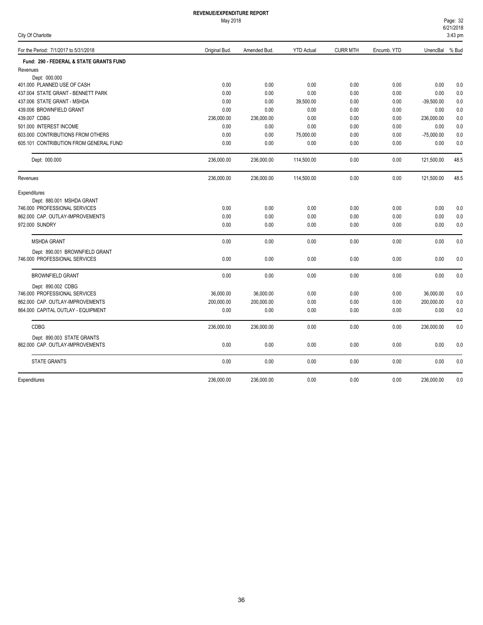|  |  | City Of Charlotte |  |
|--|--|-------------------|--|
|--|--|-------------------|--|

| For the Period: 7/1/2017 to 5/31/2018   | Original Bud. | Amended Bud. | <b>YTD Actual</b> | <b>CURR MTH</b> | Encumb. YTD | UnencBal % Bud |      |
|-----------------------------------------|---------------|--------------|-------------------|-----------------|-------------|----------------|------|
| Fund: 290 - FEDERAL & STATE GRANTS FUND |               |              |                   |                 |             |                |      |
| Revenues                                |               |              |                   |                 |             |                |      |
| Dept: 000.000                           |               |              |                   |                 |             |                |      |
| 401.000 PLANNED USE OF CASH             | 0.00          | 0.00         | 0.00              | 0.00            | 0.00        | 0.00           | 0.0  |
| 437.004 STATE GRANT - BENNETT PARK      | 0.00          | 0.00         | 0.00              | 0.00            | 0.00        | 0.00           | 0.0  |
| 437.006 STATE GRANT - MSHDA             | 0.00          | 0.00         | 39,500.00         | 0.00            | 0.00        | $-39,500.00$   | 0.0  |
| 439.006 BROWNFIELD GRANT                | 0.00          | 0.00         | 0.00              | 0.00            | 0.00        | 0.00           | 0.0  |
| 439.007 CDBG                            | 236,000.00    | 236,000.00   | 0.00              | 0.00            | 0.00        | 236,000.00     | 0.0  |
| 501.000 INTEREST INCOME                 | 0.00          | 0.00         | 0.00              | 0.00            | 0.00        | 0.00           | 0.0  |
| 603.000 CONTRIBUTIONS FROM OTHERS       | 0.00          | 0.00         | 75,000.00         | 0.00            | 0.00        | $-75,000.00$   | 0.0  |
| 605.101 CONTRIBUTION FROM GENERAL FUND  | 0.00          | 0.00         | 0.00              | 0.00            | 0.00        | 0.00           | 0.0  |
| Dept: 000.000                           | 236,000.00    | 236,000.00   | 114,500.00        | 0.00            | 0.00        | 121,500.00     | 48.5 |
| Revenues                                | 236,000.00    | 236,000.00   | 114,500.00        | 0.00            | 0.00        | 121,500.00     | 48.5 |
| Expenditures                            |               |              |                   |                 |             |                |      |
| Dept: 880.001 MSHDA GRANT               |               |              |                   |                 |             |                |      |
| 746.000 PROFESSIONAL SERVICES           | 0.00          | 0.00         | 0.00              | 0.00            | 0.00        | 0.00           | 0.0  |
| 862.000 CAP. OUTLAY-IMPROVEMENTS        | 0.00          | 0.00         | 0.00              | 0.00            | 0.00        | 0.00           | 0.0  |
| 972.000 SUNDRY                          | 0.00          | 0.00         | 0.00              | 0.00            | 0.00        | 0.00           | 0.0  |
| <b>MSHDA GRANT</b>                      | 0.00          | 0.00         | 0.00              | 0.00            | 0.00        | 0.00           | 0.0  |
| Dept: 890.001 BROWNFIELD GRANT          |               |              |                   |                 |             |                |      |
| 746.000 PROFESSIONAL SERVICES           | 0.00          | 0.00         | 0.00              | 0.00            | 0.00        | 0.00           | 0.0  |
| <b>BROWNFIELD GRANT</b>                 | 0.00          | 0.00         | 0.00              | 0.00            | 0.00        | 0.00           | 0.0  |
| Dept: 890.002 CDBG                      |               |              |                   |                 |             |                |      |
| 746.000 PROFESSIONAL SERVICES           | 36,000.00     | 36,000.00    | 0.00              | 0.00            | 0.00        | 36,000.00      | 0.0  |
| 862.000 CAP. OUTLAY-IMPROVEMENTS        | 200,000.00    | 200,000.00   | 0.00              | 0.00            | 0.00        | 200,000.00     | 0.0  |
| 864.000 CAPITAL OUTLAY - EQUIPMENT      | 0.00          | 0.00         | 0.00              | 0.00            | 0.00        | 0.00           | 0.0  |
| <b>CDBG</b>                             | 236,000.00    | 236,000.00   | 0.00              | 0.00            | 0.00        | 236,000.00     | 0.0  |
| Dept: 890.003 STATE GRANTS              |               |              |                   |                 |             |                |      |
| 862.000 CAP. OUTLAY-IMPROVEMENTS        | 0.00          | 0.00         | 0.00              | 0.00            | 0.00        | 0.00           | 0.0  |
| <b>STATE GRANTS</b>                     | 0.00          | 0.00         | 0.00              | 0.00            | 0.00        | 0.00           | 0.0  |
| Expenditures                            | 236.000.00    | 236.000.00   | 0.00              | 0.00            | 0.00        | 236,000.00     | 0.0  |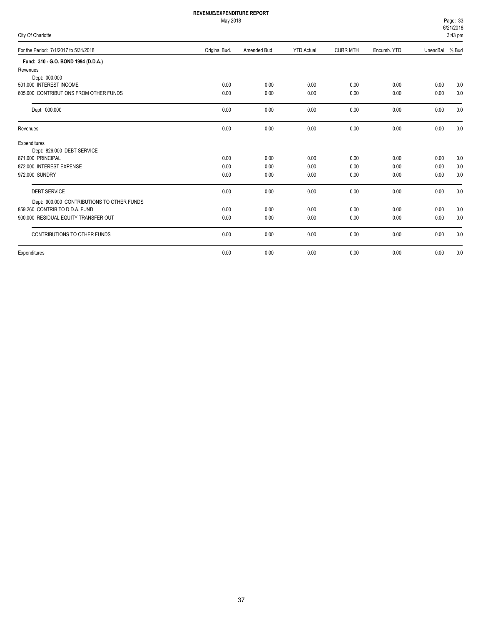| Page: 33          |  |
|-------------------|--|
| 6/21/2018         |  |
| <u>__________</u> |  |

| City Of Charlotte                          |               |              |                   |                 |             |          | $3:43$ pm |
|--------------------------------------------|---------------|--------------|-------------------|-----------------|-------------|----------|-----------|
| For the Period: 7/1/2017 to 5/31/2018      | Original Bud. | Amended Bud. | <b>YTD Actual</b> | <b>CURR MTH</b> | Encumb. YTD | UnencBal | % Bud     |
| Fund: 310 - G.O. BOND 1994 (D.D.A.)        |               |              |                   |                 |             |          |           |
| Revenues                                   |               |              |                   |                 |             |          |           |
| Dept: 000.000                              |               |              |                   |                 |             |          |           |
| 501.000 INTEREST INCOME                    | 0.00          | 0.00         | 0.00              | 0.00            | 0.00        | 0.00     | 0.0       |
| 605,000 CONTRIBUTIONS FROM OTHER FUNDS     | 0.00          | 0.00         | 0.00              | 0.00            | 0.00        | 0.00     | 0.0       |
| Dept: 000.000                              | 0.00          | 0.00         | 0.00              | 0.00            | 0.00        | 0.00     | 0.0       |
| Revenues                                   | 0.00          | 0.00         | 0.00              | 0.00            | 0.00        | 0.00     | 0.0       |
| Expenditures                               |               |              |                   |                 |             |          |           |
| Dept: 826.000 DEBT SERVICE                 |               |              |                   |                 |             |          |           |
| 871.000 PRINCIPAL                          | 0.00          | 0.00         | 0.00              | 0.00            | 0.00        | 0.00     | 0.0       |
| 872.000 INTEREST EXPENSE                   | 0.00          | 0.00         | 0.00              | 0.00            | 0.00        | 0.00     | 0.0       |
| 972.000 SUNDRY                             | 0.00          | 0.00         | 0.00              | 0.00            | 0.00        | 0.00     | 0.0       |
| <b>DEBT SERVICE</b>                        | 0.00          | 0.00         | 0.00              | 0.00            | 0.00        | 0.00     | 0.0       |
| Dept: 900.000 CONTRIBUTIONS TO OTHER FUNDS |               |              |                   |                 |             |          |           |
| 859.260 CONTRIB TO D.D.A. FUND             | 0.00          | 0.00         | 0.00              | 0.00            | 0.00        | 0.00     | 0.0       |
| 900.000 RESIDUAL EQUITY TRANSFER OUT       | 0.00          | 0.00         | 0.00              | 0.00            | 0.00        | 0.00     | 0.0       |
| CONTRIBUTIONS TO OTHER FUNDS               | 0.00          | 0.00         | 0.00              | 0.00            | 0.00        | 0.00     | 0.0       |
| Expenditures                               | 0.00          | 0.00         | 0.00              | 0.00            | 0.00        | 0.00     | 0.0       |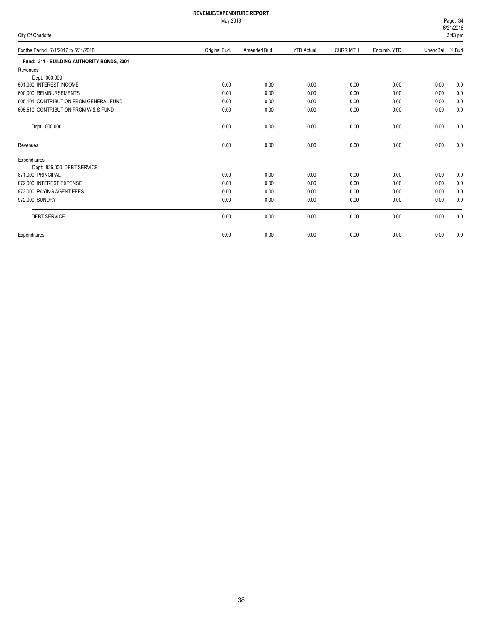# May 2018

|  |  | City Of Charlotte |
|--|--|-------------------|
|--|--|-------------------|

6/21/2018 Page: 34  $3:43$ 

| <b>City Of Critician City</b>              |               |              |                   |                 |             |                | 3.43 pm |
|--------------------------------------------|---------------|--------------|-------------------|-----------------|-------------|----------------|---------|
| For the Period: 7/1/2017 to 5/31/2018      | Original Bud. | Amended Bud. | <b>YTD Actual</b> | <b>CURR MTH</b> | Encumb. YTD | UnencBal % Bud |         |
| Fund: 311 - BUILDING AUTHORITY BONDS, 2001 |               |              |                   |                 |             |                |         |
| Revenues                                   |               |              |                   |                 |             |                |         |
| Dept: 000.000                              |               |              |                   |                 |             |                |         |
| 501.000 INTEREST INCOME                    | 0.00          | 0.00         | 0.00              | 0.00            | 0.00        | 0.00           | 0.0     |
| 600.000 REIMBURSEMENTS                     | 0.00          | 0.00         | 0.00              | 0.00            | 0.00        | 0.00           | 0.0     |
| 605.101 CONTRIBUTION FROM GENERAL FUND     | 0.00          | 0.00         | 0.00              | 0.00            | 0.00        | 0.00           | 0.0     |
| 605.510 CONTRIBUTION FROM W & S FUND       | 0.00          | 0.00         | 0.00              | 0.00            | 0.00        | 0.00           | 0.0     |
| Dept: 000.000                              | 0.00          | 0.00         | 0.00              | 0.00            | 0.00        | 0.00           | 0.0     |
| Revenues                                   | 0.00          | 0.00         | 0.00              | 0.00            | 0.00        | 0.00           | 0.0     |
| Expenditures                               |               |              |                   |                 |             |                |         |
| Dept: 826.000 DEBT SERVICE                 |               |              |                   |                 |             |                |         |
| 871.000 PRINCIPAL                          | 0.00          | 0.00         | 0.00              | 0.00            | 0.00        | 0.00           | 0.0     |
| 872.000 INTEREST EXPENSE                   | 0.00          | 0.00         | 0.00              | 0.00            | 0.00        | 0.00           | 0.0     |
| 873.000 PAYING AGENT FEES                  | 0.00          | 0.00         | 0.00              | 0.00            | 0.00        | 0.00           | 0.0     |
| 972.000 SUNDRY                             | 0.00          | 0.00         | 0.00              | 0.00            | 0.00        | 0.00           | 0.0     |
| <b>DEBT SERVICE</b>                        | 0.00          | 0.00         | 0.00              | 0.00            | 0.00        | 0.00           | 0.0     |
| Expenditures                               | 0.00          | 0.00         | 0.00              | 0.00            | 0.00        | 0.00           | 0.0     |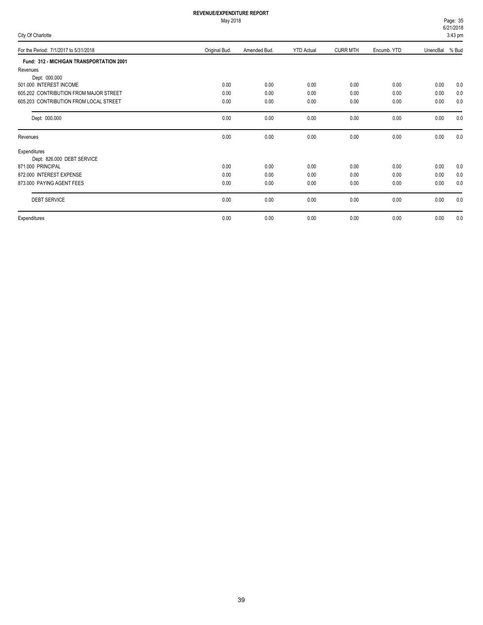# May 2018

|  |  | City Of Charlotte |
|--|--|-------------------|
|--|--|-------------------|

6/21/2018 Page: 35  $3:43$  pm

| <b>UITY OF URING</b>                     |               |              |                   |                 |             |          | וווµ טד.ט |
|------------------------------------------|---------------|--------------|-------------------|-----------------|-------------|----------|-----------|
| For the Period: 7/1/2017 to 5/31/2018    | Original Bud. | Amended Bud. | <b>YTD Actual</b> | <b>CURR MTH</b> | Encumb. YTD | UnencBal | % Bud     |
| Fund: 312 - MICHIGAN TRANSPORTATION 2001 |               |              |                   |                 |             |          |           |
| Revenues                                 |               |              |                   |                 |             |          |           |
| Dept: 000.000                            |               |              |                   |                 |             |          |           |
| 501.000 INTEREST INCOME                  | 0.00          | 0.00         | 0.00              | 0.00            | 0.00        | 0.00     | 0.0       |
| 605.202 CONTRIBUTION FROM MAJOR STREET   | 0.00          | 0.00         | 0.00              | 0.00            | 0.00        | 0.00     | 0.0       |
| 605.203 CONTRIBUTION FROM LOCAL STREET   | 0.00          | 0.00         | 0.00              | 0.00            | 0.00        | 0.00     | 0.0       |
| Dept: 000.000                            | 0.00          | 0.00         | 0.00              | 0.00            | 0.00        | 0.00     | 0.0       |
| Revenues                                 | 0.00          | 0.00         | 0.00              | 0.00            | 0.00        | 0.00     | 0.0       |
| Expenditures                             |               |              |                   |                 |             |          |           |
| Dept: 826.000 DEBT SERVICE               |               |              |                   |                 |             |          |           |
| 871.000 PRINCIPAL                        | 0.00          | 0.00         | 0.00              | 0.00            | 0.00        | 0.00     | 0.0       |
| 872.000 INTEREST EXPENSE                 | 0.00          | 0.00         | 0.00              | 0.00            | 0.00        | 0.00     | 0.0       |
| 873.000 PAYING AGENT FEES                | 0.00          | 0.00         | 0.00              | 0.00            | 0.00        | 0.00     | 0.0       |
| <b>DEBT SERVICE</b>                      | 0.00          | 0.00         | 0.00              | 0.00            | 0.00        | 0.00     | 0.0       |
| Expenditures                             | 0.00          | 0.00         | 0.00              | 0.00            | 0.00        | 0.00     | 0.0       |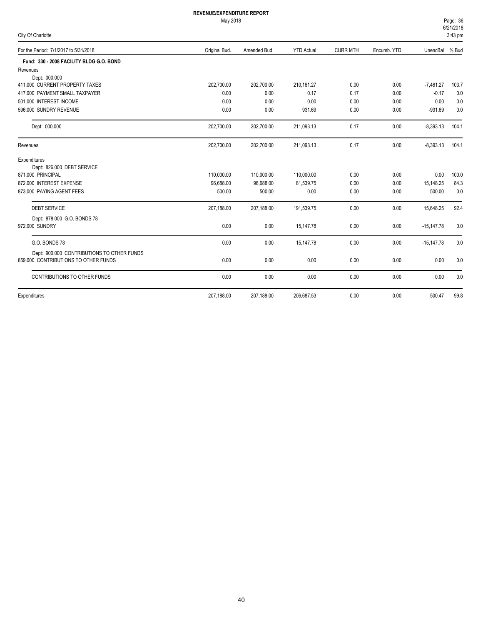| Page: 36  |  |
|-----------|--|
| 6/21/2018 |  |
| 2.12~nm   |  |

| City Of Charlotte                          |               |              |                   |                 |             |                | $V = U - V$<br>$3:43$ pm |
|--------------------------------------------|---------------|--------------|-------------------|-----------------|-------------|----------------|--------------------------|
| For the Period: 7/1/2017 to 5/31/2018      | Original Bud. | Amended Bud. | <b>YTD Actual</b> | <b>CURR MTH</b> | Encumb. YTD | UnencBal % Bud |                          |
| Fund: 330 - 2008 FACILITY BLDG G.O. BOND   |               |              |                   |                 |             |                |                          |
| Revenues                                   |               |              |                   |                 |             |                |                          |
| Dept: 000.000                              |               |              |                   |                 |             |                |                          |
| 411.000 CURRENT PROPERTY TAXES             | 202,700.00    | 202,700.00   | 210,161.27        | 0.00            | 0.00        | $-7,461.27$    | 103.7                    |
| 417.000 PAYMENT SMALL TAXPAYER             | 0.00          | 0.00         | 0.17              | 0.17            | 0.00        | $-0.17$        | 0.0                      |
| 501.000 INTEREST INCOME                    | 0.00          | 0.00         | 0.00              | 0.00            | 0.00        | 0.00           | 0.0                      |
| 596.000 SUNDRY REVENUE                     | 0.00          | 0.00         | 931.69            | 0.00            | 0.00        | $-931.69$      | 0.0                      |
| Dept: 000.000                              | 202,700.00    | 202,700.00   | 211,093.13        | 0.17            | 0.00        | $-8,393.13$    | 104.1                    |
| Revenues                                   | 202,700.00    | 202,700.00   | 211,093.13        | 0.17            | 0.00        | $-8,393.13$    | 104.1                    |
| Expenditures                               |               |              |                   |                 |             |                |                          |
| Dept: 826.000 DEBT SERVICE                 |               |              |                   |                 |             |                |                          |
| 871.000 PRINCIPAL                          | 110,000.00    | 110,000.00   | 110,000.00        | 0.00            | 0.00        | 0.00           | 100.0                    |
| 872.000 INTEREST EXPENSE                   | 96,688.00     | 96,688.00    | 81,539.75         | 0.00            | 0.00        | 15,148.25      | 84.3                     |
| 873.000 PAYING AGENT FEES                  | 500.00        | 500.00       | 0.00              | 0.00            | 0.00        | 500.00         | 0.0                      |
| <b>DEBT SERVICE</b>                        | 207,188.00    | 207,188.00   | 191,539.75        | 0.00            | 0.00        | 15,648.25      | 92.4                     |
| Dept: 878.000 G.O. BONDS 78                |               |              |                   |                 |             |                |                          |
| 972.000 SUNDRY                             | 0.00          | 0.00         | 15,147.78         | 0.00            | 0.00        | $-15,147.78$   | 0.0                      |
| G.O. BONDS 78                              | 0.00          | 0.00         | 15.147.78         | 0.00            | 0.00        | $-15,147.78$   | 0.0                      |
| Dept: 900.000 CONTRIBUTIONS TO OTHER FUNDS |               |              |                   |                 |             |                |                          |
| 859,000 CONTRIBUTIONS TO OTHER FUNDS       | 0.00          | 0.00         | 0.00              | 0.00            | 0.00        | 0.00           | 0.0                      |
| CONTRIBUTIONS TO OTHER FUNDS               | 0.00          | 0.00         | 0.00              | 0.00            | 0.00        | 0.00           | 0.0                      |
| Expenditures                               | 207,188.00    | 207,188.00   | 206,687.53        | 0.00            | 0.00        | 500.47         | 99.8                     |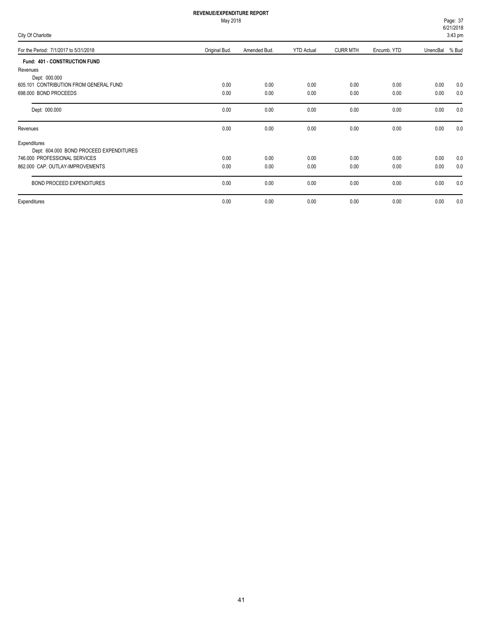May 2018

For the Period: 7/1/2017 to 5/31/2018 Control of the Period: 7/1/2017 to 5/31/2018

City Of Charlotte

|                 |             | Page: 37<br>6/21/2018<br>3:43 pm |
|-----------------|-------------|----------------------------------|
| <b>CURR MTH</b> | Encumb, YTD | UnencBal % Bud                   |
|                 |             |                                  |

| <b>Fund: 401 - CONSTRUCTION FUND</b>    |      |      |      |      |      |      |     |
|-----------------------------------------|------|------|------|------|------|------|-----|
| Revenues                                |      |      |      |      |      |      |     |
| Dept: 000.000                           |      |      |      |      |      |      |     |
| 605.101 CONTRIBUTION FROM GENERAL FUND  | 0.00 | 0.00 | 0.00 | 0.00 | 0.00 | 0.00 | 0.0 |
| 698,000 BOND PROCEEDS                   | 0.00 | 0.00 | 0.00 | 0.00 | 0.00 | 0.00 | 0.0 |
| Dept: 000.000                           | 0.00 | 0.00 | 0.00 | 0.00 | 0.00 | 0.00 | 0.0 |
| Revenues                                | 0.00 | 0.00 | 0.00 | 0.00 | 0.00 | 0.00 | 0.0 |
| Expenditures                            |      |      |      |      |      |      |     |
| Dept: 604.000 BOND PROCEED EXPENDITURES |      |      |      |      |      |      |     |
| 746.000 PROFESSIONAL SERVICES           | 0.00 | 0.00 | 0.00 | 0.00 | 0.00 | 0.00 | 0.0 |
| 862.000 CAP. OUTLAY-IMPROVEMENTS        | 0.00 | 0.00 | 0.00 | 0.00 | 0.00 | 0.00 | 0.0 |
| BOND PROCEED EXPENDITURES               | 0.00 | 0.00 | 0.00 | 0.00 | 0.00 | 0.00 | 0.0 |
| Expenditures                            | 0.00 | 0.00 | 0.00 | 0.00 | 0.00 | 0.00 | 0.0 |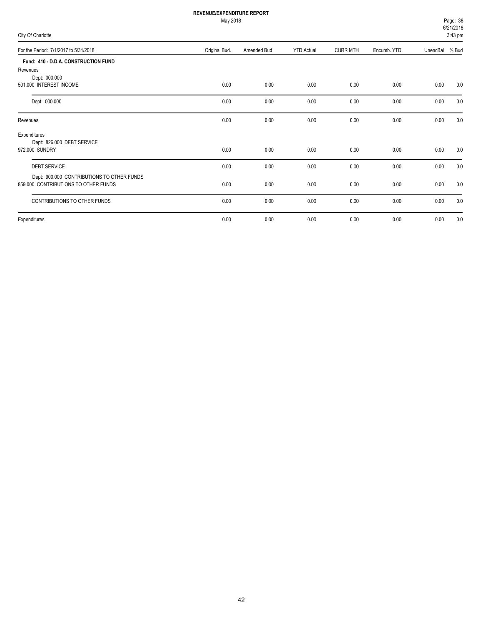|  |  | City Of Charlotte |
|--|--|-------------------|
|--|--|-------------------|

| City Of Charlotte                                                                  |               |              |                   |                 |             |          | $3:43$ pm |
|------------------------------------------------------------------------------------|---------------|--------------|-------------------|-----------------|-------------|----------|-----------|
| For the Period: 7/1/2017 to 5/31/2018                                              | Original Bud. | Amended Bud. | <b>YTD Actual</b> | <b>CURR MTH</b> | Encumb. YTD | UnencBal | % Bud     |
| Fund: 410 - D.D.A. CONSTRUCTION FUND<br>Revenues                                   |               |              |                   |                 |             |          |           |
| Dept: 000.000<br>501.000 INTEREST INCOME                                           | 0.00          | 0.00         | 0.00              | 0.00            | 0.00        | 0.00     | 0.0       |
| Dept: 000.000                                                                      | 0.00          | 0.00         | 0.00              | 0.00            | 0.00        | 0.00     | 0.0       |
| Revenues                                                                           | 0.00          | 0.00         | 0.00              | 0.00            | 0.00        | 0.00     | 0.0       |
| Expenditures<br>Dept: 826.000 DEBT SERVICE<br>972.000 SUNDRY                       | 0.00          | 0.00         | 0.00              | 0.00            | 0.00        | 0.00     | 0.0       |
| <b>DEBT SERVICE</b>                                                                | 0.00          | 0.00         | 0.00              | 0.00            | 0.00        | 0.00     | 0.0       |
| Dept: 900.000 CONTRIBUTIONS TO OTHER FUNDS<br>859,000 CONTRIBUTIONS TO OTHER FUNDS | 0.00          | 0.00         | 0.00              | 0.00            | 0.00        | 0.00     | 0.0       |
| CONTRIBUTIONS TO OTHER FUNDS                                                       | 0.00          | 0.00         | 0.00              | 0.00            | 0.00        | 0.00     | 0.0       |
| Expenditures                                                                       | 0.00          | 0.00         | 0.00              | 0.00            | 0.00        | 0.00     | 0.0       |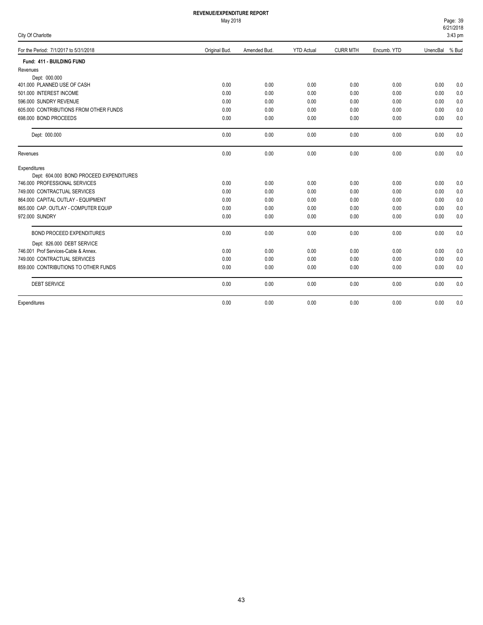|  | City Of Charlotte |  |
|--|-------------------|--|
|--|-------------------|--|

| City Of Charlotte                       |               |              |                   |                 |             |          | 3:43 pm |
|-----------------------------------------|---------------|--------------|-------------------|-----------------|-------------|----------|---------|
| For the Period: 7/1/2017 to 5/31/2018   | Original Bud. | Amended Bud. | <b>YTD Actual</b> | <b>CURR MTH</b> | Encumb. YTD | UnencBal | % Bud   |
| Fund: 411 - BUILDING FUND               |               |              |                   |                 |             |          |         |
| Revenues                                |               |              |                   |                 |             |          |         |
| Dept: 000.000                           |               |              |                   |                 |             |          |         |
| 401.000 PLANNED USE OF CASH             | 0.00          | 0.00         | 0.00              | 0.00            | 0.00        | 0.00     | 0.0     |
| 501.000 INTEREST INCOME                 | 0.00          | 0.00         | 0.00              | 0.00            | 0.00        | 0.00     | 0.0     |
| 596.000 SUNDRY REVENUE                  | 0.00          | 0.00         | 0.00              | 0.00            | 0.00        | 0.00     | 0.0     |
| 605,000 CONTRIBUTIONS FROM OTHER FUNDS  | 0.00          | 0.00         | 0.00              | 0.00            | 0.00        | 0.00     | 0.0     |
| 698.000 BOND PROCEEDS                   | 0.00          | 0.00         | 0.00              | 0.00            | 0.00        | 0.00     | 0.0     |
| Dept: 000.000                           | 0.00          | 0.00         | 0.00              | 0.00            | 0.00        | 0.00     | 0.0     |
| Revenues                                | 0.00          | 0.00         | 0.00              | 0.00            | 0.00        | 0.00     | 0.0     |
| Expenditures                            |               |              |                   |                 |             |          |         |
| Dept: 604.000 BOND PROCEED EXPENDITURES |               |              |                   |                 |             |          |         |
| 746.000 PROFESSIONAL SERVICES           | 0.00          | 0.00         | 0.00              | 0.00            | 0.00        | 0.00     | 0.0     |
| 749.000 CONTRACTUAL SERVICES            | 0.00          | 0.00         | 0.00              | 0.00            | 0.00        | 0.00     | 0.0     |
| 864.000 CAPITAL OUTLAY - EQUIPMENT      | 0.00          | 0.00         | 0.00              | 0.00            | 0.00        | 0.00     | 0.0     |
| 865.000 CAP. OUTLAY - COMPUTER EQUIP    | 0.00          | 0.00         | 0.00              | 0.00            | 0.00        | 0.00     | 0.0     |
| 972.000 SUNDRY                          | 0.00          | 0.00         | 0.00              | 0.00            | 0.00        | 0.00     | 0.0     |
| <b>BOND PROCEED EXPENDITURES</b>        | 0.00          | 0.00         | 0.00              | 0.00            | 0.00        | 0.00     | 0.0     |
| Dept: 826.000 DEBT SERVICE              |               |              |                   |                 |             |          |         |
| 746.001 Prof Services-Cable & Annex.    | 0.00          | 0.00         | 0.00              | 0.00            | 0.00        | 0.00     | 0.0     |
| 749.000 CONTRACTUAL SERVICES            | 0.00          | 0.00         | 0.00              | 0.00            | 0.00        | 0.00     | 0.0     |
| 859,000 CONTRIBUTIONS TO OTHER FUNDS    | 0.00          | 0.00         | 0.00              | 0.00            | 0.00        | 0.00     | 0.0     |
| <b>DEBT SERVICE</b>                     | 0.00          | 0.00         | 0.00              | 0.00            | 0.00        | 0.00     | 0.0     |
| Expenditures                            | 0.00          | 0.00         | 0.00              | 0.00            | 0.00        | 0.00     | 0.0     |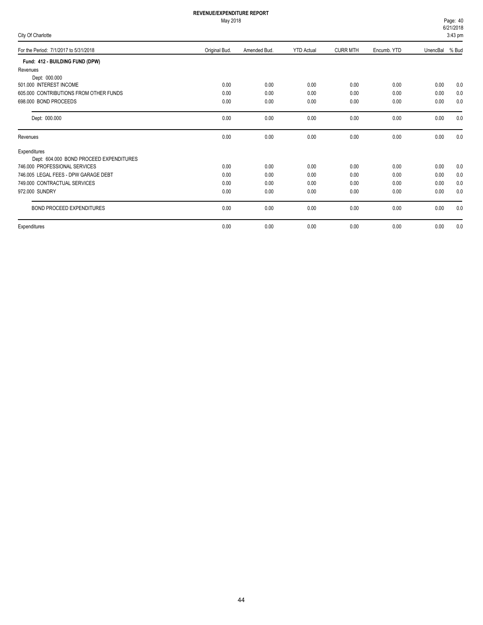|  |  | City Of Charlotte |
|--|--|-------------------|
|--|--|-------------------|

| For the Period: 7/1/2017 to 5/31/2018   | Original Bud. | Amended Bud. | <b>YTD Actual</b> | <b>CURR MTH</b> | Encumb. YTD | UnencBal % Bud |     |
|-----------------------------------------|---------------|--------------|-------------------|-----------------|-------------|----------------|-----|
| Fund: 412 - BUILDING FUND (DPW)         |               |              |                   |                 |             |                |     |
| Revenues                                |               |              |                   |                 |             |                |     |
| Dept: 000.000                           |               |              |                   |                 |             |                |     |
| 501.000 INTEREST INCOME                 | 0.00          | 0.00         | 0.00              | 0.00            | 0.00        | 0.00           | 0.0 |
| 605,000 CONTRIBUTIONS FROM OTHER FUNDS  | 0.00          | 0.00         | 0.00              | 0.00            | 0.00        | 0.00           | 0.0 |
| 698,000 BOND PROCEEDS                   | 0.00          | 0.00         | 0.00              | 0.00            | 0.00        | 0.00           | 0.0 |
| Dept: 000.000                           | 0.00          | 0.00         | 0.00              | 0.00            | 0.00        | 0.00           | 0.0 |
| Revenues                                | 0.00          | 0.00         | 0.00              | 0.00            | 0.00        | 0.00           | 0.0 |
| Expenditures                            |               |              |                   |                 |             |                |     |
| Dept: 604.000 BOND PROCEED EXPENDITURES |               |              |                   |                 |             |                |     |
| 746.000 PROFESSIONAL SERVICES           | 0.00          | 0.00         | 0.00              | 0.00            | 0.00        | 0.00           | 0.0 |
| 746.005 LEGAL FEES - DPW GARAGE DEBT    | 0.00          | 0.00         | 0.00              | 0.00            | 0.00        | 0.00           | 0.0 |
| 749.000 CONTRACTUAL SERVICES            | 0.00          | 0.00         | 0.00              | 0.00            | 0.00        | 0.00           | 0.0 |
| 972.000 SUNDRY                          | 0.00          | 0.00         | 0.00              | 0.00            | 0.00        | 0.00           | 0.0 |
| BOND PROCEED EXPENDITURES               | 0.00          | 0.00         | 0.00              | 0.00            | 0.00        | 0.00           | 0.0 |
| Expenditures                            | 0.00          | 0.00         | 0.00              | 0.00            | 0.00        | 0.00           | 0.0 |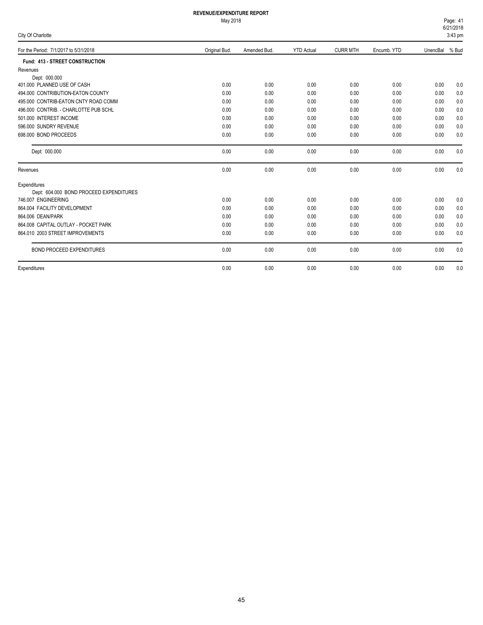|  |  | City Of Charlotte |  |
|--|--|-------------------|--|
|--|--|-------------------|--|

|                                         |               |              |                   |                 |             |          | -. . - p |
|-----------------------------------------|---------------|--------------|-------------------|-----------------|-------------|----------|----------|
| For the Period: 7/1/2017 to 5/31/2018   | Original Bud. | Amended Bud. | <b>YTD Actual</b> | <b>CURR MTH</b> | Encumb. YTD | UnencBal | % Bud    |
| Fund: 413 - STREET CONSTRUCTION         |               |              |                   |                 |             |          |          |
| Revenues                                |               |              |                   |                 |             |          |          |
| Dept: 000.000                           |               |              |                   |                 |             |          |          |
| 401.000 PLANNED USE OF CASH             | 0.00          | 0.00         | 0.00              | 0.00            | 0.00        | 0.00     | 0.0      |
| 494.000 CONTRIBUTION-EATON COUNTY       | 0.00          | 0.00         | 0.00              | 0.00            | 0.00        | 0.00     | 0.0      |
| 495,000 CONTRIB-EATON CNTY ROAD COMM    | 0.00          | 0.00         | 0.00              | 0.00            | 0.00        | 0.00     | 0.0      |
| 496.000 CONTRIB. - CHARLOTTE PUB SCHL   | 0.00          | 0.00         | 0.00              | 0.00            | 0.00        | 0.00     | 0.0      |
| 501.000 INTEREST INCOME                 | 0.00          | 0.00         | 0.00              | 0.00            | 0.00        | 0.00     | 0.0      |
| 596.000 SUNDRY REVENUE                  | 0.00          | 0.00         | 0.00              | 0.00            | 0.00        | 0.00     | 0.0      |
| 698,000 BOND PROCEEDS                   | 0.00          | 0.00         | 0.00              | 0.00            | 0.00        | 0.00     | 0.0      |
| Dept: 000.000                           | 0.00          | 0.00         | 0.00              | 0.00            | 0.00        | 0.00     | 0.0      |
| Revenues                                | 0.00          | 0.00         | 0.00              | 0.00            | 0.00        | 0.00     | 0.0      |
| Expenditures                            |               |              |                   |                 |             |          |          |
| Dept: 604.000 BOND PROCEED EXPENDITURES |               |              |                   |                 |             |          |          |
| 746.007 ENGINEERING                     | 0.00          | 0.00         | 0.00              | 0.00            | 0.00        | 0.00     | 0.0      |
| 864.004 FACILITY DEVELOPMENT            | 0.00          | 0.00         | 0.00              | 0.00            | 0.00        | 0.00     | 0.0      |
| 864.006 DEAN/PARK                       | 0.00          | 0.00         | 0.00              | 0.00            | 0.00        | 0.00     | 0.0      |
| 864.008 CAPITAL OUTLAY - POCKET PARK    | 0.00          | 0.00         | 0.00              | 0.00            | 0.00        | 0.00     | 0.0      |
| 864.010 2003 STREET IMPROVEMENTS        | 0.00          | 0.00         | 0.00              | 0.00            | 0.00        | 0.00     | 0.0      |
| <b>BOND PROCEED EXPENDITURES</b>        | 0.00          | 0.00         | 0.00              | 0.00            | 0.00        | 0.00     | 0.0      |
| Expenditures                            | 0.00          | 0.00         | 0.00              | 0.00            | 0.00        | 0.00     | 0.0      |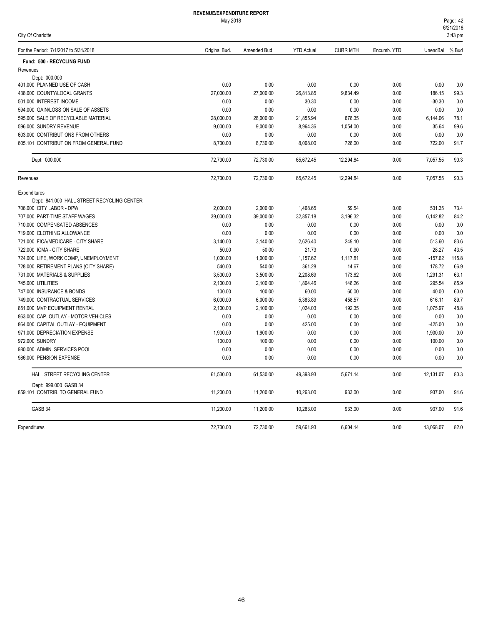| For the Period: 7/1/2017 to 5/31/2018      | Original Bud. | Amended Bud. | <b>YTD Actual</b> | <b>CURR MTH</b> | Encumb. YTD | UnencBal  | % Bud |
|--------------------------------------------|---------------|--------------|-------------------|-----------------|-------------|-----------|-------|
| Fund: 500 - RECYCLING FUND                 |               |              |                   |                 |             |           |       |
| Revenues                                   |               |              |                   |                 |             |           |       |
| Dept: 000.000                              |               |              |                   |                 |             |           |       |
| 401.000 PLANNED USE OF CASH                | 0.00          | 0.00         | 0.00              | 0.00            | 0.00        | 0.00      | 0.0   |
| 438.000 COUNTY/LOCAL GRANTS                | 27,000.00     | 27,000.00    | 26,813.85         | 9,834.49        | 0.00        | 186.15    | 99.3  |
| 501.000 INTEREST INCOME                    | 0.00          | 0.00         | 30.30             | 0.00            | 0.00        | $-30.30$  | 0.0   |
| 594,000 GAIN/LOSS ON SALE OF ASSETS        | 0.00          | 0.00         | 0.00              | 0.00            | 0.00        | 0.00      | 0.0   |
| 595.000 SALE OF RECYCLABLE MATERIAL        | 28,000.00     | 28,000.00    | 21,855.94         | 678.35          | 0.00        | 6,144.06  | 78.1  |
| 596.000 SUNDRY REVENUE                     | 9,000.00      | 9,000.00     | 8,964.36          | 1,054.00        | 0.00        | 35.64     | 99.6  |
| 603,000 CONTRIBUTIONS FROM OTHERS          | 0.00          | 0.00         | 0.00              | 0.00            | 0.00        | 0.00      | 0.0   |
| 605.101 CONTRIBUTION FROM GENERAL FUND     | 8,730.00      | 8,730.00     | 8,008.00          | 728.00          | 0.00        | 722.00    | 91.7  |
| Dept: 000.000                              | 72,730.00     | 72,730.00    | 65,672.45         | 12,294.84       | 0.00        | 7,057.55  | 90.3  |
| Revenues                                   | 72,730.00     | 72,730.00    | 65,672.45         | 12,294.84       | 0.00        | 7,057.55  | 90.3  |
| Expenditures                               |               |              |                   |                 |             |           |       |
| Dept: 841.000 HALL STREET RECYCLING CENTER |               |              |                   |                 |             |           |       |
| 706.000 CITY LABOR - DPW                   | 2,000.00      | 2,000.00     | 1,468.65          | 59.54           | 0.00        | 531.35    | 73.4  |
| 707.000 PART-TIME STAFF WAGES              | 39,000.00     | 39,000.00    | 32,857.18         | 3,196.32        | 0.00        | 6,142.82  | 84.2  |
| 710.000 COMPENSATED ABSENCES               | 0.00          | 0.00         | 0.00              | 0.00            | 0.00        | 0.00      | 0.0   |
| 719.000 CLOTHING ALLOWANCE                 | 0.00          | 0.00         | 0.00              | 0.00            | 0.00        | 0.00      | 0.0   |
| 721.000 FICA/MEDICARE - CITY SHARE         | 3,140.00      | 3,140.00     | 2,626.40          | 249.10          | 0.00        | 513.60    | 83.6  |
| 722.000 ICMA - CITY SHARE                  | 50.00         | 50.00        | 21.73             | 0.90            | 0.00        | 28.27     | 43.5  |
| 724.000 LIFE, WORK COMP, UNEMPLOYMENT      | 1,000.00      | 1,000.00     | 1,157.62          | 1,117.81        | 0.00        | $-157.62$ | 115.8 |
| 728.000 RETIREMENT PLANS (CITY SHARE)      | 540.00        | 540.00       | 361.28            | 14.67           | 0.00        | 178.72    | 66.9  |
| 731.000 MATERIALS & SUPPLIES               | 3,500.00      | 3,500.00     | 2,208.69          | 173.62          | 0.00        | 1,291.31  | 63.1  |
| 745.000 UTILITIES                          | 2,100.00      | 2,100.00     | 1,804.46          | 148.26          | 0.00        | 295.54    | 85.9  |
| 747.000 INSURANCE & BONDS                  | 100.00        | 100.00       | 60.00             | 60.00           | 0.00        | 40.00     | 60.0  |
| 749.000 CONTRACTUAL SERVICES               | 6,000.00      | 6,000.00     | 5,383.89          | 458.57          | 0.00        | 616.11    | 89.7  |
| 851.000 MVP EQUIPMENT RENTAL               | 2,100.00      | 2,100.00     | 1,024.03          | 192.35          | 0.00        | 1,075.97  | 48.8  |
| 863.000 CAP. OUTLAY - MOTOR VEHICLES       | 0.00          | 0.00         | 0.00              | 0.00            | 0.00        | 0.00      | 0.0   |
| 864.000 CAPITAL OUTLAY - EQUIPMENT         | 0.00          | 0.00         | 425.00            | 0.00            | 0.00        | $-425.00$ | 0.0   |
| 971.000 DEPRECIATION EXPENSE               | 1,900.00      | 1,900.00     | 0.00              | 0.00            | 0.00        | 1,900.00  | 0.0   |
| 972.000 SUNDRY                             | 100.00        | 100.00       | 0.00              | 0.00            | 0.00        | 100.00    | 0.0   |
| 980.000 ADMIN. SERVICES POOL               | 0.00          | 0.00         | 0.00              | 0.00            | 0.00        | 0.00      | 0.0   |
| 986.000 PENSION EXPENSE                    | 0.00          | 0.00         | 0.00              | 0.00            | 0.00        | 0.00      | 0.0   |
| HALL STREET RECYCLING CENTER               | 61,530.00     | 61,530.00    | 49,398.93         | 5,671.14        | 0.00        | 12,131.07 | 80.3  |
| Dept: 999.000 GASB 34                      |               |              |                   |                 |             |           |       |
| 859.101 CONTRIB. TO GENERAL FUND           | 11,200.00     | 11,200.00    | 10,263.00         | 933.00          | 0.00        | 937.00    | 91.6  |
| GASB 34                                    | 11,200.00     | 11,200.00    | 10,263.00         | 933.00          | 0.00        | 937.00    | 91.6  |
| Expenditures                               | 72.730.00     | 72.730.00    | 59.661.93         | 6.604.14        | 0.00        | 13.068.07 | 82.0  |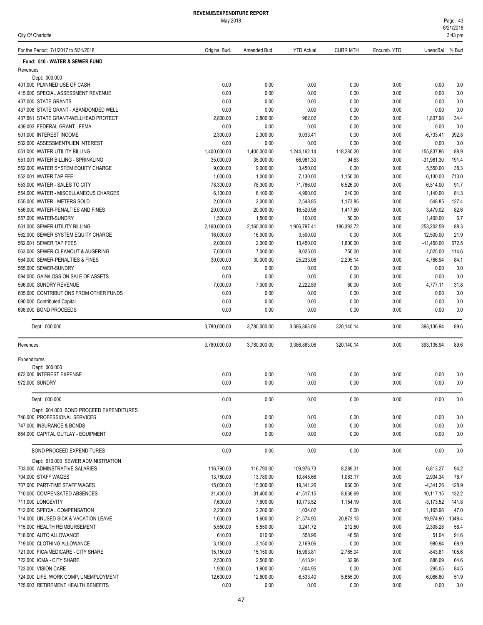#### May 2018 **REVENUE/EXPENDITURE REPORT**

| For the Period: 7/1/2017 to 5/31/2018                                | Original Bud.        | Amended Bud.         | <b>YTD Actual</b>     | <b>CURR MTH</b>    | Encumb. YTD  | UnencBal % Bud          |               |
|----------------------------------------------------------------------|----------------------|----------------------|-----------------------|--------------------|--------------|-------------------------|---------------|
| Fund: 510 - WATER & SEWER FUND                                       |                      |                      |                       |                    |              |                         |               |
| Revenues                                                             |                      |                      |                       |                    |              |                         |               |
| Dept: 000.000                                                        |                      |                      |                       |                    |              |                         |               |
| 401.000 PLANNED USE OF CASH                                          | 0.00                 | 0.00                 | 0.00                  | 0.00               | 0.00         | 0.00                    | 0.0           |
| 415.000 SPECIAL ASSESSMENT REVENUE                                   | 0.00                 | 0.00                 | 0.00                  | 0.00               | 0.00         | 0.00                    | 0.0           |
| 437.000 STATE GRANTS                                                 | 0.00                 | 0.00                 | 0.00                  | 0.00               | 0.00         | 0.00                    | 0.0           |
| 437.008 STATE GRANT - ABANDONDED WELL                                | 0.00                 | 0.00                 | 0.00                  | 0.00               | 0.00         | 0.00                    | 0.0           |
| 437.661 STATE GRANT-WELLHEAD PROTECT                                 | 2,800.00             | 2,800.00             | 962.02                | 0.00               | 0.00         | 1,837.98                | 34.4          |
| 439.003 FEDERAL GRANT - FEMA                                         | 0.00                 | 0.00                 | 0.00                  | 0.00               | 0.00         | 0.00                    | 0.0           |
| 501.000 INTEREST INCOME                                              | 2,300.00<br>0.00     | 2,300.00<br>0.00     | 9,033.41<br>0.00      | 0.00               | 0.00         | $-6,733.41$<br>0.00     | 392.8         |
| 502.000 ASSESSMENT/LIEN INTEREST<br>551.000 WATER-UTILITY BILLING    | 1,400,000.00         | 1,400,000.00         | 1,244,162.14          | 0.00<br>118,280.20 | 0.00<br>0.00 | 155,837.86              | 0.0<br>88.9   |
| 551.001 WATER BILLING - SPRINKLING                                   | 35,000.00            | 35,000.00            | 66,981.30             | 94.63              | 0.00         | $-31,981.30$            | 191.4         |
| 552.000 WATER SYSTEM EQUITY CHARGE                                   | 9,000.00             | 9,000.00             | 3,450.00              | 0.00               | 0.00         | 5,550.00                | 38.3          |
| 552.001 WATER TAP FEE                                                | 1,000.00             | 1,000.00             | 7,130.00              | 1,150.00           | 0.00         | $-6,130.00$             | 713.0         |
| 553.000 WATER - SALES TO CITY                                        | 78,300.00            | 78,300.00            | 71,786.00             | 6,526.00           | 0.00         | 6,514.00                | 91.7          |
| 554.000 WATER - MISCELLANEOUS CHARGES                                | 6,100.00             | 6,100.00             | 4,960.00              | 240.00             | 0.00         | 1,140.00                | 81.3          |
| 555,000 WATER - METERS SOLD                                          | 2,000.00             | 2,000.00             | 2,548.85              | 1,173.85           | 0.00         | $-548.85$               | 127.4         |
| 556.000 WATER-PENALTIES AND FINES                                    | 20,000.00            | 20,000.00            | 16,520.98             | 1,417.60           | 0.00         | 3,479.02                | 82.6          |
| 557.000 WATER-SUNDRY                                                 | 1,500.00             | 1,500.00             | 100.00                | 50.00              | 0.00         | 1,400.00                | 6.7           |
| 561.000 SEWER-UTILITY BILLING                                        | 2,160,000.00         | 2,160,000.00         | 1,906,797.41          | 186,392.72         | 0.00         | 253,202.59              | 88.3          |
| 562.000 SEWER SYSTEM EQUITY CHARGE                                   | 16,000.00            | 16,000.00            | 3,500.00              | 0.00               | 0.00         | 12,500.00               | 21.9          |
| 562.001 SEWER TAP FEES                                               | 2,000.00             | 2,000.00             | 13,450.00             | 1,800.00           | 0.00         | $-11,450.00$            | 672.5         |
| 563.000 SEWER-CLEANOUT & AUGERING                                    | 7,000.00             | 7,000.00             | 8,025.00              | 750.00             | 0.00         | $-1,025.00$             | 114.6         |
| 564.000 SEWER-PENALTIES & FINES                                      | 30,000.00            | 30,000.00            | 25,233.06             | 2,205.14           | 0.00         | 4,766.94                | 84.1          |
| 565.000 SEWER-SUNDRY                                                 | 0.00                 | 0.00                 | 0.00                  | 0.00               | 0.00         | 0.00                    | 0.0           |
| 594.000 GAIN/LOSS ON SALE OF ASSETS                                  | 0.00                 | 0.00                 | 0.00                  | 0.00               | 0.00         | 0.00                    | 0.0           |
| 596.000 SUNDRY REVENUE                                               | 7,000.00             | 7,000.00             | 2,222.89              | 60.00              | 0.00         | 4,777.11                | 31.8          |
| 605.000 CONTRIBUTIONS FROM OTHER FUNDS                               | 0.00                 | 0.00                 | 0.00                  | 0.00               | 0.00         | 0.00                    | 0.0           |
| 690.000 Contributed Capital                                          | 0.00                 | 0.00                 | 0.00                  | 0.00               | 0.00         | 0.00                    | 0.0           |
| 698.000 BOND PROCEEDS                                                | 0.00                 | 0.00                 | 0.00                  | 0.00               | 0.00         | 0.00                    | 0.0           |
| Dept: 000.000                                                        | 3,780,000.00         | 3,780,000.00         | 3,386,863.06          | 320,140.14         | 0.00         | 393,136.94              | 89.6          |
| Revenues                                                             | 3,780,000.00         | 3,780,000.00         | 3,386,863.06          | 320,140.14         | 0.00         | 393,136.94              | 89.6          |
| Expenditures                                                         |                      |                      |                       |                    |              |                         |               |
| Dept: 000.000                                                        |                      |                      |                       |                    |              |                         |               |
| 872.000 INTEREST EXPENSE                                             | 0.00                 | 0.00                 | 0.00                  | 0.00               | 0.00         | 0.00                    | 0.0           |
| 972.000 SUNDRY                                                       | 0.00                 | 0.00                 | 0.00                  | 0.00               | 0.00         | 0.00                    | 0.0           |
| Dept: 000.000                                                        | 0.00                 | 0.00                 | 0.00                  | 0.00               | 0.00         | 0.00                    | 0.0           |
| Dept: 604.000 BOND PROCEED EXPENDITURES                              |                      |                      |                       |                    |              |                         |               |
| 746.000 PROFESSIONAL SERVICES                                        | 0.00                 | 0.00                 | 0.00                  | 0.00               | 0.00         | 0.00                    | 0.0           |
| 747.000 INSURANCE & BONDS                                            | 0.00                 | 0.00                 | 0.00                  | 0.00               | 0.00         | 0.00                    | 0.0           |
| 864.000 CAPITAL OUTLAY - EQUIPMENT                                   | 0.00                 | 0.00                 | 0.00                  | 0.00               | 0.00         | 0.00                    | 0.0           |
| BOND PROCEED EXPENDITURES                                            | 0.00                 | 0.00                 | 0.00                  | 0.00               | 0.00         | 0.00                    | 0.0           |
| Dept: 610.000 SEWER ADMINISTRATION                                   |                      |                      |                       |                    |              |                         |               |
| 703.000 ADMINSTRATIVE SALARIES                                       | 116,790.00           | 116,790.00           | 109,976.73            | 8,289.31           | 0.00         | 6,813.27                | 94.2          |
| 704.000 STAFF WAGES                                                  | 13,780.00            | 13,780.00            | 10,845.66             | 1,083.17           | 0.00         | 2,934.34                | 78.7          |
| 707.000 PART-TIME STAFF WAGES                                        | 15,000.00            | 15,000.00            | 19,341.26             | 960.00             | 0.00         | $-4,341.26$             | 128.9         |
| 710.000 COMPENSATED ABSENCES                                         | 31,400.00            | 31,400.00            | 41,517.15             | 8,636.69           | 0.00         | $-10, 117.15$           | 132.2         |
| 711.000 LONGEVITY                                                    | 7,600.00<br>2,200.00 | 7,600.00             | 10,773.52             | 1,154.19           | 0.00         | $-3,173.52$<br>1,165.98 | 141.8<br>47.0 |
| 712.000 SPECIAL COMPENSATION<br>714.000 UNUSED SICK & VACATION LEAVE | 1,600.00             | 2,200.00<br>1,600.00 | 1,034.02<br>21,574.90 | 0.00<br>20,873.13  | 0.00<br>0.00 | -19,974.90              | 1348.4        |
| 715.000 HEALTH REIMBURSEMENT                                         | 5,550.00             | 5,550.00             | 3,241.72              | 212.50             | 0.00         | 2,308.28                | 58.4          |
| 718.000 AUTO ALLOWANCE                                               | 610.00               | 610.00               | 558.96                | 46.58              | 0.00         | 51.04                   | 91.6          |
| 719.000 CLOTHING ALLOWANCE                                           | 3,150.00             | 3,150.00             | 2,169.06              | 0.00               | 0.00         | 980.94                  | 68.9          |
| 721.000 FICA/MEDICARE - CITY SHARE                                   | 15,150.00            | 15,150.00            | 15,993.81             | 2,765.04           | 0.00         | $-843.81$               | 105.6         |
| 722.000 ICMA - CITY SHARE                                            | 2,500.00             | 2,500.00             | 1,613.91              | 32.96              | 0.00         | 886.09                  | 64.6          |
| 723.000 VISION CARE                                                  | 1,900.00             | 1,900.00             | 1,604.95              | 0.00               | 0.00         | 295.05                  | 84.5          |
| 724.000 LIFE, WORK COMP, UNEMPLOYMENT                                | 12,600.00            | 12,600.00            | 6,533.40              | 5,655.00           | 0.00         | 6,066.60                | 51.9          |
| 725.603 RETIREMENT HEALTH BENEFITS                                   | 0.00                 | 0.00                 | 0.00                  | 0.00               | 0.00         | 0.00                    | $0.0\,$       |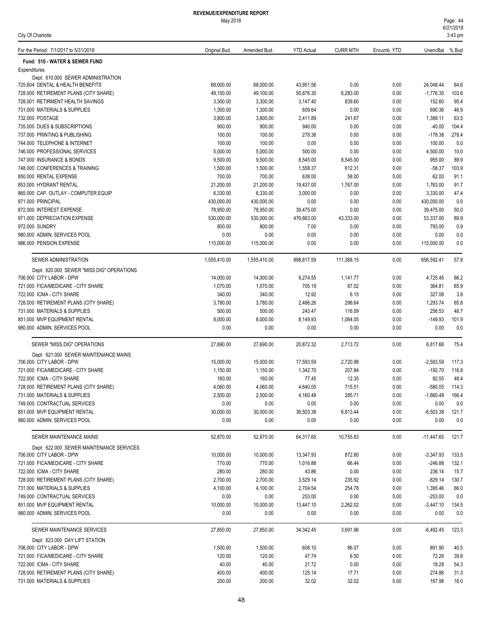| City Of Charlotte                                                         |                        |                        |                        |                  |              |                          | $3:43$ pm     |
|---------------------------------------------------------------------------|------------------------|------------------------|------------------------|------------------|--------------|--------------------------|---------------|
| For the Period: 7/1/2017 to 5/31/2018                                     | Original Bud.          | Amended Bud.           | <b>YTD Actual</b>      | <b>CURR MTH</b>  | Encumb. YTD  | UnencBal % Bud           |               |
| Fund: 510 - WATER & SEWER FUND                                            |                        |                        |                        |                  |              |                          |               |
| Expenditures                                                              |                        |                        |                        |                  |              |                          |               |
| Dept: 610.000 SEWER ADMINISTRATION                                        |                        |                        |                        |                  |              |                          |               |
| 725.604 DENTAL & HEALTH BENEFITS                                          | 68,000.00<br>49,100.00 | 68.000.00<br>49,100.00 | 43,951.56<br>50,876.30 | 0.00<br>6,283.00 | 0.00<br>0.00 | 24,048.44<br>$-1,776.30$ | 64.6<br>103.6 |
| 728.000 RETIREMENT PLANS (CITY SHARE)<br>728.001 RETIRMENT HEALTH SAVINGS | 3,300.00               | 3,300.00               | 3,147.40               | 839.60           | 0.00         | 152.60                   | 95.4          |
| 731.000 MATERIALS & SUPPLIES                                              | 1,300.00               | 1,300.00               | 609.64                 | 0.00             | 0.00         | 690.36                   | 46.9          |
| 732.000 POSTAGE                                                           | 3,800.00               | 3,800.00               | 2,411.89               | 241.67           | 0.00         | 1,388.11                 | 63.5          |
| 735.000 DUES & SUBSCRIPTIONS                                              | 900.00                 | 900.00                 | 940.00                 | 0.00             | 0.00         | $-40.00$                 | 104.4         |
| 737.000 PRINTING & PUBLISHING                                             | 100.00                 | 100.00                 | 278.38                 | 0.00             | 0.00         | $-178.38$                | 278.4         |
| 744.000 TELEPHONE & INTERNET                                              | 100.00                 | 100.00                 | 0.00                   | 0.00             | 0.00         | 100.00                   | 0.0           |
| 746.000 PROFESSIONAL SERVICES                                             | 5,000.00               | 5,000.00               | 500.00                 | 0.00             | 0.00         | 4,500.00                 | 10.0          |
| 747.000 INSURANCE & BONDS                                                 | 9,500.00               | 9,500.00               | 8,545.00               | 8,545.00         | 0.00         | 955.00                   | 89.9          |
| 748.000 CONFERENCES & TRAINING                                            | 1,500.00               | 1,500.00               | 1,558.37               | 612.31           | 0.00         | $-58.37$                 | 103.9         |
| 850.000 RENTAL EXPENSE                                                    | 700.00                 | 700.00                 | 638.00                 | 58.00            | 0.00         | 62.00                    | 91.1          |
| 853.000 HYDRANT RENTAL                                                    | 21,200.00              | 21,200.00              | 19,437.00              | 1,767.00         | 0.00         | 1,763.00                 | 91.7          |
| 865,000 CAP, OUTLAY - COMPUTER EQUIP                                      | 6,330.00               | 6,330.00               | 3,000.00               | 0.00             | 0.00         | 3,330.00                 | 47.4          |
| 871.000 PRINCIPAL                                                         | 430,000.00             | 430,000.00             | 0.00                   | 0.00             | 0.00         | 430,000.00               | 0.0           |
| 872.000 INTEREST EXPENSE                                                  | 78,950.00              | 78,950.00              | 39,475.00              | 0.00             | 0.00         | 39,475.00                | 50.0          |
| 971.000 DEPRECIATION EXPENSE                                              | 530,000.00             | 530,000.00             | 476,663.00             | 43,333.00        | 0.00         | 53,337.00                | 89.9          |
| 972.000 SUNDRY                                                            | 800.00                 | 800.00                 | 7.00                   | 0.00             | 0.00         | 793.00                   | 0.9           |
| 980.000 ADMIN. SERVICES POOL                                              | 0.00                   | 0.00                   | 0.00                   | 0.00             | 0.00         | 0.00                     | 0.0           |
| 986.000 PENSION EXPENSE                                                   | 115,000.00             | 115,000.00             | 0.00                   | 0.00             | 0.00         | 115,000.00               | 0.0           |
| SEWER ADMINISTRATION                                                      | 1,555,410.00           | 1,555,410.00           | 898,817.59             | 111,388.15       | 0.00         | 656,592.41               | 57.8          |
| Dept: 620.000 SEWER "MISS DIG" OPERATIONS                                 |                        |                        |                        |                  |              |                          |               |
| 706.000 CITY LABOR - DPW                                                  | 14,000.00              | 14,000.00              | 9,274.55               | 1,141.77         | 0.00         | 4,725.45                 | 66.2          |
| 721.000 FICA/MEDICARE - CITY SHARE                                        | 1,070.00               | 1,070.00               | 705.19                 | 87.02            | 0.00         | 364.81                   | 65.9          |
| 722.000 ICMA - CITY SHARE                                                 | 340.00                 | 340.00                 | 12.92                  | 6.15             | 0.00         | 327.08                   | 3.8           |
| 728.000 RETIREMENT PLANS (CITY SHARE)                                     | 3,780.00               | 3,780.00               | 2,486.26               | 298.64           | 0.00         | 1,293.74                 | 65.8          |
| 731.000 MATERIALS & SUPPLIES                                              | 500.00                 | 500.00                 | 243.47                 | 116.09           | 0.00         | 256.53                   | 48.7          |
| 851.000 MVP EQUIPMENT RENTAL<br>980.000 ADMIN. SERVICES POOL              | 8,000.00<br>0.00       | 8,000.00<br>0.00       | 8,149.93<br>0.00       | 1,064.05<br>0.00 | 0.00<br>0.00 | $-149.93$<br>0.00        | 101.9<br>0.0  |
| SEWER "MISS DIG" OPERATIONS                                               |                        |                        |                        |                  |              |                          |               |
| Dept: 621.000 SEWER MAINTENANCE MAINS                                     | 27,690.00              | 27,690.00              | 20,872.32              | 2,713.72         | 0.00         | 6,817.68                 | 75.4          |
| 706.000 CITY LABOR - DPW                                                  | 15,000.00              | 15,000.00              | 17,593.59              | 2,720.98         | 0.00         | $-2,593.59$              | 117.3         |
| 721.000 FICA/MEDICARE - CITY SHARE                                        | 1,150.00               | 1,150.00               | 1,342.70               | 207.84           | 0.00         | $-192.70$                | 116.8         |
| 722.000 ICMA - CITY SHARE                                                 | 160.00                 | 160.00                 | 77.45                  | 12.35            | 0.00         | 82.55                    | 48.4          |
| 728.000 RETIREMENT PLANS (CITY SHARE)                                     | 4,060.00               | 4,060.00               | 4,640.05               | 715.51           | 0.00         | $-580.05$                | 114.3         |
| 731.000 MATERIALS & SUPPLIES                                              | 2,500.00               | 2,500.00               | 4,160.48               | 285.71           | 0.00         | $-1,660.48$              | 166.4         |
| 749.000 CONTRACTUAL SERVICES                                              | 0.00                   | 0.00                   | 0.00                   | 0.00             | 0.00         | 0.00                     | 0.0           |
| 851.000 MVP EQUIPMENT RENTAL                                              | 30,000.00              | 30,000.00              | 36,503.38              | 6,813.44         | 0.00         | $-6,503.38$              | 121.7         |
| 980.000 ADMIN. SERVICES POOL                                              | 0.00                   | 0.00                   | 0.00                   | 0.00             | 0.00         | 0.00                     | 0.0           |
| SEWER MAINTENANCE MAINS                                                   | 52,870.00              | 52,870.00              | 64,317.65              | 10,755.83        | 0.00         | -11,447.65               | 121.7         |
| Dept: 622.000 SEWER MAINTENANCE SERVICES                                  |                        |                        |                        |                  |              |                          |               |
| 706.000 CITY LABOR - DPW                                                  | 10,000.00              | 10,000.00              | 13,347.93              | 872.80           | 0.00         | $-3,347.93$              | 133.5         |
| 721.000 FICA/MEDICARE - CITY SHARE                                        | 770.00                 | 770.00                 | 1,016.88               | 66.44            | 0.00         | $-246.88$                | 132.1         |
| 722.000 ICMA - CITY SHARE                                                 | 280.00                 | 280.00                 | 43.86                  | 0.00             | 0.00         | 236.14                   | 15.7          |
| 728.000 RETIREMENT PLANS (CITY SHARE)                                     | 2,700.00               | 2,700.00               | 3,529.14               | 235.92           | 0.00         | $-829.14$                | 130.7         |
| 731.000 MATERIALS & SUPPLIES                                              | 4,100.00               | 4,100.00               | 2,704.54               | 254.78           | 0.00         | 1,395.46                 | 66.0          |
| 749.000 CONTRACTUAL SERVICES                                              | 0.00                   | 0.00                   | 253.00                 | 0.00             | 0.00         | $-253.00$                | 0.0           |
| 851.000 MVP EQUIPMENT RENTAL<br>980.000 ADMIN. SERVICES POOL              | 10,000.00<br>0.00      | 10,000.00<br>0.00      | 13,447.10<br>0.00      | 2,262.02<br>0.00 | 0.00<br>0.00 | $-3,447.10$<br>0.00      | 134.5<br>0.0  |
|                                                                           |                        |                        |                        |                  |              |                          |               |
| SEWER MAINTENANCE SERVICES                                                | 27,850.00              | 27,850.00              | 34,342.45              | 3,691.96         | 0.00         | $-6,492.45$              | 123.3         |
| Dept: 623.000 DAY LIFT STATION<br>706.000 CITY LABOR - DPW                | 1,500.00               | 1,500.00               | 608.10                 | 86.07            | 0.00         | 891.90                   | 40.5          |
| 721.000 FICA/MEDICARE - CITY SHARE                                        | 120.00                 | 120.00                 | 47.74                  | 6.50             | 0.00         | 72.26                    | 39.8          |
| 722.000 ICMA - CITY SHARE                                                 | 40.00                  | 40.00                  | 21.72                  | 0.00             | 0.00         | 18.28                    | 54.3          |
| 728.000 RETIREMENT PLANS (CITY SHARE)                                     | 400.00                 | 400.00                 | 125.14                 | 17.71            | 0.00         | 274.86                   | 31.3          |
| 731.000 MATERIALS & SUPPLIES                                              | 200.00                 | 200.00                 | 32.02                  | 32.02            | 0.00         | 167.98                   | 16.0          |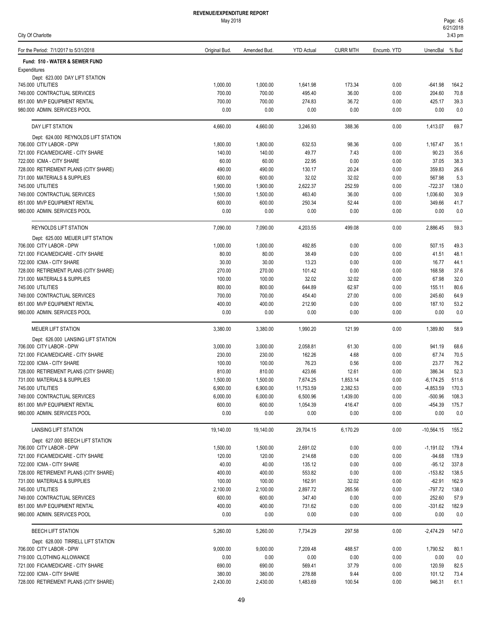|  |  | City Of Charlotte |  |
|--|--|-------------------|--|
|--|--|-------------------|--|

| For the Period: 7/1/2017 to 5/31/2018                          | Original Bud.      | Amended Bud        | <b>YTD Actual</b>  | <b>CURR MTH</b> | Encumb. YTD  | UnencBal % Bud        |                |
|----------------------------------------------------------------|--------------------|--------------------|--------------------|-----------------|--------------|-----------------------|----------------|
| Fund: 510 - WATER & SEWER FUND                                 |                    |                    |                    |                 |              |                       |                |
| Expenditures                                                   |                    |                    |                    |                 |              |                       |                |
| Dept: 623.000 DAY LIFT STATION                                 |                    |                    |                    |                 |              |                       |                |
| 745.000 UTILITIES                                              | 1,000.00           | 1,000.00           | 1,641.98           | 173.34          | 0.00         | $-641.98$             | 164.2          |
| 749.000 CONTRACTUAL SERVICES                                   | 700.00             | 700.00             | 495.40             | 36.00           | 0.00         | 204.60                | 70.8           |
| 851.000 MVP EQUIPMENT RENTAL                                   | 700.00             | 700.00             | 274.83             | 36.72           | 0.00         | 425.17                | 39.3           |
| 980.000 ADMIN. SERVICES POOL                                   | 0.00               | 0.00               | 0.00               | 0.00            | 0.00         | 0.00                  | 0.0            |
| DAY LIFT STATION                                               | 4,660.00           | 4,660.00           | 3,246.93           | 388.36          | 0.00         | 1,413.07              | 69.7           |
| Dept: 624.000 REYNOLDS LIFT STATION                            |                    |                    |                    |                 |              |                       |                |
| 706.000 CITY LABOR - DPW                                       | 1,800.00           | 1,800.00           | 632.53             | 98.36           | 0.00         | 1,167.47              | 35.1           |
| 721.000 FICA/MEDICARE - CITY SHARE                             | 140.00             | 140.00             | 49.77              | 7.43            | 0.00         | 90.23                 | 35.6           |
| 722.000 ICMA - CITY SHARE                                      | 60.00              | 60.00              | 22.95              | 0.00            | 0.00         | 37.05                 | 38.3           |
| 728.000 RETIREMENT PLANS (CITY SHARE)                          | 490.00             | 490.00             | 130.17             | 20.24           | 0.00         | 359.83                | 26.6<br>5.3    |
| 731.000 MATERIALS & SUPPLIES<br>745.000 UTILITIES              | 600.00<br>1,900.00 | 600.00<br>1,900.00 | 32.02<br>2,622.37  | 32.02<br>252.59 | 0.00<br>0.00 | 567.98<br>$-722.37$   | 138.0          |
| 749.000 CONTRACTUAL SERVICES                                   | 1,500.00           | 1,500.00           | 463.40             | 36.00           | 0.00         | 1,036.60              | 30.9           |
| 851.000 MVP EQUIPMENT RENTAL                                   | 600.00             | 600.00             | 250.34             | 52.44           | 0.00         | 349.66                | 41.7           |
| 980.000 ADMIN. SERVICES POOL                                   | 0.00               | 0.00               | 0.00               | 0.00            | 0.00         | 0.00                  | 0.0            |
| REYNOLDS LIFT STATION                                          | 7,090.00           | 7,090.00           | 4,203.55           | 499.08          | 0.00         | 2,886.45              | 59.3           |
| Dept: 625.000 MEIJER LIFT STATION                              |                    |                    |                    |                 |              |                       |                |
| 706.000 CITY LABOR - DPW                                       | 1,000.00           | 1,000.00           | 492.85             | 0.00            | 0.00         | 507.15                | 49.3           |
| 721.000 FICA/MEDICARE - CITY SHARE                             | 80.00              | 80.00              | 38.49              | 0.00            | 0.00         | 41.51                 | 48.1           |
| 722.000 ICMA - CITY SHARE                                      | 30.00              | 30.00              | 13.23              | 0.00            | 0.00         | 16.77                 | 44.1           |
| 728.000 RETIREMENT PLANS (CITY SHARE)                          | 270.00             | 270.00             | 101.42             | 0.00            | 0.00         | 168.58                | 37.6           |
| 731.000 MATERIALS & SUPPLIES                                   | 100.00             | 100.00             | 32.02              | 32.02           | 0.00         | 67.98                 | 32.0           |
| 745.000 UTILITIES                                              | 800.00             | 800.00             | 644.89             | 62.97           | 0.00         | 155.11                | 80.6           |
| 749.000 CONTRACTUAL SERVICES                                   | 700.00             | 700.00             | 454.40             | 27.00           | 0.00         | 245.60                | 64.9           |
| 851.000 MVP EQUIPMENT RENTAL                                   | 400.00             | 400.00             | 212.90             | 0.00            | 0.00         | 187.10                | 53.2           |
| 980.000 ADMIN. SERVICES POOL                                   | 0.00               | 0.00               | 0.00               | 0.00            | 0.00         | 0.00                  | 0.0            |
| <b>MEIJER LIFT STATION</b>                                     | 3,380.00           | 3,380.00           | 1,990.20           | 121.99          | 0.00         | 1,389.80              | 58.9           |
| Dept: 626.000 LANSING LIFT STATION<br>706.000 CITY LABOR - DPW |                    |                    |                    |                 |              |                       |                |
| 721.000 FICA/MEDICARE - CITY SHARE                             | 3,000.00<br>230.00 | 3,000.00<br>230.00 | 2,058.81<br>162.26 | 61.30<br>4.68   | 0.00<br>0.00 | 941.19<br>67.74       | 68.6<br>70.5   |
| 722.000 ICMA - CITY SHARE                                      | 100.00             | 100.00             | 76.23              | 0.56            | 0.00         | 23.77                 | 76.2           |
| 728.000 RETIREMENT PLANS (CITY SHARE)                          | 810.00             | 810.00             | 423.66             | 12.61           | 0.00         | 386.34                | 52.3           |
| 731.000 MATERIALS & SUPPLIES                                   | 1,500.00           | 1,500.00           | 7,674.25           | 1,853.14        | 0.00         | $-6,174.25$           | 511.6          |
| 745.000 UTILITIES                                              | 6,900.00           | 6,900.00           | 11,753.59          | 2,382.53        | 0.00         | $-4,853.59$           | 170.3          |
| 749.000 CONTRACTUAL SERVICES                                   | 6,000.00           | 6,000.00           | 6,500.96           | 1,439.00        | 0.00         | $-500.96$             | 108.3          |
| 851.000 MVP EQUIPMENT RENTAL                                   | 600.00             | 600.00             | 1,054.39           | 416.47          | 0.00         | $-454.39$             | 175.7          |
| 980.000 ADMIN. SERVICES POOL                                   | 0.00               | 0.00               | 0.00               | 0.00            | 0.00         | 0.00                  | 0.0            |
| LANSING LIFT STATION                                           | 19,140.00          | 19,140.00          | 29,704.15          | 6,170.29        | 0.00         | $-10,564.15$          | 155.2          |
| Dept: 627.000 BEECH LIFT STATION                               |                    |                    |                    |                 |              |                       |                |
| 706.000 CITY LABOR - DPW                                       | 1,500.00           | 1,500.00           | 2,691.02           | 0.00            | 0.00         | $-1,191.02$           | 179.4          |
| 721.000 FICA/MEDICARE - CITY SHARE                             | 120.00             | 120.00             | 214.68             | 0.00            | 0.00         | $-94.68$              | 178.9          |
| 722.000 ICMA - CITY SHARE                                      | 40.00              | 40.00              | 135.12             | 0.00            | 0.00         | $-95.12$              | 337.8          |
| 728.000 RETIREMENT PLANS (CITY SHARE)                          | 400.00             | 400.00             | 553.82             | 0.00            | 0.00         | $-153.82$             | 138.5          |
| 731.000 MATERIALS & SUPPLIES<br>745.000 UTILITIES              | 100.00<br>2,100.00 | 100.00<br>2,100.00 | 162.91<br>2,897.72 | 32.02<br>265.56 | 0.00<br>0.00 | $-62.91$<br>$-797.72$ | 162.9<br>138.0 |
| 749.000 CONTRACTUAL SERVICES                                   | 600.00             | 600.00             | 347.40             | 0.00            | 0.00         | 252.60                | 57.9           |
| 851.000 MVP EQUIPMENT RENTAL                                   | 400.00             | 400.00             | 731.62             | 0.00            | 0.00         | $-331.62$             | 182.9          |
| 980.000 ADMIN. SERVICES POOL                                   | 0.00               | 0.00               | 0.00               | 0.00            | 0.00         | 0.00                  | 0.0            |
| <b>BEECH LIFT STATION</b>                                      | 5,260.00           | 5,260.00           | 7,734.29           | 297.58          | 0.00         | $-2,474.29$           | 147.0          |
| Dept: 628.000 TIRRELL LIFT STATION                             |                    |                    |                    |                 |              |                       |                |
| 706.000 CITY LABOR - DPW                                       | 9,000.00           | 9,000.00           | 7,209.48           | 488.57          | 0.00         | 1,790.52              | 80.1           |
| 719.000 CLOTHING ALLOWANCE                                     | 0.00               | 0.00               | 0.00               | 0.00            | 0.00         | 0.00                  | 0.0            |
| 721.000 FICA/MEDICARE - CITY SHARE                             | 690.00             | 690.00             | 569.41             | 37.79           | 0.00         | 120.59                | 82.5           |
| 722.000 ICMA - CITY SHARE                                      | 380.00             | 380.00             | 278.88             | 9.44            | 0.00         | 101.12                | 73.4           |
| 728.000 RETIREMENT PLANS (CITY SHARE)                          | 2,430.00           | 2,430.00           | 1,483.69           | 100.54          | 0.00         | 946.31                | 61.1           |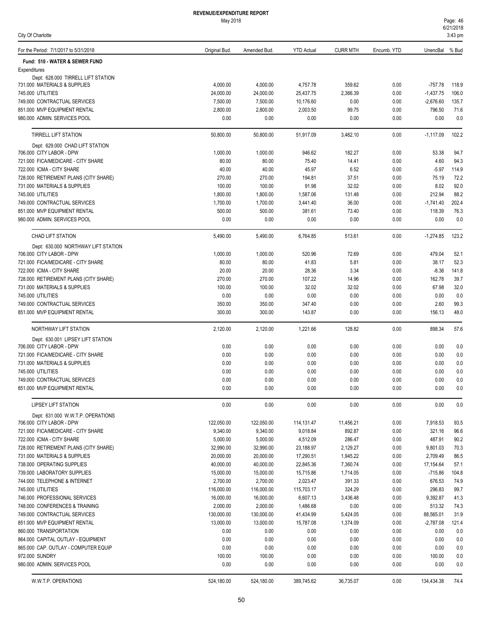|  |  | City Of Charlotte |  |
|--|--|-------------------|--|
|--|--|-------------------|--|

| For the Period: 7/1/2017 to 5/31/2018                                 | Original Bud.           | Amended Bud.            | <b>YTD Actual</b>      | <b>CURR MTH</b>      | Encumb. YTD  | UnencBal % Bud             |                |
|-----------------------------------------------------------------------|-------------------------|-------------------------|------------------------|----------------------|--------------|----------------------------|----------------|
| Fund: 510 - WATER & SEWER FUND                                        |                         |                         |                        |                      |              |                            |                |
| Expenditures                                                          |                         |                         |                        |                      |              |                            |                |
| Dept: 628.000 TIRRELL LIFT STATION                                    |                         |                         |                        |                      |              |                            |                |
| 731.000 MATERIALS & SUPPLIES                                          | 4,000.00                | 4,000.00                | 4,757.78               | 359.62               | 0.00         | $-757.78$                  | 118.9          |
| 745.000 UTILITIES<br>749.000 CONTRACTUAL SERVICES                     | 24,000.00<br>7,500.00   | 24,000.00<br>7,500.00   | 25,437.75<br>10,176.60 | 2,366.39<br>0.00     | 0.00<br>0.00 | $-1,437.75$<br>$-2,676.60$ | 106.0<br>135.7 |
| 851.000 MVP EQUIPMENT RENTAL                                          | 2,800.00                | 2,800.00                | 2,003.50               | 99.75                | 0.00         | 796.50                     | 71.6           |
| 980.000 ADMIN. SERVICES POOL                                          | 0.00                    | 0.00                    | 0.00                   | 0.00                 | 0.00         | 0.00                       | 0.0            |
|                                                                       |                         |                         |                        |                      |              |                            |                |
| <b>TIRRELL LIFT STATION</b>                                           | 50,800.00               | 50,800.00               | 51,917.09              | 3,462.10             | 0.00         | $-1,117.09$                | 102.2          |
| Dept: 629.000 CHAD LIFT STATION<br>706.000 CITY LABOR - DPW           | 1,000.00                | 1,000.00                | 946.62                 | 182.27               | 0.00         | 53.38                      | 94.7           |
| 721.000 FICA/MEDICARE - CITY SHARE                                    | 80.00                   | 80.00                   | 75.40                  | 14.41                | 0.00         | 4.60                       | 94.3           |
| 722.000 ICMA - CITY SHARE                                             | 40.00                   | 40.00                   | 45.97                  | 6.52                 | 0.00         | $-5.97$                    | 114.9          |
| 728.000 RETIREMENT PLANS (CITY SHARE)                                 | 270.00                  | 270.00                  | 194.81                 | 37.51                | 0.00         | 75.19                      | 72.2           |
| 731.000 MATERIALS & SUPPLIES                                          | 100.00                  | 100.00                  | 91.98                  | 32.02                | 0.00         | 8.02                       | 92.0           |
| 745.000 UTILITIES                                                     | 1,800.00                | 1,800.00                | 1,587.06               | 131.48               | 0.00         | 212.94                     | 88.2           |
| 749.000 CONTRACTUAL SERVICES                                          | 1,700.00                | 1,700.00                | 3,441.40               | 36.00                | 0.00         | $-1,741.40$                | 202.4          |
| 851.000 MVP EQUIPMENT RENTAL                                          | 500.00                  | 500.00                  | 381.61                 | 73.40                | 0.00         | 118.39                     | 76.3           |
| 980.000 ADMIN. SERVICES POOL                                          | 0.00                    | 0.00                    | 0.00                   | 0.00                 | 0.00         | 0.00                       | 0.0            |
| <b>CHAD LIFT STATION</b>                                              | 5,490.00                | 5,490.00                | 6,764.85               | 513.61               | 0.00         | $-1,274.85$                | 123.2          |
| Dept: 630.000 NORTHWAY LIFT STATION                                   |                         |                         |                        |                      |              |                            |                |
| 706.000 CITY LABOR - DPW                                              | 1,000.00                | 1,000.00                | 520.96                 | 72.69                | 0.00         | 479.04                     | 52.1           |
| 721.000 FICA/MEDICARE - CITY SHARE                                    | 80.00                   | 80.00                   | 41.83                  | 5.81                 | 0.00         | 38.17                      | 52.3           |
| 722.000 ICMA - CITY SHARE                                             | 20.00                   | 20.00                   | 28.36                  | 3.34                 | 0.00         | $-8.36$                    | 141.8          |
| 728.000 RETIREMENT PLANS (CITY SHARE)<br>731.000 MATERIALS & SUPPLIES | 270.00<br>100.00        | 270.00<br>100.00        | 107.22<br>32.02        | 14.96<br>32.02       | 0.00<br>0.00 | 162.78<br>67.98            | 39.7<br>32.0   |
| 745.000 UTILITIES                                                     | 0.00                    | 0.00                    | 0.00                   | 0.00                 | 0.00         | 0.00                       | 0.0            |
| 749.000 CONTRACTUAL SERVICES                                          | 350.00                  | 350.00                  | 347.40                 | 0.00                 | 0.00         | 2.60                       | 99.3           |
| 851.000 MVP EQUIPMENT RENTAL                                          | 300.00                  | 300.00                  | 143.87                 | 0.00                 | 0.00         | 156.13                     | 48.0           |
| NORTHWAY LIFT STATION                                                 | 2,120.00                | 2,120.00                | 1,221.66               | 128.82               | 0.00         | 898.34                     | 57.6           |
| Dept: 630.001 LIPSEY LIFT STATION                                     |                         |                         |                        |                      |              |                            |                |
| 706.000 CITY LABOR - DPW                                              | 0.00                    | 0.00                    | 0.00                   | 0.00                 | 0.00         | 0.00                       | 0.0            |
| 721.000 FICA/MEDICARE - CITY SHARE                                    | 0.00                    | 0.00                    | 0.00                   | 0.00                 | 0.00         | 0.00                       | 0.0            |
| 731.000 MATERIALS & SUPPLIES                                          | 0.00                    | 0.00                    | 0.00                   | 0.00                 | 0.00         | 0.00                       | 0.0            |
| 745.000 UTILITIES                                                     | 0.00<br>0.00            | 0.00<br>0.00            | 0.00<br>0.00           | 0.00<br>0.00         | 0.00<br>0.00 | 0.00<br>0.00               | 0.0            |
| 749.000 CONTRACTUAL SERVICES<br>851.000 MVP EQUIPMENT RENTAL          | 0.00                    | 0.00                    | 0.00                   | 0.00                 | 0.00         | 0.00                       | 0.0<br>0.0     |
|                                                                       |                         |                         |                        |                      |              |                            |                |
| <b>LIPSEY LIFT STATION</b><br>Dept: 631.000 W.W.T.P. OPERATIONS       | 0.00                    | 0.00                    | 0.00                   | 0.00                 | 0.00         | 0.00                       | 0.0            |
| 706,000 CITY LABOR - DPW                                              | 122,050.00              | 122,050.00              | 114, 131. 47           | 11,456.21            | 0.00         | 7,918.53                   | 93.5           |
| 721.000 FICA/MEDICARE - CITY SHARE                                    | 9,340.00                | 9,340.00                | 9,018.84               | 892.87               | 0.00         | 321.16                     | 96.6           |
| 722.000 ICMA - CITY SHARE                                             | 5,000.00                | 5,000.00                | 4,512.09               | 286.47               | 0.00         | 487.91                     | 90.2           |
| 728.000 RETIREMENT PLANS (CITY SHARE)                                 | 32,990.00               | 32,990.00               | 23,188.97              | 2,129.27             | 0.00         | 9,801.03                   | 70.3           |
| 731.000 MATERIALS & SUPPLIES                                          | 20,000.00               | 20,000.00               | 17,290.51              | 1,945.22             | 0.00         | 2,709.49                   | 86.5           |
| 738.000 OPERATING SUPPLIES                                            | 40,000.00               | 40,000.00               | 22,845.36              | 7,360.74             | 0.00         | 17,154.64                  | 57.1           |
| 739.000 LABORATORY SUPPLIES                                           | 15,000.00               | 15,000.00               | 15,715.86              | 1,714.05             | 0.00         | $-715.86$                  | 104.8          |
| 744.000 TELEPHONE & INTERNET                                          | 2,700.00                | 2,700.00                | 2,023.47               | 391.33               | 0.00         | 676.53                     | 74.9           |
| 745.000 UTILITIES                                                     | 116,000.00              | 116,000.00              | 115,703.17             | 324.29               | 0.00         | 296.83                     | 99.7           |
| 746.000 PROFESSIONAL SERVICES                                         | 16,000.00               | 16,000.00               | 6,607.13               | 3,436.48             | 0.00         | 9,392.87                   | 41.3           |
| 748.000 CONFERENCES & TRAINING                                        | 2,000.00                | 2,000.00                | 1,486.68               | 0.00                 | 0.00         | 513.32                     | 74.3           |
| 749.000 CONTRACTUAL SERVICES<br>851.000 MVP EQUIPMENT RENTAL          | 130,000.00<br>13,000.00 | 130,000.00<br>13,000.00 | 41,434.99<br>15,787.08 | 5,424.05<br>1,374.09 | 0.00<br>0.00 | 88,565.01<br>$-2,787.08$   | 31.9<br>121.4  |
| 860.000 TRANSPORTATION                                                | 0.00                    | 0.00                    | 0.00                   | 0.00                 | 0.00         | 0.00                       | 0.0            |
| 864.000 CAPITAL OUTLAY - EQUIPMENT                                    | 0.00                    | 0.00                    | 0.00                   | 0.00                 | 0.00         | 0.00                       | 0.0            |
| 865.000 CAP. OUTLAY - COMPUTER EQUIP                                  | 0.00                    | 0.00                    | 0.00                   | 0.00                 | 0.00         | 0.00                       | 0.0            |
| 972.000 SUNDRY                                                        | 100.00                  | 100.00                  | 0.00                   | 0.00                 | 0.00         | 100.00                     | 0.0            |
| 980.000 ADMIN. SERVICES POOL                                          | 0.00                    | 0.00                    | 0.00                   | 0.00                 | 0.00         | 0.00                       | 0.0            |
| W.W.T.P. OPERATIONS                                                   | 524,180.00              | 524,180.00              | 389,745.62             | 36,735.07            | 0.00         | 134,434.38                 | 74.4           |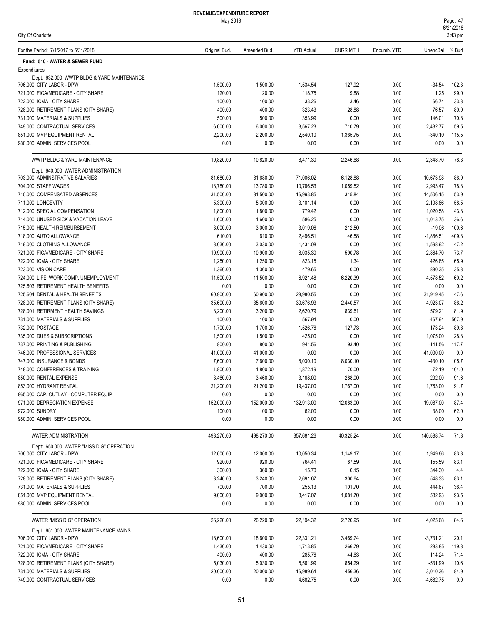### May 2018

City Of Charlotte

| For the Period: 7/1/2017 to 5/31/2018                                  | Original Bud.         | Amended Bud.          | <b>YTD Actual</b>     | <b>CURR MTH</b>  | Encumb. YTD  | UnencBal % Bud        |               |
|------------------------------------------------------------------------|-----------------------|-----------------------|-----------------------|------------------|--------------|-----------------------|---------------|
| Fund: 510 - WATER & SEWER FUND                                         |                       |                       |                       |                  |              |                       |               |
| Expenditures                                                           |                       |                       |                       |                  |              |                       |               |
| Dept: 632.000 WWTP BLDG & YARD MAINTENANCE<br>706.000 CITY LABOR - DPW | 1,500.00              | 1,500.00              | 1,534.54              | 127.92           | 0.00         | $-34.54$              | 102.3         |
| 721.000 FICA/MEDICARE - CITY SHARE                                     | 120.00                | 120.00                | 118.75                | 9.88             | 0.00         | 1.25                  | 99.0          |
| 722.000 ICMA - CITY SHARE                                              | 100.00                | 100.00                | 33.26                 | 3.46             | 0.00         | 66.74                 | 33.3          |
| 728.000 RETIREMENT PLANS (CITY SHARE)                                  | 400.00                | 400.00                | 323.43                | 28.88            | 0.00         | 76.57                 | 80.9          |
| 731.000 MATERIALS & SUPPLIES                                           | 500.00                | 500.00                | 353.99                | 0.00             | 0.00         | 146.01                | 70.8          |
| 749.000 CONTRACTUAL SERVICES                                           | 6,000.00              | 6,000.00              | 3,567.23              | 710.79           | 0.00         | 2,432.77              | 59.5          |
| 851.000 MVP EQUIPMENT RENTAL                                           | 2,200.00              | 2,200.00              | 2,540.10              | 1,365.75         | 0.00         | $-340.10$             | 115.5         |
| 980.000 ADMIN. SERVICES POOL                                           | 0.00                  | 0.00                  | 0.00                  | 0.00             | 0.00         | 0.00                  | 0.0           |
| WWTP BLDG & YARD MAINTENANCE                                           | 10,820.00             | 10,820.00             | 8,471.30              | 2,246.68         | 0.00         | 2,348.70              | 78.3          |
| Dept: 640.000 WATER ADMINISTRATION                                     |                       |                       |                       |                  |              |                       |               |
| 703.000 ADMINSTRATIVE SALARIES                                         | 81,680.00             | 81,680.00             | 71,006.02             | 6,128.88         | 0.00         | 10,673.98             | 86.9          |
| 704.000 STAFF WAGES                                                    | 13,780.00             | 13,780.00             | 10,786.53             | 1,059.52         | 0.00         | 2,993.47              | 78.3          |
| 710.000 COMPENSATED ABSENCES                                           | 31,500.00             | 31,500.00             | 16,993.85             | 315.84           | 0.00         | 14,506.15             | 53.9          |
| 711.000 LONGEVITY                                                      | 5,300.00              | 5,300.00              | 3,101.14              | 0.00             | 0.00         | 2,198.86              | 58.5          |
| 712.000 SPECIAL COMPENSATION                                           | 1,800.00              | 1,800.00              | 779.42                | 0.00             | 0.00         | 1,020.58              | 43.3          |
| 714.000 UNUSED SICK & VACATION LEAVE<br>715.000 HEALTH REIMBURSEMENT   | 1,600.00<br>3,000.00  | 1,600.00<br>3,000.00  | 586.25<br>3,019.06    | 0.00<br>212.50   | 0.00<br>0.00 | 1,013.75<br>$-19.06$  | 36.6<br>100.6 |
| 718.000 AUTO ALLOWANCE                                                 | 610.00                | 610.00                |                       | 46.58            | 0.00         | $-1,886.51$           | 409.3         |
| 719.000 CLOTHING ALLOWANCE                                             | 3,030.00              | 3,030.00              | 2,496.51<br>1,431.08  | 0.00             | 0.00         | 1,598.92              | 47.2          |
| 721.000 FICA/MEDICARE - CITY SHARE                                     | 10,900.00             | 10,900.00             | 8,035.30              | 590.78           | 0.00         | 2,864.70              | 73.7          |
| 722.000 ICMA - CITY SHARE                                              | 1,250.00              | 1,250.00              | 823.15                | 11.34            | 0.00         | 426.85                | 65.9          |
| 723.000 VISION CARE                                                    | 1,360.00              | 1,360.00              | 479.65                | 0.00             | 0.00         | 880.35                | 35.3          |
| 724.000 LIFE, WORK COMP, UNEMPLOYMENT                                  | 11,500.00             | 11,500.00             | 6,921.48              | 6,220.39         | 0.00         | 4,578.52              | 60.2          |
| 725.603 RETIREMENT HEALTH BENEFITS                                     | 0.00                  | 0.00                  | 0.00                  | 0.00             | 0.00         | 0.00                  | 0.0           |
| 725.604 DENTAL & HEALTH BENEFITS                                       | 60,900.00             | 60,900.00             | 28,980.55             | 0.00             | 0.00         | 31,919.45             | 47.6          |
| 728.000 RETIREMENT PLANS (CITY SHARE)                                  | 35,600.00             | 35,600.00             | 30,676.93             | 2,440.57         | 0.00         | 4,923.07              | 86.2          |
| 728.001 RETIRMENT HEALTH SAVINGS                                       | 3,200.00              | 3,200.00              | 2,620.79              | 839.61           | 0.00         | 579.21                | 81.9          |
| 731.000 MATERIALS & SUPPLIES                                           | 100.00                | 100.00                | 567.94                | 0.00             | 0.00         | -467.94               | 567.9         |
| 732.000 POSTAGE                                                        | 1,700.00              | 1,700.00              | 1,526.76              | 127.73           | 0.00         | 173.24                | 89.8          |
| 735.000 DUES & SUBSCRIPTIONS                                           | 1,500.00              | 1,500.00              | 425.00                | 0.00             | 0.00         | 1,075.00              | 28.3          |
| 737.000 PRINTING & PUBLISHING                                          | 800.00                | 800.00                | 941.56                | 93.40            | 0.00         | $-141.56$             | 117.7         |
| 746.000 PROFESSIONAL SERVICES                                          | 41,000.00             | 41,000.00             | 0.00                  | 0.00             | 0.00         | 41,000.00             | 0.0           |
| 747.000 INSURANCE & BONDS                                              | 7,600.00              | 7,600.00              | 8,030.10              | 8,030.10         | 0.00         | $-430.10$             | 105.7         |
| 748.000 CONFERENCES & TRAINING                                         | 1,800.00              | 1,800.00              | 1,872.19              | 70.00            | 0.00         | $-72.19$              | 104.0         |
| 850.000 RENTAL EXPENSE                                                 | 3,460.00              | 3,460.00              | 3,168.00              | 288.00           | 0.00         | 292.00                | 91.6          |
| 853.000 HYDRANT RENTAL                                                 | 21,200.00             | 21,200.00             | 19,437.00             | 1,767.00         | 0.00         | 1,763.00              | 91.7          |
| 865.000 CAP. OUTLAY - COMPUTER EQUIP                                   | 0.00                  | 0.00                  | 0.00                  | 0.00             | 0.00         | 0.00                  | 0.0           |
| 971.000 DEPRECIATION EXPENSE                                           | 152,000.00            | 152,000.00            | 132,913.00            | 12,083.00        | 0.00         | 19,087.00             | 87.4          |
| 972.000 SUNDRY<br>980.000 ADMIN. SERVICES POOL                         | 100.00<br>0.00        | 100.00<br>0.00        | 62.00<br>0.00         | 0.00<br>0.00     | 0.00<br>0.00 | 38.00<br>0.00         | 62.0<br>0.0   |
|                                                                        |                       |                       |                       |                  |              |                       |               |
| WATER ADMINISTRATION<br>Dept: 650.000 WATER "MISS DIG" OPERATION       | 498,270.00            | 498,270.00            | 357,681.26            | 40,325.24        | 0.00         | 140,588.74            | 71.8          |
| 706.000 CITY LABOR - DPW                                               | 12,000.00             | 12,000.00             | 10,050.34             | 1,149.17         | 0.00         | 1,949.66              | 83.8          |
| 721.000 FICA/MEDICARE - CITY SHARE                                     | 920.00                | 920.00                | 764.41                | 87.59            | 0.00         | 155.59                | 83.1          |
| 722.000 ICMA - CITY SHARE                                              | 360.00                | 360.00                | 15.70                 | 6.15             | 0.00         | 344.30                | 4.4           |
| 728.000 RETIREMENT PLANS (CITY SHARE)                                  | 3,240.00              | 3,240.00              | 2,691.67              | 300.64           | 0.00         | 548.33                | 83.1          |
| 731.000 MATERIALS & SUPPLIES                                           | 700.00                | 700.00                | 255.13                | 101.70           | 0.00         | 444.87                | 36.4          |
| 851.000 MVP EQUIPMENT RENTAL                                           | 9,000.00              | 9,000.00              | 8,417.07              | 1,081.70         | 0.00         | 582.93                | 93.5          |
| 980.000 ADMIN. SERVICES POOL                                           | 0.00                  | 0.00                  | 0.00                  | 0.00             | 0.00         | 0.00                  | 0.0           |
| WATER "MISS DIG" OPERATION                                             | 26,220.00             | 26,220.00             | 22,194.32             | 2,726.95         | 0.00         | 4,025.68              | 84.6          |
| Dept: 651.000 WATER MAINTENANCE MAINS                                  |                       |                       |                       |                  |              |                       |               |
| 706.000 CITY LABOR - DPW                                               | 18,600.00             | 18,600.00             | 22,331.21             | 3,469.74         | 0.00         | $-3,731.21$           | 120.1         |
| 721.000 FICA/MEDICARE - CITY SHARE                                     | 1,430.00              | 1,430.00              | 1,713.85              | 266.79           | 0.00         | $-283.85$             | 119.8         |
| 722.000 ICMA - CITY SHARE                                              | 400.00                | 400.00                | 285.76                | 44.63            | 0.00         | 114.24                | 71.4          |
| 728.000 RETIREMENT PLANS (CITY SHARE)<br>731.000 MATERIALS & SUPPLIES  | 5,030.00<br>20,000.00 | 5,030.00<br>20,000.00 | 5,561.99<br>16,989.64 | 854.29<br>456.36 | 0.00<br>0.00 | $-531.99$<br>3,010.36 | 110.6<br>84.9 |
| 749.000 CONTRACTUAL SERVICES                                           | 0.00                  | 0.00                  | 4,682.75              | 0.00             | 0.00         | $-4,682.75$           | 0.0           |
|                                                                        |                       |                       |                       |                  |              |                       |               |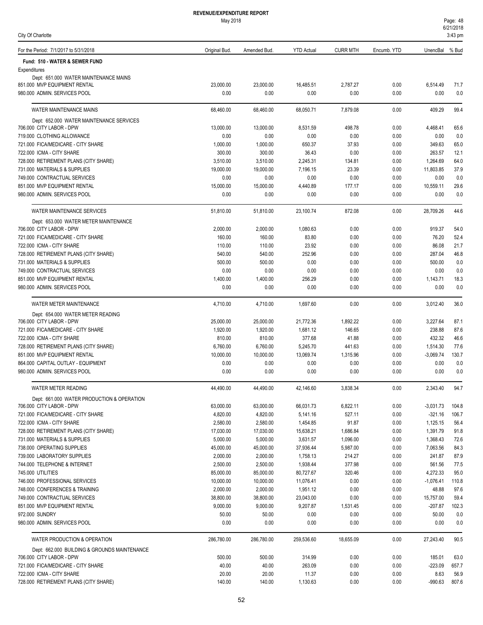52

| REVENUE/EXPENDITURE REPORT |  |
|----------------------------|--|
| $M_{21}$ , $0040$          |  |

| City Of Charlotte                                                     |                       |                       |                       |                 |              |                         | $3:43$ pm     |
|-----------------------------------------------------------------------|-----------------------|-----------------------|-----------------------|-----------------|--------------|-------------------------|---------------|
| For the Period: 7/1/2017 to 5/31/2018                                 | Original Bud.         | Amended Bud.          | <b>YTD Actual</b>     | <b>CURR MTH</b> | Encumb. YTD  | UnencBal % Bud          |               |
| Fund: 510 - WATER & SEWER FUND                                        |                       |                       |                       |                 |              |                         |               |
| Expenditures                                                          |                       |                       |                       |                 |              |                         |               |
| Dept: 651.000 WATER MAINTENANCE MAINS<br>851.000 MVP EQUIPMENT RENTAL | 23,000.00             | 23.000.00             | 16,485.51             | 2,787.27        | 0.00         | 6,514.49                | 71.7          |
| 980.000 ADMIN. SERVICES POOL                                          | 0.00                  | 0.00                  | 0.00                  | 0.00            | 0.00         | 0.00                    | 0.0           |
| WATER MAINTENANCE MAINS                                               | 68,460.00             | 68,460.00             | 68,050.71             | 7,879.08        | 0.00         | 409.29                  | 99.4          |
| Dept: 652.000 WATER MAINTENANCE SERVICES                              |                       |                       |                       |                 |              |                         |               |
| 706.000 CITY LABOR - DPW                                              | 13,000.00             | 13,000.00             | 8,531.59              | 498.78          | 0.00         | 4,468.41                | 65.6          |
| 719.000 CLOTHING ALLOWANCE                                            | 0.00                  | 0.00                  | 0.00                  | 0.00            | 0.00         | 0.00                    | 0.0           |
| 721.000 FICA/MEDICARE - CITY SHARE                                    | 1,000.00              | 1,000.00              | 650.37                | 37.93           | 0.00         | 349.63                  | 65.0          |
| 722.000 ICMA - CITY SHARE                                             | 300.00                | 300.00                | 36.43                 | 0.00            | 0.00         | 263.57                  | 12.1          |
| 728.000 RETIREMENT PLANS (CITY SHARE)                                 | 3,510.00              | 3,510.00              | 2,245.31              | 134.81          | 0.00         | 1,264.69                | 64.0          |
| 731.000 MATERIALS & SUPPLIES                                          | 19,000.00             | 19,000.00             | 7,196.15              | 23.39           | 0.00         | 11,803.85               | 37.9          |
| 749.000 CONTRACTUAL SERVICES                                          | 0.00                  | 0.00                  | 0.00                  | 0.00            | 0.00         | 0.00                    | 0.0           |
| 851.000 MVP EQUIPMENT RENTAL                                          | 15,000.00             | 15,000.00             | 4,440.89              | 177.17          | 0.00         | 10,559.11               | 29.6          |
| 980.000 ADMIN. SERVICES POOL                                          | 0.00                  | 0.00                  | 0.00                  | 0.00            | 0.00         | 0.00                    | 0.0           |
| <b>WATER MAINTENANCE SERVICES</b>                                     | 51,810.00             | 51,810.00             | 23,100.74             | 872.08          | 0.00         | 28,709.26               | 44.6          |
| Dept: 653.000 WATER METER MAINTENANCE                                 |                       |                       |                       |                 |              |                         |               |
| 706.000 CITY LABOR - DPW                                              | 2,000.00              | 2,000.00              | 1,080.63              | 0.00            | 0.00         | 919.37                  | 54.0          |
| 721.000 FICA/MEDICARE - CITY SHARE                                    | 160.00                | 160.00                | 83.80                 | 0.00            | 0.00         | 76.20                   | 52.4          |
| 722.000 ICMA - CITY SHARE                                             | 110.00                | 110.00                | 23.92                 | 0.00            | 0.00         | 86.08                   | 21.7          |
| 728.000 RETIREMENT PLANS (CITY SHARE)                                 | 540.00                | 540.00                | 252.96                | 0.00            | 0.00         | 287.04                  | 46.8          |
| 731.000 MATERIALS & SUPPLIES<br>749.000 CONTRACTUAL SERVICES          | 500.00                | 500.00                | 0.00<br>0.00          | 0.00            | 0.00         | 500.00<br>0.00          | 0.0           |
| 851.000 MVP EQUIPMENT RENTAL                                          | 0.00<br>1,400.00      | 0.00<br>1,400.00      | 256.29                | 0.00<br>0.00    | 0.00<br>0.00 | 1,143.71                | 0.0<br>18.3   |
| 980.000 ADMIN. SERVICES POOL                                          | 0.00                  | 0.00                  | 0.00                  | 0.00            | 0.00         | 0.00                    | 0.0           |
|                                                                       |                       |                       |                       |                 |              |                         |               |
| WATER METER MAINTENANCE                                               | 4,710.00              | 4,710.00              | 1,697.60              | 0.00            | 0.00         | 3,012.40                | 36.0          |
| Dept: 654.000 WATER METER READING<br>706.000 CITY LABOR - DPW         | 25,000.00             | 25,000.00             | 21,772.36             | 1,892.22        | 0.00         | 3,227.64                | 87.1          |
| 721.000 FICA/MEDICARE - CITY SHARE                                    | 1,920.00              | 1,920.00              | 1,681.12              | 146.65          | 0.00         | 238.88                  | 87.6          |
| 722.000 ICMA - CITY SHARE                                             | 810.00                | 810.00                | 377.68                | 41.88           | 0.00         | 432.32                  | 46.6          |
| 728.000 RETIREMENT PLANS (CITY SHARE)                                 | 6,760.00              | 6,760.00              | 5,245.70              | 441.63          | 0.00         | 1,514.30                | 77.6          |
| 851.000 MVP EQUIPMENT RENTAL                                          | 10,000.00             | 10,000.00             | 13,069.74             | 1,315.96        | 0.00         | $-3,069.74$             | 130.7         |
| 864.000 CAPITAL OUTLAY - EQUIPMENT                                    | 0.00                  | 0.00                  | 0.00                  | 0.00            | 0.00         | 0.00                    | 0.0           |
| 980.000 ADMIN. SERVICES POOL                                          | 0.00                  | 0.00                  | 0.00                  | 0.00            | 0.00         | 0.00                    | 0.0           |
| WATER METER READING                                                   | 44,490.00             | 44,490.00             | 42,146.60             | 3,838.34        | 0.00         | 2,343.40                | 94.7          |
| Dept: 661.000 WATER PRODUCTION & OPERATION                            |                       |                       |                       |                 |              |                         |               |
| 706.000 CITY LABOR - DPW                                              | 63,000.00             | 63,000.00             | 66,031.73             | 6,822.11        | 0.00         | $-3,031.73$             | 104.8         |
| 721.000 FICA/MEDICARE - CITY SHARE                                    | 4,820.00              | 4,820.00              | 5,141.16              | 527.11          | 0.00         | $-321.16$               | 106.7         |
| 722.000 ICMA - CITY SHARE                                             | 2,580.00              | 2,580.00              | 1,454.85              | 91.87           | 0.00         | 1,125.15                | 56.4          |
| 728.000 RETIREMENT PLANS (CITY SHARE)                                 | 17,030.00             | 17,030.00             | 15,638.21             | 1,686.84        | 0.00         | 1,391.79                | 91.8          |
| 731.000 MATERIALS & SUPPLIES                                          | 5,000.00              | 5,000.00              | 3,631.57              | 1,096.00        | 0.00         | 1,368.43                | 72.6          |
| 738.000 OPERATING SUPPLIES                                            | 45,000.00             | 45,000.00             | 37,936.44             | 5,987.00        | 0.00         | 7,063.56                | 84.3          |
| 739.000 LABORATORY SUPPLIES                                           | 2,000.00              | 2,000.00              | 1,758.13              | 214.27          | 0.00         | 241.87                  | 87.9          |
| 744.000 TELEPHONE & INTERNET                                          | 2,500.00              | 2,500.00              | 1,938.44              | 377.98          | 0.00         | 561.56                  | 77.5          |
| 745.000 UTILITIES                                                     | 85,000.00             | 85,000.00             | 80,727.67             | 320.46          | 0.00         | 4,272.33<br>$-1,076.41$ | 95.0<br>110.8 |
| 746.000 PROFESSIONAL SERVICES<br>748.000 CONFERENCES & TRAINING       | 10,000.00<br>2,000.00 | 10,000.00             | 11,076.41             | 0.00            | 0.00         | 48.88                   | 97.6          |
| 749.000 CONTRACTUAL SERVICES                                          | 38,800.00             | 2,000.00<br>38,800.00 | 1,951.12<br>23,043.00 | 0.00<br>0.00    | 0.00<br>0.00 | 15,757.00               | 59.4          |
| 851.000 MVP EQUIPMENT RENTAL                                          | 9,000.00              | 9,000.00              | 9,207.87              | 1,531.45        | 0.00         | $-207.87$               | 102.3         |
| 972.000 SUNDRY                                                        | 50.00                 | 50.00                 | 0.00                  | 0.00            | 0.00         | 50.00                   | 0.0           |
| 980.000 ADMIN. SERVICES POOL                                          | 0.00                  | 0.00                  | 0.00                  | 0.00            | 0.00         | 0.00                    | 0.0           |
| WATER PRODUCTION & OPERATION                                          | 286,780.00            | 286,780.00            | 259,536.60            | 18,655.09       | 0.00         | 27,243.40               | 90.5          |
| Dept: 662.000 BUILDING & GROUNDS MAINTENANCE                          |                       |                       |                       |                 |              |                         |               |
| 706.000 CITY LABOR - DPW                                              | 500.00                | 500.00                | 314.99                | 0.00            | 0.00         | 185.01                  | 63.0          |
| 721.000 FICA/MEDICARE - CITY SHARE                                    | 40.00                 | 40.00                 | 263.09                | 0.00            | 0.00         | $-223.09$               | 657.7         |
| 722.000 ICMA - CITY SHARE                                             | 20.00                 | 20.00                 | 11.37                 | 0.00            | 0.00         | 8.63                    | 56.9          |
| 728.000 RETIREMENT PLANS (CITY SHARE)                                 | 140.00                | 140.00                | 1,130.63              | 0.00            | 0.00         | $-990.63$               | 807.6         |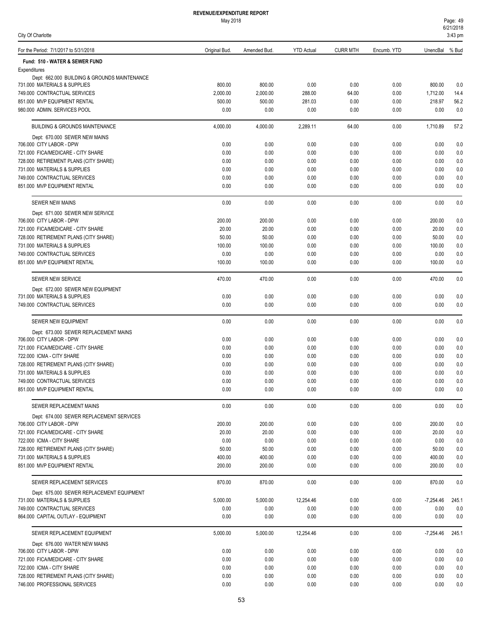May 2018

City Of Charlotte

| For the Period: 7/1/2017 to 5/31/2018                                     | Original Bud.      | Amended Bud.       | <b>YTD Actual</b> | <b>CURR MTH</b> | Encumb. YTD  | UnencBal % Bud     |             |
|---------------------------------------------------------------------------|--------------------|--------------------|-------------------|-----------------|--------------|--------------------|-------------|
| Fund: 510 - WATER & SEWER FUND                                            |                    |                    |                   |                 |              |                    |             |
| Expenditures                                                              |                    |                    |                   |                 |              |                    |             |
| Dept: 662.000 BUILDING & GROUNDS MAINTENANCE                              |                    |                    |                   |                 |              |                    |             |
| 731.000 MATERIALS & SUPPLIES<br>749.000 CONTRACTUAL SERVICES              | 800.00<br>2,000.00 | 800.00<br>2,000.00 | 0.00<br>288.00    | 0.00<br>64.00   | 0.00<br>0.00 | 800.00<br>1,712.00 | 0.0<br>14.4 |
| 851.000 MVP EQUIPMENT RENTAL                                              | 500.00             | 500.00             | 281.03            | 0.00            | 0.00         | 218.97             | 56.2        |
| 980.000 ADMIN. SERVICES POOL                                              | 0.00               | 0.00               | 0.00              | 0.00            | 0.00         | 0.00               | 0.0         |
|                                                                           |                    |                    |                   |                 |              |                    |             |
| <b>BUILDING &amp; GROUNDS MAINTENANCE</b>                                 | 4,000.00           | 4,000.00           | 2,289.11          | 64.00           | 0.00         | 1,710.89           | 57.2        |
| Dept: 670.000 SEWER NEW MAINS<br>706.000 CITY LABOR - DPW                 | 0.00               | 0.00               | 0.00              | 0.00            | 0.00         | 0.00               | 0.0         |
| 721.000 FICA/MEDICARE - CITY SHARE                                        | 0.00               | 0.00               | 0.00              | 0.00            | 0.00         | 0.00               | 0.0         |
| 728.000 RETIREMENT PLANS (CITY SHARE)                                     | 0.00               | 0.00               | 0.00              | 0.00            | 0.00         | 0.00               | 0.0         |
| 731.000 MATERIALS & SUPPLIES                                              | 0.00               | 0.00               | 0.00              | 0.00            | 0.00         | 0.00               | 0.0         |
| 749.000 CONTRACTUAL SERVICES                                              | 0.00               | 0.00               | 0.00              | 0.00            | 0.00         | 0.00               | 0.0         |
| 851.000 MVP EQUIPMENT RENTAL                                              | 0.00               | 0.00               | 0.00              | 0.00            | 0.00         | 0.00               | 0.0         |
| <b>SEWER NEW MAINS</b>                                                    | 0.00               | 0.00               | 0.00              | 0.00            | 0.00         | 0.00               | 0.0         |
| Dept: 671.000 SEWER NEW SERVICE                                           |                    |                    |                   |                 |              |                    |             |
| 706.000 CITY LABOR - DPW<br>721.000 FICA/MEDICARE - CITY SHARE            | 200.00<br>20.00    | 200.00<br>20.00    | 0.00<br>0.00      | 0.00<br>0.00    | 0.00<br>0.00 | 200.00<br>20.00    | 0.0<br>0.0  |
| 728.000 RETIREMENT PLANS (CITY SHARE)                                     | 50.00              | 50.00              | 0.00              | 0.00            | 0.00         | 50.00              | 0.0         |
| 731.000 MATERIALS & SUPPLIES                                              | 100.00             | 100.00             | 0.00              | 0.00            | 0.00         | 100.00             | 0.0         |
| 749.000 CONTRACTUAL SERVICES                                              | 0.00               | 0.00               | 0.00              | 0.00            | 0.00         | 0.00               | 0.0         |
| 851.000 MVP EQUIPMENT RENTAL                                              | 100.00             | 100.00             | 0.00              | 0.00            | 0.00         | 100.00             | 0.0         |
| <b>SEWER NEW SERVICE</b>                                                  | 470.00             | 470.00             | 0.00              | 0.00            | 0.00         | 470.00             | 0.0         |
| Dept: 672.000 SEWER NEW EQUIPMENT                                         |                    |                    |                   |                 |              |                    |             |
| 731.000 MATERIALS & SUPPLIES                                              | 0.00               | 0.00               | 0.00              | 0.00            | 0.00         | 0.00               | 0.0         |
| 749.000 CONTRACTUAL SERVICES                                              | 0.00               | 0.00               | 0.00              | 0.00            | 0.00         | 0.00               | 0.0         |
| SEWER NEW EQUIPMENT                                                       | 0.00               | 0.00               | 0.00              | 0.00            | 0.00         | 0.00               | 0.0         |
| Dept: 673.000 SEWER REPLACEMENT MAINS                                     |                    |                    |                   |                 |              |                    |             |
| 706.000 CITY LABOR - DPW                                                  | 0.00               | 0.00               | 0.00              | 0.00            | 0.00         | 0.00               | 0.0         |
| 721.000 FICA/MEDICARE - CITY SHARE                                        | 0.00               | 0.00               | 0.00              | 0.00            | 0.00         | 0.00               | 0.0         |
| 722.000 ICMA - CITY SHARE<br>728.000 RETIREMENT PLANS (CITY SHARE)        | 0.00<br>0.00       | 0.00<br>0.00       | 0.00<br>0.00      | 0.00<br>0.00    | 0.00<br>0.00 | 0.00<br>0.00       | 0.0<br>0.0  |
| 731.000 MATERIALS & SUPPLIES                                              | 0.00               | 0.00               | 0.00              | 0.00            | 0.00         | 0.00               | 0.0         |
| 749.000 CONTRACTUAL SERVICES                                              | 0.00               | 0.00               | 0.00              | 0.00            | 0.00         | 0.00               | 0.0         |
| 851.000 MVP EQUIPMENT RENTAL                                              | 0.00               | 0.00               | 0.00              | 0.00            | 0.00         | 0.00               | 0.0         |
| SEWER REPLACEMENT MAINS                                                   | 0.00               | 0.00               | 0.00              | 0.00            | 0.00         | 0.00               | 0.0         |
| Dept: 674.000 SEWER REPLACEMENT SERVICES                                  |                    |                    |                   |                 |              |                    |             |
| 706.000 CITY LABOR - DPW                                                  | 200.00             | 200.00             | 0.00              | 0.00            | 0.00         | 200.00             | 0.0         |
| 721.000 FICA/MEDICARE - CITY SHARE                                        | 20.00              | 20.00              | 0.00              | 0.00            | 0.00         | 20.00              | 0.0         |
| 722.000 ICMA - CITY SHARE                                                 | 0.00               | 0.00               | 0.00              | 0.00            | 0.00         | 0.00               | 0.0         |
| 728.000 RETIREMENT PLANS (CITY SHARE)                                     | 50.00              | 50.00              | 0.00              | 0.00            | 0.00         | 50.00              | 0.0         |
| 731.000 MATERIALS & SUPPLIES<br>851.000 MVP EQUIPMENT RENTAL              | 400.00<br>200.00   | 400.00<br>200.00   | 0.00<br>0.00      | 0.00<br>0.00    | 0.00<br>0.00 | 400.00<br>200.00   | 0.0<br>0.0  |
|                                                                           |                    |                    |                   |                 |              |                    |             |
| SEWER REPLACEMENT SERVICES                                                | 870.00             | 870.00             | 0.00              | 0.00            | 0.00         | 870.00             | 0.0         |
| Dept: 675.000 SEWER REPLACEMENT EQUIPMENT<br>731.000 MATERIALS & SUPPLIES | 5,000.00           | 5,000.00           | 12,254.46         | 0.00            | 0.00         | -7,254.46          | 245.1       |
| 749.000 CONTRACTUAL SERVICES                                              | 0.00               | 0.00               | 0.00              | 0.00            | 0.00         | 0.00               | 0.0         |
| 864.000 CAPITAL OUTLAY - EQUIPMENT                                        | 0.00               | 0.00               | 0.00              | 0.00            | 0.00         | 0.00               | 0.0         |
| SEWER REPLACEMENT EQUIPMENT                                               | 5,000.00           | 5,000.00           | 12,254.46         | 0.00            | 0.00         | $-7,254.46$        | 245.1       |
| Dept: 676.000 WATER NEW MAINS                                             |                    |                    |                   |                 |              |                    |             |
| 706.000 CITY LABOR - DPW                                                  | 0.00               | 0.00               | 0.00              | 0.00            | 0.00         | 0.00               | 0.0         |
| 721.000 FICA/MEDICARE - CITY SHARE                                        | 0.00               | 0.00               | 0.00              | 0.00            | 0.00         | 0.00               | 0.0         |
| 722.000 ICMA - CITY SHARE                                                 | 0.00               | 0.00               | 0.00              | 0.00            | 0.00         | 0.00               | 0.0         |
| 728.000 RETIREMENT PLANS (CITY SHARE)<br>746.000 PROFESSIONAL SERVICES    | 0.00<br>0.00       | 0.00<br>0.00       | 0.00<br>0.00      | 0.00<br>0.00    | 0.00<br>0.00 | 0.00<br>0.00       | 0.0<br>0.0  |
|                                                                           |                    |                    |                   |                 |              |                    |             |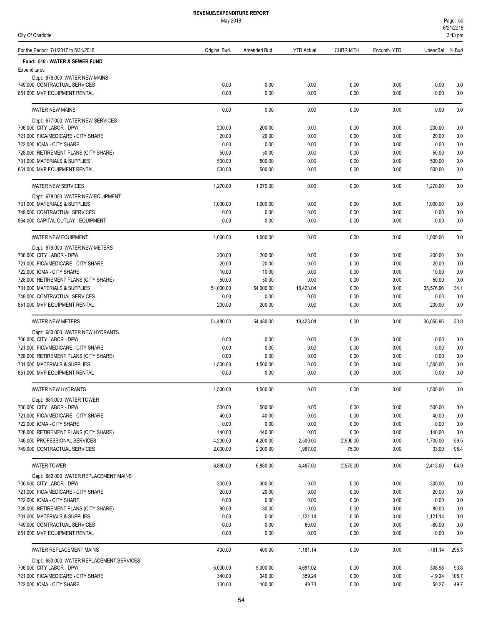| 851.000 MVP EQUIPMENT RENTAL             | 0.00     | 0.00     | 0.00     | 0.00     | 0.00 | 0.00        | 0.0   |
|------------------------------------------|----------|----------|----------|----------|------|-------------|-------|
| WATER NEW HYDRANTS                       | 1,500.00 | 1.500.00 | 0.00     | 0.00     | 0.00 | 1,500.00    | 0.0   |
| Dept: 681.000 WATER TOWER                |          |          |          |          |      |             |       |
| 706.000 CITY LABOR - DPW                 | 500.00   | 500.00   | 0.00     | 0.00     | 0.00 | 500.00      | 0.0   |
| 721.000 FICA/MEDICARE - CITY SHARE       | 40.00    | 40.00    | 0.00     | 0.00     | 0.00 | 40.00       | 0.0   |
| 722.000 ICMA - CITY SHARE                | 0.00     | 0.00     | 0.00     | 0.00     | 0.00 | 0.00        | 0.0   |
| 728.000 RETIREMENT PLANS (CITY SHARE)    | 140.00   | 140.00   | 0.00     | 0.00     | 0.00 | 140.00      | 0.0   |
| 746.000 PROFESSIONAL SERVICES            | 4,200.00 | 4,200.00 | 2,500.00 | 2,500.00 | 0.00 | 1,700.00    | 59.5  |
| 749.000 CONTRACTUAL SERVICES             | 2,000.00 | 2,000.00 | 1,967.00 | 75.00    | 0.00 | 33.00       | 98.4  |
| <b>WATER TOWER</b>                       | 6,880.00 | 6,880.00 | 4,467.00 | 2,575.00 | 0.00 | 2,413.00    | 64.9  |
| Dept: 682.000 WATER REPLACEMENT MAINS    |          |          |          |          |      |             |       |
| 706.000 CITY LABOR - DPW                 | 300.00   | 300.00   | 0.00     | 0.00     | 0.00 | 300.00      | 0.0   |
| 721.000 FICA/MEDICARE - CITY SHARE       | 20.00    | 20.00    | 0.00     | 0.00     | 0.00 | 20.00       | 0.0   |
| 722.000 ICMA - CITY SHARE                | 0.00     | 0.00     | 0.00     | 0.00     | 0.00 | 0.00        | 0.0   |
| 728.000 RETIREMENT PLANS (CITY SHARE)    | 80.00    | 80.00    | 0.00     | 0.00     | 0.00 | 80.00       | 0.0   |
| 731.000 MATERIALS & SUPPLIES             | 0.00     | 0.00     | 1,121.14 | 0.00     | 0.00 | $-1,121.14$ | 0.0   |
| 749.000 CONTRACTUAL SERVICES             | 0.00     | 0.00     | 60.00    | 0.00     | 0.00 | $-60.00$    | 0.0   |
| 851.000 MVP EQUIPMENT RENTAL             | 0.00     | 0.00     | 0.00     | 0.00     | 0.00 | 0.00        | 0.0   |
| WATER REPLACEMENT MAINS                  | 400.00   | 400.00   | 1,181.14 | 0.00     | 0.00 | $-781.14$   | 295.3 |
| Dept: 683.000 WATER REPLACEMENT SERVICES |          |          |          |          |      |             |       |
| 706.000 CITY LABOR - DPW                 | 5,000.00 | 5,000.00 | 4,691.02 | 0.00     | 0.00 | 308.98      | 93.8  |
| 721.000 FICA/MEDICARE - CITY SHARE       | 340.00   | 340.00   | 359.24   | 0.00     | 0.00 | $-19.24$    | 105.7 |
| 722.000 ICMA - CITY SHARE                | 100.00   | 100.00   | 49.73    | 0.00     | 0.00 | 50.27       | 49.7  |
|                                          |          |          |          |          |      |             |       |

| ٠                 |  |
|-------------------|--|
| I<br>I<br>v.<br>٩ |  |

| <b>REVENUE/EXPENDITURE REPORT</b> |
|-----------------------------------|
| May 2018                          |

For the Period: 7/1/2017 to 5/31/2018 Original Bud. Amended Bud. YTD Actual CURR MTH Encumb. YTD UnencBal % Bud

749.000 CONTRACTUAL SERVICES 0.00 0.00 0.00 0.00 0.00 0.00 0.0 851.000 MVP EQUIPMENT RENTAL 0.00 0.00 0.00 0.00 0.00 0.00 0.0

706.000 CITY LABOR - DPW 200.00 200.00 0.00 0.00 0.00 200.00 0.0  $20.00 \qquad \qquad 20.00 \qquad \qquad 0.00 \qquad \qquad 0.00 \qquad \qquad 0.00 \qquad \qquad 0.00 \qquad \qquad 0.00 \qquad \qquad 20.00 \qquad \qquad 0.00 \qquad \qquad 0.00 \qquad \qquad 20.00 \qquad \qquad 0.00 \qquad \qquad 0.00 \qquad \qquad 0.00 \qquad \qquad 0.00 \qquad \qquad 0.00 \qquad \qquad 0.00 \qquad \qquad 0.00 \qquad \qquad 0.00 \qquad \qquad 0.00 \qquad \$ 722.000 ICMA - CITY SHARE 0.00 0.00 0.00 0.00 0.00 0.00 0.0 728.000 RETIREMENT PLANS (CITY SHARE) 50.00 50.00 0.00 0.00 0.00 50.00 0.0 731.000 MATERIALS & SUPPLIES 500.00 500.00 0.00 0.00 0.00 500.00 0.0 851.000 MVP EQUIPMENT RENTAL 500.00 500.00 0.00 0.00 0.00 500.00 0.0

WATER NEW MAINS 0.00 0.00 0.00 0.00 0.00 0.00 0.0

WATER NEW SERVICES 1,270.00 1,270.00 0.00 0.00 0.00 1,270.00 0.0

WATER NEW EQUIPMENT 1,000.00 1,000.00 0.00 0.00 0.00 1,000.00 0.0

WATER NEW METERS 54,480.00 18,423.04 0.00 0.00 36,056.96 33.8

706.000 CITY LABOR - DPW 0.00 0.00 0.00 0.00 0.00 0.00 0.0  $0.00 \qquad \qquad 0.00 \qquad \qquad 0.00 \qquad \qquad 0.00 \qquad \qquad 0.00 \qquad \qquad 0.00 \qquad \qquad 0.00 \qquad \qquad 0.00 \qquad \qquad 0.00 \qquad \qquad 0.00 \qquad \qquad 0.00 \qquad \qquad 0.00 \qquad \qquad 0.00 \qquad \qquad 0.00 \qquad \qquad 0.00 \qquad \qquad 0.00 \qquad \qquad 0.00 \qquad \qquad 0.00 \qquad \qquad 0.00 \qquad \qquad 0.00 \qquad \qquad 0$ 728.000 RETIREMENT PLANS (CITY SHARE) 0.00 0.00 0.00 0.00 0.00 0.00 0.0  $1,500.00 \hspace{1.5mm} 1,500.00 \hspace{1.5mm} 1,500.00 \hspace{1.5mm} 0.00 \hspace{1.5mm} 0.00 \hspace{1.5mm} 0.00 \hspace{1.5mm} 0.00 \hspace{1.5mm} 1,500.00 \hspace{1.5mm} 0.00 \hspace{1.5mm} 0.00 \hspace{1.5mm} 0.00 \hspace{1.5mm} 0.00 \hspace{1.5mm} 0.00 \hspace{1.5mm} 0.00 \hspace{1.5mm} 0.00 \hspace{1$ 

706.000 CITY LABOR - DPW 200.00 200.00 0.00 0.00 0.00 200.00 0.0 721.000 FICA/MEDICARE - CITY SHARE 20.00 20.00 0.00 0.00 0.00 20.00 0.0 722.000 ICMA - CITY SHARE 10.00 10.00 10.00 10.00 10.00 10.00 10.00 10.00 0.00 0.00 10.00 0.00 728.000 RETIREMENT PLANS (CITY SHARE) 50.00 50.00 0.00 0.00 0.00 50.00 0.0 731.000 MATERIALS & SUPPLIES 54,000.00 54,000.00 18,423.04 0.00 0.00 35,576.96 34.1 749.000 CONTRACTUAL SERVICES 0.00 0.00 0.00 0.00 0.00 0.00 0.0 851.000 MVP EQUIPMENT RENTAL 200.00 200.00 0.00 0.00 0.00 200.00 0.0

731.000 MATERIALS & SUPPLIES 1,000.00 1,000.00 0.00 0.00 0.00 1,000.00 0.0 749.000 CONTRACTUAL SERVICES 0.00 0.00 0.00 0.00 0.00 0.00 0.0 864.000 CAPITAL OUTLAY - EQUIPMENT 0.00 0.00 0.00 0.00 0.00 0.00 0.0

Expenditures

**Fund: 510 - WATER & SEWER FUND**

Dept: 676.000 WATER NEW MAINS

Dept: 677.000 WATER NEW SERVICES

Dept: 678.000 WATER NEW EQUIPMENT

Dept: 679.000 WATER NEW METERS

Dept: 680.000 WATER NEW HYDRANTS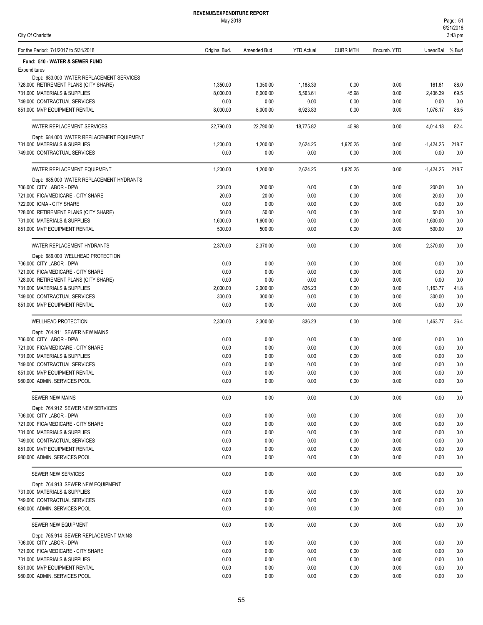### May 2018

City Of Charlotte

| For the Period: 7/1/2017 to 5/31/2018                             | Original Bud.    | Amended Bud.     | <b>YTD Actual</b> | <b>CURR MTH</b>  | Encumb. YTD  | UnencBal % Bud      |              |
|-------------------------------------------------------------------|------------------|------------------|-------------------|------------------|--------------|---------------------|--------------|
| Fund: 510 - WATER & SEWER FUND                                    |                  |                  |                   |                  |              |                     |              |
| Expenditures                                                      |                  |                  |                   |                  |              |                     |              |
| Dept: 683.000 WATER REPLACEMENT SERVICES                          |                  |                  |                   |                  |              |                     |              |
| 728.000 RETIREMENT PLANS (CITY SHARE)                             | 1,350.00         | 1,350.00         | 1,188.39          | 0.00             | 0.00         | 161.61              | 88.0         |
| 731.000 MATERIALS & SUPPLIES                                      | 8,000.00         | 8,000.00         | 5,563.61          | 45.98            | 0.00         | 2,436.39            | 69.5         |
| 749.000 CONTRACTUAL SERVICES<br>851.000 MVP EQUIPMENT RENTAL      | 0.00             | 0.00             | 0.00              | 0.00             | 0.00         | 0.00                | 0.0<br>86.5  |
|                                                                   | 8,000.00         | 8,000.00         | 6,923.83          | 0.00             | 0.00         | 1,076.17            |              |
| WATER REPLACEMENT SERVICES                                        | 22,790.00        | 22,790.00        | 18,775.82         | 45.98            | 0.00         | 4,014.18            | 82.4         |
| Dept: 684.000 WATER REPLACEMENT EQUIPMENT                         |                  |                  |                   |                  |              |                     |              |
| 731.000 MATERIALS & SUPPLIES<br>749.000 CONTRACTUAL SERVICES      | 1,200.00<br>0.00 | 1,200.00<br>0.00 | 2,624.25<br>0.00  | 1,925.25<br>0.00 | 0.00<br>0.00 | $-1,424.25$<br>0.00 | 218.7<br>0.0 |
|                                                                   |                  |                  |                   |                  |              |                     |              |
| WATER REPLACEMENT EQUIPMENT                                       | 1,200.00         | 1,200.00         | 2,624.25          | 1,925.25         | 0.00         | $-1,424.25$         | 218.7        |
| Dept: 685.000 WATER REPLACEMENT HYDRANTS                          |                  |                  |                   |                  |              |                     |              |
| 706.000 CITY LABOR - DPW<br>721.000 FICA/MEDICARE - CITY SHARE    | 200.00<br>20.00  | 200.00<br>20.00  | 0.00<br>0.00      | 0.00<br>0.00     | 0.00<br>0.00 | 200.00<br>20.00     | 0.0<br>0.0   |
| 722.000 ICMA - CITY SHARE                                         | 0.00             | 0.00             | 0.00              | 0.00             | 0.00         | 0.00                | 0.0          |
| 728.000 RETIREMENT PLANS (CITY SHARE)                             | 50.00            | 50.00            | 0.00              | 0.00             | 0.00         | 50.00               | 0.0          |
| 731.000 MATERIALS & SUPPLIES                                      | 1,600.00         | 1,600.00         | 0.00              | 0.00             | 0.00         | 1,600.00            | 0.0          |
| 851.000 MVP EQUIPMENT RENTAL                                      | 500.00           | 500.00           | 0.00              | 0.00             | 0.00         | 500.00              | 0.0          |
| WATER REPLACEMENT HYDRANTS                                        | 2,370.00         | 2,370.00         | 0.00              | 0.00             | 0.00         | 2,370.00            | 0.0          |
| Dept: 686.000 WELLHEAD PROTECTION                                 |                  |                  |                   |                  |              |                     |              |
| 706.000 CITY LABOR - DPW                                          | 0.00             | 0.00             | 0.00              | 0.00             | 0.00         | 0.00                | 0.0          |
| 721.000 FICA/MEDICARE - CITY SHARE                                | 0.00             | 0.00             | 0.00              | 0.00             | 0.00         | 0.00                | 0.0          |
| 728.000 RETIREMENT PLANS (CITY SHARE)                             | 0.00             | 0.00             | 0.00              | 0.00             | 0.00         | 0.00                | 0.0          |
| 731.000 MATERIALS & SUPPLIES                                      | 2,000.00         | 2,000.00         | 836.23            | 0.00             | 0.00         | 1,163.77            | 41.8         |
| 749.000 CONTRACTUAL SERVICES                                      | 300.00           | 300.00           | 0.00              | 0.00             | 0.00         | 300.00              | 0.0          |
| 851.000 MVP EQUIPMENT RENTAL                                      | 0.00             | 0.00             | 0.00              | 0.00             | 0.00         | 0.00                | 0.0          |
| <b>WELLHEAD PROTECTION</b>                                        | 2,300.00         | 2,300.00         | 836.23            | 0.00             | 0.00         | 1,463.77            | 36.4         |
| Dept: 764.911 SEWER NEW MAINS                                     |                  |                  |                   |                  |              |                     |              |
| 706.000 CITY LABOR - DPW                                          | 0.00             | 0.00             | 0.00              | 0.00             | 0.00         | 0.00                | 0.0          |
| 721.000 FICA/MEDICARE - CITY SHARE                                | 0.00             | 0.00             | 0.00              | 0.00             | 0.00         | 0.00                | 0.0          |
| 731.000 MATERIALS & SUPPLIES                                      | 0.00             | 0.00             | 0.00              | 0.00             | 0.00         | 0.00                | 0.0          |
| 749.000 CONTRACTUAL SERVICES                                      | 0.00             | 0.00             | 0.00              | 0.00             | 0.00         | 0.00                | 0.0          |
| 851.000 MVP EQUIPMENT RENTAL                                      | 0.00             | 0.00             | 0.00              | 0.00             | 0.00         | 0.00                | 0.0          |
| 980.000 ADMIN. SERVICES POOL                                      | 0.00             | 0.00             | 0.00              | 0.00             | 0.00         | 0.00                | 0.0          |
| <b>SEWER NEW MAINS</b>                                            | 0.00             | 0.00             | 0.00              | 0.00             | 0.00         | 0.00                | 0.0          |
| Dept: 764.912 SEWER NEW SERVICES                                  |                  |                  |                   |                  |              |                     |              |
| 706.000 CITY LABOR - DPW                                          | 0.00             | 0.00             | 0.00              | 0.00             | 0.00         | 0.00                | 0.0          |
| 721.000 FICA/MEDICARE - CITY SHARE                                | 0.00             | 0.00             | 0.00              | 0.00             | 0.00         | 0.00                | 0.0          |
| 731.000 MATERIALS & SUPPLIES                                      | 0.00             | 0.00             | 0.00              | 0.00             | 0.00         | 0.00                | 0.0          |
| 749.000 CONTRACTUAL SERVICES                                      | 0.00             | 0.00             | 0.00              | 0.00             | 0.00         | 0.00                | 0.0          |
| 851.000 MVP EQUIPMENT RENTAL<br>980.000 ADMIN. SERVICES POOL      | 0.00<br>0.00     | 0.00<br>0.00     | 0.00<br>0.00      | 0.00<br>0.00     | 0.00<br>0.00 | 0.00<br>0.00        | 0.0<br>0.0   |
|                                                                   |                  |                  |                   |                  |              |                     |              |
| <b>SEWER NEW SERVICES</b>                                         | 0.00             | 0.00             | 0.00              | 0.00             | 0.00         | 0.00                | 0.0          |
| Dept: 764.913 SEWER NEW EQUIPMENT<br>731.000 MATERIALS & SUPPLIES | 0.00             | 0.00             | 0.00              | 0.00             | 0.00         | 0.00                | 0.0          |
| 749.000 CONTRACTUAL SERVICES                                      | 0.00             | 0.00             | 0.00              | 0.00             | 0.00         | 0.00                | 0.0          |
| 980.000 ADMIN. SERVICES POOL                                      | 0.00             | 0.00             | 0.00              | 0.00             | 0.00         | 0.00                | 0.0          |
|                                                                   |                  |                  |                   |                  |              |                     |              |
| SEWER NEW EQUIPMENT                                               | 0.00             | 0.00             | 0.00              | 0.00             | 0.00         | 0.00                | 0.0          |
| Dept: 765.914 SEWER REPLACEMENT MAINS<br>706.000 CITY LABOR - DPW | 0.00             | 0.00             | 0.00              | 0.00             | 0.00         | 0.00                | 0.0          |
| 721.000 FICA/MEDICARE - CITY SHARE                                | 0.00             | 0.00             | 0.00              | 0.00             | 0.00         | 0.00                | 0.0          |
| 731.000 MATERIALS & SUPPLIES                                      | 0.00             | 0.00             | 0.00              | 0.00             | 0.00         | 0.00                | 0.0          |
| 851.000 MVP EQUIPMENT RENTAL                                      | 0.00             | 0.00             | 0.00              | 0.00             | 0.00         | 0.00                | 0.0          |
| 980.000 ADMIN. SERVICES POOL                                      | 0.00             | 0.00             | 0.00              | 0.00             | 0.00         | 0.00                | 0.0          |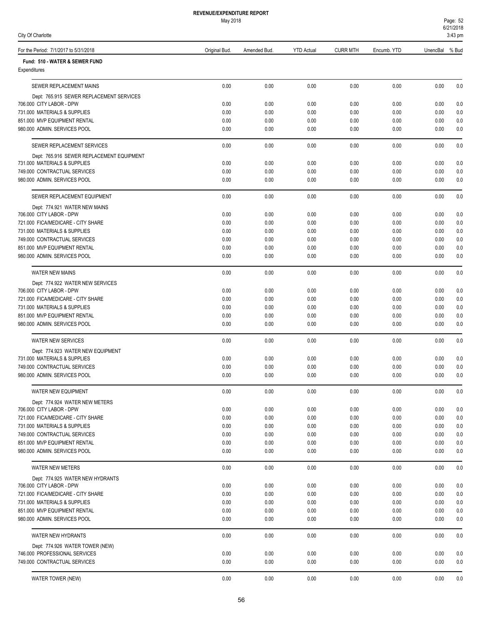56

| <b>REVENUE/EXPENDITURE REPORT</b> |  |
|-----------------------------------|--|
| <b>May 2018</b>                   |  |

| May 2018 |
|----------|
|          |

| For the Period: 7/1/2017 to 5/31/2018                                     | Original Bud. | Amended Bud. | <b>YTD Actual</b> | <b>CURR MTH</b> | Encumb. YTD  | UnencBal % Bud |            |
|---------------------------------------------------------------------------|---------------|--------------|-------------------|-----------------|--------------|----------------|------------|
| Fund: 510 - WATER & SEWER FUND                                            |               |              |                   |                 |              |                |            |
| Expenditures                                                              |               |              |                   |                 |              |                |            |
| SEWER REPLACEMENT MAINS                                                   | 0.00          | 0.00         | 0.00              | 0.00            | 0.00         | 0.00           | 0.0        |
| Dept: 765.915 SEWER REPLACEMENT SERVICES                                  |               |              |                   |                 |              |                |            |
| 706.000 CITY LABOR - DPW                                                  | 0.00          | 0.00         | 0.00              | 0.00            | 0.00         | 0.00           | 0.0        |
| 731.000 MATERIALS & SUPPLIES<br>851.000 MVP EQUIPMENT RENTAL              | 0.00<br>0.00  | 0.00<br>0.00 | 0.00<br>0.00      | 0.00<br>0.00    | 0.00<br>0.00 | 0.00<br>0.00   | 0.0<br>0.0 |
| 980.000 ADMIN. SERVICES POOL                                              | 0.00          | 0.00         | 0.00              | 0.00            | 0.00         | 0.00           | 0.0        |
|                                                                           |               |              |                   |                 |              |                |            |
| SEWER REPLACEMENT SERVICES                                                | 0.00          | 0.00         | 0.00              | 0.00            | 0.00         | 0.00           | 0.0        |
| Dept: 765.916 SEWER REPLACEMENT EQUIPMENT<br>731.000 MATERIALS & SUPPLIES | 0.00          | 0.00         | 0.00              | 0.00            | 0.00         |                | 0.0        |
| 749.000 CONTRACTUAL SERVICES                                              | 0.00          | 0.00         | 0.00              | 0.00            | 0.00         | 0.00<br>0.00   | 0.0        |
| 980.000 ADMIN. SERVICES POOL                                              | 0.00          | 0.00         | 0.00              | 0.00            | 0.00         | 0.00           | 0.0        |
| SEWER REPLACEMENT EQUIPMENT                                               | 0.00          | 0.00         | 0.00              | 0.00            | 0.00         | 0.00           | 0.0        |
| Dept: 774.921 WATER NEW MAINS                                             |               |              |                   |                 |              |                |            |
| 706.000 CITY LABOR - DPW                                                  | 0.00          | 0.00         | 0.00              | 0.00            | 0.00         | 0.00           | 0.0        |
| 721.000 FICA/MEDICARE - CITY SHARE                                        | 0.00          | 0.00         | 0.00              | 0.00            | 0.00         | 0.00           | 0.0        |
| 731.000 MATERIALS & SUPPLIES                                              | 0.00          | 0.00         | 0.00              | 0.00            | 0.00         | 0.00           | 0.0        |
| 749.000 CONTRACTUAL SERVICES                                              | 0.00          | 0.00         | 0.00              | 0.00            | 0.00         | 0.00           | 0.0        |
| 851.000 MVP EQUIPMENT RENTAL<br>980.000 ADMIN. SERVICES POOL              | 0.00<br>0.00  | 0.00<br>0.00 | 0.00<br>0.00      | 0.00<br>0.00    | 0.00<br>0.00 | 0.00<br>0.00   | 0.0<br>0.0 |
|                                                                           |               |              |                   |                 |              |                |            |
| <b>WATER NEW MAINS</b>                                                    | 0.00          | 0.00         | 0.00              | 0.00            | 0.00         | 0.00           | 0.0        |
| Dept: 774.922 WATER NEW SERVICES                                          |               |              |                   |                 |              |                |            |
| 706.000 CITY LABOR - DPW                                                  | 0.00          | 0.00         | 0.00              | 0.00            | 0.00         | 0.00           | 0.0        |
| 721.000 FICA/MEDICARE - CITY SHARE<br>731.000 MATERIALS & SUPPLIES        | 0.00<br>0.00  | 0.00<br>0.00 | 0.00<br>0.00      | 0.00<br>0.00    | 0.00<br>0.00 | 0.00<br>0.00   | 0.0<br>0.0 |
| 851.000 MVP EQUIPMENT RENTAL                                              | 0.00          | 0.00         | 0.00              | 0.00            | 0.00         | 0.00           | 0.0        |
| 980.000 ADMIN. SERVICES POOL                                              | 0.00          | 0.00         | 0.00              | 0.00            | 0.00         | 0.00           | 0.0        |
| <b>WATER NEW SERVICES</b>                                                 | 0.00          | 0.00         | 0.00              | 0.00            | 0.00         | 0.00           | 0.0        |
| Dept: 774.923 WATER NEW EQUIPMENT                                         |               |              |                   |                 |              |                |            |
| 731.000 MATERIALS & SUPPLIES                                              | 0.00          | 0.00         | 0.00              | 0.00            | 0.00         | 0.00           | 0.0        |
| 749.000 CONTRACTUAL SERVICES                                              | 0.00          | 0.00         | 0.00              | 0.00            | 0.00         | 0.00           | 0.0        |
| 980.000 ADMIN. SERVICES POOL                                              | 0.00          | 0.00         | 0.00              | 0.00            | 0.00         | 0.00           | 0.0        |
| <b>WATER NEW EQUIPMENT</b>                                                | 0.00          | 0.00         | 0.00              | 0.00            | 0.00         | 0.00           | 0.0        |
| Dept: 774.924 WATER NEW METERS                                            |               |              |                   |                 |              |                |            |
| 706.000 CITY LABOR - DPW                                                  | 0.00          | 0.00         | 0.00              | 0.00            | 0.00         | 0.00           | 0.0        |
| 721.000 FICA/MEDICARE - CITY SHARE                                        | 0.00          | 0.00         | 0.00              | 0.00            | 0.00         | 0.00           | 0.0        |
| 731,000 MATERIALS & SUPPLIES<br>749.000 CONTRACTUAL SERVICES              | 0.00<br>0.00  | 0.00<br>0.00 | 0.00<br>0.00      | 0.00<br>0.00    | 0.00<br>0.00 | 0.00<br>0.00   | 0.0<br>0.0 |
| 851.000 MVP EQUIPMENT RENTAL                                              | 0.00          | 0.00         | 0.00              | 0.00            | 0.00         | 0.00           | 0.0        |
| 980.000 ADMIN. SERVICES POOL                                              | 0.00          | 0.00         | 0.00              | 0.00            | 0.00         | 0.00           | 0.0        |
| WATER NEW METERS                                                          | 0.00          | 0.00         | 0.00              | 0.00            | 0.00         | 0.00           | 0.0        |
| Dept: 774.925 WATER NEW HYDRANTS                                          |               |              |                   |                 |              |                |            |
| 706.000 CITY LABOR - DPW                                                  | 0.00          | 0.00         | 0.00              | 0.00            | 0.00         | 0.00           | 0.0        |
| 721.000 FICA/MEDICARE - CITY SHARE                                        | 0.00          | 0.00         | 0.00              | 0.00            | 0.00         | 0.00           | 0.0        |
| 731.000 MATERIALS & SUPPLIES                                              | 0.00          | 0.00         | 0.00              | 0.00            | 0.00         | 0.00           | 0.0        |
| 851.000 MVP EQUIPMENT RENTAL                                              | 0.00          | 0.00         | 0.00              | 0.00            | 0.00         | 0.00           | 0.0        |
| 980.000 ADMIN. SERVICES POOL                                              | 0.00          | 0.00         | 0.00              | 0.00            | 0.00         | 0.00           | 0.0        |
| WATER NEW HYDRANTS                                                        | 0.00          | 0.00         | 0.00              | 0.00            | 0.00         | 0.00           | 0.0        |
| Dept: 774.926 WATER TOWER (NEW)                                           |               |              |                   |                 |              |                |            |
| 746.000 PROFESSIONAL SERVICES                                             | 0.00          | 0.00         | 0.00              | 0.00            | 0.00         | 0.00           | 0.0        |
| 749.000 CONTRACTUAL SERVICES                                              | 0.00          | 0.00         | 0.00              | 0.00            | 0.00         | 0.00           | 0.0        |

WATER TOWER (NEW) 0.00 0.00 0.00 0.00 0.00 0.00 0.0

# City Of Charlotte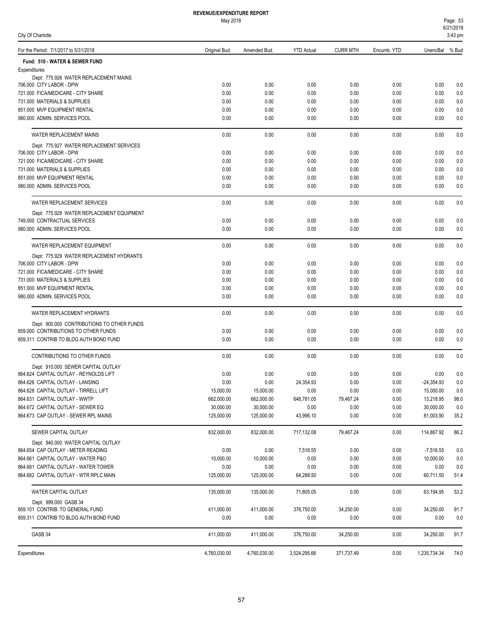| Page: 53  |  |
|-----------|--|
| 6/21/2018 |  |
| 3:43 pm   |  |

| For the Period: 7/1/2017 to 5/31/2018                                    | Original Bud.           | Amended Bud.            | <b>YTD Actual</b> | <b>CURR MTH</b> | Encumb. YTD  | UnencBal % Bud |            |
|--------------------------------------------------------------------------|-------------------------|-------------------------|-------------------|-----------------|--------------|----------------|------------|
| Fund: 510 - WATER & SEWER FUND                                           |                         |                         |                   |                 |              |                |            |
| Expenditures                                                             |                         |                         |                   |                 |              |                |            |
| Dept: 775.926 WATER REPLACEMENT MAINS<br>706.000 CITY LABOR - DPW        | 0.00                    | 0.00                    | 0.00              | 0.00            | 0.00         | 0.00           | 0.0        |
| 721.000 FICA/MEDICARE - CITY SHARE                                       | 0.00                    | 0.00                    | 0.00              | 0.00            | 0.00         | 0.00           | 0.0        |
| 731.000 MATERIALS & SUPPLIES                                             | 0.00                    | 0.00                    | 0.00              | 0.00            | 0.00         | 0.00           | 0.0        |
| 851.000 MVP EQUIPMENT RENTAL                                             | 0.00                    | 0.00                    | 0.00              | 0.00            | 0.00         | 0.00           | 0.0        |
| 980.000 ADMIN, SERVICES POOL                                             | 0.00                    | 0.00                    | 0.00              | 0.00            | 0.00         | 0.00           | 0.0        |
| WATER REPLACEMENT MAINS                                                  | 0.00                    | 0.00                    | 0.00              | 0.00            | 0.00         | 0.00           | 0.0        |
| Dept: 775.927 WATER REPLACEMENT SERVICES                                 |                         |                         |                   |                 |              |                |            |
| 706.000 CITY LABOR - DPW                                                 | 0.00<br>0.00            | 0.00<br>0.00            | 0.00<br>0.00      | 0.00            | 0.00<br>0.00 | 0.00<br>0.00   | 0.0        |
| 721.000 FICA/MEDICARE - CITY SHARE<br>731.000 MATERIALS & SUPPLIES       | 0.00                    | 0.00                    | 0.00              | 0.00<br>0.00    | 0.00         | 0.00           | 0.0<br>0.0 |
| 851.000 MVP EQUIPMENT RENTAL                                             | 0.00                    | 0.00                    | 0.00              | 0.00            | 0.00         | 0.00           | 0.0        |
| 980.000 ADMIN. SERVICES POOL                                             | 0.00                    | 0.00                    | 0.00              | 0.00            | 0.00         | 0.00           | 0.0        |
| WATER REPLACEMENT SERVICES                                               | 0.00                    | 0.00                    | 0.00              | 0.00            | 0.00         | 0.00           | 0.0        |
| Dept: 775.928 WATER REPLACEMENT EQUIPMENT                                |                         |                         |                   |                 |              |                |            |
| 749.000 CONTRACTUAL SERVICES                                             | 0.00                    | 0.00                    | 0.00              | 0.00            | 0.00         | 0.00           | 0.0        |
| 980.000 ADMIN. SERVICES POOL                                             | 0.00                    | 0.00                    | 0.00              | 0.00            | 0.00         | 0.00           | 0.0        |
| WATER REPLACEMENT EQUIPMENT                                              | 0.00                    | 0.00                    | 0.00              | 0.00            | 0.00         | 0.00           | 0.0        |
| Dept: 775.929 WATER REPLACEMENT HYDRANTS                                 |                         |                         |                   |                 |              |                |            |
| 706.000 CITY LABOR - DPW                                                 | 0.00                    | 0.00                    | 0.00              | 0.00            | 0.00         | 0.00           | 0.0        |
| 721.000 FICA/MEDICARE - CITY SHARE                                       | 0.00                    | 0.00                    | 0.00              | 0.00            | 0.00         | 0.00           | 0.0        |
| 731.000 MATERIALS & SUPPLIES                                             | 0.00                    | 0.00                    | 0.00              | 0.00            | 0.00         | 0.00           | 0.0        |
| 851.000 MVP EQUIPMENT RENTAL                                             | 0.00                    | 0.00                    | 0.00              | 0.00            | 0.00         | 0.00           | 0.0        |
| 980.000 ADMIN. SERVICES POOL                                             | 0.00                    | 0.00                    | 0.00              | 0.00            | 0.00         | 0.00           | 0.0        |
| WATER REPLACEMENT HYDRANTS                                               | 0.00                    | 0.00                    | 0.00              | 0.00            | 0.00         | 0.00           | 0.0        |
| Dept: 900.000 CONTRIBUTIONS TO OTHER FUNDS                               |                         |                         |                   |                 |              |                |            |
| 859.000 CONTRIBUTIONS TO OTHER FUNDS                                     | 0.00                    | 0.00                    | 0.00              | 0.00            | 0.00         | 0.00           | 0.0        |
| 859.311 CONTRIB TO BLDG AUTH BOND FUND                                   | 0.00                    | 0.00                    | 0.00              | 0.00            | 0.00         | 0.00           | 0.0        |
| CONTRIBUTIONS TO OTHER FUNDS                                             | 0.00                    | 0.00                    | 0.00              | 0.00            | 0.00         | 0.00           | 0.0        |
| Dept: 910.000 SEWER CAPITAL OUTLAY                                       |                         |                         |                   |                 |              |                |            |
| 864.624 CAPITAL OUTLAY - REYNOLDS LIFT                                   | 0.00                    | 0.00                    | 0.00              | 0.00            | 0.00         | 0.00           | 0.0        |
| 864.626 CAPITAL OUTLAY - LANSING                                         | 0.00                    | 0.00                    | 24.354.93         | 0.00            | 0.00         | $-24,354.93$   | 0.0        |
| 864.628 CAPITAL OUTLAY - TIRRELL LIFT                                    | 15,000.00               | 15,000.00               | 0.00              | 0.00            | 0.00         | 15,000.00      | 0.0        |
| 864.631 CAPITAL OUTLAY - WWTP                                            | 662,000.00              | 662,000.00              | 648,781.05        | 79,467.24       | 0.00         | 13,218.95      | 98.0       |
| 864.672 CAPITAL OUTLAY - SEWER EQ                                        | 30,000.00<br>125,000.00 | 30,000.00<br>125,000.00 | 0.00              | 0.00<br>0.00    | 0.00<br>0.00 | 30,000.00      | 0.0        |
| 864.673 CAP OUTLAY - SEWER RPL MAINS                                     |                         |                         | 43,996.10         |                 |              | 81,003.90      | 35.2       |
| SEWER CAPITAL OUTLAY                                                     | 832,000.00              | 832,000.00              | 717,132.08        | 79,467.24       | 0.00         | 114,867.92     | 86.2       |
| Dept: 940.000 WATER CAPITAL OUTLAY<br>864.654 CAP OUTLAY - METER READING | 0.00                    | 0.00                    |                   | 0.00            | 0.00         | $-7,516.55$    |            |
| 864.661 CAPITAL OUTLAY - WATER P&O                                       | 10,000.00               | 10,000.00               | 7,516.55<br>0.00  | 0.00            | 0.00         | 10,000.00      | 0.0<br>0.0 |
| 864.681 CAPITAL OUTLAY - WATER TOWER                                     | 0.00                    | 0.00                    | 0.00              | 0.00            | 0.00         | 0.00           | 0.0        |
| 864.682 CAPITAL OUTLAY - WTR RPLC MAIN                                   | 125,000.00              | 125,000.00              | 64,288.50         | 0.00            | 0.00         | 60,711.50      | 51.4       |
| WATER CAPITAL OUTLAY                                                     | 135,000.00              | 135,000.00              | 71,805.05         | 0.00            | 0.00         | 63,194.95      | 53.2       |
| Dept: 999.000 GASB 34                                                    |                         |                         |                   |                 |              |                |            |
| 859.101 CONTRIB. TO GENERAL FUND                                         | 411,000.00              | 411,000.00              | 376,750.00        | 34,250.00       | 0.00         | 34,250.00      | 91.7       |
| 859.311 CONTRIB TO BLDG AUTH BOND FUND                                   | 0.00                    | 0.00                    | 0.00              | 0.00            | 0.00         | 0.00           | 0.0        |
| GASB 34                                                                  | 411,000.00              | 411,000.00              | 376,750.00        | 34,250.00       | 0.00         | 34,250.00      | 91.7       |
|                                                                          |                         |                         |                   |                 |              |                |            |
| Expenditures                                                             | 4,760,030.00            | 4,760,030.00            | 3,524,295.66      | 371,737.49      | 0.00         | 1,235,734.34   | 74.0       |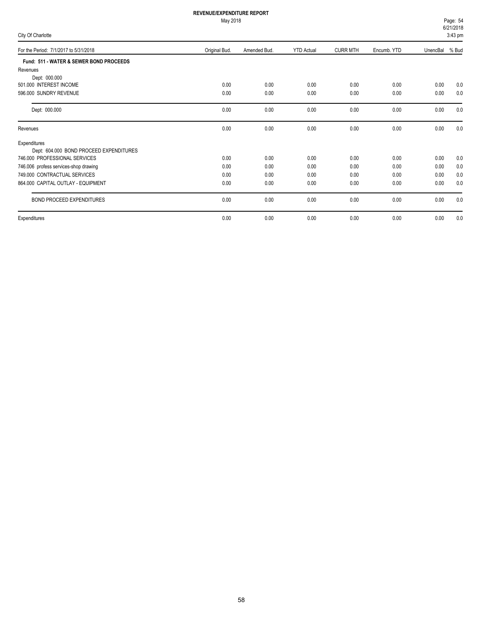| Page: 54     |  |
|--------------|--|
| 6/21/2018    |  |
| . <i>.</i> . |  |

| City Of Charlotte                       |               |              |                   |                 |             |                | $3:43$ pm |
|-----------------------------------------|---------------|--------------|-------------------|-----------------|-------------|----------------|-----------|
| For the Period: 7/1/2017 to 5/31/2018   | Original Bud. | Amended Bud. | <b>YTD Actual</b> | <b>CURR MTH</b> | Encumb. YTD | UnencBal % Bud |           |
| Fund: 511 - WATER & SEWER BOND PROCEEDS |               |              |                   |                 |             |                |           |
| Revenues                                |               |              |                   |                 |             |                |           |
| Dept: 000.000                           |               |              |                   |                 |             |                |           |
| 501.000 INTEREST INCOME                 | 0.00          | 0.00         | 0.00              | 0.00            | 0.00        | 0.00           | 0.0       |
| 596.000 SUNDRY REVENUE                  | 0.00          | 0.00         | 0.00              | 0.00            | 0.00        | 0.00           | 0.0       |
| Dept: 000.000                           | 0.00          | 0.00         | 0.00              | 0.00            | 0.00        | 0.00           | 0.0       |
| Revenues                                | 0.00          | 0.00         | 0.00              | 0.00            | 0.00        | 0.00           | 0.0       |
| Expenditures                            |               |              |                   |                 |             |                |           |
| Dept: 604.000 BOND PROCEED EXPENDITURES |               |              |                   |                 |             |                |           |
| 746.000 PROFESSIONAL SERVICES           | 0.00          | 0.00         | 0.00              | 0.00            | 0.00        | 0.00           | 0.0       |
| 746.006 profess services-shop drawing   | 0.00          | 0.00         | 0.00              | 0.00            | 0.00        | 0.00           | 0.0       |
| 749.000 CONTRACTUAL SERVICES            | 0.00          | 0.00         | 0.00              | 0.00            | 0.00        | 0.00           | 0.0       |
| 864.000 CAPITAL OUTLAY - EQUIPMENT      | 0.00          | 0.00         | 0.00              | 0.00            | 0.00        | 0.00           | 0.0       |
| BOND PROCEED EXPENDITURES               | 0.00          | 0.00         | 0.00              | 0.00            | 0.00        | 0.00           | 0.0       |
| Expenditures                            | 0.00          | 0.00         | 0.00              | 0.00            | 0.00        | 0.00           | 0.0       |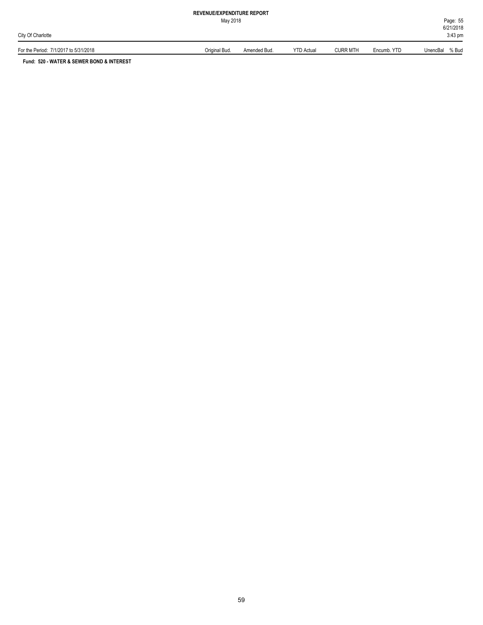May 2018

For the Period: 7/1/2017 to 5/31/2018 **Original Bud.** Amended Bud. Amended Bud. YTD Actual CURR MTH Encumb. YTD UnencBal % Bud

**Fund: 520 - WATER & SEWER BOND & INTEREST**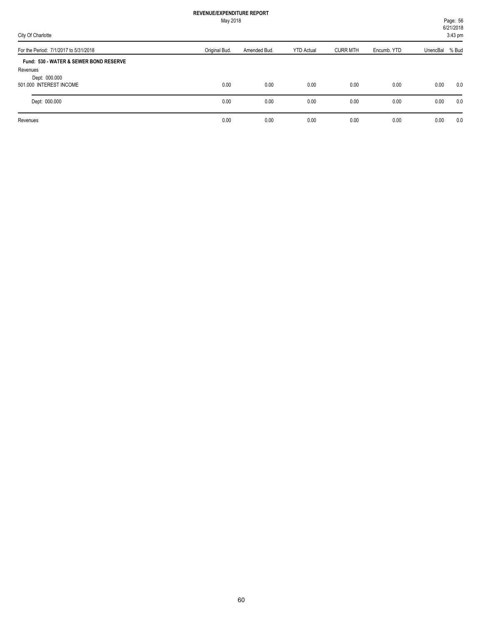|                                                                                                | May 2018      |              |                   |                 |             |                | Page: 56<br>6/21/2018 |
|------------------------------------------------------------------------------------------------|---------------|--------------|-------------------|-----------------|-------------|----------------|-----------------------|
| City Of Charlotte                                                                              |               |              |                   |                 |             |                | 3:43 pm               |
| For the Period: 7/1/2017 to 5/31/2018                                                          | Original Bud. | Amended Bud. | <b>YTD Actual</b> | <b>CURR MTH</b> | Encumb, YTD | UnencBal % Bud |                       |
| Fund: 530 - WATER & SEWER BOND RESERVE<br>Revenues<br>Dept: 000.000<br>501.000 INTEREST INCOME | 0.00          | 0.00         | 0.00              | 0.00            | 0.00        | 0.00           | 0.0                   |
| Dept: 000.000                                                                                  | 0.00          | 0.00         | 0.00              | 0.00            | 0.00        | 0.00           | 0.0                   |
| Revenues                                                                                       | 0.00          | 0.00         | 0.00              | 0.00            | 0.00        | 0.00           | 0.0                   |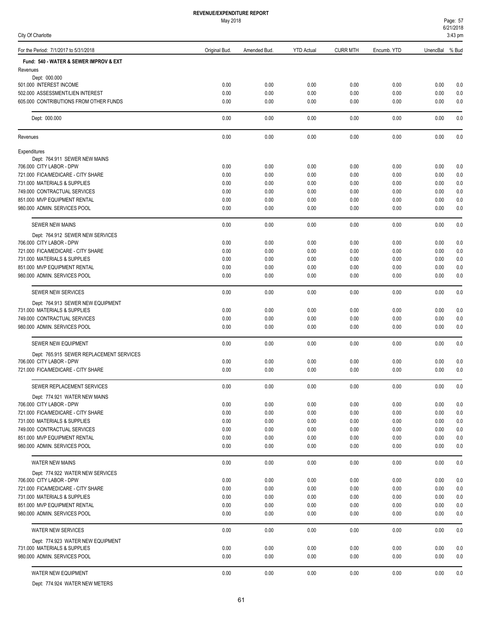May 2018

| Page: 57  |  |
|-----------|--|
| 6/21/2018 |  |

| City Of Charlotte                                                  |               |              |                   |                 |              |              | 3:43 pm        |
|--------------------------------------------------------------------|---------------|--------------|-------------------|-----------------|--------------|--------------|----------------|
| For the Period: 7/1/2017 to 5/31/2018                              | Original Bud. | Amended Bud. | <b>YTD Actual</b> | <b>CURR MTH</b> | Encumb. YTD  | UnencBal     | % Bud          |
| Fund: 540 - WATER & SEWER IMPROV & EXT                             |               |              |                   |                 |              |              |                |
| Revenues                                                           |               |              |                   |                 |              |              |                |
| Dept: 000.000<br>501.000 INTEREST INCOME                           | 0.00          | 0.00         | 0.00              | 0.00            | 0.00         | 0.00         | 0.0            |
| 502.000 ASSESSMENT/LIEN INTEREST                                   | 0.00          | 0.00         | 0.00              | 0.00            | 0.00         | 0.00         | 0.0            |
| 605.000 CONTRIBUTIONS FROM OTHER FUNDS                             | 0.00          | 0.00         | 0.00              | 0.00            | 0.00         | 0.00         | 0.0            |
| Dept: 000.000                                                      | 0.00          | 0.00         | 0.00              | 0.00            | 0.00         | 0.00         | 0.0            |
| Revenues                                                           | 0.00          | 0.00         | 0.00              | 0.00            | 0.00         | 0.00         | 0.0            |
| Expenditures                                                       |               |              |                   |                 |              |              |                |
| Dept: 764.911 SEWER NEW MAINS                                      |               |              |                   |                 |              |              |                |
| 706.000 CITY LABOR - DPW                                           | 0.00          | 0.00         | 0.00              | 0.00            | 0.00         | 0.00         | 0.0            |
| 721.000 FICA/MEDICARE - CITY SHARE                                 | 0.00          | 0.00         | 0.00              | 0.00            | 0.00         | 0.00         | 0.0            |
| 731.000 MATERIALS & SUPPLIES                                       | 0.00          | 0.00         | 0.00              | 0.00            | 0.00         | 0.00         | 0.0            |
| 749.000 CONTRACTUAL SERVICES                                       | 0.00          | 0.00         | 0.00              | 0.00            | 0.00         | 0.00         | 0.0            |
| 851.000 MVP EQUIPMENT RENTAL                                       | 0.00          | 0.00         | 0.00              | 0.00            | 0.00         | 0.00         | 0.0            |
| 980.000 ADMIN. SERVICES POOL                                       | 0.00          | 0.00         | 0.00              | 0.00            | 0.00         | 0.00         | 0.0            |
| <b>SEWER NEW MAINS</b>                                             | 0.00          | 0.00         | 0.00              | 0.00            | 0.00         | 0.00         | 0.0            |
| Dept: 764.912 SEWER NEW SERVICES                                   |               |              |                   |                 |              |              |                |
| 706.000 CITY LABOR - DPW                                           | 0.00          | 0.00         | 0.00              | 0.00            | 0.00         | 0.00         | 0.0            |
| 721.000 FICA/MEDICARE - CITY SHARE<br>731.000 MATERIALS & SUPPLIES | 0.00<br>0.00  | 0.00<br>0.00 | 0.00<br>0.00      | 0.00<br>0.00    | 0.00<br>0.00 | 0.00<br>0.00 | 0.0            |
| 851.000 MVP EQUIPMENT RENTAL                                       | 0.00          | 0.00         | 0.00              | 0.00            | 0.00         | 0.00         | 0.0<br>0.0     |
| 980.000 ADMIN. SERVICES POOL                                       | 0.00          | 0.00         | 0.00              | 0.00            | 0.00         | 0.00         | 0.0            |
|                                                                    |               |              |                   |                 |              |              |                |
| SEWER NEW SERVICES                                                 | 0.00          | 0.00         | 0.00              | 0.00            | 0.00         | 0.00         | 0.0            |
| Dept: 764.913 SEWER NEW EQUIPMENT<br>731.000 MATERIALS & SUPPLIES  | 0.00          | 0.00         | 0.00              | 0.00            | 0.00         | 0.00         | 0.0            |
| 749.000 CONTRACTUAL SERVICES                                       | 0.00          | 0.00         | 0.00              | 0.00            | 0.00         | 0.00         | 0.0            |
| 980.000 ADMIN. SERVICES POOL                                       | 0.00          | 0.00         | 0.00              | 0.00            | 0.00         | 0.00         | 0.0            |
| SEWER NEW EQUIPMENT                                                | 0.00          | 0.00         | 0.00              | 0.00            | 0.00         | 0.00         | 0.0            |
| Dept: 765.915 SEWER REPLACEMENT SERVICES                           |               |              |                   |                 |              |              |                |
| 706.000 CITY LABOR - DPW                                           | 0.00          | 0.00         | 0.00              | 0.00            | 0.00         | 0.00         | 0.0            |
| 721.000 FICA/MEDICARE - CITY SHARE                                 | 0.00          | 0.00         | 0.00              | 0.00            | 0.00         | 0.00         | 0.0            |
| SEWER REPLACEMENT SERVICES                                         | 0.00          | 0.00         | 0.00              | 0.00            | 0.00         | 0.00         | 0.0            |
| Dept: 774.921 WATER NEW MAINS                                      |               |              |                   |                 |              |              |                |
| 706.000 CITY LABOR - DPW                                           | 0.00          | 0.00         | 0.00              | 0.00            | 0.00         | 0.00         | 0.0            |
| 721.000 FICA/MEDICARE - CITY SHARE                                 | 0.00<br>0.00  | 0.00<br>0.00 | 0.00<br>0.00      | 0.00<br>0.00    | 0.00<br>0.00 | 0.00         | $0.0\,$<br>0.0 |
| 731.000 MATERIALS & SUPPLIES<br>749.000 CONTRACTUAL SERVICES       | 0.00          | 0.00         | 0.00              | 0.00            | 0.00         | 0.00<br>0.00 | 0.0            |
| 851.000 MVP EQUIPMENT RENTAL                                       | 0.00          | 0.00         | 0.00              | 0.00            | 0.00         | 0.00         | 0.0            |
| 980.000 ADMIN. SERVICES POOL                                       | 0.00          | 0.00         | 0.00              | 0.00            | 0.00         | 0.00         | 0.0            |
| WATER NEW MAINS                                                    | 0.00          | 0.00         | 0.00              | 0.00            | 0.00         | 0.00         | 0.0            |
| Dept: 774.922 WATER NEW SERVICES                                   |               |              |                   |                 |              |              |                |
| 706.000 CITY LABOR - DPW                                           | 0.00          | 0.00         | 0.00              | 0.00            | 0.00         | 0.00         | 0.0            |
| 721.000 FICA/MEDICARE - CITY SHARE                                 | 0.00          | 0.00         | 0.00              | 0.00            | 0.00         | 0.00         | 0.0            |
| 731.000 MATERIALS & SUPPLIES                                       | 0.00          | 0.00         | 0.00              | 0.00            | 0.00         | 0.00         | 0.0            |
| 851.000 MVP EQUIPMENT RENTAL                                       | 0.00          | 0.00         | 0.00              | 0.00            | 0.00         | 0.00         | 0.0            |
| 980.000 ADMIN. SERVICES POOL                                       | 0.00          | 0.00         | 0.00              | 0.00            | 0.00         | 0.00         | 0.0            |
| WATER NEW SERVICES                                                 | 0.00          | 0.00         | 0.00              | 0.00            | 0.00         | 0.00         | 0.0            |
| Dept: 774.923 WATER NEW EQUIPMENT                                  |               |              |                   |                 |              |              |                |
| 731.000 MATERIALS & SUPPLIES                                       | 0.00          | 0.00         | 0.00              | 0.00            | 0.00         | 0.00         | 0.0            |
| 980.000 ADMIN. SERVICES POOL                                       | 0.00          | 0.00         | 0.00              | 0.00            | 0.00         | 0.00         | 0.0            |
| WATER NEW EQUIPMENT                                                | 0.00          | 0.00         | 0.00              | 0.00            | 0.00         | 0.00         | 0.0            |

Dept: 774.924 WATER NEW METERS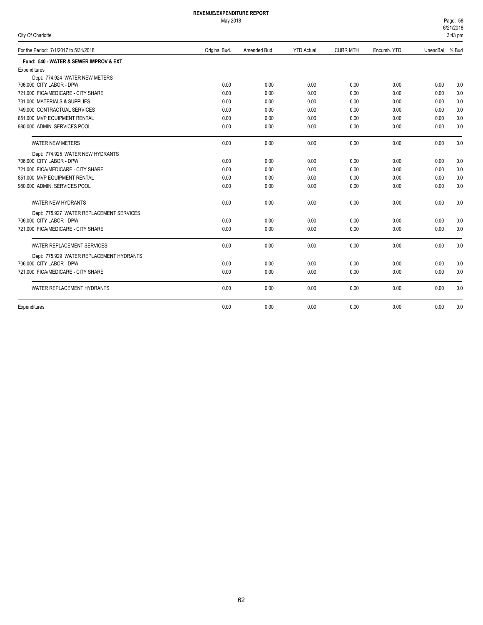### May 2018

|  |  | City Of Charlotte |  |
|--|--|-------------------|--|
|--|--|-------------------|--|

6/21/2018 Page: 58  $3:43 \text{ pm}$ 

| $\mathsf{u}_1$ or onanono                |               |              |                   |                 |             |                | $0.10 \mu m$ |
|------------------------------------------|---------------|--------------|-------------------|-----------------|-------------|----------------|--------------|
| For the Period: 7/1/2017 to 5/31/2018    | Original Bud. | Amended Bud. | <b>YTD Actual</b> | <b>CURR MTH</b> | Encumb. YTD | UnencBal % Bud |              |
| Fund: 540 - WATER & SEWER IMPROV & EXT   |               |              |                   |                 |             |                |              |
| Expenditures                             |               |              |                   |                 |             |                |              |
| Dept: 774.924 WATER NEW METERS           |               |              |                   |                 |             |                |              |
| 706.000 CITY LABOR - DPW                 | 0.00          | 0.00         | 0.00              | 0.00            | 0.00        | 0.00           | 0.0          |
| 721.000 FICA/MEDICARE - CITY SHARE       | 0.00          | 0.00         | 0.00              | 0.00            | 0.00        | 0.00           | 0.0          |
| 731.000 MATERIALS & SUPPLIES             | 0.00          | 0.00         | 0.00              | 0.00            | 0.00        | 0.00           | 0.0          |
| 749.000 CONTRACTUAL SERVICES             | 0.00          | 0.00         | 0.00              | 0.00            | 0.00        | 0.00           | 0.0          |
| 851.000 MVP EQUIPMENT RENTAL             | 0.00          | 0.00         | 0.00              | 0.00            | 0.00        | 0.00           | 0.0          |
| 980.000 ADMIN. SERVICES POOL             | 0.00          | 0.00         | 0.00              | 0.00            | 0.00        | 0.00           | 0.0          |
| WATER NEW METERS                         | 0.00          | 0.00         | 0.00              | 0.00            | 0.00        | 0.00           | 0.0          |
| Dept: 774.925 WATER NEW HYDRANTS         |               |              |                   |                 |             |                |              |
| 706.000 CITY LABOR - DPW                 | 0.00          | 0.00         | 0.00              | 0.00            | 0.00        | 0.00           | 0.0          |
| 721.000 FICA/MEDICARE - CITY SHARE       | 0.00          | 0.00         | 0.00              | 0.00            | 0.00        | 0.00           | 0.0          |
| 851.000 MVP EQUIPMENT RENTAL             | 0.00          | 0.00         | 0.00              | 0.00            | 0.00        | 0.00           | 0.0          |
| 980.000 ADMIN, SERVICES POOL             | 0.00          | 0.00         | 0.00              | 0.00            | 0.00        | 0.00           | 0.0          |
| WATER NEW HYDRANTS                       | 0.00          | 0.00         | 0.00              | 0.00            | 0.00        | 0.00           | 0.0          |
| Dept: 775.927 WATER REPLACEMENT SERVICES |               |              |                   |                 |             |                |              |
| 706.000 CITY LABOR - DPW                 | 0.00          | 0.00         | 0.00              | 0.00            | 0.00        | 0.00           | 0.0          |
| 721.000 FICA/MEDICARE - CITY SHARE       | 0.00          | 0.00         | 0.00              | 0.00            | 0.00        | 0.00           | 0.0          |
| WATER REPLACEMENT SERVICES               | 0.00          | 0.00         | 0.00              | 0.00            | 0.00        | 0.00           | 0.0          |
| Dept: 775.929 WATER REPLACEMENT HYDRANTS |               |              |                   |                 |             |                |              |
| 706.000 CITY LABOR - DPW                 | 0.00          | 0.00         | 0.00              | 0.00            | 0.00        | 0.00           | 0.0          |
| 721.000 FICA/MEDICARE - CITY SHARE       | 0.00          | 0.00         | 0.00              | 0.00            | 0.00        | 0.00           | 0.0          |
| WATER REPLACEMENT HYDRANTS               | 0.00          | 0.00         | 0.00              | 0.00            | 0.00        | 0.00           | 0.0          |
| Expenditures                             | 0.00          | 0.00         | 0.00              | 0.00            | 0.00        | 0.00           | 0.0          |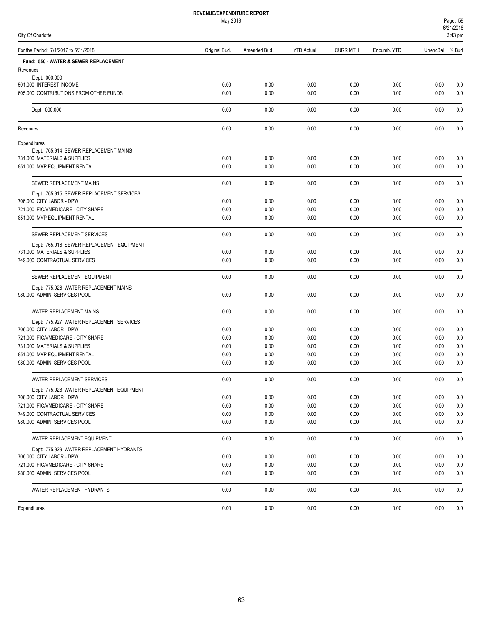| Page: 59  |  |  |  |  |
|-----------|--|--|--|--|
| 6/21/2018 |  |  |  |  |
| n. 10.    |  |  |  |  |

| City Of Charlotte                                                  |               |              |                   |                 |              |              | 3:43 pm    |
|--------------------------------------------------------------------|---------------|--------------|-------------------|-----------------|--------------|--------------|------------|
| For the Period: 7/1/2017 to 5/31/2018                              | Original Bud. | Amended Bud. | <b>YTD Actual</b> | <b>CURR MTH</b> | Encumb. YTD  | UnencBal     | % Bud      |
| Fund: 550 - WATER & SEWER REPLACEMENT                              |               |              |                   |                 |              |              |            |
| Revenues                                                           |               |              |                   |                 |              |              |            |
| Dept: 000.000<br>501.000 INTEREST INCOME                           | 0.00          | 0.00         | 0.00              | 0.00            | 0.00         | 0.00         | 0.0        |
| 605.000 CONTRIBUTIONS FROM OTHER FUNDS                             | 0.00          | 0.00         | 0.00              | 0.00            | 0.00         | 0.00         | 0.0        |
|                                                                    |               |              |                   |                 |              |              |            |
| Dept: 000.000                                                      | 0.00          | 0.00         | 0.00              | 0.00            | 0.00         | 0.00         | 0.0        |
| Revenues                                                           | 0.00          | 0.00         | 0.00              | 0.00            | 0.00         | 0.00         | 0.0        |
| Expenditures                                                       |               |              |                   |                 |              |              |            |
| Dept: 765.914 SEWER REPLACEMENT MAINS                              |               |              |                   |                 |              |              |            |
| 731.000 MATERIALS & SUPPLIES<br>851.000 MVP EQUIPMENT RENTAL       | 0.00<br>0.00  | 0.00<br>0.00 | 0.00              | 0.00<br>0.00    | 0.00<br>0.00 | 0.00<br>0.00 | 0.0<br>0.0 |
|                                                                    |               |              | 0.00              |                 |              |              |            |
| SEWER REPLACEMENT MAINS                                            | 0.00          | 0.00         | 0.00              | 0.00            | 0.00         | 0.00         | 0.0        |
| Dept: 765.915 SEWER REPLACEMENT SERVICES                           |               |              |                   |                 |              |              |            |
| 706.000 CITY LABOR - DPW<br>721.000 FICA/MEDICARE - CITY SHARE     | 0.00<br>0.00  | 0.00<br>0.00 | 0.00<br>0.00      | 0.00<br>0.00    | 0.00<br>0.00 | 0.00<br>0.00 | 0.0<br>0.0 |
| 851.000 MVP EQUIPMENT RENTAL                                       | 0.00          | 0.00         | 0.00              | 0.00            | 0.00         | 0.00         | 0.0        |
| SEWER REPLACEMENT SERVICES                                         | 0.00          | 0.00         | 0.00              | 0.00            | 0.00         | 0.00         | 0.0        |
| Dept: 765.916 SEWER REPLACEMENT EQUIPMENT                          |               |              |                   |                 |              |              |            |
| 731.000 MATERIALS & SUPPLIES                                       | 0.00          | 0.00         | 0.00              | 0.00            | 0.00         | 0.00         | 0.0        |
| 749.000 CONTRACTUAL SERVICES                                       | 0.00          | 0.00         | 0.00              | 0.00            | 0.00         | 0.00         | 0.0        |
| SEWER REPLACEMENT EQUIPMENT                                        | 0.00          | 0.00         | 0.00              | 0.00            | 0.00         | 0.00         | 0.0        |
| Dept: 775.926 WATER REPLACEMENT MAINS                              |               |              |                   |                 |              |              |            |
| 980.000 ADMIN. SERVICES POOL                                       | 0.00          | 0.00         | 0.00              | 0.00            | 0.00         | 0.00         | 0.0        |
| WATER REPLACEMENT MAINS                                            | 0.00          | 0.00         | 0.00              | 0.00            | 0.00         | 0.00         | 0.0        |
| Dept: 775.927 WATER REPLACEMENT SERVICES                           |               |              |                   |                 |              |              |            |
| 706.000 CITY LABOR - DPW<br>721.000 FICA/MEDICARE - CITY SHARE     | 0.00          | 0.00         | 0.00              | 0.00            | 0.00         | 0.00         | 0.0        |
| 731.000 MATERIALS & SUPPLIES                                       | 0.00<br>0.00  | 0.00<br>0.00 | 0.00<br>0.00      | 0.00<br>0.00    | 0.00<br>0.00 | 0.00<br>0.00 | 0.0<br>0.0 |
| 851.000 MVP EQUIPMENT RENTAL                                       | 0.00          | 0.00         | 0.00              | 0.00            | 0.00         | 0.00         | 0.0        |
| 980.000 ADMIN. SERVICES POOL                                       | 0.00          | 0.00         | 0.00              | 0.00            | 0.00         | 0.00         | 0.0        |
| WATER REPLACEMENT SERVICES                                         | 0.00          | 0.00         | 0.00              | 0.00            | 0.00         | 0.00         | 0.0        |
| Dept: 775.928 WATER REPLACEMENT EQUIPMENT                          |               |              |                   |                 |              |              |            |
| 706.000 CITY LABOR - DPW                                           | 0.00          | 0.00         | 0.00              | 0.00            | 0.00         | 0.00         | 0.0        |
| 721.000 FICA/MEDICARE - CITY SHARE                                 | 0.00          | 0.00         | 0.00              | 0.00            | 0.00         | 0.00         | 0.0        |
| 749.000 CONTRACTUAL SERVICES                                       | 0.00          | 0.00         | 0.00              | 0.00            | 0.00         | 0.00         | 0.0        |
| 980.000 ADMIN. SERVICES POOL                                       | 0.00          | 0.00         | 0.00              | 0.00            | 0.00         | 0.00         | 0.0        |
| WATER REPLACEMENT EQUIPMENT                                        | 0.00          | 0.00         | 0.00              | 0.00            | 0.00         | 0.00         | 0.0        |
| Dept: 775.929 WATER REPLACEMENT HYDRANTS                           |               |              |                   |                 |              |              |            |
| 706.000 CITY LABOR - DPW                                           | 0.00          | 0.00         | 0.00              | 0.00            | 0.00         | 0.00         | 0.0        |
| 721.000 FICA/MEDICARE - CITY SHARE<br>980.000 ADMIN. SERVICES POOL | 0.00<br>0.00  | 0.00<br>0.00 | 0.00<br>0.00      | 0.00<br>0.00    | 0.00<br>0.00 | 0.00<br>0.00 | 0.0<br>0.0 |
|                                                                    |               |              |                   |                 |              |              |            |
| WATER REPLACEMENT HYDRANTS                                         | 0.00          | 0.00         | 0.00              | 0.00            | 0.00         | 0.00         | 0.0        |
| Expenditures                                                       | 0.00          | 0.00         | 0.00              | 0.00            | 0.00         | 0.00         | 0.0        |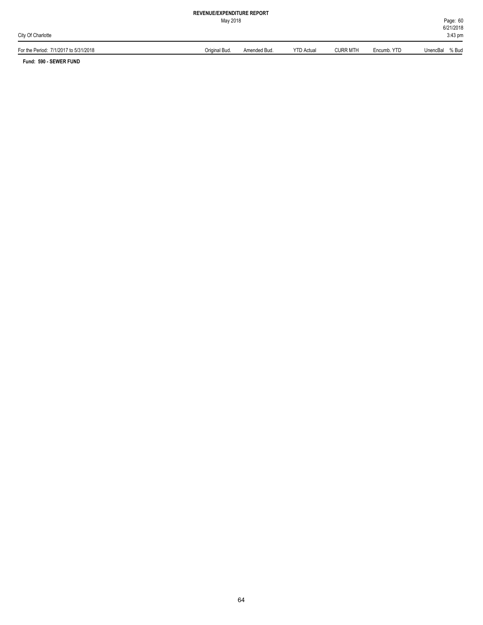May 2018

For the Period: 7/1/2017 to 5/31/2018 Original Bud. Amended Bud. YTD Actual CURR MTH Encumb. YTD UnencBal % Bud

**Fund: 590 - SEWER FUND**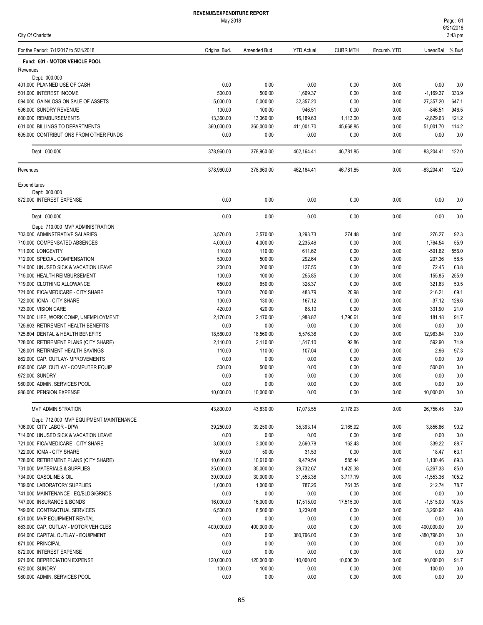| City Of Charlotte |
|-------------------|
|-------------------|

| For the Period: 7/1/2017 to 5/31/2018          | Original Bud.        | Amended Bud.   | <b>YTD Actual</b>  | <b>CURR MTH</b> | Encumb. YTD  | UnencBal            | % Bud      |
|------------------------------------------------|----------------------|----------------|--------------------|-----------------|--------------|---------------------|------------|
| Fund: 601 - MOTOR VEHICLE POOL                 |                      |                |                    |                 |              |                     |            |
| Revenues                                       |                      |                |                    |                 |              |                     |            |
| Dept: 000.000                                  |                      |                |                    |                 |              |                     |            |
| 401.000 PLANNED USE OF CASH                    | 0.00                 | 0.00           | 0.00               | 0.00            | 0.00         | 0.00                | 0.0        |
| 501.000 INTEREST INCOME                        | 500.00               | 500.00         | 1,669.37           | 0.00            | 0.00         | $-1,169.37$         | 333.9      |
| 594.000 GAIN/LOSS ON SALE OF ASSETS            | 5,000.00             | 5,000.00       | 32,357.20          | 0.00            | 0.00         | $-27,357.20$        | 647.1      |
| 596.000 SUNDRY REVENUE                         | 100.00               | 100.00         | 946.51             | 0.00            | 0.00         | $-846.51$           | 946.5      |
| 600.000 REIMBURSEMENTS                         | 13,360.00            | 13,360.00      | 16,189.63          | 1,113.00        | 0.00         | $-2,829.63$         | 121.2      |
| 601.000 BILLINGS TO DEPARTMENTS                | 360,000.00           | 360,000.00     | 411,001.70         | 45,668.85       | 0.00         | $-51,001.70$        | 114.2      |
| 605,000 CONTRIBUTIONS FROM OTHER FUNDS         | 0.00                 | 0.00           | 0.00               | 0.00            | 0.00         | 0.00                | 0.0        |
| Dept: 000.000                                  | 378,960.00           | 378,960.00     | 462,164.41         | 46,781.85       | 0.00         | $-83,204.41$        | 122.0      |
| Revenues                                       | 378,960.00           | 378,960.00     | 462,164.41         | 46,781.85       | 0.00         | $-83,204.41$        | 122.0      |
| Expenditures                                   |                      |                |                    |                 |              |                     |            |
| Dept: 000.000                                  |                      |                |                    |                 |              |                     |            |
| 872.000 INTEREST EXPENSE                       | 0.00                 | 0.00           | 0.00               | 0.00            | 0.00         | 0.00                | 0.0        |
| Dept: 000.000                                  | 0.00                 | 0.00           | 0.00               | 0.00            | 0.00         | 0.00                | 0.0        |
| Dept: 710.000 MVP ADMINISTRATION               |                      |                |                    |                 |              |                     |            |
| 703.000 ADMINSTRATIVE SALARIES                 | 3,570.00             | 3,570.00       | 3,293.73           | 274.48          | 0.00         | 276.27              | 92.3       |
| 710.000 COMPENSATED ABSENCES                   | 4,000.00             | 4,000.00       | 2.235.46           | 0.00            | 0.00         | 1,764.54            | 55.9       |
| 711.000 LONGEVITY                              | 110.00               | 110.00         | 611.62             | 0.00            | 0.00         | $-501.62$           | 556.0      |
| 712.000 SPECIAL COMPENSATION                   | 500.00               | 500.00         | 292.64             | 0.00            | 0.00         | 207.36              | 58.5       |
| 714,000 UNUSED SICK & VACATION LEAVE           | 200.00               | 200.00         | 127.55             | 0.00            | 0.00         | 72.45               | 63.8       |
| 715.000 HEALTH REIMBURSEMENT                   | 100.00               | 100.00         | 255.85             | 0.00            | 0.00         | $-155.85$           | 255.9      |
| 719.000 CLOTHING ALLOWANCE                     | 650.00               | 650.00         | 328.37             | 0.00            | 0.00         | 321.63              | 50.5       |
| 721.000 FICA/MEDICARE - CITY SHARE             | 700.00               | 700.00         | 483.79             | 20.98           | 0.00         | 216.21              | 69.1       |
| 722.000 ICMA - CITY SHARE                      | 130.00               | 130.00         | 167.12             | 0.00            | 0.00         | $-37.12$            | 128.6      |
| 723.000 VISION CARE                            | 420.00               | 420.00         | 88.10              | 0.00            | 0.00         | 331.90              | 21.0       |
| 724.000 LIFE, WORK COMP, UNEMPLOYMENT          | 2,170.00             | 2,170.00       | 1,988.82           | 1,790.61        | 0.00         | 181.18              | 91.7       |
| 725.603 RETIREMENT HEALTH BENEFITS             | 0.00                 | 0.00           | 0.00               | 0.00            | 0.00         | 0.00                | 0.0        |
| 725.604 DENTAL & HEALTH BENEFITS               | 18,560.00            | 18,560.00      | 5,576.36           | 0.00            | 0.00         | 12,983.64           | 30.0       |
| 728.000 RETIREMENT PLANS (CITY SHARE)          | 2,110.00             | 2,110.00       | 1,517.10           | 92.86           | 0.00         | 592.90              | 71.9       |
| 728.001 RETIRMENT HEALTH SAVINGS               | 110.00               | 110.00         | 107.04             | 0.00            | 0.00         | 2.96                | 97.3       |
| 862.000 CAP. OUTLAY-IMPROVEMENTS               | 0.00                 | 0.00           | 0.00               | 0.00            | 0.00         | 0.00                | 0.0        |
| 865.000 CAP. OUTLAY - COMPUTER EQUIP           | 500.00               | 500.00         | 0.00               | 0.00            | 0.00         | 500.00              | 0.0        |
| 972.000 SUNDRY                                 | 0.00                 | 0.00           | 0.00               | 0.00            | 0.00         | 0.00                | 0.0        |
| 980.000 ADMIN. SERVICES POOL                   | 0.00                 | 0.00           | 0.00               | 0.00            | 0.00         | 0.00                | 0.0        |
| 986.000 PENSION EXPENSE                        | 10,000.00            | 10,000.00      | 0.00               | 0.00            | 0.00         | 10,000.00           | 0.0        |
| <b>MVP ADMINISTRATION</b>                      | 43,830.00            | 43,830.00      | 17,073.55          | 2,178.93        | 0.00         | 26,756.45           | 39.0       |
| Dept: 712.000 MVP EQUIPMENT MAINTENANCE        |                      |                |                    |                 |              |                     |            |
| 706.000 CITY LABOR - DPW                       | 39,250.00            | 39,250.00      | 35,393.14          | 2,165.92        | 0.00         | 3,856.86            | 90.2       |
| 714,000 UNUSED SICK & VACATION LEAVE           | 0.00                 | 0.00           | 0.00               | 0.00            | 0.00         | 0.00                | 0.0        |
| 721.000 FICA/MEDICARE - CITY SHARE             | 3,000.00             | 3,000.00       | 2,660.78           | 162.43          | 0.00         | 339.22              | 88.7       |
| 722.000 ICMA - CITY SHARE                      | 50.00                | 50.00          | 31.53              | 0.00            | 0.00         | 18.47               | 63.1       |
| 728.000 RETIREMENT PLANS (CITY SHARE)          | 10,610.00            | 10,610.00      | 9,479.54           | 585.44          | 0.00         | 1,130.46            | 89.3       |
| 731.000 MATERIALS & SUPPLIES                   | 35,000.00            | 35,000.00      | 29,732.67          | 1,425.38        | 0.00         | 5,267.33            | 85.0       |
| 734.000 GASOLINE & OIL                         | 30,000.00            | 30,000.00      | 31,553.36          | 3,717.19        | 0.00         | $-1,553.36$         | 105.2      |
| 739.000 LABORATORY SUPPLIES                    | 1,000.00             | 1,000.00       | 787.26             | 761.35          | 0.00         | 212.74              | 78.7       |
| 741.000 MAINTENANCE - EQ/BLDG/GRNDS            | 0.00                 | 0.00           | 0.00               | 0.00            | 0.00         | 0.00                | 0.0        |
| 747.000 INSURANCE & BONDS                      | 16,000.00            | 16,000.00      | 17,515.00          | 17,515.00       | 0.00         | $-1,515.00$         | 109.5      |
| 749.000 CONTRACTUAL SERVICES                   | 6,500.00             | 6,500.00       | 3,239.08           | 0.00            | 0.00         | 3,260.92            | 49.8       |
| 851.000 MVP EQUIPMENT RENTAL                   | 0.00                 | 0.00           | 0.00               | 0.00            | 0.00         | 0.00                | 0.0        |
| 863.000 CAP. OUTLAY - MOTOR VEHICLES           | 400,000.00           | 400,000.00     | 0.00               | 0.00            | 0.00         | 400,000.00          | 0.0        |
| 864.000 CAPITAL OUTLAY - EQUIPMENT             | 0.00                 | 0.00           | 380,796.00         | 0.00            | 0.00         | -380,796.00         | 0.0        |
| 871.000 PRINCIPAL                              | 0.00                 | 0.00<br>0.00   | 0.00               | 0.00            | 0.00         | 0.00                | 0.0        |
| 872.000 INTEREST EXPENSE                       | 0.00                 |                | 0.00               | 0.00            | 0.00         | 0.00                | 0.0        |
| 971.000 DEPRECIATION EXPENSE<br>972.000 SUNDRY | 120,000.00<br>100.00 | 120,000.00     | 110,000.00<br>0.00 | 10,000.00       | 0.00         | 10,000.00<br>100.00 | 91.7       |
| 980.000 ADMIN. SERVICES POOL                   | 0.00                 | 100.00<br>0.00 | 0.00               | 0.00<br>0.00    | 0.00<br>0.00 | 0.00                | 0.0<br>0.0 |
|                                                |                      |                |                    |                 |              |                     |            |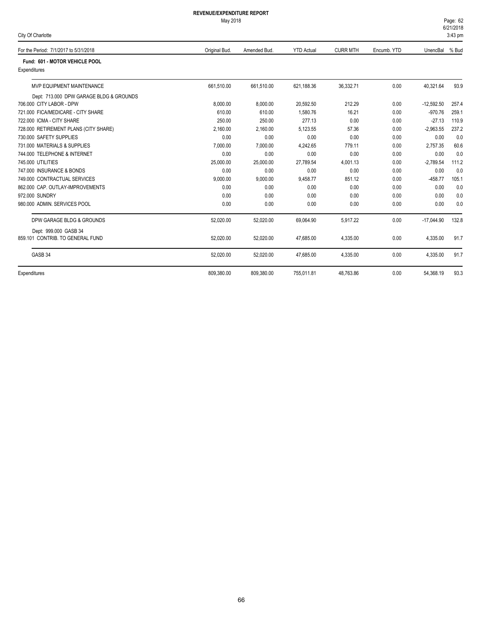| City Of Charlotte |
|-------------------|
|-------------------|

| For the Period: 7/1/2017 to 5/31/2018   | Original Bud. | Amended Bud. | <b>YTD Actual</b> | <b>CURR MTH</b> | Encumb. YTD | UnencBal     | % Bud |
|-----------------------------------------|---------------|--------------|-------------------|-----------------|-------------|--------------|-------|
| Fund: 601 - MOTOR VEHICLE POOL          |               |              |                   |                 |             |              |       |
| Expenditures                            |               |              |                   |                 |             |              |       |
| MVP EQUIPMENT MAINTENANCE               | 661.510.00    | 661.510.00   | 621,188.36        | 36,332.71       | 0.00        | 40,321.64    | 93.9  |
| Dept: 713.000 DPW GARAGE BLDG & GROUNDS |               |              |                   |                 |             |              |       |
| 706,000 CITY LABOR - DPW                | 8.000.00      | 8.000.00     | 20.592.50         | 212.29          | 0.00        | $-12.592.50$ | 257.4 |
| 721.000 FICA/MEDICARE - CITY SHARE      | 610.00        | 610.00       | 1,580.76          | 16.21           | 0.00        | $-970.76$    | 259.1 |
| 722.000 ICMA - CITY SHARE               | 250.00        | 250.00       | 277.13            | 0.00            | 0.00        | $-27.13$     | 110.9 |
| 728.000 RETIREMENT PLANS (CITY SHARE)   | 2,160.00      | 2,160.00     | 5,123.55          | 57.36           | 0.00        | $-2,963.55$  | 237.2 |
| 730,000 SAFETY SUPPLIES                 | 0.00          | 0.00         | 0.00              | 0.00            | 0.00        | 0.00         | 0.0   |
| 731,000 MATERIALS & SUPPLIES            | 7.000.00      | 7.000.00     | 4.242.65          | 779.11          | 0.00        | 2.757.35     | 60.6  |
| 744.000 TELEPHONE & INTERNET            | 0.00          | 0.00         | 0.00              | 0.00            | 0.00        | 0.00         | 0.0   |
| 745,000 UTILITIES                       | 25.000.00     | 25,000.00    | 27.789.54         | 4.001.13        | 0.00        | $-2.789.54$  | 111.2 |
| 747,000 INSURANCE & BONDS               | 0.00          | 0.00         | 0.00              | 0.00            | 0.00        | 0.00         | 0.0   |
| 749.000 CONTRACTUAL SERVICES            | 9,000.00      | 9,000.00     | 9,458.77          | 851.12          | 0.00        | $-458.77$    | 105.1 |
| 862.000 CAP. OUTLAY-IMPROVEMENTS        | 0.00          | 0.00         | 0.00              | 0.00            | 0.00        | 0.00         | 0.0   |
| 972,000 SUNDRY                          | 0.00          | 0.00         | 0.00              | 0.00            | 0.00        | 0.00         | 0.0   |
| 980.000 ADMIN, SERVICES POOL            | 0.00          | 0.00         | 0.00              | 0.00            | 0.00        | 0.00         | 0.0   |
| DPW GARAGE BLDG & GROUNDS               | 52,020.00     | 52,020.00    | 69,064.90         | 5,917.22        | 0.00        | $-17,044.90$ | 132.8 |
| Dept: 999.000 GASB 34                   |               |              |                   |                 |             |              |       |
| 859.101 CONTRIB. TO GENERAL FUND        | 52,020.00     | 52,020.00    | 47,685.00         | 4,335.00        | 0.00        | 4,335.00     | 91.7  |
| GASB 34                                 | 52,020.00     | 52,020.00    | 47,685.00         | 4,335.00        | 0.00        | 4,335.00     | 91.7  |
| Expenditures                            | 809.380.00    | 809,380.00   | 755,011.81        | 48.763.86       | 0.00        | 54,368.19    | 93.3  |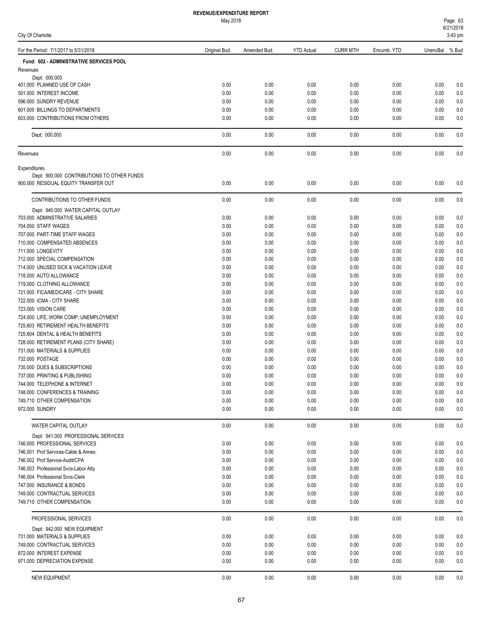| City Of Charlotte                                            |               |              |                   |                 |              |              | 3:43 pm        |
|--------------------------------------------------------------|---------------|--------------|-------------------|-----------------|--------------|--------------|----------------|
| For the Period: 7/1/2017 to 5/31/2018                        | Original Bud. | Amended Bud. | <b>YTD Actual</b> | <b>CURR MTH</b> | Encumb. YTD  | UnencBal     | % Bud          |
| Fund: 602 - ADMINISTRATIVE SERVICES POOL                     |               |              |                   |                 |              |              |                |
| Revenues                                                     |               |              |                   |                 |              |              |                |
| Dept: 000.000<br>401.000 PLANNED USE OF CASH                 | 0.00          | 0.00         | 0.00              | 0.00            | 0.00         | 0.00         | 0.0            |
| 501.000 INTEREST INCOME                                      | 0.00          | 0.00         | 0.00              | 0.00            | 0.00         | 0.00         | 0.0            |
| 596.000 SUNDRY REVENUE                                       | 0.00          | 0.00         | 0.00              | 0.00            | 0.00         | 0.00         | 0.0            |
| 601.000 BILLINGS TO DEPARTMENTS                              | 0.00          | 0.00         | 0.00              | 0.00            | 0.00         | 0.00         | 0.0            |
| 603.000 CONTRIBUTIONS FROM OTHERS                            | 0.00          | 0.00         | 0.00              | 0.00            | 0.00         | 0.00         | 0.0            |
| Dept: 000.000                                                | 0.00          | 0.00         | 0.00              | 0.00            | 0.00         | 0.00         | 0.0            |
| Revenues                                                     | 0.00          | 0.00         | 0.00              | 0.00            | 0.00         | 0.00         | 0.0            |
| Expenditures                                                 |               |              |                   |                 |              |              |                |
| Dept: 900.000 CONTRIBUTIONS TO OTHER FUNDS                   |               |              |                   |                 |              |              |                |
| 900.000 RESIDUAL EQUITY TRANSFER OUT                         | 0.00          | 0.00         | 0.00              | 0.00            | 0.00         | 0.00         | 0.0            |
| CONTRIBUTIONS TO OTHER FUNDS                                 | 0.00          | 0.00         | 0.00              | 0.00            | 0.00         | 0.00         | 0.0            |
| Dept: 940.000 WATER CAPITAL OUTLAY                           |               |              |                   |                 |              |              |                |
| 703.000 ADMINSTRATIVE SALARIES<br>704.000 STAFF WAGES        | 0.00<br>0.00  | 0.00<br>0.00 | 0.00<br>0.00      | 0.00<br>0.00    | 0.00<br>0.00 | 0.00<br>0.00 | 0.0<br>0.0     |
| 707.000 PART-TIME STAFF WAGES                                | 0.00          | 0.00         | 0.00              | 0.00            | 0.00         | 0.00         | 0.0            |
| 710.000 COMPENSATED ABSENCES                                 | 0.00          | 0.00         | 0.00              | 0.00            | 0.00         | 0.00         | 0.0            |
| 711.000 LONGEVITY                                            | 0.00          | 0.00         | 0.00              | 0.00            | 0.00         | 0.00         | 0.0            |
| 712.000 SPECIAL COMPENSATION                                 | 0.00          | 0.00         | 0.00              | 0.00            | 0.00         | 0.00         | 0.0            |
| 714.000 UNUSED SICK & VACATION LEAVE                         | 0.00          | 0.00         | 0.00              | 0.00            | 0.00         | 0.00         | 0.0            |
| 718.000 AUTO ALLOWANCE                                       | 0.00          | 0.00         | 0.00              | 0.00            | 0.00         | 0.00         | 0.0            |
| 719.000 CLOTHING ALLOWANCE                                   | 0.00          | 0.00         | 0.00              | 0.00            | 0.00         | 0.00         | 0.0            |
| 721.000 FICA/MEDICARE - CITY SHARE                           | 0.00          | 0.00         | 0.00              | 0.00            | 0.00         | 0.00         | 0.0            |
| 722.000 ICMA - CITY SHARE                                    | 0.00          | 0.00         | 0.00              | 0.00            | 0.00         | 0.00         | 0.0            |
| 723.000 VISION CARE                                          | 0.00          | 0.00         | 0.00              | 0.00            | 0.00         | 0.00         | 0.0            |
| 724.000 LIFE, WORK COMP, UNEMPLOYMENT                        | 0.00          | 0.00         | 0.00              | 0.00            | 0.00         | 0.00         | 0.0            |
| 725.603 RETIREMENT HEALTH BENEFITS                           | 0.00          | 0.00         | 0.00              | 0.00            | 0.00         | 0.00         | 0.0            |
| 725.604 DENTAL & HEALTH BENEFITS                             | 0.00          | 0.00         | 0.00              | 0.00            | 0.00         | 0.00         | 0.0            |
| 728.000 RETIREMENT PLANS (CITY SHARE)                        | 0.00          | 0.00         | 0.00              | 0.00            | 0.00         | 0.00         | 0.0            |
| 731.000 MATERIALS & SUPPLIES                                 | 0.00          | 0.00         | 0.00              | 0.00            | 0.00         | 0.00         | 0.0            |
| 732.000 POSTAGE                                              | 0.00          | 0.00         | 0.00              | 0.00            | 0.00         | 0.00         | 0.0            |
| 735.000 DUES & SUBSCRIPTIONS                                 | 0.00          | 0.00         | 0.00              | 0.00            | 0.00         | 0.00         | 0.0            |
| 737.000 PRINTING & PUBLISHING                                | 0.00          | 0.00         | 0.00              | 0.00            | 0.00         | 0.00         | 0.0            |
| 744.000 TELEPHONE & INTERNET                                 | 0.00          | 0.00         | 0.00              | 0.00            | 0.00         | 0.00         | 0.0            |
| 748.000 CONFERENCES & TRAINING<br>749.710 OTHER COMPENSATION | 0.00<br>0.00  | 0.00<br>0.00 | 0.00<br>0.00      | 0.00<br>0.00    | 0.00<br>0.00 | 0.00         | 0.0<br>$0.0\,$ |
| 972.000 SUNDRY                                               | 0.00          | 0.00         | 0.00              | 0.00            | 0.00         | 0.00<br>0.00 | 0.0            |
| WATER CAPITAL OUTLAY                                         | 0.00          | 0.00         | 0.00              | 0.00            | 0.00         | 0.00         | 0.0            |
| Dept: 941.000 PROFESSIONAL SERVICES                          |               |              |                   |                 |              |              |                |
| 746.000 PROFESSIONAL SERVICES                                | 0.00          | 0.00         | 0.00              | 0.00            | 0.00         | 0.00         | 0.0            |
| 746.001 Prof Services-Cable & Annex.                         | 0.00          | 0.00         | 0.00              | 0.00            | 0.00         | 0.00         | 0.0            |
| 746.002 Prof Service-Audit/CPA                               | 0.00          | 0.00         | 0.00              | 0.00            | 0.00         | 0.00         | 0.0            |
| 746.003 Professional Svcs-Labor Atty                         | 0.00          | 0.00         | 0.00              | 0.00            | 0.00         | 0.00         | 0.0            |
| 746.004 Professional Svcs-Clerk                              | 0.00          | 0.00         | 0.00              | 0.00            | 0.00         | 0.00         | 0.0            |
| 747.000 INSURANCE & BONDS                                    | 0.00          | 0.00         | 0.00              | 0.00            | 0.00         | 0.00         | 0.0            |
| 749.000 CONTRACTUAL SERVICES                                 | 0.00          | 0.00         | 0.00              | 0.00            | 0.00         | 0.00         | 0.0            |
| 749.710 OTHER COMPENSATION                                   | 0.00          | 0.00         | 0.00              | 0.00            | 0.00         | 0.00         | 0.0            |
| PROFESSIONAL SERVICES                                        | 0.00          | 0.00         | 0.00              | 0.00            | 0.00         | 0.00         | 0.0            |
| Dept: 942.000 NEW EQUIPMENT                                  |               |              |                   |                 |              |              |                |
| 731.000 MATERIALS & SUPPLIES                                 | 0.00          | 0.00         | 0.00              | 0.00            | 0.00         | 0.00         | 0.0            |
| 749.000 CONTRACTUAL SERVICES                                 | 0.00          | 0.00         | 0.00              | 0.00            | 0.00         | 0.00         | 0.0            |
| 872.000 INTEREST EXPENSE                                     | 0.00          | 0.00         | 0.00              | 0.00            | 0.00         | 0.00         | 0.0            |
| 971.000 DEPRECIATION EXPENSE                                 | 0.00          | 0.00         | 0.00              | 0.00            | 0.00         | 0.00         | 0.0            |
| <b>NEW EQUIPMENT</b>                                         | 0.00          | 0.00         | 0.00              | 0.00            | 0.00         | 0.00         | 0.0            |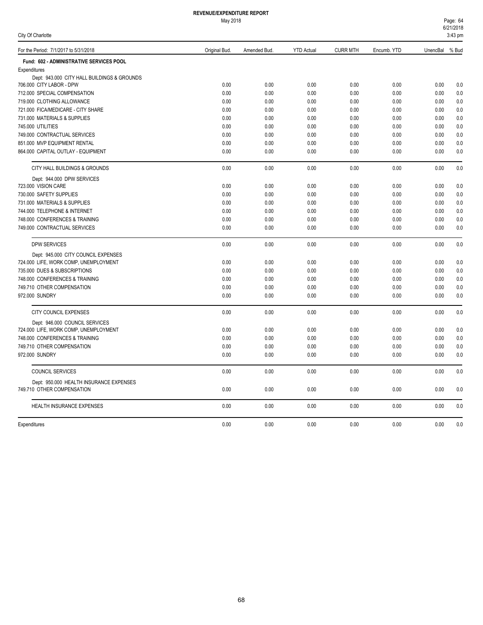May 2018

| Page: 64  |  |
|-----------|--|
| 6/21/2018 |  |
| 3:43 pm   |  |

| City Of Charlotte                           |               |              |                   |                 |             |          | 3:43 pm |
|---------------------------------------------|---------------|--------------|-------------------|-----------------|-------------|----------|---------|
| For the Period: 7/1/2017 to 5/31/2018       | Original Bud. | Amended Bud. | <b>YTD Actual</b> | <b>CURR MTH</b> | Encumb. YTD | UnencBal | % Bud   |
| Fund: 602 - ADMINISTRATIVE SERVICES POOL    |               |              |                   |                 |             |          |         |
| Expenditures                                |               |              |                   |                 |             |          |         |
| Dept: 943.000 CITY HALL BUILDINGS & GROUNDS |               |              |                   |                 |             |          |         |
| 706.000 CITY LABOR - DPW                    | 0.00          | 0.00         | 0.00              | 0.00            | 0.00        | 0.00     | 0.0     |
| 712.000 SPECIAL COMPENSATION                | 0.00          | 0.00         | 0.00              | 0.00            | 0.00        | 0.00     | 0.0     |
| 719.000 CLOTHING ALLOWANCE                  | 0.00          | 0.00         | 0.00              | 0.00            | 0.00        | 0.00     | 0.0     |
| 721.000 FICA/MEDICARE - CITY SHARE          | 0.00          | 0.00         | 0.00              | 0.00            | 0.00        | 0.00     | 0.0     |
| 731.000 MATERIALS & SUPPLIES                | 0.00          | 0.00         | 0.00              | 0.00            | 0.00        | 0.00     | 0.0     |
| 745.000 UTILITIES                           | 0.00          | 0.00         | 0.00              | 0.00            | 0.00        | 0.00     | 0.0     |
| 749.000 CONTRACTUAL SERVICES                | 0.00          | 0.00         | 0.00              | 0.00            | 0.00        | 0.00     | 0.0     |
| 851.000 MVP EQUIPMENT RENTAL                | 0.00          | 0.00         | 0.00              | 0.00            | 0.00        | 0.00     | 0.0     |
| 864.000 CAPITAL OUTLAY - EQUIPMENT          | 0.00          | 0.00         | 0.00              | 0.00            | 0.00        | 0.00     | 0.0     |
| CITY HALL BUILDINGS & GROUNDS               | 0.00          | 0.00         | 0.00              | 0.00            | 0.00        | 0.00     | 0.0     |
| Dept: 944.000 DPW SERVICES                  |               |              |                   |                 |             |          |         |
| 723.000 VISION CARE                         | 0.00          | 0.00         | 0.00              | 0.00            | 0.00        | 0.00     | 0.0     |
| 730.000 SAFETY SUPPLIES                     | 0.00          | 0.00         | 0.00              | 0.00            | 0.00        | 0.00     | 0.0     |
| 731.000 MATERIALS & SUPPLIES                | 0.00          | 0.00         | 0.00              | 0.00            | 0.00        | 0.00     | 0.0     |
| 744.000 TELEPHONE & INTERNET                | 0.00          | 0.00         | 0.00              | 0.00            | 0.00        | 0.00     | 0.0     |
| 748.000 CONFERENCES & TRAINING              | 0.00          | 0.00         | 0.00              | 0.00            | 0.00        | 0.00     | 0.0     |
| 749.000 CONTRACTUAL SERVICES                | 0.00          | 0.00         | 0.00              | 0.00            | 0.00        | 0.00     | 0.0     |
| <b>DPW SERVICES</b>                         | 0.00          | 0.00         | 0.00              | 0.00            | 0.00        | 0.00     | 0.0     |
| Dept: 945.000 CITY COUNCIL EXPENSES         |               |              |                   |                 |             |          |         |
| 724.000 LIFE, WORK COMP, UNEMPLOYMENT       | 0.00          | 0.00         | 0.00              | 0.00            | 0.00        | 0.00     | 0.0     |
| 735.000 DUES & SUBSCRIPTIONS                | 0.00          | 0.00         | 0.00              | 0.00            | 0.00        | 0.00     | 0.0     |
| 748.000 CONFERENCES & TRAINING              | 0.00          | 0.00         | 0.00              | 0.00            | 0.00        | 0.00     | 0.0     |
| 749.710 OTHER COMPENSATION                  | 0.00          | 0.00         | 0.00              | 0.00            | 0.00        | 0.00     | 0.0     |
| 972.000 SUNDRY                              | 0.00          | 0.00         | 0.00              | 0.00            | 0.00        | 0.00     | 0.0     |
|                                             |               |              |                   |                 |             |          |         |
| CITY COUNCIL EXPENSES                       | 0.00          | 0.00         | 0.00              | 0.00            | 0.00        | 0.00     | 0.0     |
| Dept: 946.000 COUNCIL SERVICES              |               |              |                   |                 |             |          |         |
| 724.000 LIFE, WORK COMP, UNEMPLOYMENT       | 0.00          | 0.00         | 0.00              | 0.00            | 0.00        | 0.00     | 0.0     |
| 748.000 CONFERENCES & TRAINING              | 0.00          | 0.00         | 0.00              | 0.00            | 0.00        | 0.00     | 0.0     |
| 749.710 OTHER COMPENSATION                  | 0.00          | 0.00         | 0.00              | 0.00            | 0.00        | 0.00     | 0.0     |
| 972,000 SUNDRY                              | 0.00          | 0.00         | 0.00              | 0.00            | 0.00        | 0.00     | 0.0     |
| <b>COUNCIL SERVICES</b>                     | 0.00          | 0.00         | 0.00              | 0.00            | 0.00        | 0.00     | 0.0     |
| Dept: 950.000 HEALTH INSURANCE EXPENSES     |               |              |                   |                 |             |          |         |
| 749.710 OTHER COMPENSATION                  | 0.00          | 0.00         | 0.00              | 0.00            | 0.00        | 0.00     | 0.0     |
| HEALTH INSURANCE EXPENSES                   | 0.00          | 0.00         | 0.00              | 0.00            | 0.00        | 0.00     | 0.0     |
| Expenditures                                | 0.00          | 0.00         | 0.00              | 0.00            | 0.00        | 0.00     | 0.0     |

68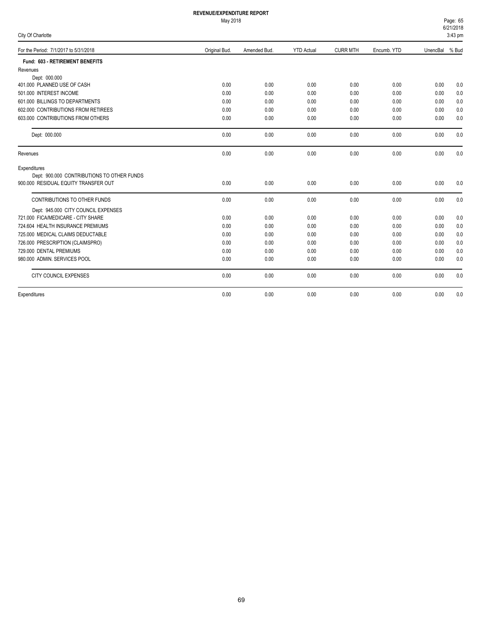|  |  | City Of Charlotte |  |
|--|--|-------------------|--|
|--|--|-------------------|--|

| ony or onanono                             |               |              |                   |                 |             |                | וווען טד.ט |
|--------------------------------------------|---------------|--------------|-------------------|-----------------|-------------|----------------|------------|
| For the Period: 7/1/2017 to 5/31/2018      | Original Bud. | Amended Bud. | <b>YTD Actual</b> | <b>CURR MTH</b> | Encumb. YTD | UnencBal % Bud |            |
| Fund: 603 - RETIREMENT BENEFITS            |               |              |                   |                 |             |                |            |
| Revenues                                   |               |              |                   |                 |             |                |            |
| Dept: 000.000                              |               |              |                   |                 |             |                |            |
| 401.000 PLANNED USE OF CASH                | 0.00          | 0.00         | 0.00              | 0.00            | 0.00        | 0.00           | 0.0        |
| 501.000 INTEREST INCOME                    | 0.00          | 0.00         | 0.00              | 0.00            | 0.00        | 0.00           | 0.0        |
| 601.000 BILLINGS TO DEPARTMENTS            | 0.00          | 0.00         | 0.00              | 0.00            | 0.00        | 0.00           | 0.0        |
| 602.000 CONTRIBUTIONS FROM RETIREES        | 0.00          | 0.00         | 0.00              | 0.00            | 0.00        | 0.00           | 0.0        |
| 603,000 CONTRIBUTIONS FROM OTHERS          | 0.00          | 0.00         | 0.00              | 0.00            | 0.00        | 0.00           | 0.0        |
| Dept: 000.000                              | 0.00          | 0.00         | 0.00              | 0.00            | 0.00        | 0.00           | 0.0        |
| Revenues                                   | 0.00          | 0.00         | 0.00              | 0.00            | 0.00        | 0.00           | 0.0        |
| Expenditures                               |               |              |                   |                 |             |                |            |
| Dept: 900.000 CONTRIBUTIONS TO OTHER FUNDS |               |              |                   |                 |             |                |            |
| 900,000 RESIDUAL EQUITY TRANSFER OUT       | 0.00          | 0.00         | 0.00              | 0.00            | 0.00        | 0.00           | 0.0        |
| CONTRIBUTIONS TO OTHER FUNDS               | 0.00          | 0.00         | 0.00              | 0.00            | 0.00        | 0.00           | 0.0        |
| Dept: 945.000 CITY COUNCIL EXPENSES        |               |              |                   |                 |             |                |            |
| 721.000 FICA/MEDICARE - CITY SHARE         | 0.00          | 0.00         | 0.00              | 0.00            | 0.00        | 0.00           | 0.0        |
| 724.604 HEALTH INSURANCE PREMIUMS          | 0.00          | 0.00         | 0.00              | 0.00            | 0.00        | 0.00           | 0.0        |
| 725,000 MEDICAL CLAIMS DEDUCTABLE          | 0.00          | 0.00         | 0.00              | 0.00            | 0.00        | 0.00           | 0.0        |
| 726.000 PRESCRIPTION (CLAIMSPRO)           | 0.00          | 0.00         | 0.00              | 0.00            | 0.00        | 0.00           | 0.0        |
| 729.000 DENTAL PREMIUMS                    | 0.00          | 0.00         | 0.00              | 0.00            | 0.00        | 0.00           | 0.0        |
| 980.000 ADMIN. SERVICES POOL               | 0.00          | 0.00         | 0.00              | 0.00            | 0.00        | 0.00           | 0.0        |
| <b>CITY COUNCIL EXPENSES</b>               | 0.00          | 0.00         | 0.00              | 0.00            | 0.00        | 0.00           | 0.0        |
| Expenditures                               | 0.00          | 0.00         | 0.00              | 0.00            | 0.00        | 0.00           | 0.0        |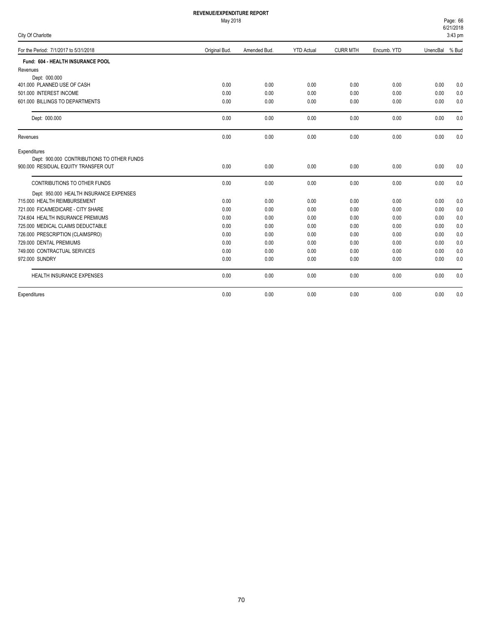May 2018

6/21/2018 Page: 66

|  | ity Of Charlotte |  |
|--|------------------|--|
|  |                  |  |

| City Of Charlotte                          |               |              |                   |                 |             |          | 3:43 pm |
|--------------------------------------------|---------------|--------------|-------------------|-----------------|-------------|----------|---------|
| For the Period: 7/1/2017 to 5/31/2018      | Original Bud. | Amended Bud. | <b>YTD Actual</b> | <b>CURR MTH</b> | Encumb. YTD | UnencBal | % Bud   |
| Fund: 604 - HEALTH INSURANCE POOL          |               |              |                   |                 |             |          |         |
| Revenues                                   |               |              |                   |                 |             |          |         |
| Dept: 000.000                              |               |              |                   |                 |             |          |         |
| 401.000 PLANNED USE OF CASH                | 0.00          | 0.00         | 0.00              | 0.00            | 0.00        | 0.00     | 0.0     |
| 501.000 INTEREST INCOME                    | 0.00          | 0.00         | 0.00              | 0.00            | 0.00        | 0.00     | 0.0     |
| 601.000 BILLINGS TO DEPARTMENTS            | 0.00          | 0.00         | 0.00              | 0.00            | 0.00        | 0.00     | 0.0     |
| Dept: 000.000                              | 0.00          | 0.00         | 0.00              | 0.00            | 0.00        | 0.00     | 0.0     |
| Revenues                                   | 0.00          | 0.00         | 0.00              | 0.00            | 0.00        | 0.00     | 0.0     |
| Expenditures                               |               |              |                   |                 |             |          |         |
| Dept: 900.000 CONTRIBUTIONS TO OTHER FUNDS |               |              |                   |                 |             |          |         |
| 900,000 RESIDUAL EQUITY TRANSFER OUT       | 0.00          | 0.00         | 0.00              | 0.00            | 0.00        | 0.00     | 0.0     |
| CONTRIBUTIONS TO OTHER FUNDS               | 0.00          | 0.00         | 0.00              | 0.00            | 0.00        | 0.00     | 0.0     |
| Dept: 950.000 HEALTH INSURANCE EXPENSES    |               |              |                   |                 |             |          |         |
| 715.000 HEALTH REIMBURSEMENT               | 0.00          | 0.00         | 0.00              | 0.00            | 0.00        | 0.00     | 0.0     |
| 721.000 FICA/MEDICARE - CITY SHARE         | 0.00          | 0.00         | 0.00              | 0.00            | 0.00        | 0.00     | 0.0     |
| 724.604 HEALTH INSURANCE PREMIUMS          | 0.00          | 0.00         | 0.00              | 0.00            | 0.00        | 0.00     | 0.0     |
| 725.000 MEDICAL CLAIMS DEDUCTABLE          | 0.00          | 0.00         | 0.00              | 0.00            | 0.00        | 0.00     | 0.0     |
| 726.000 PRESCRIPTION (CLAIMSPRO)           | 0.00          | 0.00         | 0.00              | 0.00            | 0.00        | 0.00     | 0.0     |
| 729.000 DENTAL PREMIUMS                    | 0.00          | 0.00         | 0.00              | 0.00            | 0.00        | 0.00     | 0.0     |
| 749.000 CONTRACTUAL SERVICES               | 0.00          | 0.00         | 0.00              | 0.00            | 0.00        | 0.00     | 0.0     |
| 972.000 SUNDRY                             | 0.00          | 0.00         | 0.00              | 0.00            | 0.00        | 0.00     | 0.0     |
| <b>HEALTH INSURANCE EXPENSES</b>           | 0.00          | 0.00         | 0.00              | 0.00            | 0.00        | 0.00     | 0.0     |
| Expenditures                               | 0.00          | 0.00         | 0.00              | 0.00            | 0.00        | 0.00     | 0.0     |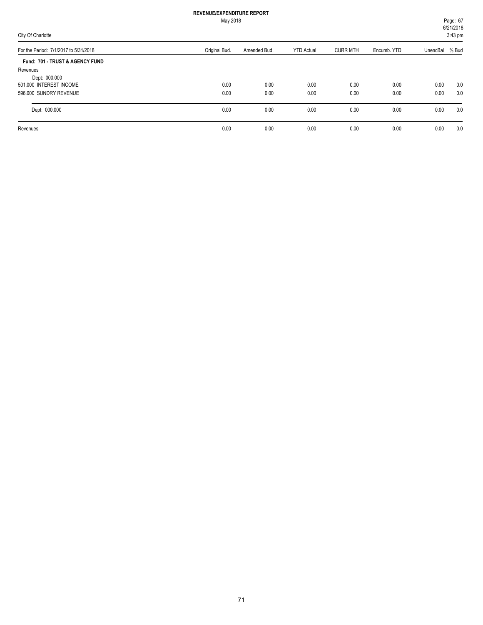|                                       |               | May 2018     |                   |                 |             | Page: 67<br>6/21/2018 |           |  |
|---------------------------------------|---------------|--------------|-------------------|-----------------|-------------|-----------------------|-----------|--|
| City Of Charlotte                     |               |              |                   |                 |             |                       | $3:43$ pm |  |
| For the Period: 7/1/2017 to 5/31/2018 | Original Bud. | Amended Bud. | <b>YTD Actual</b> | <b>CURR MTH</b> | Encumb. YTD | UnencBal % Bud        |           |  |
| Fund: 701 - TRUST & AGENCY FUND       |               |              |                   |                 |             |                       |           |  |
| Revenues                              |               |              |                   |                 |             |                       |           |  |
| Dept: 000.000                         |               |              |                   |                 |             |                       |           |  |
| 501.000 INTEREST INCOME               | 0.00          | 0.00         | 0.00              | 0.00            | 0.00        | 0.00                  | 0.0       |  |
| 596,000 SUNDRY REVENUE                | 0.00          | 0.00         | 0.00              | 0.00            | 0.00        | 0.00                  | 0.0       |  |
| Dept: 000.000                         | 0.00          | 0.00         | 0.00              | 0.00            | 0.00        | 0.00                  | 0.0       |  |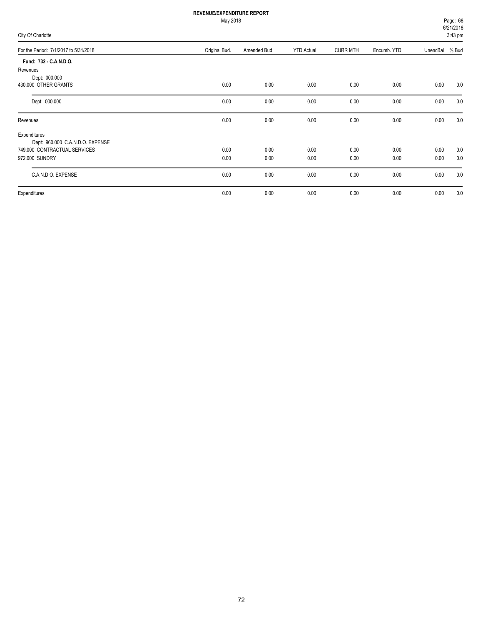May 2018

Page: 68

| City Of Charlotte                     |               |              |                   |                 |             | 6/21/2018<br>3:43 pm |       |
|---------------------------------------|---------------|--------------|-------------------|-----------------|-------------|----------------------|-------|
| For the Period: 7/1/2017 to 5/31/2018 | Original Bud. | Amended Bud. | <b>YTD Actual</b> | <b>CURR MTH</b> | Encumb. YTD | UnencBal             | % Bud |
| Fund: 732 - C.A.N.D.O.                |               |              |                   |                 |             |                      |       |
| Revenues                              |               |              |                   |                 |             |                      |       |
| Dept: 000.000                         |               |              |                   |                 |             |                      |       |
| 430.000 OTHER GRANTS                  | 0.00          | 0.00         | 0.00              | 0.00            | 0.00        | 0.00                 | 0.0   |
| Dept: 000.000                         | 0.00          | 0.00         | 0.00              | 0.00            | 0.00        | 0.00                 | 0.0   |
| Revenues                              | 0.00          | 0.00         | 0.00              | 0.00            | 0.00        | 0.00                 | 0.0   |
| Expenditures                          |               |              |                   |                 |             |                      |       |
| Dept: 960.000 C.A.N.D.O. EXPENSE      |               |              |                   |                 |             |                      |       |
| 749.000 CONTRACTUAL SERVICES          | 0.00          | 0.00         | 0.00              | 0.00            | 0.00        | 0.00                 | 0.0   |
| 972.000 SUNDRY                        | 0.00          | 0.00         | 0.00              | 0.00            | 0.00        | 0.00                 | 0.0   |
| C.A.N.D.O. EXPENSE                    | 0.00          | 0.00         | 0.00              | 0.00            | 0.00        | 0.00                 | 0.0   |
| Expenditures                          | 0.00          | 0.00         | 0.00              | 0.00            | 0.00        | 0.00                 | 0.0   |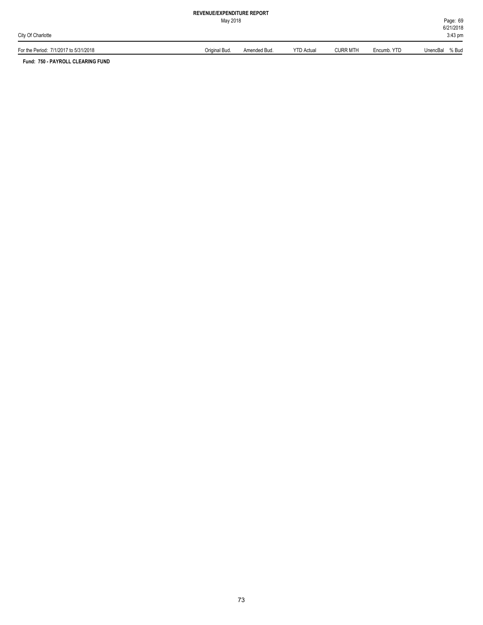May 2018

6/21/2018 Page: 69 3:43 pm

| For the Period:<br>7/1/2017 to 5/31/2018 | Original Bud. | Amended Bud | <b>YTD Actual</b> | <b>CURR MTH</b> | Encumb, YTD | % Bud<br>UnencBal |
|------------------------------------------|---------------|-------------|-------------------|-----------------|-------------|-------------------|

**Fund: 750 - PAYROLL CLEARING FUND**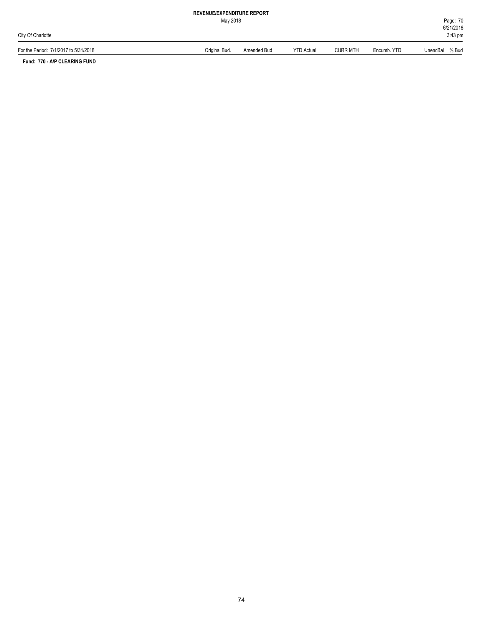May 2018

| $\cdot$ 7/1/2017 to 5/31/2018<br>For the Period: | Original Bud | Amended Bud. | YTD Actual | <b>CURR MTH</b> | Encumb, YTD | UnencBal<br>% Bud |
|--------------------------------------------------|--------------|--------------|------------|-----------------|-------------|-------------------|

**Fund: 770 - A/P CLEARING FUND**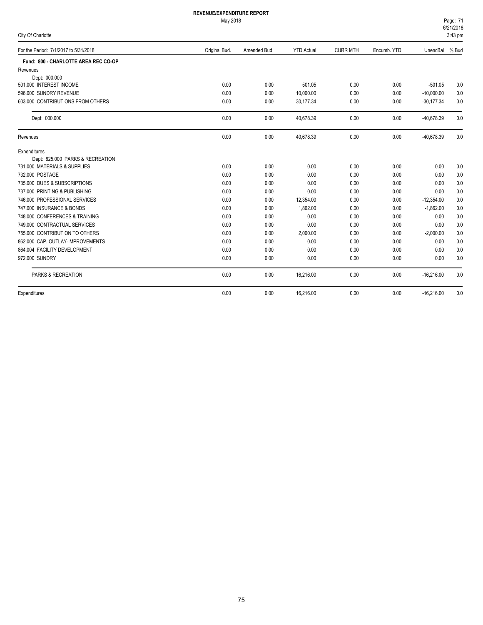May 2018

| Page: 71     |  |
|--------------|--|
| 6/21/2018    |  |
| . <i>.</i> . |  |

| City Of Charlotte                     |               |              |                   |                 |             | 3:43 pm      |       |
|---------------------------------------|---------------|--------------|-------------------|-----------------|-------------|--------------|-------|
| For the Period: 7/1/2017 to 5/31/2018 | Original Bud. | Amended Bud. | <b>YTD Actual</b> | <b>CURR MTH</b> | Encumb. YTD | UnencBal     | % Bud |
| Fund: 800 - CHARLOTTE AREA REC CO-OP  |               |              |                   |                 |             |              |       |
| Revenues                              |               |              |                   |                 |             |              |       |
| Dept: 000.000                         |               |              |                   |                 |             |              |       |
| 501.000 INTEREST INCOME               | 0.00          | 0.00         | 501.05            | 0.00            | 0.00        | $-501.05$    | 0.0   |
| 596.000 SUNDRY REVENUE                | 0.00          | 0.00         | 10,000.00         | 0.00            | 0.00        | $-10,000.00$ | 0.0   |
| 603,000 CONTRIBUTIONS FROM OTHERS     | 0.00          | 0.00         | 30,177.34         | 0.00            | 0.00        | $-30,177.34$ | 0.0   |
| Dept: 000.000                         | 0.00          | 0.00         | 40,678.39         | 0.00            | 0.00        | $-40,678.39$ | 0.0   |
| Revenues                              | 0.00          | 0.00         | 40,678.39         | 0.00            | 0.00        | -40,678.39   | 0.0   |
| Expenditures                          |               |              |                   |                 |             |              |       |
| Dept: 825.000 PARKS & RECREATION      |               |              |                   |                 |             |              |       |
| 731.000 MATERIALS & SUPPLIES          | 0.00          | 0.00         | 0.00              | 0.00            | 0.00        | 0.00         | 0.0   |
| 732.000 POSTAGE                       | 0.00          | 0.00         | 0.00              | 0.00            | 0.00        | 0.00         | 0.0   |
| 735,000 DUES & SUBSCRIPTIONS          | 0.00          | 0.00         | 0.00              | 0.00            | 0.00        | 0.00         | 0.0   |
| 737.000 PRINTING & PUBLISHING         | 0.00          | 0.00         | 0.00              | 0.00            | 0.00        | 0.00         | 0.0   |
| 746.000 PROFESSIONAL SERVICES         | 0.00          | 0.00         | 12,354.00         | 0.00            | 0.00        | $-12,354.00$ | 0.0   |
| 747,000 INSURANCE & BONDS             | 0.00          | 0.00         | 1,862.00          | 0.00            | 0.00        | $-1,862.00$  | 0.0   |
| 748,000 CONFERENCES & TRAINING        | 0.00          | 0.00         | 0.00              | 0.00            | 0.00        | 0.00         | 0.0   |
| 749.000 CONTRACTUAL SERVICES          | 0.00          | 0.00         | 0.00              | 0.00            | 0.00        | 0.00         | 0.0   |
| 755,000 CONTRIBUTION TO OTHERS        | 0.00          | 0.00         | 2,000.00          | 0.00            | 0.00        | $-2,000.00$  | 0.0   |
| 862.000 CAP. OUTLAY-IMPROVEMENTS      | 0.00          | 0.00         | 0.00              | 0.00            | 0.00        | 0.00         | 0.0   |
| 864.004 FACILITY DEVELOPMENT          | 0.00          | 0.00         | 0.00              | 0.00            | 0.00        | 0.00         | 0.0   |
| 972.000 SUNDRY                        | 0.00          | 0.00         | 0.00              | 0.00            | 0.00        | 0.00         | 0.0   |
| PARKS & RECREATION                    | 0.00          | 0.00         | 16,216.00         | 0.00            | 0.00        | $-16,216.00$ | 0.0   |
| Expenditures                          | 0.00          | 0.00         | 16,216.00         | 0.00            | 0.00        | $-16,216.00$ | 0.0   |